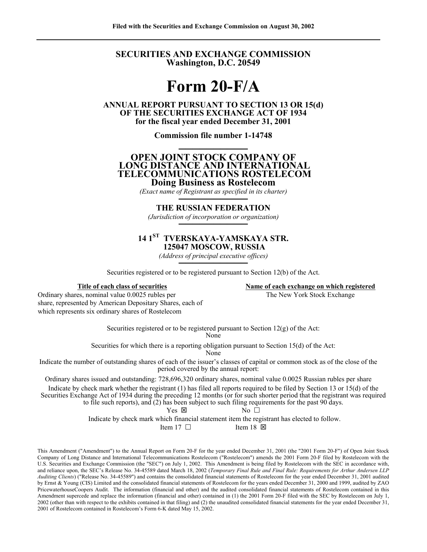**SECURITIES AND EXCHANGE COMMISSION Washington, D.C. 20549** 

# **Form 20-F/A**

**ANNUAL REPORT PURSUANT TO SECTION 13 OR 15(d) OF THE SECURITIES EXCHANGE ACT OF 1934 for the fiscal year ended December 31, 2001** 

**Commission file number 1-14748** 

# **────────── OPEN JOINT STOCK COMPANY OF LONG DISTANCE AND INTERNATIONAL TELECOMMUNICATIONS ROSTELECOM Doing Business as Rostelecom**

*(Exact name of Registrant as specified in its charter)* 

# **────────── THE RUSSIAN FEDERATION**

*(Jurisdiction of incorporation or organization)*  **──────────**

# **14 1ST TVERSKAYA-YAMSKAYA STR. 125047 MOSCOW, RUSSIA**

*(Address of principal executive offices)*   $\frac{1}{\sqrt{1}}$ 

Securities registered or to be registered pursuant to Section 12(b) of the Act.

**Title of each class of securities Name of each exchange on which registered**

Ordinary shares, nominal value 0.0025 rubles per The New York Stock Exchange share, represented by American Depositary Shares, each of which represents six ordinary shares of Rostelecom

Securities registered or to be registered pursuant to Section  $12(g)$  of the Act: None

Securities for which there is a reporting obligation pursuant to Section 15(d) of the Act:

None

Indicate the number of outstanding shares of each of the issuer's classes of capital or common stock as of the close of the period covered by the annual report:

Ordinary shares issued and outstanding: 728,696,320 ordinary shares, nominal value 0.0025 Russian rubles per share Indicate by check mark whether the registrant (1) has filed all reports required to be filed by Section 13 or 15(d) of the Securities Exchange Act of 1934 during the preceding 12 months (or for such shorter period that the registrant was required to file such reports), and (2) has been subject to such filing requirements for the past 90 days. Yes  $\boxtimes$  No  $\Box$ 

Indicate by check mark which financial statement item the registrant has elected to follow.

Item 17  $\Box$  Item 18  $\times$ 

This Amendment ("Amendment") to the Annual Report on Form 20-F for the year ended December 31, 2001 (the "2001 Form 20-F") of Open Joint Stock Company of Long Distance and International Telecommunications Rostelecom ("Rostelecom") amends the 2001 Form 20-F filed by Rostelecom with the U.S. Securities and Exchange Commission (the "SEC") on July 1, 2002. This Amendment is being filed by Rostelecom with the SEC in accordance with, and reliance upon, the SEC's Release No. 34-45589 dated March 18, 2002 (*Temporary Final Rule and Final Rule: Requirements for Arthur Andersen LLP Auditing Clients*) ("Release No. 34-45589") and contains the consolidated financial statements of Rostelecom for the year ended December 31, 2001 audited by Ernst & Young (CIS) Limited and the consolidated financial statements of Rostelecom for the years ended December 31, 2000 and 1999, audited by ZAO PricewaterhouseCoopers Audit. The information (financial and other) and the audited consolidated financial statements of Rostelecom contained in this Amendment supercede and replace the information (financial and other) contained in (1) the 2001 Form 20-F filed with the SEC by Rostelecom on July 1, 2002 (other than with respect to the exhibits contained in that filing) and (2) the unaudited consolidated financial statements for the year ended December 31, 2001 of Rostelecom contained in Rostelecom's Form 6-K dated May 15, 2002.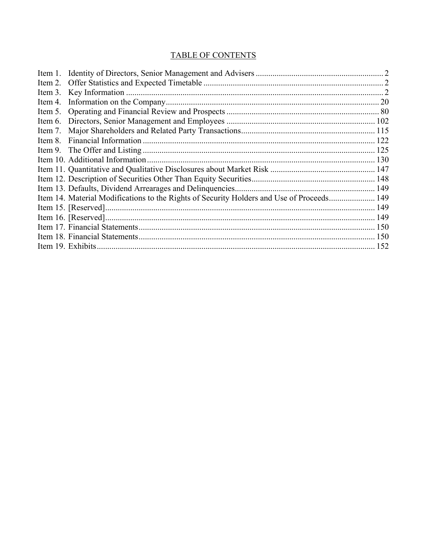# **TABLE OF CONTENTS**

| <b>20</b>                                                                                                       |
|-----------------------------------------------------------------------------------------------------------------|
|                                                                                                                 |
|                                                                                                                 |
|                                                                                                                 |
|                                                                                                                 |
|                                                                                                                 |
|                                                                                                                 |
|                                                                                                                 |
|                                                                                                                 |
|                                                                                                                 |
|                                                                                                                 |
|                                                                                                                 |
|                                                                                                                 |
|                                                                                                                 |
|                                                                                                                 |
|                                                                                                                 |
| Item 5.<br>Item 8.<br>Item 14. Material Modifications to the Rights of Security Holders and Use of Proceeds 149 |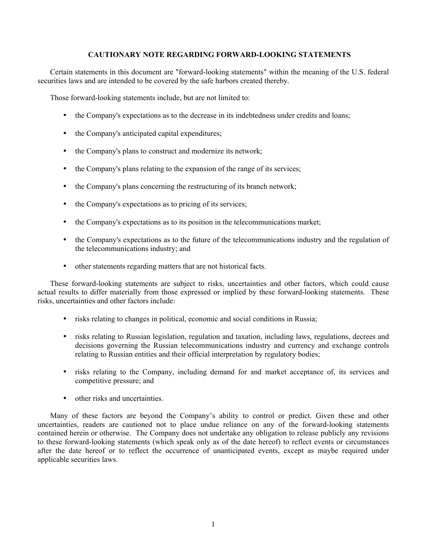# **CAUTIONARY NOTE REGARDING FORWARD-LOOKING STATEMENTS**

Certain statements in this document are "forward-looking statements" within the meaning of the U.S. federal securities laws and are intended to be covered by the safe harbors created thereby.

Those forward-looking statements include, but are not limited to:

- the Company's expectations as to the decrease in its indebtedness under credits and loans;
- the Company's anticipated capital expenditures;
- the Company's plans to construct and modernize its network;
- the Company's plans relating to the expansion of the range of its services;
- the Company's plans concerning the restructuring of its branch network;
- the Company's expectations as to pricing of its services;
- the Company's expectations as to its position in the telecommunications market;
- the Company's expectations as to the future of the telecommunications industry and the regulation of the telecommunications industry; and
- other statements regarding matters that are not historical facts.

These forward-looking statements are subject to risks, uncertainties and other factors, which could cause actual results to differ materially from those expressed or implied by these forward-looking statements. These risks, uncertainties and other factors include:

- risks relating to changes in political, economic and social conditions in Russia;
- risks relating to Russian legislation, regulation and taxation, including laws, regulations, decrees and decisions governing the Russian telecommunications industry and currency and exchange controls relating to Russian entities and their official interpretation by regulatory bodies;
- risks relating to the Company, including demand for and market acceptance of, its services and competitive pressure; and
- other risks and uncertainties

Many of these factors are beyond the Company's ability to control or predict. Given these and other uncertainties, readers are cautioned not to place undue reliance on any of the forward-looking statements contained herein or otherwise. The Company does not undertake any obligation to release publicly any revisions to these forward-looking statements (which speak only as of the date hereof) to reflect events or circumstances after the date hereof or to reflect the occurrence of unanticipated events, except as maybe required under applicable securities laws.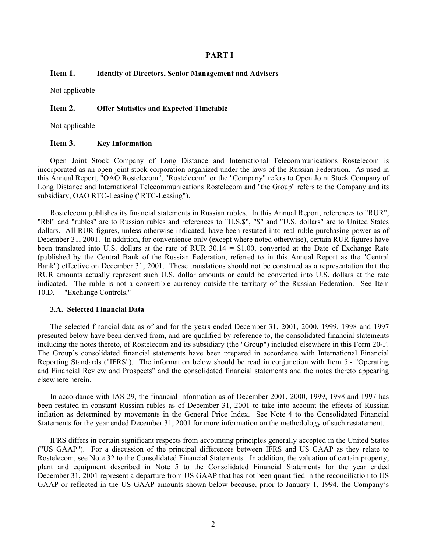# **PART I**

# **Item 1. Identity of Directors, Senior Management and Advisers**

Not applicable

# **Item 2. Offer Statistics and Expected Timetable**

Not applicable

#### **Item 3. Key Information**

Open Joint Stock Company of Long Distance and International Telecommunications Rostelecom is incorporated as an open joint stock corporation organized under the laws of the Russian Federation. As used in this Annual Report, "OAO Rostelecom", "Rostelecom" or the "Company" refers to Open Joint Stock Company of Long Distance and International Telecommunications Rostelecom and "the Group" refers to the Company and its subsidiary, OAO RTC-Leasing ("RTC-Leasing").

Rostelecom publishes its financial statements in Russian rubles. In this Annual Report, references to "RUR", "Rbl" and "rubles" are to Russian rubles and references to "U.S.\$", "\$" and "U.S. dollars" are to United States dollars. All RUR figures, unless otherwise indicated, have been restated into real ruble purchasing power as of December 31, 2001. In addition, for convenience only (except where noted otherwise), certain RUR figures have been translated into U.S. dollars at the rate of RUR 30.14 = \$1.00, converted at the Date of Exchange Rate (published by the Central Bank of the Russian Federation, referred to in this Annual Report as the "Central Bank") effective on December 31, 2001. These translations should not be construed as a representation that the RUR amounts actually represent such U.S. dollar amounts or could be converted into U.S. dollars at the rate indicated. The ruble is not a convertible currency outside the territory of the Russian Federation. See Item 10.D.— "Exchange Controls."

#### **3.A. Selected Financial Data**

The selected financial data as of and for the years ended December 31, 2001, 2000, 1999, 1998 and 1997 presented below have been derived from, and are qualified by reference to, the consolidated financial statements including the notes thereto, of Rostelecom and its subsidiary (the "Group") included elsewhere in this Form 20-F. The Group's consolidated financial statements have been prepared in accordance with International Financial Reporting Standards ("IFRS"). The information below should be read in conjunction with Item 5.- "Operating and Financial Review and Prospects" and the consolidated financial statements and the notes thereto appearing elsewhere herein.

In accordance with IAS 29, the financial information as of December 2001, 2000, 1999, 1998 and 1997 has been restated in constant Russian rubles as of December 31, 2001 to take into account the effects of Russian inflation as determined by movements in the General Price Index. See Note 4 to the Consolidated Financial Statements for the year ended December 31, 2001 for more information on the methodology of such restatement.

IFRS differs in certain significant respects from accounting principles generally accepted in the United States ("US GAAP"). For a discussion of the principal differences between IFRS and US GAAP as they relate to Rostelecom, see Note 32 to the Consolidated Financial Statements. In addition, the valuation of certain property, plant and equipment described in Note 5 to the Consolidated Financial Statements for the year ended December 31, 2001 represent a departure from US GAAP that has not been quantified in the reconciliation to US GAAP or reflected in the US GAAP amounts shown below because, prior to January 1, 1994, the Company's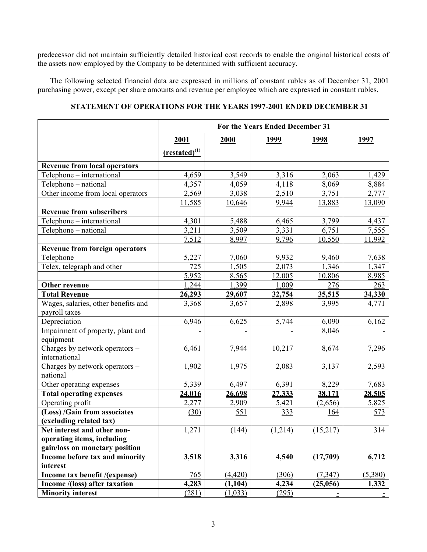predecessor did not maintain sufficiently detailed historical cost records to enable the original historical costs of the assets now employed by the Company to be determined with sufficient accuracy.

The following selected financial data are expressed in millions of constant rubles as of December 31, 2001 purchasing power, except per share amounts and revenue per employee which are expressed in constant rubles.

# **STATEMENT OF OPERATIONS FOR THE YEARS 1997-2001 ENDED DECEMBER 31**

|                                                 | For the Years Ended December 31 |          |             |             |             |
|-------------------------------------------------|---------------------------------|----------|-------------|-------------|-------------|
|                                                 | 2001                            | 2000     | <u>1999</u> | <u>1998</u> | <u>1997</u> |
|                                                 | $(rested)^{(1)}$                |          |             |             |             |
| <b>Revenue from local operators</b>             |                                 |          |             |             |             |
| Telephone - international                       | 4,659                           | 3,549    | 3,316       | 2,063       | 1,429       |
| Telephone - national                            | 4,357                           | 4,059    | 4,118       | 8,069       | 8,884       |
| Other income from local operators               | 2,569                           | 3,038    | 2,510       | 3,751       | 2,777       |
|                                                 | 11,585                          | 10,646   | 9,944       | 13,883      | 13,090      |
| <b>Revenue from subscribers</b>                 |                                 |          |             |             |             |
| Telephone - international                       | 4,301                           | 5,488    | 6,465       | 3,799       | 4,437       |
| Telephone - national                            | 3,211                           | 3,509    | 3,331       | 6,751       | 7,555       |
|                                                 | 7,512                           | 8,997    | 9,796       | 10,550      | 11,992      |
| <b>Revenue from foreign operators</b>           |                                 |          |             |             |             |
| Telephone                                       | 5,227                           | 7,060    | 9,932       | 9,460       | 7,638       |
| Telex, telegraph and other                      | 725                             | 1,505    | 2,073       | 1,346       | 1,347       |
|                                                 | 5,952                           | 8,565    | 12,005      | 10,806      | 8,985       |
| Other revenue                                   | 1,244                           | 1,399    | 1,009       | 276         | 263         |
| <b>Total Revenue</b>                            | 26,293                          | 29,607   | 32,754      | 35,515      | 34,330      |
| Wages, salaries, other benefits and             | 3,368                           | 3,657    | 2,898       | 3,995       | 4,771       |
| payroll taxes                                   |                                 |          |             |             |             |
| Depreciation                                    | 6,946                           | 6,625    | 5,744       | 6,090       | 6,162       |
| Impairment of property, plant and<br>equipment  |                                 |          |             | 8,046       |             |
| Charges by network operators -<br>international | 6,461                           | 7,944    | 10,217      | 8,674       | 7,296       |
| Charges by network operators -<br>national      | 1,902                           | 1,975    | 2,083       | 3,137       | 2,593       |
| Other operating expenses                        | 5,339                           | 6,497    | 6,391       | 8,229       | 7,683       |
| <b>Total operating expenses</b>                 | 24,016                          | 26,698   | 27,333      | 38,171      | 28,505      |
| Operating profit                                | 2,277                           | 2,909    | 5,421       | (2,656)     | 5,825       |
| (Loss) /Gain from associates                    | (30)                            | 551      | 333         | 164         | <u>573</u>  |
| (excluding related tax)                         |                                 |          |             |             |             |
| Net interest and other non-                     | 1,271                           | (144)    | (1,214)     | (15,217)    | 314         |
| operating items, including                      |                                 |          |             |             |             |
| gain/loss on monetary position                  |                                 |          |             |             |             |
| Income before tax and minority                  | 3,518                           | 3,316    | 4,540       | (17,709)    | 6,712       |
| interest                                        |                                 |          |             |             |             |
| Income tax benefit /(expense)                   | 765                             | (4, 420) | (306)       | (7, 347)    | (5,380)     |
| Income /(loss) after taxation                   | 4,283                           | (1, 104) | 4,234       | (25,056)    | 1,332       |
| <b>Minority interest</b>                        | (281)                           | (1,033)  | (295)       |             |             |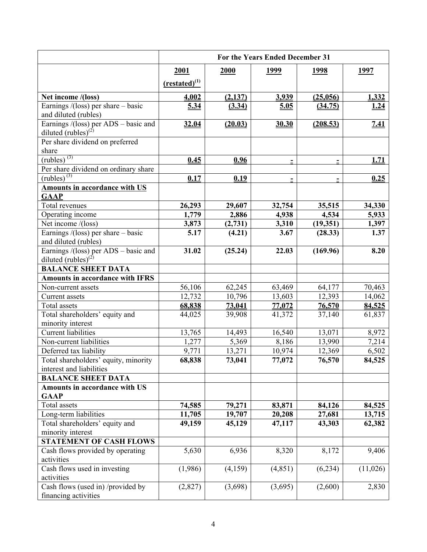|                                                                         | For the Years Ended December 31 |                 |                 |                  |                             |
|-------------------------------------------------------------------------|---------------------------------|-----------------|-----------------|------------------|-----------------------------|
|                                                                         | 2001                            | 2000            | 1999            | <u>1998</u>      | <u>1997</u>                 |
|                                                                         | $(restated)^{(1)}$              |                 |                 |                  |                             |
|                                                                         |                                 | (2, 137)        |                 | (25,056)         |                             |
| Net income /(loss)<br>Earnings $/$ (loss) per share – basic             | 4,002<br>5.34                   | (3.34)          | 3,939           |                  | 1,332                       |
| and diluted (rubles)                                                    |                                 |                 | 5.05            | (34.75)          | <u><math>1.24</math></u>    |
|                                                                         | 32.04                           | (20.03)         | 30.30           | (208.53)         | <u>7.41</u>                 |
| Earnings /(loss) per ADS – basic and<br>diluted $(\text{rubles})^{(2)}$ |                                 |                 |                 |                  |                             |
| Per share dividend on preferred                                         |                                 |                 |                 |                  |                             |
| share                                                                   |                                 |                 |                 |                  |                             |
| $\left(\text{rubles}\right)^{(3)}$                                      | 0.45                            | 0.96            | $\equiv$        | $\equiv$         | 1.71                        |
| Per share dividend on ordinary share                                    |                                 |                 |                 |                  |                             |
| $(\overline{rubes})^{(3)}$                                              | 0.17                            | 0.19            | Ξ               |                  | 0.25                        |
| <b>Amounts in accordance with US</b>                                    |                                 |                 |                 |                  |                             |
| <b>GAAP</b>                                                             |                                 |                 |                 |                  |                             |
| Total revenues                                                          | 26,293                          | 29,607          | 32,754          | 35,515           | 34,330                      |
| Operating income                                                        | 1,779                           | 2,886           | 4,938           | 4,534            | 5,933                       |
| Net income /(loss)                                                      | 3,873                           | (2,731)         | 3,310           | (19,351)         | 1,397                       |
| Earnings $/$ (loss) per share – basic                                   | 5.17                            | (4.21)          | 3.67            | (28.33)          | 1.37                        |
| and diluted (rubles)                                                    |                                 |                 |                 |                  |                             |
| Earnings $/(loss)$ per ADS – basic and                                  | 31.02                           | (25.24)         | 22.03           | (169.96)         | 8.20                        |
| diluted (rubles) $^{(2)}$                                               |                                 |                 |                 |                  |                             |
| <b>BALANCE SHEET DATA</b>                                               |                                 |                 |                 |                  |                             |
| <b>Amounts in accordance with IFRS</b>                                  |                                 |                 |                 |                  |                             |
| Non-current assets                                                      | 56,106                          | 62,245          | 63,469          | 64,177           | 70,463                      |
| Current assets                                                          | 12,732                          | 10,796          | 13,603          | 12,393           | 14,062                      |
| Total assets                                                            | 68,838                          | 73,041          | 77,072          | 76,570           | 84,525                      |
| Total shareholders' equity and                                          | 44,025                          | 39,908          | 41,372          | 37,140           | 61,837                      |
| minority interest                                                       |                                 |                 |                 |                  |                             |
| Current liabilities<br>Non-current liabilities                          | 13,765<br>1,277                 | 14,493<br>5,369 | 16,540<br>8,186 | 13,071<br>13,990 | 8,972<br>$\overline{7,2}14$ |
| Deferred tax liability                                                  | 9,771                           | 13,271          | 10,974          | 12,369           | 6,502                       |
| Total shareholders' equity, minority                                    | 68,838                          | 73,041          | 77,072          | 76,570           | 84,525                      |
| interest and liabilities                                                |                                 |                 |                 |                  |                             |
| <b>BALANCE SHEET DATA</b>                                               |                                 |                 |                 |                  |                             |
| <b>Amounts in accordance with US</b>                                    |                                 |                 |                 |                  |                             |
| <b>GAAP</b>                                                             |                                 |                 |                 |                  |                             |
| Total assets                                                            | 74,585                          | 79,271          | 83,871          | 84,126           | 84,525                      |
| Long-term liabilities                                                   | 11,705                          | 19,707          | 20,208          | 27,681           | 13,715                      |
| Total shareholders' equity and                                          | 49,159                          | 45,129          | 47,117          | 43,303           | 62,382                      |
| minority interest                                                       |                                 |                 |                 |                  |                             |
| <b>STATEMENT OF CASH FLOWS</b>                                          |                                 |                 |                 |                  |                             |
| Cash flows provided by operating                                        | 5,630                           | 6,936           | 8,320           | 8,172            | 9,406                       |
| activities                                                              |                                 |                 |                 |                  |                             |
| Cash flows used in investing                                            | (1,986)                         | (4,159)         | (4, 851)        | (6,234)          | (11,026)                    |
| activities                                                              |                                 |                 |                 |                  |                             |
| Cash flows (used in) /provided by                                       | (2,827)                         | (3,698)         | (3,695)         | (2,600)          | 2,830                       |
| financing activities                                                    |                                 |                 |                 |                  |                             |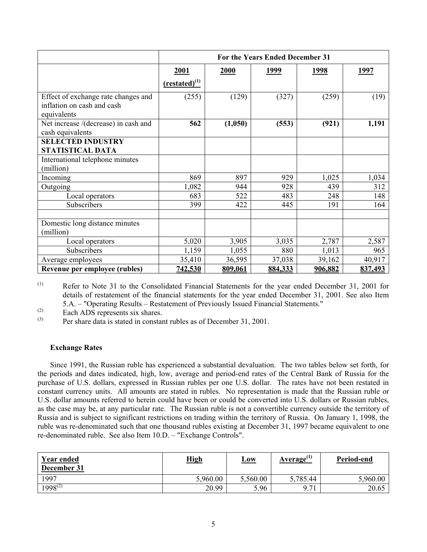|                                                                                  | For the Years Ended December 31 |         |         |         |         |
|----------------------------------------------------------------------------------|---------------------------------|---------|---------|---------|---------|
|                                                                                  | 2001                            | 2000    | 1999    | 1998    | 1997    |
|                                                                                  | $(rested)^{(1)}$                |         |         |         |         |
| Effect of exchange rate changes and<br>inflation on cash and cash<br>equivalents | (255)                           | (129)   | (327)   | (259)   | (19)    |
| Net increase /(decrease) in cash and<br>cash equivalents                         | 562                             | (1,050) | (553)   | (921)   | 1,191   |
| <b>SELECTED INDUSTRY</b><br>STATISTICAL DATA                                     |                                 |         |         |         |         |
| International telephone minutes<br>(million)                                     |                                 |         |         |         |         |
| Incoming                                                                         | 869                             | 897     | 929     | 1,025   | 1,034   |
| Outgoing                                                                         | 1,082                           | 944     | 928     | 439     | 312     |
| Local operators                                                                  | 683                             | 522     | 483     | 248     | 148     |
| Subscribers                                                                      | 399                             | 422     | 445     | 191     | 164     |
| Domestic long distance minutes<br>(million)                                      |                                 |         |         |         |         |
| Local operators                                                                  | 5,020                           | 3,905   | 3,035   | 2,787   | 2,587   |
| Subscribers                                                                      | 1,159                           | 1,055   | 880     | 1,013   | 965     |
| Average employees                                                                | 35,410                          | 36,595  | 37,038  | 39,162  | 40,917  |
| Revenue per employee (rubles)                                                    | 742,530                         | 809,061 | 884,333 | 906,882 | 837,493 |

(1) Refer to Note 31 to the Consolidated Financial Statements for the year ended December 31, 2001 for details of restatement of the financial statements for the year ended December 31, 2001. See also Item 5.A. – "Operating Results – Restatement of Previously Issued Financial Statements."

 $\begin{array}{ll}\n\text{(2)} & \text{Each ADS represents six shares.} \\
\text{(3)} & \text{Der share date is stated in contest.}\n\end{array}$ 

Per share data is stated in constant rubles as of December 31, 2001.

# **Exchange Rates**

Since 1991, the Russian ruble has experienced a substantial devaluation. The two tables below set forth, for the periods and dates indicated, high, low, average and period-end rates of the Central Bank of Russia for the purchase of U.S. dollars, expressed in Russian rubles per one U.S. dollar. The rates have not been restated in constant currency units. All amounts are stated in rubles. No representation is made that the Russian ruble or U.S. dollar amounts referred to herein could have been or could be converted into U.S. dollars or Russian rubles, as the case may be, at any particular rate. The Russian ruble is not a convertible currency outside the territory of Russia and is subject to significant restrictions on trading within the territory of Russia. On January 1, 1998, the ruble was re-denominated such that one thousand rubles existing at December 31, 1997 became equivalent to one re-denominated ruble. See also Item 10.D. – "Exchange Controls".

| <b>Year ended</b><br>December 31 | <b>High</b> | Low      | Average <sup>(1)</sup> | Period-end |
|----------------------------------|-------------|----------|------------------------|------------|
| 1997                             | 5,960.00    | 5,560.00 | 5,785.44               | 5,960.00   |
| $1998^{(2)}$                     | 20.99       | 5.96     | $Q$ 71                 | 20.65      |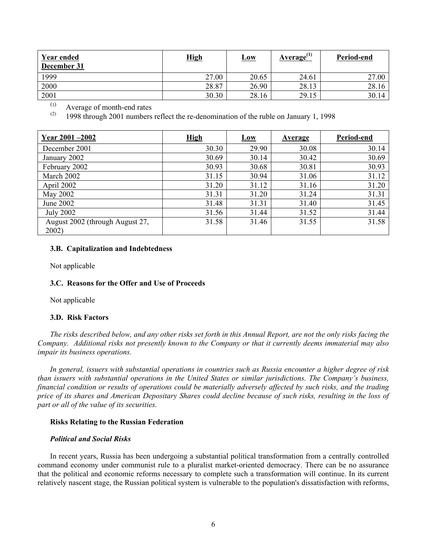| <b>Year ended</b><br>December 31 | <b>High</b> | <u>Low</u> | Average $^{(1)}$ | Period-end |
|----------------------------------|-------------|------------|------------------|------------|
| 1999                             | 27.00       | 20.65      | 24.61            | 27.00      |
| 2000                             | 28.87       | 26.90      | 28.13            | 28.16      |
| 2001                             | 30.30       | 28.16      | 29.15            | 30.14      |

(1) <sup>(1)</sup> Average of month-end rates<br><sup>(2)</sup>  $1009$  through 2001 numbers

1998 through 2001 numbers reflect the re-denomination of the ruble on January 1, 1998

| Year 2001 - 2002                         | <b>High</b> | <b>Low</b> | <b>Average</b> | Period-end |
|------------------------------------------|-------------|------------|----------------|------------|
| December 2001                            | 30.30       | 29.90      | 30.08          | 30.14      |
| January 2002                             | 30.69       | 30.14      | 30.42          | 30.69      |
| February 2002                            | 30.93       | 30.68      | 30.81          | 30.93      |
| March 2002                               | 31.15       | 30.94      | 31.06          | 31.12      |
| April 2002                               | 31.20       | 31.12      | 31.16          | 31.20      |
| May 2002                                 | 31.31       | 31.20      | 31.24          | 31.31      |
| June 2002                                | 31.48       | 31.31      | 31.40          | 31.45      |
| <b>July 2002</b>                         | 31.56       | 31.44      | 31.52          | 31.44      |
| August 2002 (through August 27,<br>2002) | 31.58       | 31.46      | 31.55          | 31.58      |

# **3.B. Capitalization and Indebtedness**

Not applicable

# **3.C. Reasons for the Offer and Use of Proceeds**

Not applicable

# **3.D. Risk Factors**

*The risks described below, and any other risks set forth in this Annual Report, are not the only risks facing the Company. Additional risks not presently known to the Company or that it currently deems immaterial may also impair its business operations.* 

*In general, issuers with substantial operations in countries such as Russia encounter a higher degree of risk than issuers with substantial operations in the United States or similar jurisdictions. The Company's business, financial condition or results of operations could be materially adversely affected by such risks, and the trading price of its shares and American Depositary Shares could decline because of such risks, resulting in the loss of part or all of the value of its securities.* 

# **Risks Relating to the Russian Federation**

#### *Political and Social Risks*

In recent years, Russia has been undergoing a substantial political transformation from a centrally controlled command economy under communist rule to a pluralist market-oriented democracy. There can be no assurance that the political and economic reforms necessary to complete such a transformation will continue. In its current relatively nascent stage, the Russian political system is vulnerable to the population's dissatisfaction with reforms,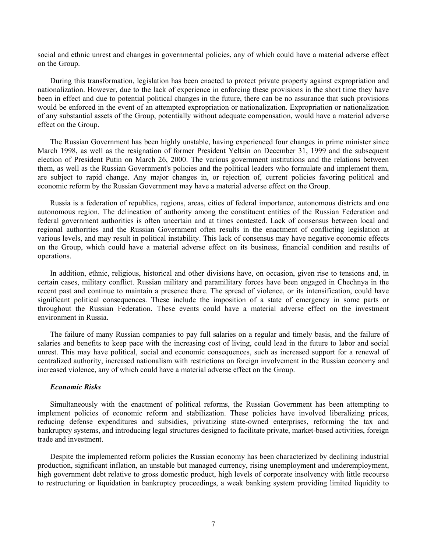social and ethnic unrest and changes in governmental policies, any of which could have a material adverse effect on the Group.

During this transformation, legislation has been enacted to protect private property against expropriation and nationalization. However, due to the lack of experience in enforcing these provisions in the short time they have been in effect and due to potential political changes in the future, there can be no assurance that such provisions would be enforced in the event of an attempted expropriation or nationalization. Expropriation or nationalization of any substantial assets of the Group, potentially without adequate compensation, would have a material adverse effect on the Group.

The Russian Government has been highly unstable, having experienced four changes in prime minister since March 1998, as well as the resignation of former President Yeltsin on December 31, 1999 and the subsequent election of President Putin on March 26, 2000. The various government institutions and the relations between them, as well as the Russian Government's policies and the political leaders who formulate and implement them, are subject to rapid change. Any major changes in, or rejection of, current policies favoring political and economic reform by the Russian Government may have a material adverse effect on the Group.

Russia is a federation of republics, regions, areas, cities of federal importance, autonomous districts and one autonomous region. The delineation of authority among the constituent entities of the Russian Federation and federal government authorities is often uncertain and at times contested. Lack of consensus between local and regional authorities and the Russian Government often results in the enactment of conflicting legislation at various levels, and may result in political instability. This lack of consensus may have negative economic effects on the Group, which could have a material adverse effect on its business, financial condition and results of operations.

In addition, ethnic, religious, historical and other divisions have, on occasion, given rise to tensions and, in certain cases, military conflict. Russian military and paramilitary forces have been engaged in Chechnya in the recent past and continue to maintain a presence there. The spread of violence, or its intensification, could have significant political consequences. These include the imposition of a state of emergency in some parts or throughout the Russian Federation. These events could have a material adverse effect on the investment environment in Russia.

The failure of many Russian companies to pay full salaries on a regular and timely basis, and the failure of salaries and benefits to keep pace with the increasing cost of living, could lead in the future to labor and social unrest. This may have political, social and economic consequences, such as increased support for a renewal of centralized authority, increased nationalism with restrictions on foreign involvement in the Russian economy and increased violence, any of which could have a material adverse effect on the Group.

# *Economic Risks*

Simultaneously with the enactment of political reforms, the Russian Government has been attempting to implement policies of economic reform and stabilization. These policies have involved liberalizing prices, reducing defense expenditures and subsidies, privatizing state-owned enterprises, reforming the tax and bankruptcy systems, and introducing legal structures designed to facilitate private, market-based activities, foreign trade and investment.

Despite the implemented reform policies the Russian economy has been characterized by declining industrial production, significant inflation, an unstable but managed currency, rising unemployment and underemployment, high government debt relative to gross domestic product, high levels of corporate insolvency with little recourse to restructuring or liquidation in bankruptcy proceedings, a weak banking system providing limited liquidity to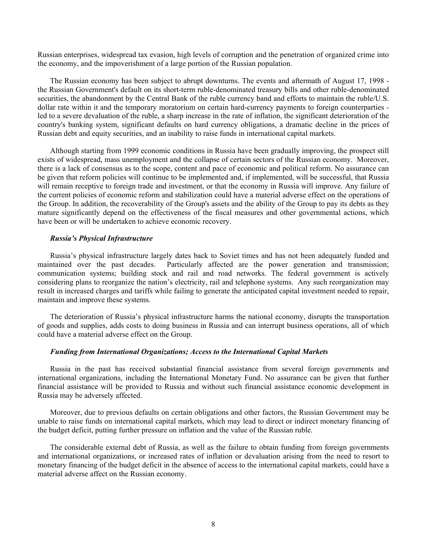Russian enterprises, widespread tax evasion, high levels of corruption and the penetration of organized crime into the economy, and the impoverishment of a large portion of the Russian population.

The Russian economy has been subject to abrupt downturns. The events and aftermath of August 17, 1998 the Russian Government's default on its short-term ruble-denominated treasury bills and other ruble-denominated securities, the abandonment by the Central Bank of the ruble currency band and efforts to maintain the ruble/U.S. dollar rate within it and the temporary moratorium on certain hard-currency payments to foreign counterparties led to a severe devaluation of the ruble, a sharp increase in the rate of inflation, the significant deterioration of the country's banking system, significant defaults on hard currency obligations, a dramatic decline in the prices of Russian debt and equity securities, and an inability to raise funds in international capital markets.

Although starting from 1999 economic conditions in Russia have been gradually improving, the prospect still exists of widespread, mass unemployment and the collapse of certain sectors of the Russian economy. Moreover, there is a lack of consensus as to the scope, content and pace of economic and political reform. No assurance can be given that reform policies will continue to be implemented and, if implemented, will be successful, that Russia will remain receptive to foreign trade and investment, or that the economy in Russia will improve. Any failure of the current policies of economic reform and stabilization could have a material adverse effect on the operations of the Group. In addition, the recoverability of the Group's assets and the ability of the Group to pay its debts as they mature significantly depend on the effectiveness of the fiscal measures and other governmental actions, which have been or will be undertaken to achieve economic recovery.

# *Russia's Physical Infrastructure*

Russia's physical infrastructure largely dates back to Soviet times and has not been adequately funded and maintained over the past decades. Particularly affected are the power generation and transmission; communication systems; building stock and rail and road networks. The federal government is actively considering plans to reorganize the nation's electricity, rail and telephone systems. Any such reorganization may result in increased charges and tariffs while failing to generate the anticipated capital investment needed to repair, maintain and improve these systems.

The deterioration of Russia's physical infrastructure harms the national economy, disrupts the transportation of goods and supplies, adds costs to doing business in Russia and can interrupt business operations, all of which could have a material adverse effect on the Group.

#### *Funding from International Organizations; Access to the International Capital Markets*

Russia in the past has received substantial financial assistance from several foreign governments and international organizations, including the International Monetary Fund. No assurance can be given that further financial assistance will be provided to Russia and without such financial assistance economic development in Russia may be adversely affected.

Moreover, due to previous defaults on certain obligations and other factors, the Russian Government may be unable to raise funds on international capital markets, which may lead to direct or indirect monetary financing of the budget deficit, putting further pressure on inflation and the value of the Russian ruble.

The considerable external debt of Russia, as well as the failure to obtain funding from foreign governments and international organizations, or increased rates of inflation or devaluation arising from the need to resort to monetary financing of the budget deficit in the absence of access to the international capital markets, could have a material adverse affect on the Russian economy.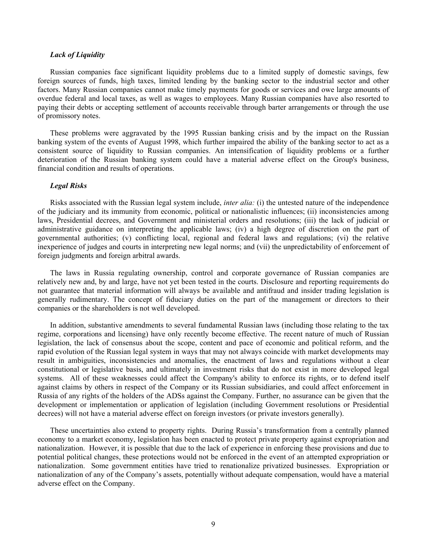#### *Lack of Liquidity*

Russian companies face significant liquidity problems due to a limited supply of domestic savings, few foreign sources of funds, high taxes, limited lending by the banking sector to the industrial sector and other factors. Many Russian companies cannot make timely payments for goods or services and owe large amounts of overdue federal and local taxes, as well as wages to employees. Many Russian companies have also resorted to paying their debts or accepting settlement of accounts receivable through barter arrangements or through the use of promissory notes.

These problems were aggravated by the 1995 Russian banking crisis and by the impact on the Russian banking system of the events of August 1998, which further impaired the ability of the banking sector to act as a consistent source of liquidity to Russian companies. An intensification of liquidity problems or a further deterioration of the Russian banking system could have a material adverse effect on the Group's business, financial condition and results of operations.

#### *Legal Risks*

Risks associated with the Russian legal system include, *inter alia:* (i) the untested nature of the independence of the judiciary and its immunity from economic, political or nationalistic influences; (ii) inconsistencies among laws, Presidential decrees, and Government and ministerial orders and resolutions; (iii) the lack of judicial or administrative guidance on interpreting the applicable laws; (iv) a high degree of discretion on the part of governmental authorities; (v) conflicting local, regional and federal laws and regulations; (vi) the relative inexperience of judges and courts in interpreting new legal norms; and (vii) the unpredictability of enforcement of foreign judgments and foreign arbitral awards.

The laws in Russia regulating ownership, control and corporate governance of Russian companies are relatively new and, by and large, have not yet been tested in the courts. Disclosure and reporting requirements do not guarantee that material information will always be available and antifraud and insider trading legislation is generally rudimentary. The concept of fiduciary duties on the part of the management or directors to their companies or the shareholders is not well developed.

In addition, substantive amendments to several fundamental Russian laws (including those relating to the tax regime, corporations and licensing) have only recently become effective. The recent nature of much of Russian legislation, the lack of consensus about the scope, content and pace of economic and political reform, and the rapid evolution of the Russian legal system in ways that may not always coincide with market developments may result in ambiguities, inconsistencies and anomalies, the enactment of laws and regulations without a clear constitutional or legislative basis, and ultimately in investment risks that do not exist in more developed legal systems. All of these weaknesses could affect the Company's ability to enforce its rights, or to defend itself against claims by others in respect of the Company or its Russian subsidiaries, and could affect enforcement in Russia of any rights of the holders of the ADSs against the Company. Further, no assurance can be given that the development or implementation or application of legislation (including Government resolutions or Presidential decrees) will not have a material adverse effect on foreign investors (or private investors generally).

These uncertainties also extend to property rights. During Russia's transformation from a centrally planned economy to a market economy, legislation has been enacted to protect private property against expropriation and nationalization. However, it is possible that due to the lack of experience in enforcing these provisions and due to potential political changes, these protections would not be enforced in the event of an attempted expropriation or nationalization. Some government entities have tried to renationalize privatized businesses. Expropriation or nationalization of any of the Company's assets, potentially without adequate compensation, would have a material adverse effect on the Company.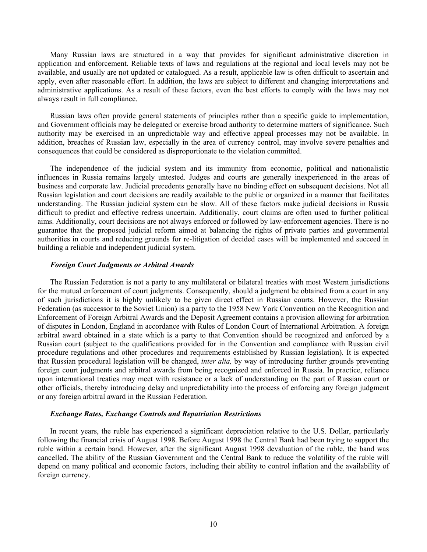Many Russian laws are structured in a way that provides for significant administrative discretion in application and enforcement. Reliable texts of laws and regulations at the regional and local levels may not be available, and usually are not updated or catalogued. As a result, applicable law is often difficult to ascertain and apply, even after reasonable effort. In addition, the laws are subject to different and changing interpretations and administrative applications. As a result of these factors, even the best efforts to comply with the laws may not always result in full compliance.

Russian laws often provide general statements of principles rather than a specific guide to implementation, and Government officials may be delegated or exercise broad authority to determine matters of significance. Such authority may be exercised in an unpredictable way and effective appeal processes may not be available. In addition, breaches of Russian law, especially in the area of currency control, may involve severe penalties and consequences that could be considered as disproportionate to the violation committed.

The independence of the judicial system and its immunity from economic, political and nationalistic influences in Russia remains largely untested. Judges and courts are generally inexperienced in the areas of business and corporate law. Judicial precedents generally have no binding effect on subsequent decisions. Not all Russian legislation and court decisions are readily available to the public or organized in a manner that facilitates understanding. The Russian judicial system can be slow. All of these factors make judicial decisions in Russia difficult to predict and effective redress uncertain. Additionally, court claims are often used to further political aims. Additionally, court decisions are not always enforced or followed by law-enforcement agencies. There is no guarantee that the proposed judicial reform aimed at balancing the rights of private parties and governmental authorities in courts and reducing grounds for re-litigation of decided cases will be implemented and succeed in building a reliable and independent judicial system.

# *Foreign Court Judgments or Arbitral Awards*

The Russian Federation is not a party to any multilateral or bilateral treaties with most Western jurisdictions for the mutual enforcement of court judgments. Consequently, should a judgment be obtained from a court in any of such jurisdictions it is highly unlikely to be given direct effect in Russian courts. However, the Russian Federation (as successor to the Soviet Union) is a party to the 1958 New York Convention on the Recognition and Enforcement of Foreign Arbitral Awards and the Deposit Agreement contains a provision allowing for arbitration of disputes in London, England in accordance with Rules of London Court of International Arbitration. A foreign arbitral award obtained in a state which is a party to that Convention should be recognized and enforced by a Russian court (subject to the qualifications provided for in the Convention and compliance with Russian civil procedure regulations and other procedures and requirements established by Russian legislation). It is expected that Russian procedural legislation will be changed, *inter alia,* by way of introducing further grounds preventing foreign court judgments and arbitral awards from being recognized and enforced in Russia. In practice, reliance upon international treaties may meet with resistance or a lack of understanding on the part of Russian court or other officials, thereby introducing delay and unpredictability into the process of enforcing any foreign judgment or any foreign arbitral award in the Russian Federation.

#### *Exchange Rates, Exchange Controls and Repatriation Restrictions*

In recent years, the ruble has experienced a significant depreciation relative to the U.S. Dollar, particularly following the financial crisis of August 1998. Before August 1998 the Central Bank had been trying to support the ruble within a certain band. However, after the significant August 1998 devaluation of the ruble, the band was cancelled. The ability of the Russian Government and the Central Bank to reduce the volatility of the ruble will depend on many political and economic factors, including their ability to control inflation and the availability of foreign currency.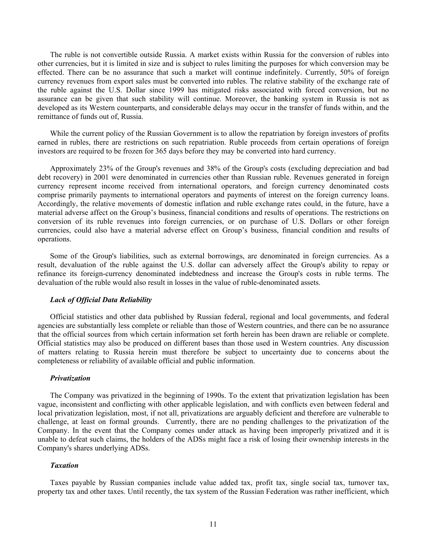The ruble is not convertible outside Russia. A market exists within Russia for the conversion of rubles into other currencies, but it is limited in size and is subject to rules limiting the purposes for which conversion may be effected. There can be no assurance that such a market will continue indefinitely. Currently, 50% of foreign currency revenues from export sales must be converted into rubles. The relative stability of the exchange rate of the ruble against the U.S. Dollar since 1999 has mitigated risks associated with forced conversion, but no assurance can be given that such stability will continue. Moreover, the banking system in Russia is not as developed as its Western counterparts, and considerable delays may occur in the transfer of funds within, and the remittance of funds out of, Russia.

While the current policy of the Russian Government is to allow the repatriation by foreign investors of profits earned in rubles, there are restrictions on such repatriation. Ruble proceeds from certain operations of foreign investors are required to be frozen for 365 days before they may be converted into hard currency.

Approximately 23% of the Group's revenues and 38% of the Group's costs (excluding depreciation and bad debt recovery) in 2001 were denominated in currencies other than Russian ruble. Revenues generated in foreign currency represent income received from international operators, and foreign currency denominated costs comprise primarily payments to international operators and payments of interest on the foreign currency loans. Accordingly, the relative movements of domestic inflation and ruble exchange rates could, in the future, have a material adverse affect on the Group's business, financial conditions and results of operations. The restrictions on conversion of its ruble revenues into foreign currencies, or on purchase of U.S. Dollars or other foreign currencies, could also have a material adverse effect on Group's business, financial condition and results of operations.

Some of the Group's liabilities, such as external borrowings, are denominated in foreign currencies. As a result, devaluation of the ruble against the U.S. dollar can adversely affect the Group's ability to repay or refinance its foreign-currency denominated indebtedness and increase the Group's costs in ruble terms. The devaluation of the ruble would also result in losses in the value of ruble-denominated assets.

#### *Lack of Official Data Reliability*

Official statistics and other data published by Russian federal, regional and local governments, and federal agencies are substantially less complete or reliable than those of Western countries, and there can be no assurance that the official sources from which certain information set forth herein has been drawn are reliable or complete. Official statistics may also be produced on different bases than those used in Western countries. Any discussion of matters relating to Russia herein must therefore be subject to uncertainty due to concerns about the completeness or reliability of available official and public information.

#### *Privatization*

The Company was privatized in the beginning of 1990s. To the extent that privatization legislation has been vague, inconsistent and conflicting with other applicable legislation, and with conflicts even between federal and local privatization legislation, most, if not all, privatizations are arguably deficient and therefore are vulnerable to challenge, at least on formal grounds. Currently, there are no pending challenges to the privatization of the Company. In the event that the Company comes under attack as having been improperly privatized and it is unable to defeat such claims, the holders of the ADSs might face a risk of losing their ownership interests in the Company's shares underlying ADSs.

#### *Taxation*

Taxes payable by Russian companies include value added tax, profit tax, single social tax, turnover tax, property tax and other taxes. Until recently, the tax system of the Russian Federation was rather inefficient, which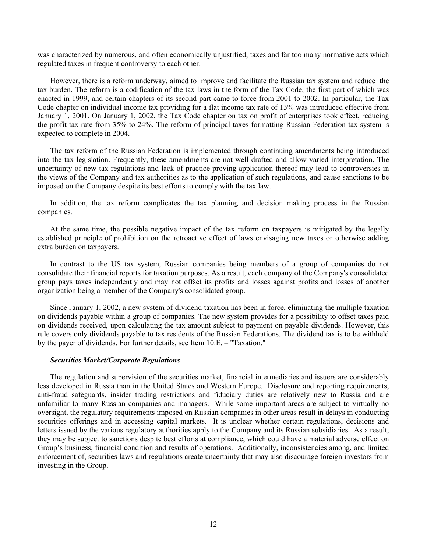was characterized by numerous, and often economically unjustified, taxes and far too many normative acts which regulated taxes in frequent controversy to each other.

However, there is a reform underway, aimed to improve and facilitate the Russian tax system and reduce the tax burden. The reform is a codification of the tax laws in the form of the Tax Code, the first part of which was enacted in 1999, and certain chapters of its second part came to force from 2001 to 2002. In particular, the Tax Code chapter on individual income tax providing for a flat income tax rate of 13% was introduced effective from January 1, 2001. On January 1, 2002, the Tax Code chapter on tax on profit of enterprises took effect, reducing the profit tax rate from 35% to 24%. The reform of principal taxes formatting Russian Federation tax system is expected to complete in 2004.

The tax reform of the Russian Federation is implemented through continuing amendments being introduced into the tax legislation. Frequently, these amendments are not well drafted and allow varied interpretation. The uncertainty of new tax regulations and lack of practice proving application thereof may lead to controversies in the views of the Company and tax authorities as to the application of such regulations, and cause sanctions to be imposed on the Company despite its best efforts to comply with the tax law.

In addition, the tax reform complicates the tax planning and decision making process in the Russian companies.

At the same time, the possible negative impact of the tax reform on taxpayers is mitigated by the legally established principle of prohibition on the retroactive effect of laws envisaging new taxes or otherwise adding extra burden on taxpayers.

In contrast to the US tax system, Russian companies being members of a group of companies do not consolidate their financial reports for taxation purposes. As a result, each company of the Company's consolidated group pays taxes independently and may not offset its profits and losses against profits and losses of another organization being a member of the Company's consolidated group.

Since January 1, 2002, a new system of dividend taxation has been in force, eliminating the multiple taxation on dividends payable within a group of companies. The new system provides for a possibility to offset taxes paid on dividends received, upon calculating the tax amount subject to payment on payable dividends. However, this rule covers only dividends payable to tax residents of the Russian Federations. The dividend tax is to be withheld by the payer of dividends. For further details, see Item 10.E. – "Taxation."

# *Securities Market/Corporate Regulations*

The regulation and supervision of the securities market, financial intermediaries and issuers are considerably less developed in Russia than in the United States and Western Europe. Disclosure and reporting requirements, anti-fraud safeguards, insider trading restrictions and fiduciary duties are relatively new to Russia and are unfamiliar to many Russian companies and managers. While some important areas are subject to virtually no oversight, the regulatory requirements imposed on Russian companies in other areas result in delays in conducting securities offerings and in accessing capital markets. It is unclear whether certain regulations, decisions and letters issued by the various regulatory authorities apply to the Company and its Russian subsidiaries. As a result, they may be subject to sanctions despite best efforts at compliance, which could have a material adverse effect on Group's business, financial condition and results of operations. Additionally, inconsistencies among, and limited enforcement of, securities laws and regulations create uncertainty that may also discourage foreign investors from investing in the Group.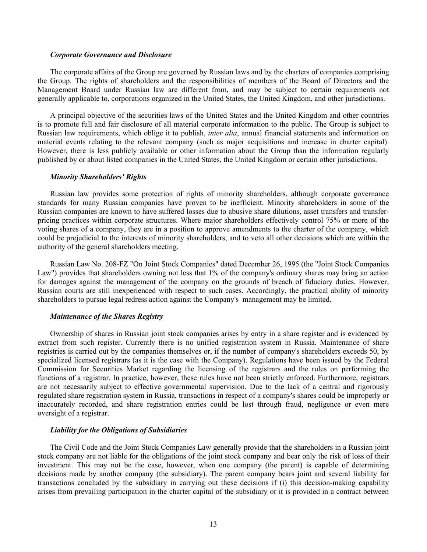#### *Corporate Governance and Disclosure*

The corporate affairs of the Group are governed by Russian laws and by the charters of companies comprising the Group. The rights of shareholders and the responsibilities of members of the Board of Directors and the Management Board under Russian law are different from, and may be subject to certain requirements not generally applicable to, corporations organized in the United States, the United Kingdom, and other jurisdictions.

A principal objective of the securities laws of the United States and the United Kingdom and other countries is to promote full and fair disclosure of all material corporate information to the public. The Group is subject to Russian law requirements, which oblige it to publish, *inter alia*, annual financial statements and information on material events relating to the relevant company (such as major acquisitions and increase in charter capital). However, there is less publicly available or other information about the Group than the information regularly published by or about listed companies in the United States, the United Kingdom or certain other jurisdictions.

#### *Minority Shareholders' Rights*

Russian law provides some protection of rights of minority shareholders, although corporate governance standards for many Russian companies have proven to be inefficient. Minority shareholders in some of the Russian companies are known to have suffered losses due to abusive share dilutions, asset transfers and transferpricing practices within corporate structures. Where major shareholders effectively control 75% or more of the voting shares of a company, they are in a position to approve amendments to the charter of the company, which could be prejudicial to the interests of minority shareholders, and to veto all other decisions which are within the authority of the general shareholders meeting.

Russian Law No. 208-FZ "On Joint Stock Companies" dated December 26, 1995 (the "Joint Stock Companies Law") provides that shareholders owning not less that 1% of the company's ordinary shares may bring an action for damages against the management of the company on the grounds of breach of fiduciary duties. However, Russian courts are still inexperienced with respect to such cases. Accordingly, the practical ability of minority shareholders to pursue legal redress action against the Company's management may be limited.

#### *Maintenance of the Shares Registry*

Ownership of shares in Russian joint stock companies arises by entry in a share register and is evidenced by extract from such register. Currently there is no unified registration system in Russia. Maintenance of share registries is carried out by the companies themselves or, if the number of company's shareholders exceeds 50, by specialized licensed registrars (as it is the case with the Company). Regulations have been issued by the Federal Commission for Securities Market regarding the licensing of the registrars and the rules on performing the functions of a registrar. In practice, however, these rules have not been strictly enforced. Furthermore, registrars are not necessarily subject to effective governmental supervision. Due to the lack of a central and rigorously regulated share registration system in Russia, transactions in respect of a company's shares could be improperly or inaccurately recorded, and share registration entries could be lost through fraud, negligence or even mere oversight of a registrar.

#### *Liability for the Obligations of Subsidiaries*

The Civil Code and the Joint Stock Companies Law generally provide that the shareholders in a Russian joint stock company are not liable for the obligations of the joint stock company and bear only the risk of loss of their investment. This may not be the case, however, when one company (the parent) is capable of determining decisions made by another company (the subsidiary). The parent company bears joint and several liability for transactions concluded by the subsidiary in carrying out these decisions if (i) this decision-making capability arises from prevailing participation in the charter capital of the subsidiary or it is provided in a contract between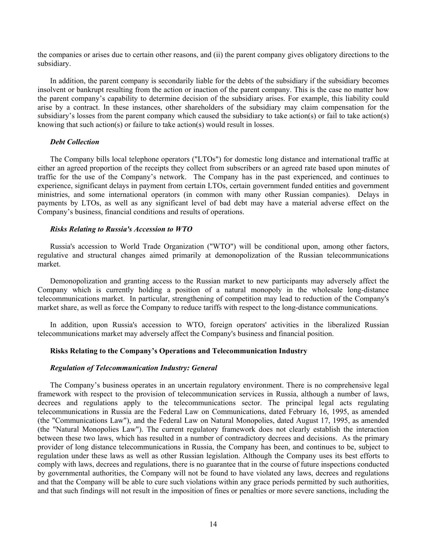the companies or arises due to certain other reasons, and (ii) the parent company gives obligatory directions to the subsidiary.

In addition, the parent company is secondarily liable for the debts of the subsidiary if the subsidiary becomes insolvent or bankrupt resulting from the action or inaction of the parent company. This is the case no matter how the parent company's capability to determine decision of the subsidiary arises. For example, this liability could arise by a contract. In these instances, other shareholders of the subsidiary may claim compensation for the subsidiary's losses from the parent company which caused the subsidiary to take action(s) or fail to take action(s) knowing that such action(s) or failure to take action(s) would result in losses.

# *Debt Collection*

The Company bills local telephone operators ("LTOs") for domestic long distance and international traffic at either an agreed proportion of the receipts they collect from subscribers or an agreed rate based upon minutes of traffic for the use of the Company's network. The Company has in the past experienced, and continues to experience, significant delays in payment from certain LTOs, certain government funded entities and government ministries, and some international operators (in common with many other Russian companies). Delays in payments by LTOs, as well as any significant level of bad debt may have a material adverse effect on the Company's business, financial conditions and results of operations.

#### *Risks Relating to Russia's Accession to WTO*

Russia's accession to World Trade Organization ("WTO") will be conditional upon, among other factors, regulative and structural changes aimed primarily at demonopolization of the Russian telecommunications market.

Demonopolization and granting access to the Russian market to new participants may adversely affect the Company which is currently holding a position of a natural monopoly in the wholesale long-distance telecommunications market. In particular, strengthening of competition may lead to reduction of the Company's market share, as well as force the Company to reduce tariffs with respect to the long-distance communications.

In addition, upon Russia's accession to WTO, foreign operators' activities in the liberalized Russian telecommunications market may adversely affect the Company's business and financial position.

# **Risks Relating to the Company's Operations and Telecommunication Industry**

#### *Regulation of Telecommunication Industry: General*

The Company's business operates in an uncertain regulatory environment. There is no comprehensive legal framework with respect to the provision of telecommunication services in Russia, although a number of laws, decrees and regulations apply to the telecommunications sector. The principal legal acts regulating telecommunications in Russia are the Federal Law on Communications, dated February 16, 1995, as amended (the "Communications Law"), and the Federal Law on Natural Monopolies, dated August 17, 1995, as amended (the "Natural Monopolies Law"). The current regulatory framework does not clearly establish the interaction between these two laws, which has resulted in a number of contradictory decrees and decisions. As the primary provider of long distance telecommunications in Russia, the Company has been, and continues to be, subject to regulation under these laws as well as other Russian legislation. Although the Company uses its best efforts to comply with laws, decrees and regulations, there is no guarantee that in the course of future inspections conducted by governmental authorities, the Company will not be found to have violated any laws, decrees and regulations and that the Company will be able to cure such violations within any grace periods permitted by such authorities, and that such findings will not result in the imposition of fines or penalties or more severe sanctions, including the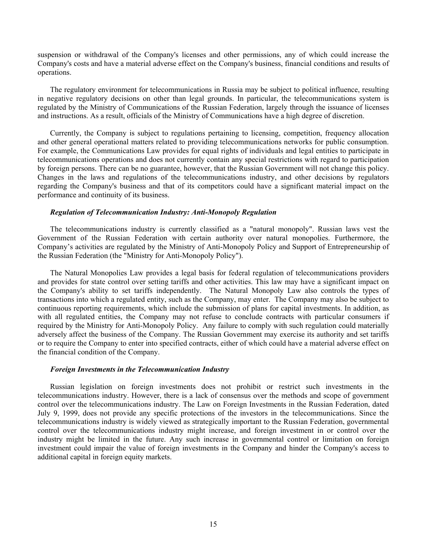suspension or withdrawal of the Company's licenses and other permissions, any of which could increase the Company's costs and have a material adverse effect on the Company's business, financial conditions and results of operations.

The regulatory environment for telecommunications in Russia may be subject to political influence, resulting in negative regulatory decisions on other than legal grounds. In particular, the telecommunications system is regulated by the Ministry of Communications of the Russian Federation, largely through the issuance of licenses and instructions. As a result, officials of the Ministry of Communications have a high degree of discretion.

Currently, the Company is subject to regulations pertaining to licensing, competition, frequency allocation and other general operational matters related to providing telecommunications networks for public consumption. For example, the Communications Law provides for equal rights of individuals and legal entities to participate in telecommunications operations and does not currently contain any special restrictions with regard to participation by foreign persons. There can be no guarantee, however, that the Russian Government will not change this policy. Changes in the laws and regulations of the telecommunications industry, and other decisions by regulators regarding the Company's business and that of its competitors could have a significant material impact on the performance and continuity of its business.

#### *Regulation of Telecommunication Industry: Anti-Monopoly Regulation*

The telecommunications industry is currently classified as a "natural monopoly". Russian laws vest the Government of the Russian Federation with certain authority over natural monopolies. Furthermore, the Company's activities are regulated by the Ministry of Anti-Monopoly Policy and Support of Entrepreneurship of the Russian Federation (the "Ministry for Anti-Monopoly Policy").

The Natural Monopolies Law provides a legal basis for federal regulation of telecommunications providers and provides for state control over setting tariffs and other activities. This law may have a significant impact on the Company's ability to set tariffs independently. The Natural Monopoly Law also controls the types of transactions into which a regulated entity, such as the Company, may enter. The Company may also be subject to continuous reporting requirements, which include the submission of plans for capital investments. In addition, as with all regulated entities, the Company may not refuse to conclude contracts with particular consumers if required by the Ministry for Anti-Monopoly Policy. Any failure to comply with such regulation could materially adversely affect the business of the Company. The Russian Government may exercise its authority and set tariffs or to require the Company to enter into specified contracts, either of which could have a material adverse effect on the financial condition of the Company.

#### *Foreign Investments in the Telecommunication Industry*

Russian legislation on foreign investments does not prohibit or restrict such investments in the telecommunications industry. However, there is a lack of consensus over the methods and scope of government control over the telecommunications industry. The Law on Foreign Investments in the Russian Federation, dated July 9, 1999, does not provide any specific protections of the investors in the telecommunications. Since the telecommunications industry is widely viewed as strategically important to the Russian Federation, governmental control over the telecommunications industry might increase, and foreign investment in or control over the industry might be limited in the future. Any such increase in governmental control or limitation on foreign investment could impair the value of foreign investments in the Company and hinder the Company's access to additional capital in foreign equity markets.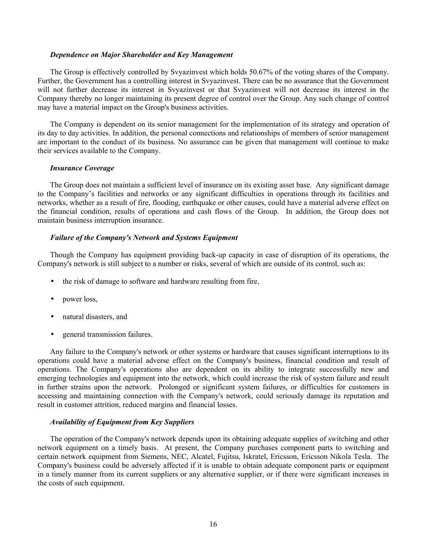#### *Dependence on Major Shareholder and Key Management*

The Group is effectively controlled by Svyazinvest which holds 50.67% of the voting shares of the Company. Further, the Government has a controlling interest in Svyazinvest. There can be no assurance that the Government will not further decrease its interest in Svyazinvest or that Svyazinvest will not decrease its interest in the Company thereby no longer maintaining its present degree of control over the Group. Any such change of control may have a material impact on the Group's business activities.

The Company is dependent on its senior management for the implementation of its strategy and operation of its day to day activities. In addition, the personal connections and relationships of members of senior management are important to the conduct of its business. No assurance can be given that management will continue to make their services available to the Company.

#### *Insurance Coverage*

The Group does not maintain a sufficient level of insurance on its existing asset base. Any significant damage to the Company's facilities and networks or any significant difficulties in operations through its facilities and networks, whether as a result of fire, flooding, earthquake or other causes, could have a material adverse effect on the financial condition, results of operations and cash flows of the Group. In addition, the Group does not maintain business interruption insurance.

#### *Failure of the Company's Network and Systems Equipment*

Though the Company has equipment providing back-up capacity in case of disruption of its operations, the Company's network is still subject to a number or risks, several of which are outside of its control, such as:

- the risk of damage to software and hardware resulting from fire,
- power loss,
- natural disasters, and
- general transmission failures.

Any failure to the Company's network or other systems or hardware that causes significant interruptions to its operations could have a material adverse effect on the Company's business, financial condition and result of operations. The Company's operations also are dependent on its ability to integrate successfully new and emerging technologies and equipment into the network, which could increase the risk of system failure and result in further strains upon the network. Prolonged or significant system failures, or difficulties for customers in accessing and maintaining connection with the Company's network, could seriously damage its reputation and result in customer attrition, reduced margins and financial losses.

# *Availability of Equipment from Key Suppliers*

The operation of the Company's network depends upon its obtaining adequate supplies of switching and other network equipment on a timely basis. At present, the Company purchases component parts to switching and certain network equipment from Siemens, NEC, Alcatel, Fujitsu, Iskratel, Ericsson, Ericsson Nikola Tesla. The Company's business could be adversely affected if it is unable to obtain adequate component parts or equipment in a timely manner from its current suppliers or any alternative supplier, or if there were significant increases in the costs of such equipment.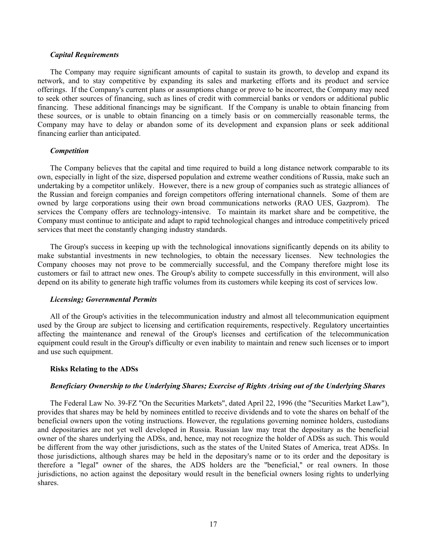#### *Capital Requirements*

The Company may require significant amounts of capital to sustain its growth, to develop and expand its network, and to stay competitive by expanding its sales and marketing efforts and its product and service offerings. If the Company's current plans or assumptions change or prove to be incorrect, the Company may need to seek other sources of financing, such as lines of credit with commercial banks or vendors or additional public financing. These additional financings may be significant. If the Company is unable to obtain financing from these sources, or is unable to obtain financing on a timely basis or on commercially reasonable terms, the Company may have to delay or abandon some of its development and expansion plans or seek additional financing earlier than anticipated.

#### *Competition*

The Company believes that the capital and time required to build a long distance network comparable to its own, especially in light of the size, dispersed population and extreme weather conditions of Russia, make such an undertaking by a competitor unlikely. However, there is a new group of companies such as strategic alliances of the Russian and foreign companies and foreign competitors offering international channels. Some of them are owned by large corporations using their own broad communications networks (RAO UES, Gazprom). The services the Company offers are technology-intensive. To maintain its market share and be competitive, the Company must continue to anticipate and adapt to rapid technological changes and introduce competitively priced services that meet the constantly changing industry standards.

The Group's success in keeping up with the technological innovations significantly depends on its ability to make substantial investments in new technologies, to obtain the necessary licenses. New technologies the Company chooses may not prove to be commercially successful, and the Company therefore might lose its customers or fail to attract new ones. The Group's ability to compete successfully in this environment, will also depend on its ability to generate high traffic volumes from its customers while keeping its cost of services low.

#### *Licensing; Governmental Permits*

All of the Group's activities in the telecommunication industry and almost all telecommunication equipment used by the Group are subject to licensing and certification requirements, respectively. Regulatory uncertainties affecting the maintenance and renewal of the Group's licenses and certification of the telecommunication equipment could result in the Group's difficulty or even inability to maintain and renew such licenses or to import and use such equipment.

#### **Risks Relating to the ADSs**

#### *Beneficiary Ownership to the Underlying Shares; Exercise of Rights Arising out of the Underlying Shares*

The Federal Law No. 39-FZ "On the Securities Markets", dated April 22, 1996 (the "Securities Market Law"), provides that shares may be held by nominees entitled to receive dividends and to vote the shares on behalf of the beneficial owners upon the voting instructions. However, the regulations governing nominee holders, custodians and depositaries are not yet well developed in Russia. Russian law may treat the depositary as the beneficial owner of the shares underlying the ADSs, and, hence, may not recognize the holder of ADSs as such. This would be different from the way other jurisdictions, such as the states of the United States of America, treat ADSs. In those jurisdictions, although shares may be held in the depositary's name or to its order and the depositary is therefore a "legal" owner of the shares, the ADS holders are the "beneficial," or real owners. In those jurisdictions, no action against the depositary would result in the beneficial owners losing rights to underlying shares.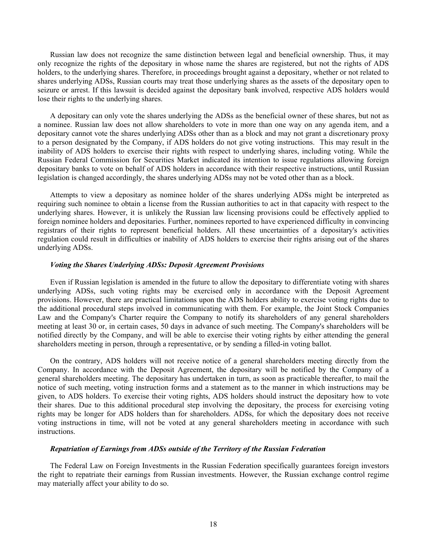Russian law does not recognize the same distinction between legal and beneficial ownership. Thus, it may only recognize the rights of the depositary in whose name the shares are registered, but not the rights of ADS holders, to the underlying shares. Therefore, in proceedings brought against a depositary, whether or not related to shares underlying ADSs, Russian courts may treat those underlying shares as the assets of the depositary open to seizure or arrest. If this lawsuit is decided against the depositary bank involved, respective ADS holders would lose their rights to the underlying shares.

A depositary can only vote the shares underlying the ADSs as the beneficial owner of these shares, but not as a nominee. Russian law does not allow shareholders to vote in more than one way on any agenda item, and a depositary cannot vote the shares underlying ADSs other than as a block and may not grant a discretionary proxy to a person designated by the Company, if ADS holders do not give voting instructions. This may result in the inability of ADS holders to exercise their rights with respect to underlying shares, including voting. While the Russian Federal Commission for Securities Market indicated its intention to issue regulations allowing foreign depositary banks to vote on behalf of ADS holders in accordance with their respective instructions, until Russian legislation is changed accordingly, the shares underlying ADSs may not be voted other than as a block.

Attempts to view a depositary as nominee holder of the shares underlying ADSs might be interpreted as requiring such nominee to obtain a license from the Russian authorities to act in that capacity with respect to the underlying shares. However, it is unlikely the Russian law licensing provisions could be effectively applied to foreign nominee holders and depositaries. Further, nominees reported to have experienced difficulty in convincing registrars of their rights to represent beneficial holders. All these uncertainties of a depositary's activities regulation could result in difficulties or inability of ADS holders to exercise their rights arising out of the shares underlying ADSs.

# *Voting the Shares Underlying ADSs: Deposit Agreement Provisions*

Even if Russian legislation is amended in the future to allow the depositary to differentiate voting with shares underlying ADSs, such voting rights may be exercised only in accordance with the Deposit Agreement provisions. However, there are practical limitations upon the ADS holders ability to exercise voting rights due to the additional procedural steps involved in communicating with them. For example, the Joint Stock Companies Law and the Company's Charter require the Company to notify its shareholders of any general shareholders meeting at least 30 or, in certain cases, 50 days in advance of such meeting. The Company's shareholders will be notified directly by the Company, and will be able to exercise their voting rights by either attending the general shareholders meeting in person, through a representative, or by sending a filled-in voting ballot.

On the contrary, ADS holders will not receive notice of a general shareholders meeting directly from the Company. In accordance with the Deposit Agreement, the depositary will be notified by the Company of a general shareholders meeting. The depositary has undertaken in turn, as soon as practicable thereafter, to mail the notice of such meeting, voting instruction forms and a statement as to the manner in which instructions may be given, to ADS holders. To exercise their voting rights, ADS holders should instruct the depositary how to vote their shares. Due to this additional procedural step involving the depositary, the process for exercising voting rights may be longer for ADS holders than for shareholders. ADSs, for which the depositary does not receive voting instructions in time, will not be voted at any general shareholders meeting in accordance with such instructions.

# *Repatriation of Earnings from ADSs outside of the Territory of the Russian Federation*

The Federal Law on Foreign Investments in the Russian Federation specifically guarantees foreign investors the right to repatriate their earnings from Russian investments. However, the Russian exchange control regime may materially affect your ability to do so.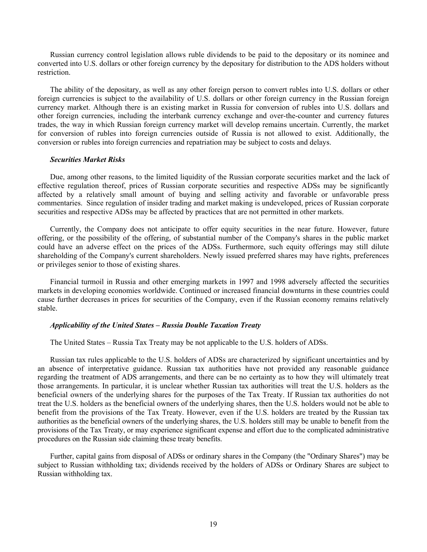Russian currency control legislation allows ruble dividends to be paid to the depositary or its nominee and converted into U.S. dollars or other foreign currency by the depositary for distribution to the ADS holders without restriction.

The ability of the depositary, as well as any other foreign person to convert rubles into U.S. dollars or other foreign currencies is subject to the availability of U.S. dollars or other foreign currency in the Russian foreign currency market. Although there is an existing market in Russia for conversion of rubles into U.S. dollars and other foreign currencies, including the interbank currency exchange and over-the-counter and currency futures trades, the way in which Russian foreign currency market will develop remains uncertain. Currently, the market for conversion of rubles into foreign currencies outside of Russia is not allowed to exist. Additionally, the conversion or rubles into foreign currencies and repatriation may be subject to costs and delays.

#### *Securities Market Risks*

Due, among other reasons, to the limited liquidity of the Russian corporate securities market and the lack of effective regulation thereof, prices of Russian corporate securities and respective ADSs may be significantly affected by a relatively small amount of buying and selling activity and favorable or unfavorable press commentaries. Since regulation of insider trading and market making is undeveloped, prices of Russian corporate securities and respective ADSs may be affected by practices that are not permitted in other markets.

Currently, the Company does not anticipate to offer equity securities in the near future. However, future offering, or the possibility of the offering, of substantial number of the Company's shares in the public market could have an adverse effect on the prices of the ADSs. Furthermore, such equity offerings may still dilute shareholding of the Company's current shareholders. Newly issued preferred shares may have rights, preferences or privileges senior to those of existing shares.

Financial turmoil in Russia and other emerging markets in 1997 and 1998 adversely affected the securities markets in developing economies worldwide. Continued or increased financial downturns in these countries could cause further decreases in prices for securities of the Company, even if the Russian economy remains relatively stable.

# *Applicability of the United States – Russia Double Taxation Treaty*

The United States – Russia Tax Treaty may be not applicable to the U.S. holders of ADSs.

Russian tax rules applicable to the U.S. holders of ADSs are characterized by significant uncertainties and by an absence of interpretative guidance. Russian tax authorities have not provided any reasonable guidance regarding the treatment of ADS arrangements, and there can be no certainty as to how they will ultimately treat those arrangements. In particular, it is unclear whether Russian tax authorities will treat the U.S. holders as the beneficial owners of the underlying shares for the purposes of the Tax Treaty. If Russian tax authorities do not treat the U.S. holders as the beneficial owners of the underlying shares, then the U.S. holders would not be able to benefit from the provisions of the Tax Treaty. However, even if the U.S. holders are treated by the Russian tax authorities as the beneficial owners of the underlying shares, the U.S. holders still may be unable to benefit from the provisions of the Tax Treaty, or may experience significant expense and effort due to the complicated administrative procedures on the Russian side claiming these treaty benefits.

Further, capital gains from disposal of ADSs or ordinary shares in the Company (the "Ordinary Shares") may be subject to Russian withholding tax; dividends received by the holders of ADSs or Ordinary Shares are subject to Russian withholding tax.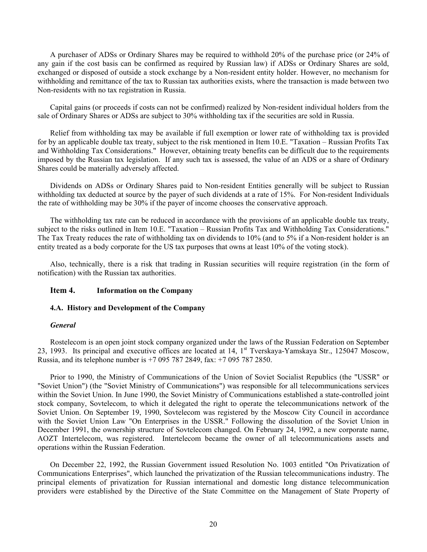A purchaser of ADSs or Ordinary Shares may be required to withhold 20% of the purchase price (or 24% of any gain if the cost basis can be confirmed as required by Russian law) if ADSs or Ordinary Shares are sold, exchanged or disposed of outside a stock exchange by a Non-resident entity holder. However, no mechanism for withholding and remittance of the tax to Russian tax authorities exists, where the transaction is made between two Non-residents with no tax registration in Russia.

Capital gains (or proceeds if costs can not be confirmed) realized by Non-resident individual holders from the sale of Ordinary Shares or ADSs are subject to 30% withholding tax if the securities are sold in Russia.

Relief from withholding tax may be available if full exemption or lower rate of withholding tax is provided for by an applicable double tax treaty, subject to the risk mentioned in Item 10.E. "Taxation – Russian Profits Tax and Withholding Tax Considerations." However, obtaining treaty benefits can be difficult due to the requirements imposed by the Russian tax legislation. If any such tax is assessed, the value of an ADS or a share of Ordinary Shares could be materially adversely affected.

Dividends on ADSs or Ordinary Shares paid to Non-resident Entities generally will be subject to Russian withholding tax deducted at source by the payer of such dividends at a rate of 15%. For Non-resident Individuals the rate of withholding may be 30% if the payer of income chooses the conservative approach.

The withholding tax rate can be reduced in accordance with the provisions of an applicable double tax treaty, subject to the risks outlined in Item 10.E. "Taxation – Russian Profits Tax and Withholding Tax Considerations." The Tax Treaty reduces the rate of withholding tax on dividends to 10% (and to 5% if a Non-resident holder is an entity treated as a body corporate for the US tax purposes that owns at least 10% of the voting stock).

Also, technically, there is a risk that trading in Russian securities will require registration (in the form of notification) with the Russian tax authorities.

# **Item 4. Information on the Company**

# **4.A. History and Development of the Company**

# *General*

Rostelecom is an open joint stock company organized under the laws of the Russian Federation on September 23, 1993. Its principal and executive offices are located at  $14$ ,  $1<sup>st</sup>$  Tverskaya-Yamskaya Str., 125047 Moscow, Russia, and its telephone number is +7 095 787 2849, fax: +7 095 787 2850.

Prior to 1990, the Ministry of Communications of the Union of Soviet Socialist Republics (the "USSR" or "Soviet Union") (the "Soviet Ministry of Communications") was responsible for all telecommunications services within the Soviet Union. In June 1990, the Soviet Ministry of Communications established a state-controlled joint stock company, Sovtelecom, to which it delegated the right to operate the telecommunications network of the Soviet Union. On September 19, 1990, Sovtelecom was registered by the Moscow City Council in accordance with the Soviet Union Law "On Enterprises in the USSR." Following the dissolution of the Soviet Union in December 1991, the ownership structure of Sovtelecom changed. On February 24, 1992, a new corporate name, AOZT Intertelecom, was registered. Intertelecom became the owner of all telecommunications assets and operations within the Russian Federation.

On December 22, 1992, the Russian Government issued Resolution No. 1003 entitled "On Privatization of Communications Enterprises", which launched the privatization of the Russian telecommunications industry. The principal elements of privatization for Russian international and domestic long distance telecommunication providers were established by the Directive of the State Committee on the Management of State Property of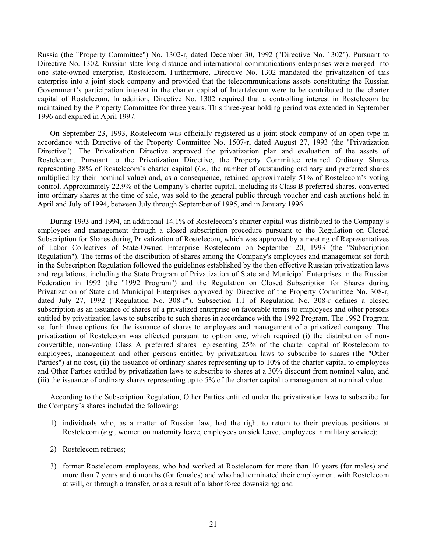Russia (the "Property Committee") No. 1302-r, dated December 30, 1992 ("Directive No. 1302"). Pursuant to Directive No. 1302, Russian state long distance and international communications enterprises were merged into one state-owned enterprise, Rostelecom. Furthermore, Directive No. 1302 mandated the privatization of this enterprise into a joint stock company and provided that the telecommunications assets constituting the Russian Government's participation interest in the charter capital of Intertelecom were to be contributed to the charter capital of Rostelecom. In addition, Directive No. 1302 required that a controlling interest in Rostelecom be maintained by the Property Committee for three years. This three-year holding period was extended in September 1996 and expired in April 1997.

On September 23, 1993, Rostelecom was officially registered as a joint stock company of an open type in accordance with Directive of the Property Committee No. 1507-r, dated August 27, 1993 (the "Privatization Directive"). The Privatization Directive approved the privatization plan and evaluation of the assets of Rostelecom. Pursuant to the Privatization Directive, the Property Committee retained Ordinary Shares representing 38% of Rostelecom's charter capital (*i.e.*, the number of outstanding ordinary and preferred shares multiplied by their nominal value) and, as a consequence, retained approximately 51% of Rostelecom's voting control. Approximately 22.9% of the Company's charter capital, including its Class B preferred shares, converted into ordinary shares at the time of sale, was sold to the general public through voucher and cash auctions held in April and July of 1994, between July through September of 1995, and in January 1996.

During 1993 and 1994, an additional 14.1% of Rostelecom's charter capital was distributed to the Company's employees and management through a closed subscription procedure pursuant to the Regulation on Closed Subscription for Shares during Privatization of Rostelecom, which was approved by a meeting of Representatives of Labor Collectives of State-Owned Enterprise Rostelecom on September 20, 1993 (the "Subscription Regulation"). The terms of the distribution of shares among the Company's employees and management set forth in the Subscription Regulation followed the guidelines established by the then effective Russian privatization laws and regulations, including the State Program of Privatization of State and Municipal Enterprises in the Russian Federation in 1992 (the "1992 Program") and the Regulation on Closed Subscription for Shares during Privatization of State and Municipal Enterprises approved by Directive of the Property Committee No. 308-r, dated July 27, 1992 ("Regulation No. 308-r"). Subsection 1.1 of Regulation No. 308-r defines a closed subscription as an issuance of shares of a privatized enterprise on favorable terms to employees and other persons entitled by privatization laws to subscribe to such shares in accordance with the 1992 Program. The 1992 Program set forth three options for the issuance of shares to employees and management of a privatized company. The privatization of Rostelecom was effected pursuant to option one, which required (i) the distribution of nonconvertible, non-voting Class A preferred shares representing 25% of the charter capital of Rostelecom to employees, management and other persons entitled by privatization laws to subscribe to shares (the "Other Parties") at no cost, (ii) the issuance of ordinary shares representing up to 10% of the charter capital to employees and Other Parties entitled by privatization laws to subscribe to shares at a 30% discount from nominal value, and (iii) the issuance of ordinary shares representing up to 5% of the charter capital to management at nominal value.

According to the Subscription Regulation, Other Parties entitled under the privatization laws to subscribe for the Company's shares included the following:

- 1) individuals who, as a matter of Russian law, had the right to return to their previous positions at Rostelecom (*e.g.*, women on maternity leave, employees on sick leave, employees in military service);
- 2) Rostelecom retirees;
- 3) former Rostelecom employees, who had worked at Rostelecom for more than 10 years (for males) and more than 7 years and 6 months (for females) and who had terminated their employment with Rostelecom at will, or through a transfer, or as a result of a labor force downsizing; and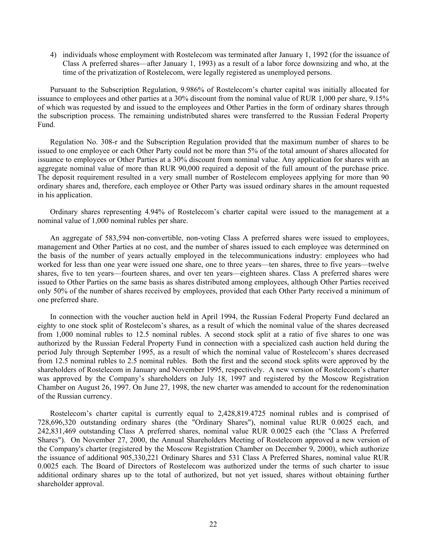4) individuals whose employment with Rostelecom was terminated after January 1, 1992 (for the issuance of Class A preferred shares—after January 1, 1993) as a result of a labor force downsizing and who, at the time of the privatization of Rostelecom, were legally registered as unemployed persons.

Pursuant to the Subscription Regulation, 9.986% of Rostelecom's charter capital was initially allocated for issuance to employees and other parties at a 30% discount from the nominal value of RUR 1,000 per share, 9.15% of which was requested by and issued to the employees and Other Parties in the form of ordinary shares through the subscription process. The remaining undistributed shares were transferred to the Russian Federal Property Fund.

Regulation No. 308-r and the Subscription Regulation provided that the maximum number of shares to be issued to one employee or each Other Party could not be more than 5% of the total amount of shares allocated for issuance to employees or Other Parties at a 30% discount from nominal value. Any application for shares with an aggregate nominal value of more than RUR 90,000 required a deposit of the full amount of the purchase price. The deposit requirement resulted in a very small number of Rostelecom employees applying for more than 90 ordinary shares and, therefore, each employee or Other Party was issued ordinary shares in the amount requested in his application.

Ordinary shares representing 4.94% of Rostelecom's charter capital were issued to the management at a nominal value of 1,000 nominal rubles per share.

An aggregate of 583,594 non-convertible, non-voting Class A preferred shares were issued to employees, management and Other Parties at no cost, and the number of shares issued to each employee was determined on the basis of the number of years actually employed in the telecommunications industry: employees who had worked for less than one year were issued one share, one to three years—ten shares, three to five years—twelve shares, five to ten years—fourteen shares, and over ten years—eighteen shares. Class A preferred shares were issued to Other Parties on the same basis as shares distributed among employees, although Other Parties received only 50% of the number of shares received by employees, provided that each Other Party received a minimum of one preferred share.

In connection with the voucher auction held in April 1994, the Russian Federal Property Fund declared an eighty to one stock split of Rostelecom's shares, as a result of which the nominal value of the shares decreased from 1,000 nominal rubles to 12.5 nominal rubles. A second stock split at a ratio of five shares to one was authorized by the Russian Federal Property Fund in connection with a specialized cash auction held during the period July through September 1995, as a result of which the nominal value of Rostelecom's shares decreased from 12.5 nominal rubles to 2.5 nominal rubles. Both the first and the second stock splits were approved by the shareholders of Rostelecom in January and November 1995, respectively. A new version of Rostelecom's charter was approved by the Company's shareholders on July 18, 1997 and registered by the Moscow Registration Chamber on August 26, 1997. On June 27, 1998, the new charter was amended to account for the redenomination of the Russian currency.

Rostelecom's charter capital is currently equal to 2,428,819.4725 nominal rubles and is comprised of 728,696,320 outstanding ordinary shares (the "Ordinary Shares"), nominal value RUR 0.0025 each, and 242,831,469 outstanding Class A preferred shares, nominal value RUR 0.0025 each (the "Class A Preferred Shares"). On November 27, 2000, the Annual Shareholders Meeting of Rostelecom approved a new version of the Company's charter (registered by the Moscow Registration Chamber on December 9, 2000), which authorize the issuance of additional 905,330,221 Ordinary Shares and 531 Class A Preferred Shares, nominal value RUR 0.0025 each. The Board of Directors of Rostelecom was authorized under the terms of such charter to issue additional ordinary shares up to the total of authorized, but not yet issued, shares without obtaining further shareholder approval.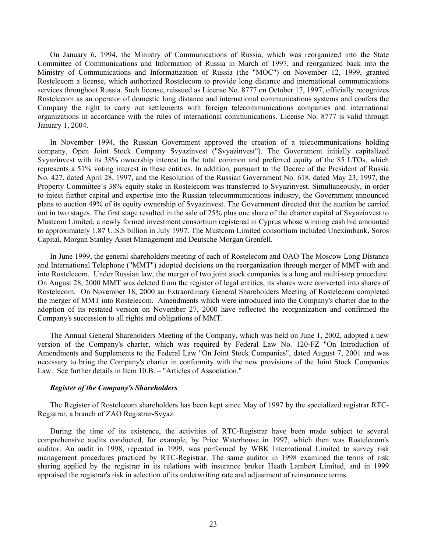On January 6, 1994, the Ministry of Communications of Russia, which was reorganized into the State Committee of Communications and Information of Russia in March of 1997, and reorganized back into the Ministry of Communications and Informatization of Russia (the "MOC") on November 12, 1999, granted Rostelecom a license, which authorized Rostelecom to provide long distance and international communications services throughout Russia. Such license, reissued as License No. 8777 on October 17, 1997, officially recognizes Rostelecom as an operator of domestic long distance and international communications systems and confers the Company the right to carry out settlements with foreign telecommunications companies and international organizations in accordance with the rules of international communications. License No. 8777 is valid through January 1, 2004.

In November 1994, the Russian Government approved the creation of a telecommunications holding company, Open Joint Stock Company Svyazinvest ("Svyazinvest"). The Government initially capitalized Svyazinvest with its 38% ownership interest in the total common and preferred equity of the 85 LTOs, which represents a 51% voting interest in these entities. In addition, pursuant to the Decree of the President of Russia No. 427, dated April 28, 1997, and the Resolution of the Russian Government No. 618, dated May 23, 1997, the Property Committee's 38% equity stake in Rostelecom was transferred to Svyazinvest. Simultaneously, in order to inject further capital and expertise into the Russian telecommunications industry, the Government announced plans to auction 49% of its equity ownership of Svyazinvest. The Government directed that the auction be carried out in two stages. The first stage resulted in the sale of 25% plus one share of the charter capital of Svyazinvest to Mustcom Limited, a newly formed investment consortium registered in Cyprus whose winning cash bid amounted to approximately 1.87 U.S.\$ billion in July 1997. The Mustcom Limited consortium included Uneximbank, Soros Capital, Morgan Stanley Asset Management and Deutsche Morgan Grenfell.

In June 1999, the general shareholders meeting of each of Rostelecom and OAO The Moscow Long Distance and International Telephone ("MMT") adopted decisions on the reorganization through merger of MMT with and into Rostelecom. Under Russian law, the merger of two joint stock companies is a long and multi-step procedure. On August 28, 2000 MMT was deleted from the register of legal entities, its shares were converted into shares of Rostelecom. On November 18, 2000 an Extraordinary General Shareholders Meeting of Rostelecom completed the merger of MMT into Rostelecom. Amendments which were introduced into the Company's charter due to the adoption of its restated version on November 27, 2000 have reflected the reorganization and confirmed the Company's succession to all rights and obligations of MMT.

The Annual General Shareholders Meeting of the Company, which was held on June 1, 2002, adopted a new version of the Company's charter, which was required by Federal Law No. 120-FZ "On Introduction of Amendments and Supplements to the Federal Law "On Joint Stock Companies", dated August 7, 2001 and was necessary to bring the Company's charter in conformity with the new provisions of the Joint Stock Companies Law. See further details in Item 10.B. – "Articles of Association."

# *Register of the Company's Shareholders*

The Register of Rostelecom shareholders has been kept since May of 1997 by the specialized registrar RTC-Registrar, a branch of ZAO Registrar-Svyaz.

During the time of its existence, the activities of RTC-Registrar have been made subject to several comprehensive audits conducted, for example, by Price Waterhouse in 1997, which then was Rostelecom's auditor. An audit in 1998, repeated in 1999, was performed by WBK International Limited to survey risk management procedures practiced by RTC-Registrar. The same auditor in 1998 examined the terms of risk sharing applied by the registrar in its relations with insurance broker Heath Lambert Limited, and in 1999 appraised the registrar's risk in selection of its underwriting rate and adjustment of reinsurance terms.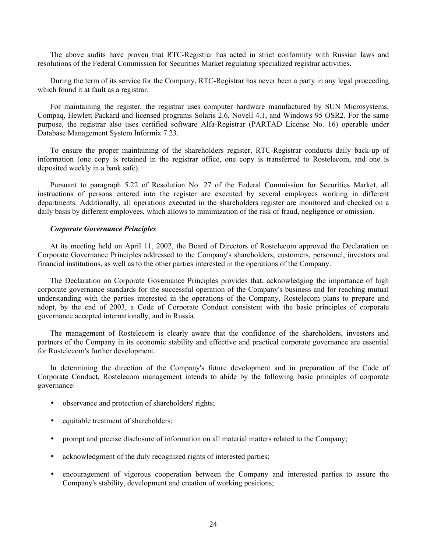The above audits have proven that RTC-Registrar has acted in strict conformity with Russian laws and resolutions of the Federal Commission for Securities Market regulating specialized registrar activities.

During the term of its service for the Company, RTC-Registrar has never been a party in any legal proceeding which found it at fault as a registrar.

For maintaining the register, the registrar uses computer hardware manufactured by SUN Microsystems, Compaq, Hewlett Packard and licensed programs Solaris 2.6, Novell 4.1, and Windows 95 OSR2. For the same purpose, the registrar also uses certified software Alfa-Registrar (PARTAD License No. 16) operable under Database Management System Informix 7.23.

To ensure the proper maintaining of the shareholders register, RTC-Registrar conducts daily back-up of information (one copy is retained in the registrar office, one copy is transferred to Rostelecom, and one is deposited weekly in a bank safe).

Pursuant to paragraph 5.22 of Resolution No. 27 of the Federal Commission for Securities Market, all instructions of persons entered into the register are executed by several employees working in different departments. Additionally, all operations executed in the shareholders register are monitored and checked on a daily basis by different employees, which allows to minimization of the risk of fraud, negligence or omission.

# *Corporate Governance Principles*

At its meeting held on April 11, 2002, the Board of Directors of Rostelecom approved the Declaration on Corporate Governance Principles addressed to the Company's shareholders, customers, personnel, investors and financial institutions, as well as to the other parties interested in the operations of the Company.

The Declaration on Corporate Governance Principles provides that, acknowledging the importance of high corporate governance standards for the successful operation of the Company's business and for reaching mutual understanding with the parties interested in the operations of the Company, Rostelecom plans to prepare and adopt, by the end of 2003, a Code of Corporate Conduct consistent with the basic principles of corporate governance accepted internationally, and in Russia.

The management of Rostelecom is clearly aware that the confidence of the shareholders, investors and partners of the Company in its economic stability and effective and practical corporate governance are essential for Rostelecom's further development.

In determining the direction of the Company's future development and in preparation of the Code of Corporate Conduct, Rostelecom management intends to abide by the following basic principles of corporate governance:

- observance and protection of shareholders' rights;
- equitable treatment of shareholders;
- prompt and precise disclosure of information on all material matters related to the Company;
- acknowledgment of the duly recognized rights of interested parties;
- encouragement of vigorous cooperation between the Company and interested parties to assure the Company's stability, development and creation of working positions;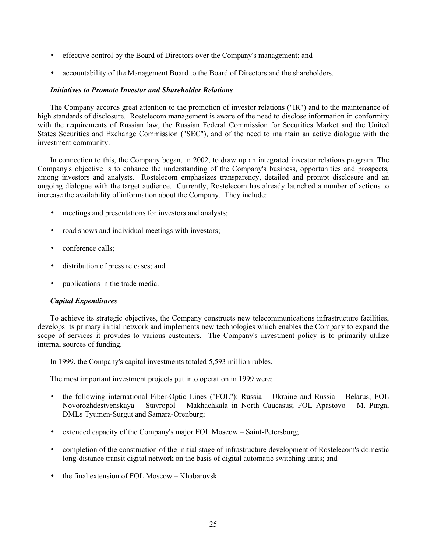- effective control by the Board of Directors over the Company's management; and
- accountability of the Management Board to the Board of Directors and the shareholders.

# *Initiatives to Promote Investor and Shareholder Relations*

The Company accords great attention to the promotion of investor relations ("IR") and to the maintenance of high standards of disclosure. Rostelecom management is aware of the need to disclose information in conformity with the requirements of Russian law, the Russian Federal Commission for Securities Market and the United States Securities and Exchange Commission ("SEC"), and of the need to maintain an active dialogue with the investment community.

In connection to this, the Company began, in 2002, to draw up an integrated investor relations program. The Company's objective is to enhance the understanding of the Company's business, opportunities and prospects, among investors and analysts. Rostelecom emphasizes transparency, detailed and prompt disclosure and an ongoing dialogue with the target audience. Currently, Rostelecom has already launched a number of actions to increase the availability of information about the Company. They include:

- meetings and presentations for investors and analysts;
- road shows and individual meetings with investors;
- conference calls;
- distribution of press releases; and
- publications in the trade media.

# *Capital Expenditures*

To achieve its strategic objectives, the Company constructs new telecommunications infrastructure facilities, develops its primary initial network and implements new technologies which enables the Company to expand the scope of services it provides to various customers. The Company's investment policy is to primarily utilize internal sources of funding.

In 1999, the Company's capital investments totaled 5,593 million rubles.

The most important investment projects put into operation in 1999 were:

- the following international Fiber-Optic Lines ("FOL"): Russia Ukraine and Russia Belarus; FOL Novorozhdestvenskaya – Stavropol – Makhachkala in North Caucasus; FOL Apastovo – M. Purga, DMLs Tyumen-Surgut and Samara-Orenburg;
- extended capacity of the Company's major FOL Moscow Saint-Petersburg;
- completion of the construction of the initial stage of infrastructure development of Rostelecom's domestic long-distance transit digital network on the basis of digital automatic switching units; and
- the final extension of FOL Moscow Khabarovsk.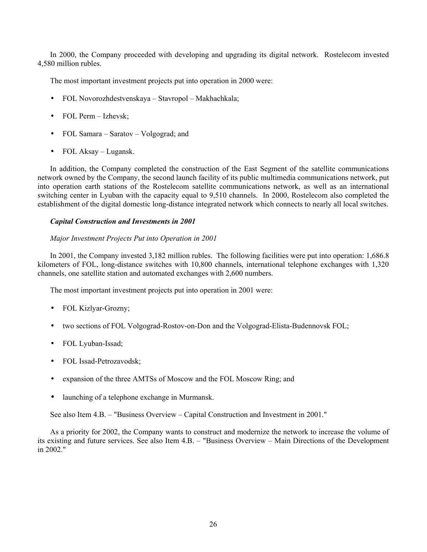In 2000, the Company proceeded with developing and upgrading its digital network. Rostelecom invested 4,580 million rubles.

The most important investment projects put into operation in 2000 were:

- FOL Novorozhdestvenskaya Stavropol Makhachkala;
- FOL Perm Izhevsk;
- FOL Samara Saratov Volgograd; and
- FOL Aksay Lugansk.

In addition, the Company completed the construction of the East Segment of the satellite communications network owned by the Company, the second launch facility of its public multimedia communications network, put into operation earth stations of the Rostelecom satellite communications network, as well as an international switching center in Lyuban with the capacity equal to 9,510 channels. In 2000, Rostelecom also completed the establishment of the digital domestic long-distance integrated network which connects to nearly all local switches.

# *Capital Construction and Investments in 2001*

# *Major Investment Projects Put into Operation in 2001*

In 2001, the Company invested 3,182 million rubles. The following facilities were put into operation: 1,686.8 kilometers of FOL, long-distance switches with 10,800 channels, international telephone exchanges with 1,320 channels, one satellite station and automated exchanges with 2,600 numbers.

The most important investment projects put into operation in 2001 were:

- FOL Kizlyar-Grozny;
- two sections of FOL Volgograd-Rostov-on-Don and the Volgograd-Elista-Budennovsk FOL;
- FOL Lyuban-Issad;
- FOL Issad-Petrozavodsk;
- expansion of the three AMTSs of Moscow and the FOL Moscow Ring; and
- launching of a telephone exchange in Murmansk.

See also Item 4.B. – "Business Overview – Capital Construction and Investment in 2001."

As a priority for 2002, the Company wants to construct and modernize the network to increase the volume of its existing and future services. See also Item 4.B. – "Business Overview – Main Directions of the Development in 2002."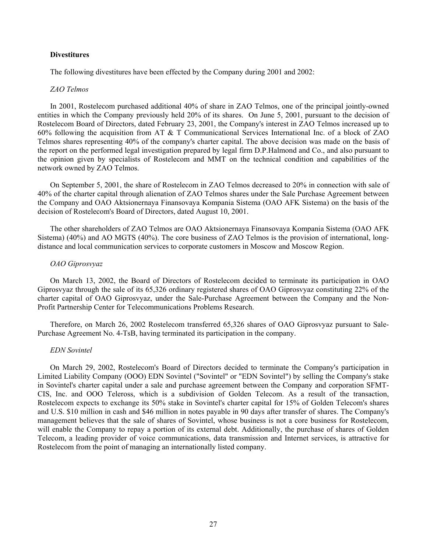#### **Divestitures**

The following divestitures have been effected by the Company during 2001 and 2002:

# *ZAO Telmos*

In 2001, Rostelecom purchased additional 40% of share in ZAO Telmos, one of the principal jointly-owned entities in which the Company previously held 20% of its shares. On June 5, 2001, pursuant to the decision of Rostelecom Board of Directors, dated February 23, 2001, the Company's interest in ZAO Telmos increased up to 60% following the acquisition from AT & T Communicational Services International Inc. of a block of ZAO Telmos shares representing 40% of the company's charter capital. The above decision was made on the basis of the report on the performed legal investigation prepared by legal firm D.P.Halmond and Co., and also pursuant to the opinion given by specialists of Rostelecom and MMT on the technical condition and capabilities of the network owned by ZAO Telmos.

On September 5, 2001, the share of Rostelecom in ZAO Telmos decreased to 20% in connection with sale of 40% of the charter capital through alienation of ZAO Telmos shares under the Sale Purchase Agreement between the Company and ОАО Aktsionernaya Finansovaya Kompania Sistema (ОАО AFK Sistema) on the basis of the decision of Rostelecom's Board of Directors, dated August 10, 2001.

The other shareholders of ZAO Telmos are ОАО Aktsionernaya Finansovaya Kompania Sistema (ОАО AFK Sistema) (40%) and AO MGTS (40%). The core business of ZAO Telmos is the provision of international, longdistance and local communication services to corporate customers in Moscow and Moscow Region.

#### *OAO Giprosvyaz*

On March 13, 2002, the Board of Directors of Rostelecom decided to terminate its participation in OAO Giprosvyaz through the sale of its 65,326 ordinary registered shares of OAO Giprosvyaz constituting 22% of the charter capital of OAO Giprosvyaz, under the Sale-Purchase Agreement between the Company and the Non-Profit Partnership Center for Telecommunications Problems Research.

Therefore, on March 26, 2002 Rostelecom transferred 65,326 shares of OAO Giprosvyaz pursuant to Sale-Purchase Agreement No. 4-TsB, having terminated its participation in the company.

#### *EDN Sovintel*

On March 29, 2002, Rostelecom's Board of Directors decided to terminate the Company's participation in Limited Liability Company (OOO) EDN Sovintel ("Sovintel" or "EDN Sovintel") by selling the Company's stake in Sovintel's charter capital under a sale and purchase agreement between the Company and corporation SFMT-CIS, Inc. and OOO Teleross, which is a subdivision of Golden Telecom. As a result of the transaction, Rostelecom expects to exchange its 50% stake in Sovintel's charter capital for 15% of Golden Telecom's shares and U.S. \$10 million in cash and \$46 million in notes payable in 90 days after transfer of shares. The Company's management believes that the sale of shares of Sovintel, whose business is not a core business for Rostelecom, will enable the Company to repay a portion of its external debt. Additionally, the purchase of shares of Golden Telecom, a leading provider of voice communications, data transmission and Internet services, is attractive for Rostelecom from the point of managing an internationally listed company.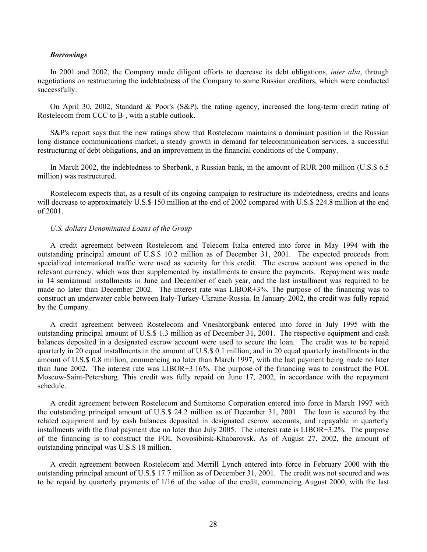#### *Borrowings*

In 2001 and 2002, the Company made diligent efforts to decrease its debt obligations, *inter alia*, through negotiations on restructuring the indebtedness of the Company to some Russian creditors, which were conducted successfully.

On April 30, 2002, Standard & Poor's (S&P), the rating agency, increased the long-term credit rating of Rostelecom from CCC to B-, with a stable outlook.

S&P's report says that the new ratings show that Rostelecom maintains a dominant position in the Russian long distance communications market, a steady growth in demand for telecommunication services, a successful restructuring of debt obligations, and an improvement in the financial conditions of the Company.

In March 2002, the indebtedness to Sberbank, a Russian bank, in the amount of RUR 200 million (U.S.\$ 6.5 million) was restructured.

Rostelecom expects that, as a result of its ongoing campaign to restructure its indebtedness, credits and loans will decrease to approximately U.S. \$150 million at the end of 2002 compared with U.S. \$224.8 million at the end of 2001.

#### *U.S. dollars Denominated Loans of the Group*

A credit agreement between Rostelecom and Telecom Italia entered into force in May 1994 with the outstanding principal amount of U.S.\$ 10.2 million as of December 31, 2001. The expected proceeds from specialized international traffic were used as security for this credit. The escrow account was opened in the relevant currency, which was then supplemented by installments to ensure the payments. Repayment was made in 14 semiannual installments in June and December of each year, and the last installment was required to be made no later than December 2002. The interest rate was LIBOR+3%. The purpose of the financing was to construct an underwater cable between Italy-Turkey-Ukraine-Russia. In January 2002, the credit was fully repaid by the Company.

A credit agreement between Rostelecom and Vneshtorgbank entered into force in July 1995 with the outstanding principal amount of U.S.\$ 1.3 million as of December 31, 2001. The respective equipment and cash balances deposited in a designated escrow account were used to secure the loan. The credit was to be repaid quarterly in 20 equal installments in the amount of U.S.\$ 0.1 million, and in 20 equal quarterly installments in the amount of U.S.\$ 0.8 million, commencing no later than March 1997, with the last payment being made no later than June 2002. The interest rate was LIBOR+3.16%. The purpose of the financing was to construct the FOL Moscow-Saint-Petersburg. This credit was fully repaid on June 17, 2002, in accordance with the repayment schedule.

A credit agreement between Rostelecom and Sumitomo Corporation entered into force in March 1997 with the outstanding principal amount of U.S.\$ 24.2 million as of December 31, 2001. The loan is secured by the related equipment and by cash balances deposited in designated escrow accounts, and repayable in quarterly installments with the final payment due no later than July 2005. The interest rate is LIBOR+3.2%. The purpose of the financing is to construct the FOL Novosibirsk-Khabarovsk. As of August 27, 2002, the amount of outstanding principal was U.S.\$ 18 million.

A credit agreement between Rostelecom and Merrill Lynch entered into force in February 2000 with the outstanding principal amount of U.S.\$ 17.7 million as of December 31, 2001. The credit was not secured and was to be repaid by quarterly payments of 1/16 of the value of the credit, commencing August 2000, with the last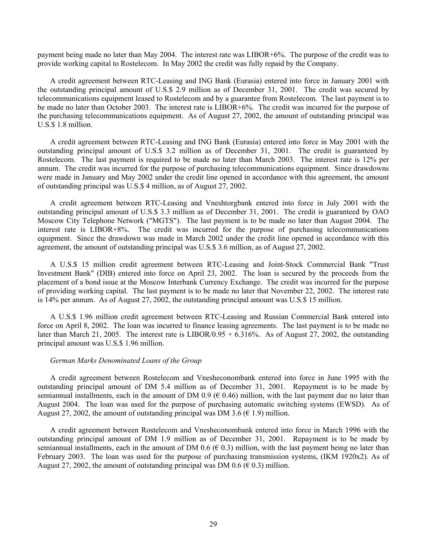payment being made no later than May 2004. The interest rate was LIBOR+6%. The purpose of the credit was to provide working capital to Rostelecom. In May 2002 the credit was fully repaid by the Company.

A credit agreement between RTC-Leasing and ING Bank (Eurasia) entered into force in January 2001 with the outstanding principal amount of U.S.\$ 2.9 million as of December 31, 2001. The credit was secured by telecommunications equipment leased to Rostelecom and by a guarantee from Rostelecom. The last payment is to be made no later than October 2003. The interest rate is LIBOR+6%. The credit was incurred for the purpose of the purchasing telecommunications equipment. As of August 27, 2002, the amount of outstanding principal was U.S.\$ 1.8 million.

A credit agreement between RTC-Leasing and ING Bank (Eurasia) entered into force in May 2001 with the outstanding principal amount of U.S.\$ 3.2 million as of December 31, 2001. The credit is guaranteed by Rostelecom. The last payment is required to be made no later than March 2003. The interest rate is 12% per annum. The credit was incurred for the purpose of purchasing telecommunications equipment. Since drawdowns were made in January and May 2002 under the credit line opened in accordance with this agreement, the amount of outstanding principal was U.S.\$ 4 million, as of August 27, 2002.

A credit agreement between RTC-Leasing and Vneshtorgbank entered into force in July 2001 with the outstanding principal amount of U.S.\$ 3.3 million as of December 31, 2001. The credit is guaranteed by OAO Moscow City Telephone Network ("MGTS"). The last payment is to be made no later than August 2004. The interest rate is LIBOR+8%. The credit was incurred for the purpose of purchasing telecommunications equipment. Since the drawdown was made in March 2002 under the credit line opened in accordance with this agreement, the amount of outstanding principal was U.S.\$ 3.6 million, as of August 27, 2002.

A U.S.\$ 15 million credit agreement between RTC-Leasing and Joint-Stock Commercial Bank "Trust Investment Bank" (DIB) entered into force on April 23, 2002. The loan is secured by the proceeds from the placement of a bond issue at the Moscow Interbank Currency Exchange. The credit was incurred for the purpose of providing working capital. The last payment is to be made no later that November 22, 2002. The interest rate is 14% per annum. As of August 27, 2002, the outstanding principal amount was U.S.\$ 15 million.

A U.S.\$ 1.96 million credit agreement between RTC-Leasing and Russian Commercial Bank entered into force on April 8, 2002. The loan was incurred to finance leasing agreements. The last payment is to be made no later than March 21, 2005. The interest rate is  $LIBOR/0.95 + 6.316\%$ . As of August 27, 2002, the outstanding principal amount was U.S.\$ 1.96 million.

#### *German Marks Denominated Loans of the Group*

A credit agreement between Rostelecom and Vnesheconombank entered into force in June 1995 with the outstanding principal amount of DM 5.4 million as of December 31, 2001. Repayment is to be made by semiannual installments, each in the amount of DM 0.9 ( $\in$  0.46) million, with the last payment due no later than August 2004. The loan was used for the purpose of purchasing automatic switching systems (EWSD). As of August 27, 2002, the amount of outstanding principal was DM 3.6 ( $\in$  1.9) million.

A credit agreement between Rostelecom and Vnesheconombank entered into force in March 1996 with the outstanding principal amount of DM 1.9 million as of December 31, 2001. Repayment is to be made by semiannual installments, each in the amount of DM 0.6 ( $\in$  0.3) million, with the last payment being no later than February 2003. The loan was used for the purpose of purchasing transmission systems, (IKM 1920x2). As of August 27, 2002, the amount of outstanding principal was DM 0.6 ( $\in$  0.3) million.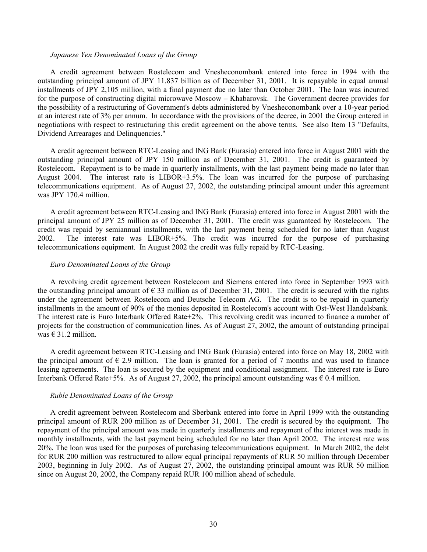#### *Japanese Yen Denominated Loans of the Group*

A credit agreement between Rostelecom and Vnesheconombank entered into force in 1994 with the outstanding principal amount of JPY 11.837 billion as of December 31, 2001. It is repayable in equal annual installments of JPY 2,105 million, with a final payment due no later than October 2001. The loan was incurred for the purpose of constructing digital microwave Moscow – Khabarovsk. The Government decree provides for the possibility of a restructuring of Government's debts administered by Vnesheconombank over a 10-year period at an interest rate of 3% per annum. In accordance with the provisions of the decree, in 2001 the Group entered in negotiations with respect to restructuring this credit agreement on the above terms. See also Item 13 "Defaults, Dividend Arrearages and Delinquencies."

A credit agreement between RTC-Leasing and ING Bank (Eurasia) entered into force in August 2001 with the outstanding principal amount of JPY 150 million as of December 31, 2001. The credit is guaranteed by Rostelecom. Repayment is to be made in quarterly installments, with the last payment being made no later than August 2004. The interest rate is LIBOR+3.5%. The loan was incurred for the purpose of purchasing telecommunications equipment. As of August 27, 2002, the outstanding principal amount under this agreement was JPY 170.4 million.

A credit agreement between RTC-Leasing and ING Bank (Eurasia) entered into force in August 2001 with the principal amount of JPY 25 million as of December 31, 2001. The credit was guaranteed by Rostelecom. The credit was repaid by semiannual installments, with the last payment being scheduled for no later than August 2002. The interest rate was LIBOR+5%. The credit was incurred for the purpose of purchasing telecommunications equipment. In August 2002 the credit was fully repaid by RTC-Leasing.

#### *Euro Denominated Loans of the Group*

A revolving credit agreement between Rostelecom and Siemens entered into force in September 1993 with the outstanding principal amount of  $\epsilon$  33 million as of December 31, 2001. The credit is secured with the rights under the agreement between Rostelecom and Deutsche Telecom AG. The credit is to be repaid in quarterly installments in the amount of 90% of the monies deposited in Rostelecom's account with Ost-West Handelsbank. The interest rate is Euro Interbank Offered Rate+2%. This revolving credit was incurred to finance a number of projects for the construction of communication lines. As of August 27, 2002, the amount of outstanding principal was  $\in$  31.2 million.

A credit agreement between RTC-Leasing and ING Bank (Eurasia) entered into force on May 18, 2002 with the principal amount of  $\epsilon$  2.9 million. The loan is granted for a period of 7 months and was used to finance leasing agreements. The loan is secured by the equipment and conditional assignment. The interest rate is Euro Interbank Offered Rate+5%. As of August 27, 2002, the principal amount outstanding was  $\epsilon$  0.4 million.

#### *Ruble Denominated Loans of the Group*

A credit agreement between Rostelecom and Sberbank entered into force in April 1999 with the outstanding principal amount of RUR 200 million as of December 31, 2001. The credit is secured by the equipment. The repayment of the principal amount was made in quarterly installments and repayment of the interest was made in monthly installments, with the last payment being scheduled for no later than April 2002. The interest rate was 20%. The loan was used for the purposes of purchasing telecommunications equipment. In March 2002, the debt for RUR 200 million was restructured to allow equal principal repayments of RUR 50 million through December 2003, beginning in July 2002. As of August 27, 2002, the outstanding principal amount was RUR 50 million since on August 20, 2002, the Company repaid RUR 100 million ahead of schedule.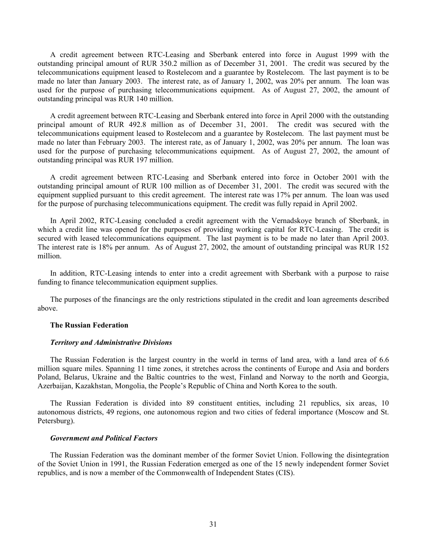A credit agreement between RTC-Leasing and Sberbank entered into force in August 1999 with the outstanding principal amount of RUR 350.2 million as of December 31, 2001. The credit was secured by the telecommunications equipment leased to Rostelecom and a guarantee by Rostelecom. The last payment is to be made no later than January 2003. The interest rate, as of January 1, 2002, was 20% per annum. The loan was used for the purpose of purchasing telecommunications equipment. As of August 27, 2002, the amount of outstanding principal was RUR 140 million.

A credit agreement between RTC-Leasing and Sberbank entered into force in April 2000 with the outstanding principal amount of RUR 492.8 million as of December 31, 2001. The credit was secured with the telecommunications equipment leased to Rostelecom and a guarantee by Rostelecom. The last payment must be made no later than February 2003. The interest rate, as of January 1, 2002, was 20% per annum. The loan was used for the purpose of purchasing telecommunications equipment. As of August 27, 2002, the amount of outstanding principal was RUR 197 million.

A credit agreement between RTC-Leasing and Sberbank entered into force in October 2001 with the outstanding principal amount of RUR 100 million as of December 31, 2001. The credit was secured with the equipment supplied pursuant to this credit agreement. The interest rate was 17% per annum. The loan was used for the purpose of purchasing telecommunications equipment. The credit was fully repaid in April 2002.

In April 2002, RTC-Leasing concluded a credit agreement with the Vernadskoye branch of Sberbank, in which a credit line was opened for the purposes of providing working capital for RTC-Leasing. The credit is secured with leased telecommunications equipment. The last payment is to be made no later than April 2003. The interest rate is 18% per annum. As of August 27, 2002, the amount of outstanding principal was RUR 152 million.

In addition, RTC-Leasing intends to enter into a credit agreement with Sberbank with a purpose to raise funding to finance telecommunication equipment supplies.

The purposes of the financings are the only restrictions stipulated in the credit and loan agreements described above.

# **The Russian Federation**

#### *Territory and Administrative Divisions*

The Russian Federation is the largest country in the world in terms of land area, with a land area of 6.6 million square miles. Spanning 11 time zones, it stretches across the continents of Europe and Asia and borders Poland, Belarus, Ukraine and the Baltic countries to the west, Finland and Norway to the north and Georgia, Azerbaijan, Kazakhstan, Mongolia, the People's Republic of China and North Korea to the south.

The Russian Federation is divided into 89 constituent entities, including 21 republics, six areas, 10 autonomous districts, 49 regions, one autonomous region and two cities of federal importance (Moscow and St. Petersburg).

#### *Government and Political Factors*

The Russian Federation was the dominant member of the former Soviet Union. Following the disintegration of the Soviet Union in 1991, the Russian Federation emerged as one of the 15 newly independent former Soviet republics, and is now a member of the Commonwealth of Independent States (CIS).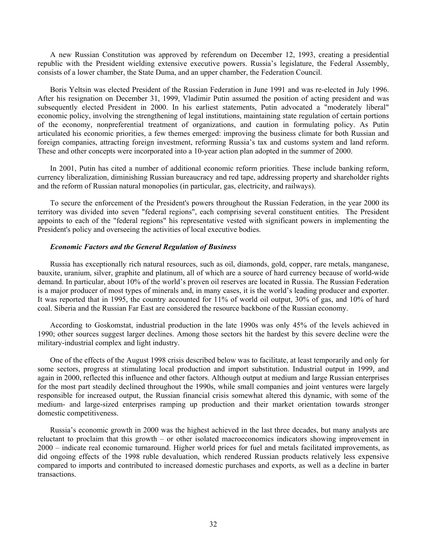A new Russian Constitution was approved by referendum on December 12, 1993, creating a presidential republic with the President wielding extensive executive powers. Russia's legislature, the Federal Assembly, consists of a lower chamber, the State Duma, and an upper chamber, the Federation Council.

Boris Yeltsin was elected President of the Russian Federation in June 1991 and was re-elected in July 1996. After his resignation on December 31, 1999, Vladimir Putin assumed the position of acting president and was subsequently elected President in 2000. In his earliest statements, Putin advocated a "moderately liberal" economic policy, involving the strengthening of legal institutions, maintaining state regulation of certain portions of the economy, nonpreferential treatment of organizations, and caution in formulating policy. As Putin articulated his economic priorities, a few themes emerged: improving the business climate for both Russian and foreign companies, attracting foreign investment, reforming Russia's tax and customs system and land reform. These and other concepts were incorporated into a 10-year action plan adopted in the summer of 2000.

In 2001, Putin has cited a number of additional economic reform priorities. These include banking reform, currency liberalization, diminishing Russian bureaucracy and red tape, addressing property and shareholder rights and the reform of Russian natural monopolies (in particular, gas, electricity, and railways).

To secure the enforcement of the President's powers throughout the Russian Federation, in the year 2000 its territory was divided into seven "federal regions", each comprising several constituent entities. The President appoints to each of the "federal regions" his representative vested with significant powers in implementing the President's policy and overseeing the activities of local executive bodies.

# *Economic Factors and the General Regulation of Business*

Russia has exceptionally rich natural resources, such as oil, diamonds, gold, copper, rare metals, manganese, bauxite, uranium, silver, graphite and platinum, all of which are a source of hard currency because of world-wide demand. In particular, about 10% of the world's proven oil reserves are located in Russia. The Russian Federation is a major producer of most types of minerals and, in many cases, it is the world's leading producer and exporter. It was reported that in 1995, the country accounted for 11% of world oil output, 30% of gas, and 10% of hard coal. Siberia and the Russian Far East are considered the resource backbone of the Russian economy.

According to Goskomstat, industrial production in the late 1990s was only 45% of the levels achieved in 1990; other sources suggest larger declines. Among those sectors hit the hardest by this severe decline were the military-industrial complex and light industry.

One of the effects of the August 1998 crisis described below was to facilitate, at least temporarily and only for some sectors, progress at stimulating local production and import substitution. Industrial output in 1999, and again in 2000, reflected this influence and other factors. Although output at medium and large Russian enterprises for the most part steadily declined throughout the 1990s, while small companies and joint ventures were largely responsible for increased output, the Russian financial crisis somewhat altered this dynamic, with some of the medium- and large-sized enterprises ramping up production and their market orientation towards stronger domestic competitiveness.

Russia's economic growth in 2000 was the highest achieved in the last three decades, but many analysts are reluctant to proclaim that this growth – or other isolated macroeconomics indicators showing improvement in 2000 – indicate real economic turnaround. Higher world prices for fuel and metals facilitated improvements, as did ongoing effects of the 1998 ruble devaluation, which rendered Russian products relatively less expensive compared to imports and contributed to increased domestic purchases and exports, as well as a decline in barter transactions.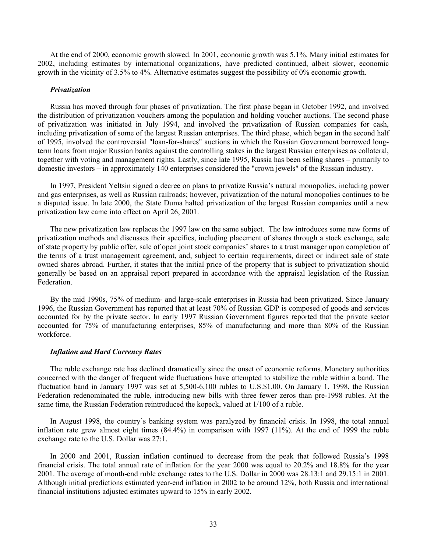At the end of 2000, economic growth slowed. In 2001, economic growth was 5.1%. Many initial estimates for 2002, including estimates by international organizations, have predicted continued, albeit slower, economic growth in the vicinity of 3.5% to 4%. Alternative estimates suggest the possibility of 0% economic growth.

#### *Privatization*

Russia has moved through four phases of privatization. The first phase began in October 1992, and involved the distribution of privatization vouchers among the population and holding voucher auctions. The second phase of privatization was initiated in July 1994, and involved the privatization of Russian companies for cash, including privatization of some of the largest Russian enterprises. The third phase, which began in the second half of 1995, involved the controversial "loan-for-shares" auctions in which the Russian Government borrowed longterm loans from major Russian banks against the controlling stakes in the largest Russian enterprises as collateral, together with voting and management rights. Lastly, since late 1995, Russia has been selling shares – primarily to domestic investors – in approximately 140 enterprises considered the "crown jewels" of the Russian industry.

In 1997, President Yeltsin signed a decree on plans to privatize Russia's natural monopolies, including power and gas enterprises, as well as Russian railroads; however, privatization of the natural monopolies continues to be a disputed issue. In late 2000, the State Duma halted privatization of the largest Russian companies until a new privatization law came into effect on April 26, 2001.

The new privatization law replaces the 1997 law on the same subject. The law introduces some new forms of privatization methods and discusses their specifics, including placement of shares through a stock exchange, sale of state property by public offer, sale of open joint stock companies' shares to a trust manager upon completion of the terms of a trust management agreement, and, subject to certain requirements, direct or indirect sale of state owned shares abroad. Further, it states that the initial price of the property that is subject to privatization should generally be based on an appraisal report prepared in accordance with the appraisal legislation of the Russian Federation.

By the mid 1990s, 75% of medium- and large-scale enterprises in Russia had been privatized. Since January 1996, the Russian Government has reported that at least 70% of Russian GDP is composed of goods and services accounted for by the private sector. In early 1997 Russian Government figures reported that the private sector accounted for 75% of manufacturing enterprises, 85% of manufacturing and more than 80% of the Russian workforce.

#### *Inflation and Hard Currency Rates*

The ruble exchange rate has declined dramatically since the onset of economic reforms. Monetary authorities concerned with the danger of frequent wide fluctuations have attempted to stabilize the ruble within a band. The fluctuation band in January 1997 was set at 5,500-6,100 rubles to U.S.\$1.00. On January 1, 1998, the Russian Federation redenominated the ruble, introducing new bills with three fewer zeros than pre-1998 rubles. At the same time, the Russian Federation reintroduced the kopeck, valued at 1/100 of a ruble.

In August 1998, the country's banking system was paralyzed by financial crisis. In 1998, the total annual inflation rate grew almost eight times (84.4%) in comparison with 1997 (11%). At the end of 1999 the ruble exchange rate to the U.S. Dollar was 27:1.

In 2000 and 2001, Russian inflation continued to decrease from the peak that followed Russia's 1998 financial crisis. The total annual rate of inflation for the year 2000 was equal to 20.2% and 18.8% for the year 2001. The average of month-end ruble exchange rates to the U.S. Dollar in 2000 was 28.13:1 and 29.15:1 in 2001. Although initial predictions estimated year-end inflation in 2002 to be around 12%, both Russia and international financial institutions adjusted estimates upward to 15% in early 2002.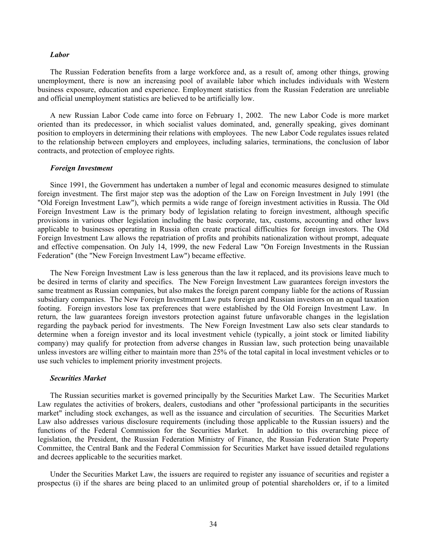#### *Labor*

The Russian Federation benefits from a large workforce and, as a result of, among other things, growing unemployment, there is now an increasing pool of available labor which includes individuals with Western business exposure, education and experience. Employment statistics from the Russian Federation are unreliable and official unemployment statistics are believed to be artificially low.

A new Russian Labor Code came into force on February 1, 2002. The new Labor Code is more market oriented than its predecessor, in which socialist values dominated, and, generally speaking, gives dominant position to employers in determining their relations with employees. The new Labor Code regulates issues related to the relationship between employers and employees, including salaries, terminations, the conclusion of labor contracts, and protection of employee rights.

#### *Foreign Investment*

Since 1991, the Government has undertaken a number of legal and economic measures designed to stimulate foreign investment. The first major step was the adoption of the Law on Foreign Investment in July 1991 (the "Old Foreign Investment Law"), which permits a wide range of foreign investment activities in Russia. The Old Foreign Investment Law is the primary body of legislation relating to foreign investment, although specific provisions in various other legislation including the basic corporate, tax, customs, accounting and other laws applicable to businesses operating in Russia often create practical difficulties for foreign investors. The Old Foreign Investment Law allows the repatriation of profits and prohibits nationalization without prompt, adequate and effective compensation. On July 14, 1999, the new Federal Law "On Foreign Investments in the Russian Federation" (the "New Foreign Investment Law") became effective.

The New Foreign Investment Law is less generous than the law it replaced, and its provisions leave much to be desired in terms of clarity and specifics. The New Foreign Investment Law guarantees foreign investors the same treatment as Russian companies, but also makes the foreign parent company liable for the actions of Russian subsidiary companies. The New Foreign Investment Law puts foreign and Russian investors on an equal taxation footing. Foreign investors lose tax preferences that were established by the Old Foreign Investment Law. In return, the law guarantees foreign investors protection against future unfavorable changes in the legislation regarding the payback period for investments. The New Foreign Investment Law also sets clear standards to determine when a foreign investor and its local investment vehicle (typically, a joint stock or limited liability company) may qualify for protection from adverse changes in Russian law, such protection being unavailable unless investors are willing either to maintain more than 25% of the total capital in local investment vehicles or to use such vehicles to implement priority investment projects.

#### *Securities Market*

The Russian securities market is governed principally by the Securities Market Law. The Securities Market Law regulates the activities of brokers, dealers, custodians and other "professional participants in the securities market" including stock exchanges, as well as the issuance and circulation of securities. The Securities Market Law also addresses various disclosure requirements (including those applicable to the Russian issuers) and the functions of the Federal Commission for the Securities Market. In addition to this overarching piece of legislation, the President, the Russian Federation Ministry of Finance, the Russian Federation State Property Committee, the Central Bank and the Federal Commission for Securities Market have issued detailed regulations and decrees applicable to the securities market.

Under the Securities Market Law, the issuers are required to register any issuance of securities and register a prospectus (i) if the shares are being placed to an unlimited group of potential shareholders or, if to a limited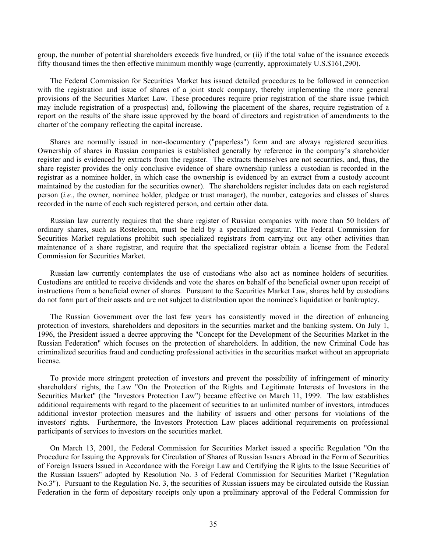group, the number of potential shareholders exceeds five hundred, or (ii) if the total value of the issuance exceeds fifty thousand times the then effective minimum monthly wage (currently, approximately U.S.\$161,290).

The Federal Commission for Securities Market has issued detailed procedures to be followed in connection with the registration and issue of shares of a joint stock company, thereby implementing the more general provisions of the Securities Market Law. These procedures require prior registration of the share issue (which may include registration of a prospectus) and, following the placement of the shares, require registration of a report on the results of the share issue approved by the board of directors and registration of amendments to the charter of the company reflecting the capital increase.

Shares are normally issued in non-documentary ("paperless") form and are always registered securities. Ownership of shares in Russian companies is established generally by reference in the company's shareholder register and is evidenced by extracts from the register. The extracts themselves are not securities, and, thus, the share register provides the only conclusive evidence of share ownership (unless a custodian is recorded in the registrar as a nominee holder, in which case the ownership is evidenced by an extract from a custody account maintained by the custodian for the securities owner). The shareholders register includes data on each registered person (*i.e.*, the owner, nominee holder, pledgee or trust manager), the number, categories and classes of shares recorded in the name of each such registered person, and certain other data.

Russian law currently requires that the share register of Russian companies with more than 50 holders of ordinary shares, such as Rostelecom, must be held by a specialized registrar. The Federal Commission for Securities Market regulations prohibit such specialized registrars from carrying out any other activities than maintenance of a share registrar, and require that the specialized registrar obtain a license from the Federal Commission for Securities Market.

Russian law currently contemplates the use of custodians who also act as nominee holders of securities. Custodians are entitled to receive dividends and vote the shares on behalf of the beneficial owner upon receipt of instructions from a beneficial owner of shares. Pursuant to the Securities Market Law, shares held by custodians do not form part of their assets and are not subject to distribution upon the nominee's liquidation or bankruptcy.

The Russian Government over the last few years has consistently moved in the direction of enhancing protection of investors, shareholders and depositors in the securities market and the banking system. On July 1, 1996, the President issued a decree approving the "Concept for the Development of the Securities Market in the Russian Federation" which focuses on the protection of shareholders. In addition, the new Criminal Code has criminalized securities fraud and conducting professional activities in the securities market without an appropriate license.

To provide more stringent protection of investors and prevent the possibility of infringement of minority shareholders' rights, the Law "On the Protection of the Rights and Legitimate Interests of Investors in the Securities Market" (the "Investors Protection Law") became effective on March 11, 1999. The law establishes additional requirements with regard to the placement of securities to an unlimited number of investors, introduces additional investor protection measures and the liability of issuers and other persons for violations of the investors' rights. Furthermore, the Investors Protection Law places additional requirements on professional participants of services to investors on the securities market.

On March 13, 2001, the Federal Commission for Securities Market issued a specific Regulation "On the Procedure for Issuing the Approvals for Circulation of Shares of Russian Issuers Abroad in the Form of Securities of Foreign Issuers Issued in Accordance with the Foreign Law and Certifying the Rights to the Issue Securities of the Russian Issuers" adopted by Resolution No. 3 of Federal Commission for Securities Market ("Regulation No.3"). Pursuant to the Regulation No. 3, the securities of Russian issuers may be circulated outside the Russian Federation in the form of depositary receipts only upon a preliminary approval of the Federal Commission for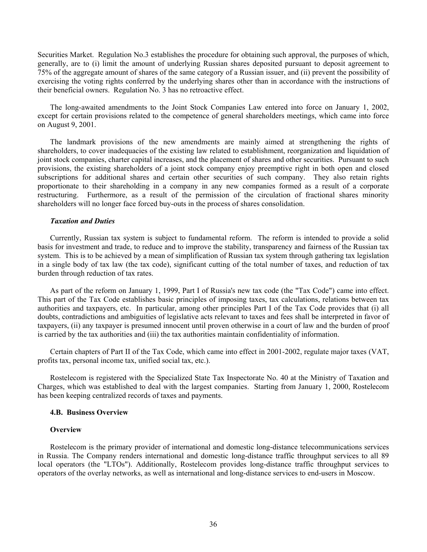Securities Market. Regulation No.3 establishes the procedure for obtaining such approval, the purposes of which, generally, are to (i) limit the amount of underlying Russian shares deposited pursuant to deposit agreement to 75% of the aggregate amount of shares of the same category of a Russian issuer, and (ii) prevent the possibility of exercising the voting rights conferred by the underlying shares other than in accordance with the instructions of their beneficial owners. Regulation No. 3 has no retroactive effect.

The long-awaited amendments to the Joint Stock Companies Law entered into force on January 1, 2002, except for certain provisions related to the competence of general shareholders meetings, which came into force on August 9, 2001.

The landmark provisions of the new amendments are mainly aimed at strengthening the rights of shareholders, to cover inadequacies of the existing law related to establishment, reorganization and liquidation of joint stock companies, charter capital increases, and the placement of shares and other securities. Pursuant to such provisions, the existing shareholders of a joint stock company enjoy preemptive right in both open and closed subscriptions for additional shares and certain other securities of such company. They also retain rights proportionate to their shareholding in a company in any new companies formed as a result of a corporate restructuring. Furthermore, as a result of the permission of the circulation of fractional shares minority shareholders will no longer face forced buy-outs in the process of shares consolidation.

#### *Taxation and Duties*

Currently, Russian tax system is subject to fundamental reform. The reform is intended to provide a solid basis for investment and trade, to reduce and to improve the stability, transparency and fairness of the Russian tax system. This is to be achieved by a mean of simplification of Russian tax system through gathering tax legislation in a single body of tax law (the tax code), significant cutting of the total number of taxes, and reduction of tax burden through reduction of tax rates.

As part of the reform on January 1, 1999, Part I of Russia's new tax code (the "Tax Code") came into effect. This part of the Tax Code establishes basic principles of imposing taxes, tax calculations, relations between tax authorities and taxpayers, etc. In particular, among other principles Part I of the Tax Code provides that (i) all doubts, contradictions and ambiguities of legislative acts relevant to taxes and fees shall be interpreted in favor of taxpayers, (ii) any taxpayer is presumed innocent until proven otherwise in a court of law and the burden of proof is carried by the tax authorities and (iii) the tax authorities maintain confidentiality of information.

Certain chapters of Part II of the Tax Code, which came into effect in 2001-2002, regulate major taxes (VAT, profits tax, personal income tax, unified social tax, etc.).

Rostelecom is registered with the Specialized State Tax Inspectorate No. 40 at the Ministry of Taxation and Charges, which was established to deal with the largest companies. Starting from January 1, 2000, Rostelecom has been keeping centralized records of taxes and payments.

#### **4.B. Business Overview**

#### **Overview**

Rostelecom is the primary provider of international and domestic long-distance telecommunications services in Russia. The Company renders international and domestic long-distance traffic throughput services to all 89 local operators (the "LTOs"). Additionally, Rostelecom provides long-distance traffic throughput services to operators of the overlay networks, as well as international and long-distance services to end-users in Moscow.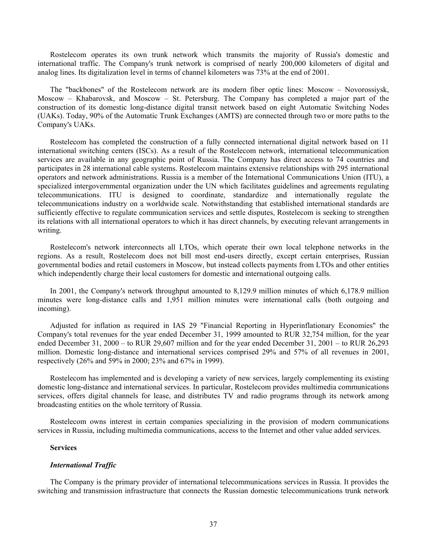Rostelecom operates its own trunk network which transmits the majority of Russia's domestic and international traffic. The Company's trunk network is comprised of nearly 200,000 kilometers of digital and analog lines. Its digitalization level in terms of channel kilometers was 73% at the end of 2001.

The "backbones" of the Rostelecom network are its modern fiber optic lines: Moscow – Novorossiysk, Moscow – Khabarovsk, and Moscow – St. Petersburg. The Company has completed a major part of the construction of its domestic long-distance digital transit network based on eight Automatic Switching Nodes (UAKs). Today, 90% of the Automatic Trunk Exchanges (AMTS) are connected through two or more paths to the Company's UAKs.

Rostelecom has completed the construction of a fully connected international digital network based on 11 international switching centers (ISCs). As a result of the Rostelecom network, international telecommunication services are available in any geographic point of Russia. The Company has direct access to 74 countries and participates in 28 international cable systems. Rostelecom maintains extensive relationships with 295 international operators and network administrations. Russia is a member of the International Communications Union (ITU), a specialized intergovernmental organization under the UN which facilitates guidelines and agreements regulating telecommunications. ITU is designed to coordinate, standardize and internationally regulate the telecommunications industry on a worldwide scale. Notwithstanding that established international standards are sufficiently effective to regulate communication services and settle disputes, Rostelecom is seeking to strengthen its relations with all international operators to which it has direct channels, by executing relevant arrangements in writing.

Rostelecom's network interconnects all LTOs, which operate their own local telephone networks in the regions. As a result, Rostelecom does not bill most end-users directly, except certain enterprises, Russian governmental bodies and retail customers in Moscow, but instead collects payments from LTOs and other entities which independently charge their local customers for domestic and international outgoing calls.

In 2001, the Company's network throughput amounted to 8,129.9 million minutes of which 6,178.9 million minutes were long-distance calls and 1,951 million minutes were international calls (both outgoing and incoming).

Adjusted for inflation as required in IAS 29 "Financial Reporting in Hyperinflationary Economies" the Company's total revenues for the year ended December 31, 1999 amounted to RUR 32,754 million, for the year ended December 31, 2000 – to RUR 29,607 million and for the year ended December 31, 2001 – to RUR 26,293 million. Domestic long-distance and international services comprised 29% and 57% of all revenues in 2001, respectively (26% and 59% in 2000; 23% and 67% in 1999).

Rostelecom has implemented and is developing a variety of new services, largely complementing its existing domestic long-distance and international services. In particular, Rostelecom provides multimedia communications services, offers digital channels for lease, and distributes TV and radio programs through its network among broadcasting entities on the whole territory of Russia.

Rostelecom owns interest in certain companies specializing in the provision of modern communications services in Russia, including multimedia communications, access to the Internet and other value added services.

### **Services**

#### *International Traffic*

The Company is the primary provider of international telecommunications services in Russia. It provides the switching and transmission infrastructure that connects the Russian domestic telecommunications trunk network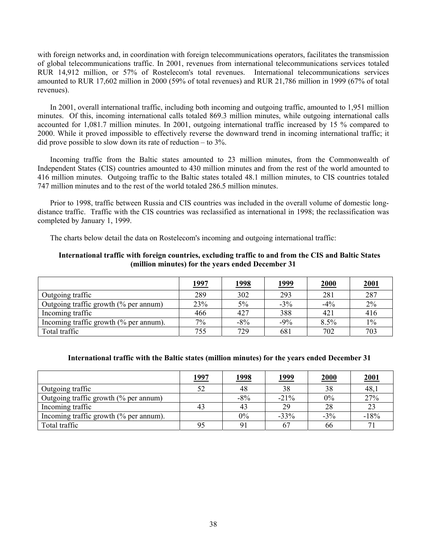with foreign networks and, in coordination with foreign telecommunications operators, facilitates the transmission of global telecommunications traffic. In 2001, revenues from international telecommunications services totaled RUR 14,912 million, or 57% of Rostelecom's total revenues. International telecommunications services amounted to RUR 17,602 million in 2000 (59% of total revenues) and RUR 21,786 million in 1999 (67% of total revenues).

In 2001, overall international traffic, including both incoming and outgoing traffic, amounted to 1,951 million minutes. Of this, incoming international calls totaled 869.3 million minutes, while outgoing international calls accounted for 1,081.7 million minutes. In 2001, outgoing international traffic increased by 15 % compared to 2000. While it proved impossible to effectively reverse the downward trend in incoming international traffic; it did prove possible to slow down its rate of reduction – to 3%.

Incoming traffic from the Baltic states amounted to 23 million minutes, from the Commonwealth of Independent States (CIS) countries amounted to 430 million minutes and from the rest of the world amounted to 416 million minutes. Outgoing traffic to the Baltic states totaled 48.1 million minutes, to CIS countries totaled 747 million minutes and to the rest of the world totaled 286.5 million minutes.

Prior to 1998, traffic between Russia and CIS countries was included in the overall volume of domestic longdistance traffic. Traffic with the CIS countries was reclassified as international in 1998; the reclassification was completed by January 1, 1999.

The charts below detail the data on Rostelecom's incoming and outgoing international traffic:

# **International traffic with foreign countries, excluding traffic to and from the CIS and Baltic States (million minutes) for the years ended December 31**

|                                                   | <u> 1997</u> | <u>1998</u> | <u> 1999</u> | 2000   | 2001  |
|---------------------------------------------------|--------------|-------------|--------------|--------|-------|
| Outgoing traffic                                  | 289          | 302         | 293          | 281    | 287   |
| Outgoing traffic growth $(\%$ per annum)          | 23%          | 5%          | $-3%$        | $-4\%$ | 2%    |
| Incoming traffic                                  | 466          | 427         | 388          | 421    | 416   |
| Incoming traffic growth $\frac{6}{6}$ per annum). | $7\%$        | $-8%$       | $-9\%$       | 8.5%   | $1\%$ |
| Total traffic                                     | 755          | 729         | 681          | 702    | 703   |

# **International traffic with the Baltic states (million minutes) for the years ended December 31**

|                                                   | <u> 1997</u> | <u> 1998</u> | <u> 1999</u> | <b>2000</b> | <u>2001</u> |
|---------------------------------------------------|--------------|--------------|--------------|-------------|-------------|
| Outgoing traffic                                  | 52           | 48           | 38           | 38          | 48,1        |
| Outgoing traffic growth (% per annum)             |              | $-8\%$       | $-21%$       | 0%          | 27%         |
| Incoming traffic                                  | 43           |              | 29           | 28          | 23          |
| Incoming traffic growth $\frac{6}{6}$ per annum). |              | 0%           | $-33%$       | $-3\%$      | $-18%$      |
| Total traffic                                     | 95           |              | 67           | 66          | 71          |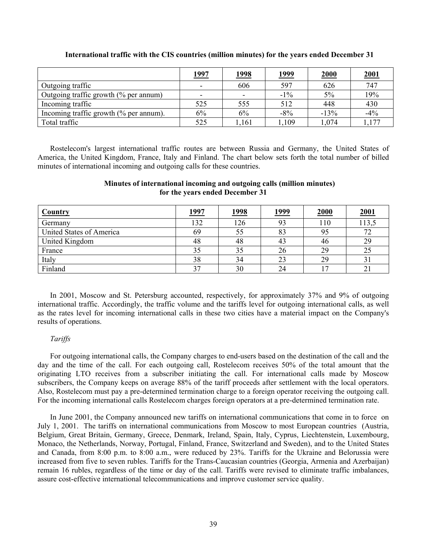|                                        | 1997                     | <u>1998</u>              | <u> 1999</u> | 2000   | <u>2001</u> |
|----------------------------------------|--------------------------|--------------------------|--------------|--------|-------------|
| Outgoing traffic                       | $\overline{\phantom{0}}$ | 606                      | 597          | 626    | 747         |
| Outgoing traffic growth (% per annum)  | $\sim$                   | $\overline{\phantom{0}}$ | $-1\%$       | 5%     | 19%         |
| Incoming traffic                       | 525                      | 555                      | 512          | 448    | 430         |
| Incoming traffic growth (% per annum). | 6%                       | 6%                       | $-8%$        | $-13%$ | $-4%$       |
| Total traffic                          | 525                      | ,161                     | 1,109        | .074   | 177         |

**International traffic with the CIS countries (million minutes) for the years ended December 31** 

Rostelecom's largest international traffic routes are between Russia and Germany, the United States of America, the United Kingdom, France, Italy and Finland. The chart below sets forth the total number of billed minutes of international incoming and outgoing calls for these countries.

# **Minutes of international incoming and outgoing calls (million minutes) for the years ended December 31**

| Country                  | <u> 1997</u> | <u>1998</u> | <u> 1999</u> | <b>2000</b> | 2001  |
|--------------------------|--------------|-------------|--------------|-------------|-------|
| Germany                  | 132          | 126         | 93           | 110         | 113,5 |
| United States of America | 69           | 55          | 83           |             | 72    |
| United Kingdom           | 48           | 48          | 43           | 46          | 29    |
| France                   | 35           | 35          | 26           | 29          | 25    |
| Italy                    | 38           | 34          | 23           | 29          | 31    |
| Finland                  | າາ           | 30          | 24           |             | 21    |

In 2001, Moscow and St. Petersburg accounted, respectively, for approximately 37% and 9% of outgoing international traffic. Accordingly, the traffic volume and the tariffs level for outgoing international calls, as well as the rates level for incoming international calls in these two cities have a material impact on the Company's results of operations.

# *Tariffs*

For outgoing international calls, the Company charges to end-users based on the destination of the call and the day and the time of the call. For each outgoing call, Rostelecom receives 50% of the total amount that the originating LTO receives from a subscriber initiating the call. For international calls made by Moscow subscribers, the Company keeps on average 88% of the tariff proceeds after settlement with the local operators. Also, Rostelecom must pay a pre-determined termination charge to a foreign operator receiving the outgoing call. For the incoming international calls Rostelecom charges foreign operators at a pre-determined termination rate.

In June 2001, the Company announced new tariffs on international communications that come in to force on July 1, 2001. The tariffs on international communications from Moscow to most European countries (Austria, Belgium, Great Britain, Germany, Greece, Denmark, Ireland, Spain, Italy, Cyprus, Liechtenstein, Luxembourg, Monaco, the Netherlands, Norway, Portugal, Finland, France, Switzerland and Sweden), and to the United States and Canada, from 8:00 p.m. to 8:00 a.m., were reduced by 23%. Tariffs for the Ukraine and Belorussia were increased from five to seven rubles. Tariffs for the Trans-Caucasian countries (Georgia, Armenia and Azerbaijan) remain 16 rubles, regardless of the time or day of the call. Tariffs were revised to eliminate traffic imbalances, assure cost-effective international telecommunications and improve customer service quality.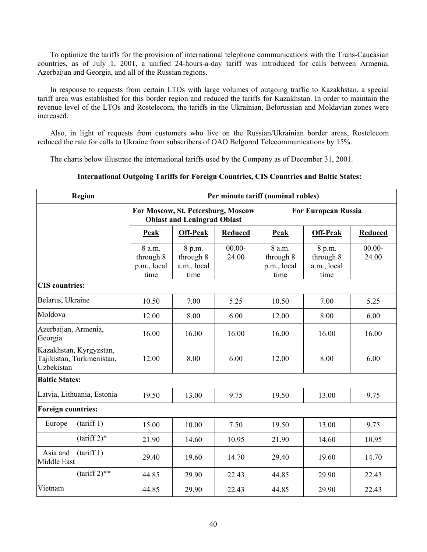To optimize the tariffs for the provision of international telephone communications with the Trans-Caucasian countries, as of July 1, 2001, a unified 24-hours-a-day tariff was introduced for calls between Armenia, Azerbaijan and Georgia, and all of the Russian regions.

In response to requests from certain LTOs with large volumes of outgoing traffic to Kazakhstan, a special tariff area was established for this border region and reduced the tariffs for Kazakhstan. In order to maintain the revenue level of the LTOs and Rostelecom, the tariffs in the Ukrainian, Belorussian and Moldavian zones were increased.

Also, in light of requests from customers who live on the Russian/Ukrainian border areas, Rostelecom reduced the rate for calls to Ukraine from subscribers of OAO Belgorod Telecommunications by 15%.

The charts below illustrate the international tariffs used by the Company as of December 31, 2001.

|                                                                    | <b>Region</b>                            |                                            |                                                                          |                    | Per minute tariff (nominal rubles)         |                                            |                    |  |  |
|--------------------------------------------------------------------|------------------------------------------|--------------------------------------------|--------------------------------------------------------------------------|--------------------|--------------------------------------------|--------------------------------------------|--------------------|--|--|
|                                                                    |                                          |                                            | For Moscow, St. Petersburg, Moscow<br><b>Oblast and Leningrad Oblast</b> |                    |                                            | <b>For European Russia</b>                 |                    |  |  |
|                                                                    |                                          | <b>Peak</b>                                | <b>Off-Peak</b>                                                          | <b>Reduced</b>     | Peak                                       | <b>Off-Peak</b>                            | <b>Reduced</b>     |  |  |
|                                                                    |                                          | 8 a.m.<br>through 8<br>p.m., local<br>time | 8 p.m.<br>through 8<br>a.m., local<br>time                               | $00.00 -$<br>24.00 | 8 a.m.<br>through 8<br>p.m., local<br>time | 8 p.m.<br>through 8<br>a.m., local<br>time | $00.00 -$<br>24.00 |  |  |
| <b>CIS</b> countries:                                              |                                          |                                            |                                                                          |                    |                                            |                                            |                    |  |  |
| Belarus, Ukraine                                                   |                                          | 10.50                                      | 7.00                                                                     | 5.25               | 10.50                                      | 7.00                                       | 5.25               |  |  |
| Moldova                                                            |                                          | 12.00                                      | 8.00                                                                     | 6.00               | 12.00                                      | 8.00                                       | 6.00               |  |  |
| Azerbaijan, Armenia,<br>Georgia                                    |                                          | 16.00                                      | 16.00                                                                    | 16.00              | 16.00                                      | 16.00                                      | 16.00              |  |  |
| Kazakhstan, Kyrgyzstan,<br>Tajikistan, Turkmenistan,<br>Uzbekistan |                                          | 12.00                                      | 8.00                                                                     | 6.00               | 12.00                                      | 8.00                                       | 6.00               |  |  |
| <b>Baltic States:</b>                                              |                                          |                                            |                                                                          |                    |                                            |                                            |                    |  |  |
|                                                                    | Latvia, Lithuania, Estonia               | 19.50                                      | 13.00                                                                    | 9.75               | 19.50                                      | 13.00                                      | 9.75               |  |  |
| <b>Foreign countries:</b>                                          |                                          |                                            |                                                                          |                    |                                            |                                            |                    |  |  |
| (tariff 1)<br>Europe                                               |                                          | 15.00                                      | 10.00                                                                    | 7.50               | 19.50                                      | 13.00                                      | 9.75               |  |  |
|                                                                    | $(tariff 2)*$<br>21.90<br>14.60<br>10.95 |                                            |                                                                          | 21.90              | 14.60                                      | 10.95                                      |                    |  |  |
| Asia and<br><b>Middle East</b>                                     | (tariff 1)                               | 29.40                                      | 19.60                                                                    | 14.70              | 29.40                                      | 19.60                                      | 14.70              |  |  |
|                                                                    | $(tariff 2)**$                           | 44.85                                      | 29.90                                                                    | 22.43              | 44.85                                      | 29.90                                      | 22.43              |  |  |
| Vietnam                                                            |                                          | 44.85                                      | 29.90                                                                    | 22.43              | 44.85                                      | 29.90                                      | 22.43              |  |  |

# **International Outgoing Tariffs for Foreign Countries, CIS Countries and Baltic States:**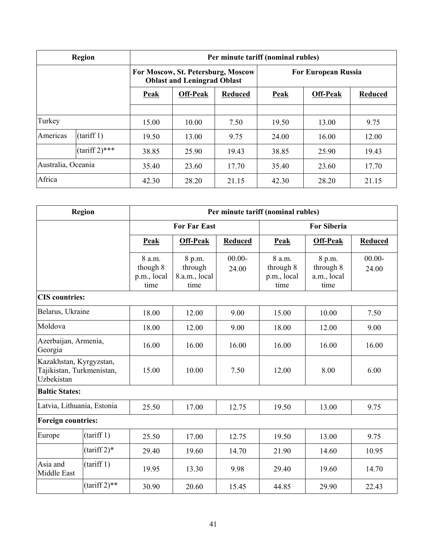|                    | <b>Region</b>    |             |                                                                          |       | Per minute tariff (nominal rubles) |                            |                |  |
|--------------------|------------------|-------------|--------------------------------------------------------------------------|-------|------------------------------------|----------------------------|----------------|--|
|                    |                  |             | For Moscow, St. Petersburg, Moscow<br><b>Oblast and Leningrad Oblast</b> |       |                                    | <b>For European Russia</b> |                |  |
|                    |                  | <b>Peak</b> | <b>Off-Peak</b><br><b>Reduced</b>                                        |       | <b>Peak</b>                        | <b>Off-Peak</b>            | <b>Reduced</b> |  |
|                    |                  |             |                                                                          |       |                                    |                            |                |  |
| Turkey             |                  | 15.00       | 10.00                                                                    | 7.50  | 19.50                              | 13.00                      | 9.75           |  |
| Americas           | (tariff 1)       | 19.50       | 13.00                                                                    | 9.75  | 24.00                              | 16.00                      | 12.00          |  |
|                    | $(tariff 2)$ *** | 38.85       | 25.90                                                                    | 19.43 | 38.85                              | 25.90                      | 19.43          |  |
| Australia, Oceania |                  | 35.40       | 23.60                                                                    | 17.70 | 35.40                              | 23.60                      | 17.70          |  |
| Africa             |                  | 42.30       | 28.20                                                                    | 21.15 | 42.30                              | 28.20                      | 21.15          |  |

|                                                                    | <b>Region</b>   |                                           |                                            |                    | Per minute tariff (nominal rubles)         |                                            |                    |  |
|--------------------------------------------------------------------|-----------------|-------------------------------------------|--------------------------------------------|--------------------|--------------------------------------------|--------------------------------------------|--------------------|--|
|                                                                    |                 |                                           | <b>For Far East</b>                        |                    | <b>For Siberia</b>                         |                                            |                    |  |
|                                                                    |                 | Peak                                      | <b>Off-Peak</b>                            | <b>Reduced</b>     | Peak                                       | <b>Off-Peak</b>                            | <b>Reduced</b>     |  |
|                                                                    |                 | 8 a.m.<br>though 8<br>p.m., local<br>time | 8 p.m.<br>through<br>8.a.m., local<br>time | $00.00 -$<br>24.00 | 8 a.m.<br>through 8<br>p.m., local<br>time | 8 p.m.<br>through 8<br>a.m., local<br>time | $00.00 -$<br>24.00 |  |
| <b>CIS</b> countries:                                              |                 |                                           |                                            |                    |                                            |                                            |                    |  |
| Belarus, Ukraine                                                   |                 | 18.00                                     | 12.00                                      | 9.00               | 15.00                                      | 10.00                                      | 7.50               |  |
| Moldova                                                            |                 | 18.00                                     | 12.00                                      | 9.00               | 18.00                                      | 12.00                                      | 9.00               |  |
| Azerbaijan, Armenia,<br>Georgia                                    |                 | 16.00                                     | 16.00                                      | 16.00              | 16.00                                      | 16.00                                      | 16.00              |  |
| Kazakhstan, Kyrgyzstan,<br>Tajikistan, Turkmenistan,<br>Uzbekistan |                 | 15.00                                     | 10.00                                      | 7.50               | 12.00                                      | 8.00                                       | 6.00               |  |
| <b>Baltic States:</b>                                              |                 |                                           |                                            |                    |                                            |                                            |                    |  |
| Latvia, Lithuania, Estonia                                         |                 | 25.50                                     | 17.00                                      | 12.75              | 19.50                                      | 13.00                                      | 9.75               |  |
| <b>Foreign countries:</b>                                          |                 |                                           |                                            |                    |                                            |                                            |                    |  |
| Europe                                                             | (tariff 1)      | 25.50                                     | 17.00                                      | 12.75              | 19.50                                      | 13.00                                      | 9.75               |  |
|                                                                    | $(tariff 2)*$   | 29.40                                     | 19.60                                      | 14.70              | 21.90                                      | 14.60                                      | 10.95              |  |
| Asia and<br>Middle East                                            | (tariff 1)      | 19.95                                     | 13.30                                      | 9.98               | 29.40                                      | 19.60                                      | 14.70              |  |
|                                                                    | $(tariff 2)$ ** | 30.90                                     | 20.60                                      | 15.45              | 44.85                                      | 29.90                                      | 22.43              |  |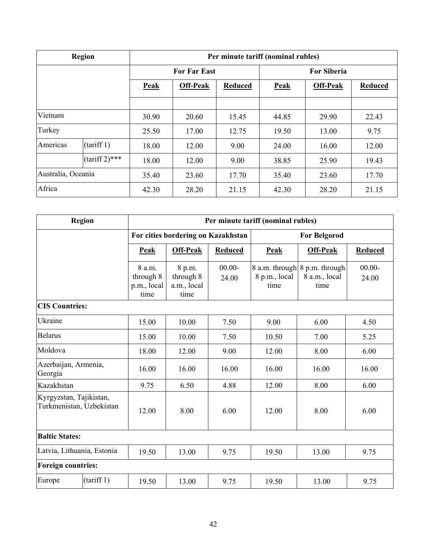|                    | <b>Region</b>    | Per minute tariff (nominal rubles) |                            |       |       |                 |                |
|--------------------|------------------|------------------------------------|----------------------------|-------|-------|-----------------|----------------|
|                    |                  |                                    | <b>For Far East</b>        |       |       |                 |                |
|                    |                  | <b>Peak</b>                        | Off-Peak<br><b>Reduced</b> |       | Peak  | <b>Off-Peak</b> | <b>Reduced</b> |
|                    |                  |                                    |                            |       |       |                 |                |
| Vietnam            |                  | 30.90                              | 20.60                      | 15.45 | 44.85 | 29.90           | 22.43          |
| Turkey             |                  | 25.50                              | 17.00                      | 12.75 | 19.50 | 13.00           | 9.75           |
| Americas           | (tariff 1)       | 18.00                              | 12.00                      | 9.00  | 24.00 | 16.00           | 12.00          |
|                    | $(tariff 2)$ *** | 18.00                              | 12.00                      | 9.00  | 38.85 | 25.90           | 19.43          |
| Australia, Oceania |                  | 35.40                              | 23.60                      | 17.70 | 35.40 | 23.60           | 17.70          |
| Africa             |                  | 42.30                              | 28.20                      | 21.15 | 42.30 | 28.20           | 21.15          |

|                                                     | Region     | Per minute tariff (nominal rubles)         |                                            |                    |                       |                                                        |                    |  |
|-----------------------------------------------------|------------|--------------------------------------------|--------------------------------------------|--------------------|-----------------------|--------------------------------------------------------|--------------------|--|
|                                                     |            |                                            | For cities bordering on Kazakhstan         |                    |                       | <b>For Belgorod</b>                                    |                    |  |
|                                                     |            | Peak                                       | Off-Peak                                   | <b>Reduced</b>     | Peak                  | <b>Off-Peak</b>                                        | <b>Reduced</b>     |  |
|                                                     |            | 8 a.m.<br>through 8<br>p.m., local<br>time | 8 p.m.<br>through 8<br>a.m., local<br>time | $00.00 -$<br>24.00 | 8 p.m., local<br>time | 8 a.m. through 8 p.m. through<br>8 a.m., local<br>time | $00.00 -$<br>24.00 |  |
| <b>CIS Countries:</b>                               |            |                                            |                                            |                    |                       |                                                        |                    |  |
| Ukraine                                             |            | 15.00                                      | 10.00                                      | 7.50               | 9.00                  | 6.00                                                   |                    |  |
| <b>Belarus</b>                                      |            | 15.00                                      | 10.00                                      | 7.50               | 10.50<br>7.00         |                                                        | 5.25               |  |
| Moldova                                             |            | 18.00                                      | 12.00                                      | 9.00               | 12.00                 | 8.00                                                   | 6.00               |  |
| Azerbaijan, Armenia,<br>Georgia                     |            | 16.00                                      | 16.00                                      | 16.00              | 16.00                 | 16.00                                                  | 16.00              |  |
| Kazakhstan                                          |            | 9.75                                       | 6.50                                       | 4.88               | 12.00                 | 8.00                                                   | 6.00               |  |
| Kyrgyzstan, Tajikistan,<br>Turkmenistan, Uzbekistan |            | 12.00                                      | 8.00                                       | 6.00               | 12.00                 | 8.00                                                   | 6.00               |  |
| <b>Baltic States:</b>                               |            |                                            |                                            |                    |                       |                                                        |                    |  |
| Latvia, Lithuania, Estonia                          |            | 19.50                                      | 13.00                                      | 9.75               | 19.50                 | 13.00                                                  | 9.75               |  |
| <b>Foreign countries:</b>                           |            |                                            |                                            |                    |                       |                                                        |                    |  |
| Europe                                              | (tariff 1) | 19.50                                      | 13.00                                      | 9.75               | 19.50                 | 13.00                                                  | 9.75               |  |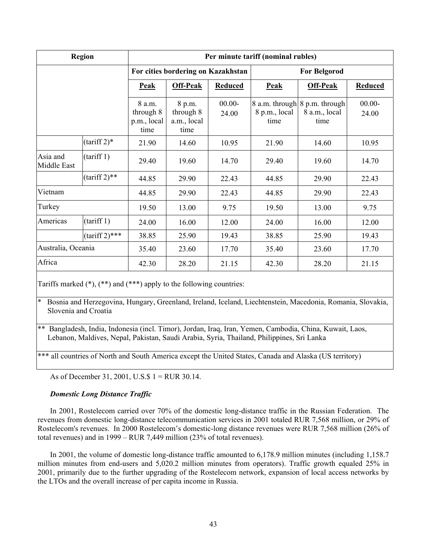|                         | <b>Region</b>                                                                                                  | Per minute tariff (nominal rubles) |                                    |                                                        |                    |                     |                |
|-------------------------|----------------------------------------------------------------------------------------------------------------|------------------------------------|------------------------------------|--------------------------------------------------------|--------------------|---------------------|----------------|
|                         |                                                                                                                |                                    | For cities bordering on Kazakhstan |                                                        |                    | <b>For Belgorod</b> |                |
|                         |                                                                                                                | <b>Peak</b>                        | <b>Off-Peak</b>                    | <b>Reduced</b>                                         | <b>Peak</b>        | <b>Off-Peak</b>     | <b>Reduced</b> |
|                         | $00.00 -$<br>8 a.m.<br>8 p.m.<br>through 8<br>through 8<br>24.00<br>a.m., local<br>p.m., local<br>time<br>time |                                    | 8 p.m., local<br>time              | 8 a.m. through 8 p.m. through<br>8 a.m., local<br>time | $00.00 -$<br>24.00 |                     |                |
|                         | $(tariff 2)*$                                                                                                  | 21.90                              | 14.60                              | 10.95                                                  | 21.90              | 14.60               | 10.95          |
| Asia and<br>Middle East | (tariff 1)                                                                                                     | 29.40                              | 19.60                              | 14.70                                                  | 29.40              | 19.60               | 14.70          |
|                         | $(tariff 2)$ **                                                                                                | 44.85                              | 29.90                              | 22.43                                                  | 44.85              | 29.90               | 22.43          |
| Vietnam                 |                                                                                                                | 44.85                              | 29.90                              | 22.43                                                  | 44.85              | 29.90               | 22.43          |
| Turkey                  |                                                                                                                | 19.50                              | 13.00                              | 9.75                                                   | 19.50              | 13.00               | 9.75           |
| Americas                | (tariff 1)                                                                                                     | 24.00                              | 16.00                              | 12.00                                                  | 24.00              | 16.00               | 12.00          |
|                         | $(tariff 2)$ ***                                                                                               | 38.85                              | 25.90                              | 19.43                                                  | 38.85              | 25.90               | 19.43          |
| Australia, Oceania      |                                                                                                                | 35.40                              | 23.60                              | 17.70                                                  | 35.40              | 23.60               | 17.70          |
| Africa                  |                                                                                                                | 42.30                              | 28.20                              | 21.15                                                  | 42.30              | 28.20               | 21.15          |

Tariffs marked (\*), (\*\*) and (\*\*\*) apply to the following countries:

\* Bosnia and Herzegovina, Hungary, Greenland, Ireland, Iceland, Liechtenstein, Macedonia, Romania, Slovakia, Slovenia and Croatia

\*\* Bangladesh, India, Indonesia (incl. Timor), Jordan, Iraq, Iran, Yemen, Cambodia, China, Kuwait, Laos, Lebanon, Maldives, Nepal, Pakistan, Saudi Arabia, Syria, Thailand, Philippines, Sri Lanka

\*\*\* all countries of North and South America except the United States, Canada and Alaska (US territory)

As of December 31, 2001, U.S.\$ 1 = RUR 30.14.

# *Domestic Long Distance Traffic*

In 2001, Rostelecom carried over 70% of the domestic long-distance traffic in the Russian Federation. The revenues from domestic long-distance telecommunication services in 2001 totaled RUR 7,568 million, or 29% of Rostelecom's revenues. In 2000 Rostelecom's domestic-long distance revenues were RUR 7,568 million (26% of total revenues) and in 1999 – RUR 7,449 million (23% of total revenues).

In 2001, the volume of domestic long-distance traffic amounted to 6,178.9 million minutes (including 1,158.7 million minutes from end-users and 5,020.2 million minutes from operators). Traffic growth equaled 25% in 2001, primarily due to the further upgrading of the Rostelecom network, expansion of local access networks by the LTOs and the overall increase of per capita income in Russia.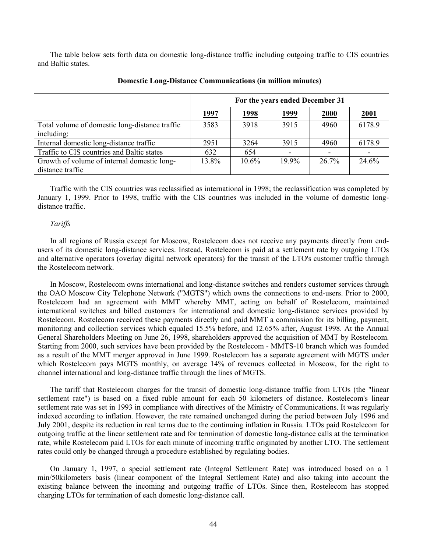The table below sets forth data on domestic long-distance traffic including outgoing traffic to CIS countries and Baltic states.

|                                                                 |              |               | For the years ended December 31 |          |             |
|-----------------------------------------------------------------|--------------|---------------|---------------------------------|----------|-------------|
|                                                                 | <u> 1997</u> | <u> 1998 </u> | <u> 1999</u>                    | 2000     | <b>2001</b> |
| Total volume of domestic long-distance traffic<br>including:    | 3583         | 3918          | 3915                            | 4960     | 6178.9      |
| Internal domestic long-distance traffic                         | 2951         | 3264          | 3915                            | 4960     | 6178.9      |
| Traffic to CIS countries and Baltic states                      | 632          | 654           |                                 |          |             |
| Growth of volume of internal domestic long-<br>distance traffic | 13.8%        | $10.6\%$      | $19.9\%$                        | $26.7\%$ | 24.6%       |

## **Domestic Long-Distance Communications (in million minutes)**

Traffic with the CIS countries was reclassified as international in 1998; the reclassification was completed by January 1, 1999. Prior to 1998, traffic with the CIS countries was included in the volume of domestic longdistance traffic.

#### *Tariffs*

In all regions of Russia except for Moscow, Rostelecom does not receive any payments directly from endusers of its domestic long-distance services. Instead, Rostelecom is paid at a settlement rate by outgoing LTOs and alternative operators (overlay digital network operators) for the transit of the LTO's customer traffic through the Rostelecom network.

In Moscow, Rostelecom owns international and long-distance switches and renders customer services through the OAO Moscow City Telephone Network ("MGTS") which owns the connections to end-users. Prior to 2000, Rostelecom had an agreement with MMT whereby MMT, acting on behalf of Rostelecom, maintained international switches and billed customers for international and domestic long-distance services provided by Rostelecom. Rostelecom received these payments directly and paid MMT a commission for its billing, payment, monitoring and collection services which equaled 15.5% before, and 12.65% after, August 1998. At the Annual General Shareholders Meeting on June 26, 1998, shareholders approved the acquisition of MMT by Rostelecom. Starting from 2000, such services have been provided by the Rostelecom - MMTS-10 branch which was founded as a result of the MMT merger approved in June 1999. Rostelecom has a separate agreement with MGTS under which Rostelecom pays MGTS monthly, on average 14% of revenues collected in Moscow, for the right to channel international and long-distance traffic through the lines of MGTS.

The tariff that Rostelecom charges for the transit of domestic long-distance traffic from LTOs (the "linear settlement rate") is based on a fixed ruble amount for each 50 kilometers of distance. Rostelecom's linear settlement rate was set in 1993 in compliance with directives of the Ministry of Communications. It was regularly indexed according to inflation. However, the rate remained unchanged during the period between July 1996 and July 2001, despite its reduction in real terms due to the continuing inflation in Russia. LTOs paid Rostelecom for outgoing traffic at the linear settlement rate and for termination of domestic long-distance calls at the termination rate, while Rostelecom paid LTOs for each minute of incoming traffic originated by another LTO. The settlement rates could only be changed through a procedure established by regulating bodies.

On January 1, 1997, a special settlement rate (Integral Settlement Rate) was introduced based on a 1 min/50kilometers basis (linear component of the Integral Settlement Rate) and also taking into account the existing balance between the incoming and outgoing traffic of LTOs. Since then, Rostelecom has stopped charging LTOs for termination of each domestic long-distance call.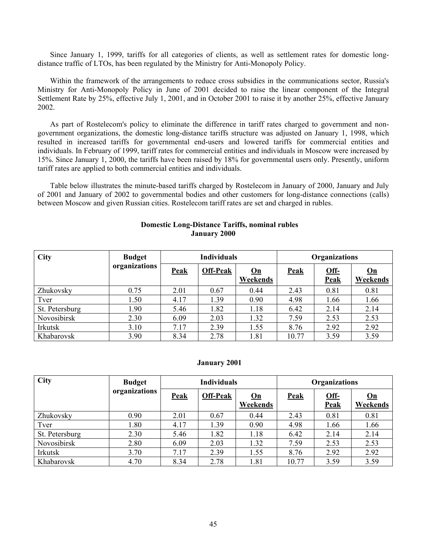Since January 1, 1999, tariffs for all categories of clients, as well as settlement rates for domestic longdistance traffic of LTOs, has been regulated by the Ministry for Anti-Monopoly Policy.

Within the framework of the arrangements to reduce cross subsidies in the communications sector, Russia's Ministry for Anti-Monopoly Policy in June of 2001 decided to raise the linear component of the Integral Settlement Rate by 25%, effective July 1, 2001, and in October 2001 to raise it by another 25%, effective January 2002.

As part of Rostelecom's policy to eliminate the difference in tariff rates charged to government and nongovernment organizations, the domestic long-distance tariffs structure was adjusted on January 1, 1998, which resulted in increased tariffs for governmental end-users and lowered tariffs for commercial entities and individuals. In February of 1999, tariff rates for commercial entities and individuals in Moscow were increased by 15%. Since January 1, 2000, the tariffs have been raised by 18% for governmental users only. Presently, uniform tariff rates are applied to both commercial entities and individuals.

Table below illustrates the minute-based tariffs charged by Rostelecom in January of 2000, January and July of 2001 and January of 2002 to governmental bodies and other customers for long-distance connections (calls) between Moscow and given Russian cities. Rostelecom tariff rates are set and charged in rubles.

| <b>Domestic Long-Distance Tariffs, nominal rubles</b> |
|-------------------------------------------------------|
| <b>January 2000</b>                                   |

| <b>City</b>    | <b>Budget</b> | <b>Individuals</b> |                 |                  | <b>Organizations</b> |                       |                                       |  |
|----------------|---------------|--------------------|-----------------|------------------|----------------------|-----------------------|---------------------------------------|--|
|                | organizations | <b>Peak</b>        | <b>Off-Peak</b> | $On$<br>Weekends | <b>Peak</b>          | $Off-$<br><b>Peak</b> | $\underline{\mathbf{On}}$<br>Weekends |  |
| Zhukovsky      | 0.75          | 2.01               | 0.67            | 0.44             | 2.43                 | 0.81                  | 0.81                                  |  |
| Tver           | 1.50          | 4.17               | 1.39            | 0.90             | 4.98                 | 1.66                  | 1.66                                  |  |
| St. Petersburg | 1.90          | 5.46               | 1.82            | 1.18             | 6.42                 | 2.14                  | 2.14                                  |  |
| Novosibirsk    | 2.30          | 6.09               | 2.03            | 1.32             | 7.59                 | 2.53                  | 2.53                                  |  |
| Irkutsk        | 3.10          | 7.17               | 2.39            | 1.55             | 8.76                 | 2.92                  | 2.92                                  |  |
| Khabarovsk     | 3.90          | 8.34               | 2.78            | 1.81             | 10.77                | 3.59                  | 3.59                                  |  |

#### **January 2001**

| <b>City</b>    | <b>Budget</b> |             | <b>Individuals</b> |                                       |             | <b>Organizations</b> |                                       |
|----------------|---------------|-------------|--------------------|---------------------------------------|-------------|----------------------|---------------------------------------|
|                | organizations | <b>Peak</b> | <b>Off-Peak</b>    | $\underline{\mathbf{On}}$<br>Weekends | <b>Peak</b> | Off-<br><b>Peak</b>  | $\underline{\mathbf{On}}$<br>Weekends |
| Zhukovsky      | 0.90          | 2.01        | 0.67               | 0.44                                  | 2.43        | 0.81                 | 0.81                                  |
| Tver           | 1.80          | 4.17        | 1.39               | 0.90                                  | 4.98        | 1.66                 | 1.66                                  |
| St. Petersburg | 2.30          | 5.46        | 1.82               | 1.18                                  | 6.42        | 2.14                 | 2.14                                  |
| Novosibirsk    | 2.80          | 6.09        | 2.03               | 1.32                                  | 7.59        | 2.53                 | 2.53                                  |
| Irkutsk        | 3.70          | 7.17        | 2.39               | 1.55                                  | 8.76        | 2.92                 | 2.92                                  |
| Khabarovsk     | 4.70          | 8.34        | 2.78               | 1.81                                  | 10.77       | 3.59                 | 3.59                                  |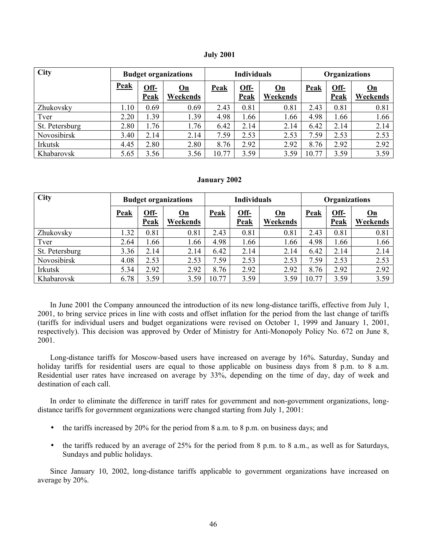| <b>July 2001</b> |
|------------------|
|------------------|

| <b>City</b>    | <b>Budget organizations</b> |                     |                                       | <b>Individuals</b> |                       |                                       | Organizations |              |                                       |
|----------------|-----------------------------|---------------------|---------------------------------------|--------------------|-----------------------|---------------------------------------|---------------|--------------|---------------------------------------|
|                | Peak                        | Off-<br><b>Peak</b> | $\underline{\mathbf{On}}$<br>Weekends | Peak               | $Off-$<br><b>Peak</b> | $\underline{\mathbf{On}}$<br>Weekends | Peak          | Off-<br>Peak | $\underline{\mathbf{On}}$<br>Weekends |
| Zhukovsky      | 1.10                        | 0.69                | 0.69                                  | 2.43               | 0.81                  | 0.81                                  | 2.43          | 0.81         | 0.81                                  |
| Tver           | 2.20                        | 1.39                | 1.39                                  | 4.98               | 1.66                  | 1.66                                  | 4.98          | 1.66         | 1.66                                  |
| St. Petersburg | 2.80                        | 1.76                | 1.76                                  | 6.42               | 2.14                  | 2.14                                  | 6.42          | 2.14         | 2.14                                  |
| Novosibirsk    | 3.40                        | 2.14                | 2.14                                  | 7.59               | 2.53                  | 2.53                                  | 7.59          | 2.53         | 2.53                                  |
| Irkutsk        | 4.45                        | 2.80                | 2.80                                  | 8.76               | 2.92                  | 2.92                                  | 8.76          | 2.92         | 2.92                                  |
| Khabarovsk     | 5.65                        | 3.56                | 3.56                                  | 10.77              | 3.59                  | 3.59                                  | 10.77         | 3.59         | 3.59                                  |

#### **January 2002**

| <b>City</b>    | <b>Budget organizations</b> |                            |                | <b>Individuals</b> |                            |                | <b>Organizations</b> |                     |                  |
|----------------|-----------------------------|----------------------------|----------------|--------------------|----------------------------|----------------|----------------------|---------------------|------------------|
|                | <b>Peak</b>                 | <u>Off-</u><br><b>Peak</b> | On<br>Weekends | <b>Peak</b>        | <u>Off-</u><br><b>Peak</b> | On<br>Weekends | <b>Peak</b>          | Off-<br><b>Peak</b> | $On$<br>Weekends |
| Zhukovsky      | .32                         | 0.81                       | 0.81           | 2.43               | 0.81                       | 0.81           | 2.43                 | 0.81                | 0.81             |
| Tver           | 2.64                        | 1.66                       | .66            | 4.98               | 1.66                       | 1.66           | 4.98                 | 1.66                | 1.66             |
| St. Petersburg | 3.36                        | 2.14                       | 2.14           | 6.42               | 2.14                       | 2.14           | 6.42                 | 2.14                | 2.14             |
| Novosibirsk    | 4.08                        | 2.53                       | 2.53           | 7.59               | 2.53                       | 2.53           | 7.59                 | 2.53                | 2.53             |
| Irkutsk        | 5.34                        | 2.92                       | 2.92           | 8.76               | 2.92                       | 2.92           | 8.76                 | 2.92                | 2.92             |
| Khabarovsk     | 6.78                        | 3.59                       | 3.59           | 10.77              | 3.59                       | 3.59           | 10.77                | 3.59                | 3.59             |

In June 2001 the Company announced the introduction of its new long-distance tariffs, effective from July 1, 2001, to bring service prices in line with costs and offset inflation for the period from the last change of tariffs (tariffs for individual users and budget organizations were revised on October 1, 1999 and January 1, 2001, respectively). This decision was approved by Order of Ministry for Anti-Monopoly Policy No. 672 on June 8, 2001.

Long-distance tariffs for Moscow-based users have increased on average by 16%. Saturday, Sunday and holiday tariffs for residential users are equal to those applicable on business days from 8 p.m. to 8 a.m. Residential user rates have increased on average by 33%, depending on the time of day, day of week and destination of each call.

In order to eliminate the difference in tariff rates for government and non-government organizations, longdistance tariffs for government organizations were changed starting from July 1, 2001:

- the tariffs increased by 20% for the period from 8 a.m. to 8 p.m. on business days; and
- the tariffs reduced by an average of  $25\%$  for the period from 8 p.m. to 8 a.m., as well as for Saturdays, Sundays and public holidays.

Since January 10, 2002, long-distance tariffs applicable to government organizations have increased on average by 20%.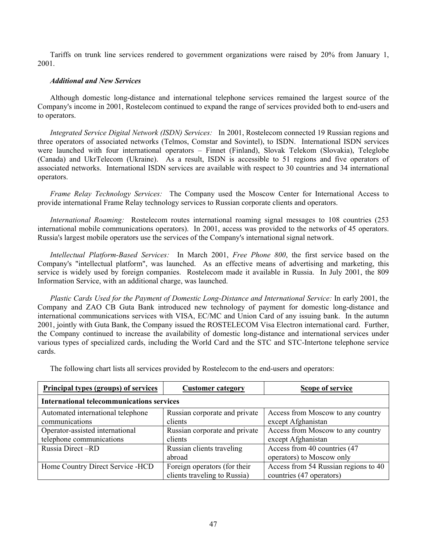Tariffs on trunk line services rendered to government organizations were raised by 20% from January 1, 2001.

# *Additional and New Services*

Although domestic long-distance and international telephone services remained the largest source of the Company's income in 2001, Rostelecom continued to expand the range of services provided both to end-users and to operators.

*Integrated Service Digital Network (ISDN) Services:*In 2001, Rostelecom connected 19 Russian regions and three operators of associated networks (Telmos, Comstar and Sovintel), to ISDN. International ISDN services were launched with four international operators – Finnet (Finland), Slovak Telekom (Slovakia), Teleglobe (Canada) and UkrTelecom (Ukraine). As a result, ISDN is accessible to 51 regions and five operators of associated networks. International ISDN services are available with respect to 30 countries and 34 international operators.

*Frame Relay Technology Services:* The Company used the Moscow Center for International Access to provide international Frame Relay technology services to Russian corporate clients and operators.

*International Roaming:* Rostelecom routes international roaming signal messages to 108 countries (253 international mobile communications operators). In 2001, access was provided to the networks of 45 operators. Russia's largest mobile operators use the services of the Company's international signal network.

*Intellectual Platform-Based Services:*In March 2001, *Free Phone 800*, the first service based on the Company's "intellectual platform", was launched. As an effective means of advertising and marketing, this service is widely used by foreign companies. Rostelecom made it available in Russia. In July 2001, the 809 Information Service, with an additional charge, was launched.

*Plastic Cards Used for the Payment of Domestic Long-Distance and International Service:* In early 2001, the Company and ZAO CB Guta Bank introduced new technology of payment for domestic long-distance and international communications services with VISA, EC/MC and Union Card of any issuing bank. In the autumn 2001, jointly with Guta Bank, the Company issued the ROSTELECOM Visa Electron international card. Further, the Company continued to increase the availability of domestic long-distance and international services under various types of specialized cards, including the World Card and the STC and STC-Intertone telephone service cards.

The following chart lists all services provided by Rostelecom to the end-users and operators:

| <b>Principal types (groups) of services</b>         | <b>Customer category</b>                                     | Scope of service                                                 |  |  |  |  |
|-----------------------------------------------------|--------------------------------------------------------------|------------------------------------------------------------------|--|--|--|--|
| <b>International telecommunications services</b>    |                                                              |                                                                  |  |  |  |  |
| Automated international telephone<br>communications | Russian corporate and private<br>clients                     | Access from Moscow to any country<br>except Afghanistan          |  |  |  |  |
| Operator-assisted international                     | Russian corporate and private                                | Access from Moscow to any country                                |  |  |  |  |
| telephone communications                            | clients                                                      | except Afghanistan                                               |  |  |  |  |
| Russia Direct-RD                                    | Russian clients traveling<br>abroad                          | Access from 40 countries (47<br>operators) to Moscow only        |  |  |  |  |
| Home Country Direct Service - HCD                   | Foreign operators (for their<br>clients traveling to Russia) | Access from 54 Russian regions to 40<br>countries (47 operators) |  |  |  |  |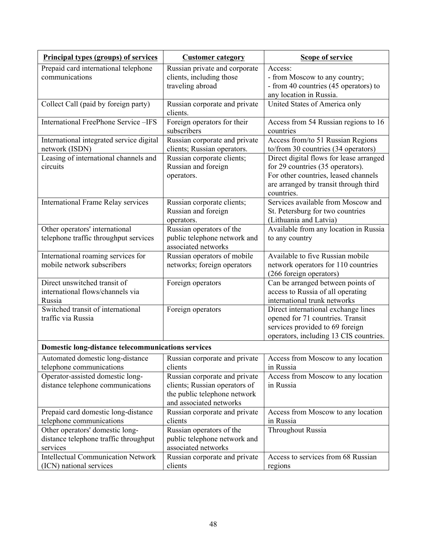| <b>Principal types (groups) of services</b>                                          | <b>Customer category</b>                                                                                                  | <b>Scope of service</b>                                                                                                                                                    |
|--------------------------------------------------------------------------------------|---------------------------------------------------------------------------------------------------------------------------|----------------------------------------------------------------------------------------------------------------------------------------------------------------------------|
| Prepaid card international telephone<br>communications                               | Russian private and corporate<br>clients, including those<br>traveling abroad                                             | Access:<br>- from Moscow to any country;<br>- from 40 countries (45 operators) to<br>any location in Russia.                                                               |
| Collect Call (paid by foreign party)                                                 | Russian corporate and private<br>clients.                                                                                 | United States of America only                                                                                                                                              |
| <b>International FreePhone Service-IFS</b>                                           | Foreign operators for their<br>subscribers                                                                                | Access from 54 Russian regions to 16<br>countries                                                                                                                          |
| International integrated service digital<br>network (ISDN)                           | Russian corporate and private<br>clients; Russian operators.                                                              | Access from/to 51 Russian Regions<br>to/from 30 countries (34 operators)                                                                                                   |
| Leasing of international channels and<br>circuits                                    | Russian corporate clients;<br>Russian and foreign<br>operators.                                                           | Direct digital flows for lease arranged<br>for 29 countries (35 operators).<br>For other countries, leased channels<br>are arranged by transit through third<br>countries. |
| <b>International Frame Relay services</b>                                            | Russian corporate clients;<br>Russian and foreign<br>operators.                                                           | Services available from Moscow and<br>St. Petersburg for two countries<br>(Lithuania and Latvia)                                                                           |
| Other operators' international<br>telephone traffic throughput services              | Russian operators of the<br>public telephone network and<br>associated networks                                           | Available from any location in Russia<br>to any country                                                                                                                    |
| International roaming services for<br>mobile network subscribers                     | Russian operators of mobile<br>networks; foreign operators                                                                | Available to five Russian mobile<br>network operators for 110 countries<br>(266 foreign operators)                                                                         |
| Direct unswitched transit of<br>international flows/channels via<br>Russia           | Foreign operators                                                                                                         | Can be arranged between points of<br>access to Russia of all operating<br>international trunk networks                                                                     |
| Switched transit of international<br>traffic via Russia                              | Foreign operators                                                                                                         | Direct international exchange lines<br>opened for 71 countries. Transit<br>services provided to 69 foreign<br>operators, including 13 CIS countries.                       |
| Domestic long-distance telecommunications services                                   |                                                                                                                           |                                                                                                                                                                            |
| Automated domestic long-distance<br>telephone communications                         | Russian corporate and private<br>clients                                                                                  | Access from Moscow to any location<br>in Russia                                                                                                                            |
| Operator-assisted domestic long-<br>distance telephone communications                | Russian corporate and private<br>clients; Russian operators of<br>the public telephone network<br>and associated networks | Access from Moscow to any location<br>in Russia                                                                                                                            |
| Prepaid card domestic long-distance<br>telephone communications                      | Russian corporate and private<br>clients                                                                                  | Access from Moscow to any location<br>in Russia                                                                                                                            |
| Other operators' domestic long-<br>distance telephone traffic throughput<br>services | Russian operators of the<br>public telephone network and<br>associated networks                                           | <b>Throughout Russia</b>                                                                                                                                                   |
| <b>Intellectual Communication Network</b><br>(ICN) national services                 | Russian corporate and private<br>clients                                                                                  | Access to services from 68 Russian<br>regions                                                                                                                              |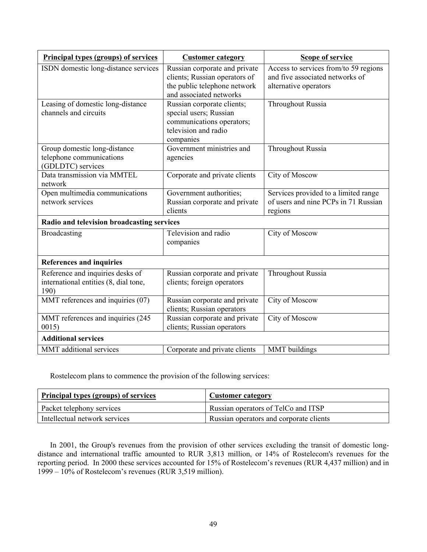| <b>Principal types (groups) of services</b>                                       | <b>Customer category</b>                                                                                                  | <b>Scope of service</b>                                                                           |  |  |
|-----------------------------------------------------------------------------------|---------------------------------------------------------------------------------------------------------------------------|---------------------------------------------------------------------------------------------------|--|--|
| ISDN domestic long-distance services                                              | Russian corporate and private<br>clients; Russian operators of<br>the public telephone network<br>and associated networks | Access to services from/to 59 regions<br>and five associated networks of<br>alternative operators |  |  |
| Leasing of domestic long-distance<br>channels and circuits                        | Russian corporate clients;<br>special users; Russian<br>communications operators;<br>television and radio<br>companies    | <b>Throughout Russia</b>                                                                          |  |  |
| Group domestic long-distance<br>telephone communications<br>(GDLDTC) services     | Government ministries and<br>agencies                                                                                     | <b>Throughout Russia</b>                                                                          |  |  |
| Data transmission via MMTEL<br>network                                            | Corporate and private clients                                                                                             | City of Moscow                                                                                    |  |  |
| Open multimedia communications<br>network services                                | Government authorities;<br>Russian corporate and private<br>clients                                                       | Services provided to a limited range<br>of users and nine PCPs in 71 Russian<br>regions           |  |  |
| Radio and television broadcasting services                                        |                                                                                                                           |                                                                                                   |  |  |
| Broadcasting                                                                      | Television and radio<br>companies                                                                                         | City of Moscow                                                                                    |  |  |
| <b>References and inquiries</b>                                                   |                                                                                                                           |                                                                                                   |  |  |
| Reference and inquiries desks of<br>international entities (8, dial tone,<br>190) | Russian corporate and private<br>clients; foreign operators                                                               | <b>Throughout Russia</b>                                                                          |  |  |
| MMT references and inquiries (07)                                                 | Russian corporate and private<br>clients; Russian operators                                                               | City of Moscow                                                                                    |  |  |
| MMT references and inquiries (245<br>0015)                                        | Russian corporate and private<br>clients; Russian operators                                                               | City of Moscow                                                                                    |  |  |
| <b>Additional services</b>                                                        |                                                                                                                           |                                                                                                   |  |  |
| MMT additional services                                                           | Corporate and private clients                                                                                             | MMT buildings                                                                                     |  |  |

Rostelecom plans to commence the provision of the following services:

| <b>Principal types (groups) of services</b> | <b>Customer category</b>                |
|---------------------------------------------|-----------------------------------------|
| Packet telephony services                   | Russian operators of TelCo and ITSP     |
| Intellectual network services               | Russian operators and corporate clients |

In 2001, the Group's revenues from the provision of other services excluding the transit of domestic longdistance and international traffic amounted to RUR 3,813 million, or 14% of Rostelecom's revenues for the reporting period. In 2000 these services accounted for 15% of Rostelecom's revenues (RUR 4,437 million) and in 1999 – 10% of Rostelecom's revenues (RUR 3,519 million).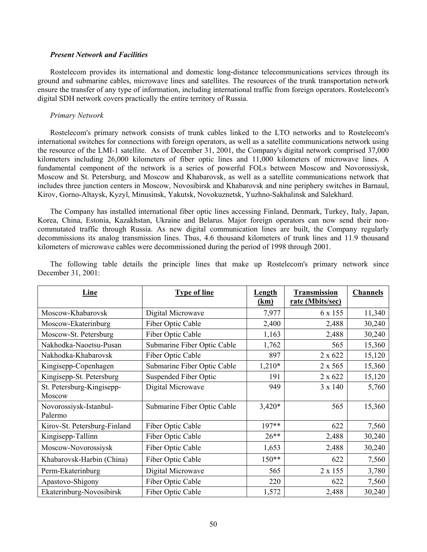#### *Present Network and Facilities*

Rostelecom provides its international and domestic long-distance telecommunications services through its ground and submarine cables, microwave lines and satellites. The resources of the trunk transportation network ensure the transfer of any type of information, including international traffic from foreign operators. Rostelecom's digital SDH network covers practically the entire territory of Russia.

### *Primary Network*

Rostelecom's primary network consists of trunk cables linked to the LTO networks and to Rostelecom's international switches for connections with foreign operators, as well as a satellite communications network using the resource of the LMI-1 satellite. As of December 31, 2001, the Company's digital network comprised 37,000 kilometers including 26,000 kilometers of fiber optic lines and 11,000 kilometers of microwave lines. A fundamental component of the network is a series of powerful FOLs between Moscow and Novorossiysk, Moscow and St. Petersburg, and Moscow and Khabarovsk, as well as a satellite communications network that includes three junction centers in Moscow, Novosibirsk and Khabarovsk and nine periphery switches in Barnaul, Kirov, Gorno-Altaysk, Kyzyl, Minusinsk, Yakutsk, Novokuznetsk, Yuzhno-Sakhalinsk and Salekhard.

The Company has installed international fiber optic lines accessing Finland, Denmark, Turkey, Italy, Japan, Korea, China, Estonia, Kazakhstan, Ukraine and Belarus. Major foreign operators can now send their noncommutated traffic through Russia. As new digital communication lines are built, the Company regularly decommissions its analog transmission lines. Thus, 4.6 thousand kilometers of trunk lines and 11.9 thousand kilometers of microwave cables were decommissioned during the period of 1998 through 2001.

| Line                                | <b>Type of line</b>         | Length<br>(km) | <b>Transmission</b><br>rate (Mbits/sec) | <b>Channels</b> |
|-------------------------------------|-----------------------------|----------------|-----------------------------------------|-----------------|
| Moscow-Khabarovsk                   | Digital Microwave           | 7,977          | 6 x 155                                 | 11,340          |
| Moscow-Ekaterinburg                 | Fiber Optic Cable           | 2,400          | 2,488                                   | 30,240          |
| Moscow-St. Petersburg               | Fiber Optic Cable           | 1,163          | 2,488                                   | 30,240          |
| Nakhodka-Naoetsu-Pusan              | Submarine Fiber Optic Cable | 1,762          | 565                                     | 15,360          |
| Nakhodka-Khabarovsk                 | Fiber Optic Cable           | 897            | 2 x 622                                 | 15,120          |
| Kingisepp-Copenhagen                | Submarine Fiber Optic Cable | $1,210*$       | 2 x 565                                 | 15,360          |
| Kingisepp-St. Petersburg            | Suspended Fiber Optic       | 191            | 2 x 622                                 | 15,120          |
| St. Petersburg-Kingisepp-<br>Moscow | Digital Microwave           | 949            | 3 x 140                                 | 5,760           |
| Novorossiysk-Istanbul-<br>Palermo   | Submarine Fiber Optic Cable | $3,420*$       | 565                                     | 15,360          |
| Kirov-St. Petersburg-Finland        | Fiber Optic Cable           | 197**          | 622                                     | 7,560           |
| Kingisepp-Tallinn                   | Fiber Optic Cable           | $26**$         | 2,488                                   | 30,240          |
| Moscow-Novorossiysk                 | Fiber Optic Cable           | 1,653          | 2,488                                   | 30,240          |
| Khabarovsk-Harbin (China)           | Fiber Optic Cable           | $150**$        | 622                                     | 7,560           |
| Perm-Ekaterinburg                   | Digital Microwave           | 565            | 2 x 155                                 | 3,780           |
| Apastovo-Shigony                    | Fiber Optic Cable           | 220            | 622                                     | 7,560           |
| Ekaterinburg-Novosibirsk            | Fiber Optic Cable           | 1,572          | 2,488                                   | 30,240          |

The following table details the principle lines that make up Rostelecom's primary network since December 31, 2001: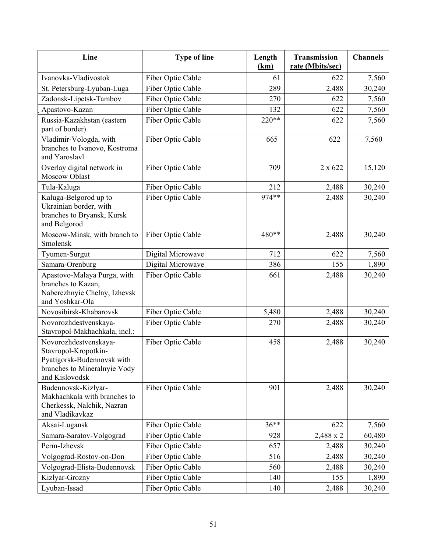| <b>Line</b>                                                                                                                   | <b>Type of line</b> | <b>Length</b><br>(km) | Transmission<br>rate (Mbits/sec) | <b>Channels</b> |
|-------------------------------------------------------------------------------------------------------------------------------|---------------------|-----------------------|----------------------------------|-----------------|
| Ivanovka-Vladivostok                                                                                                          | Fiber Optic Cable   | 61                    | 622                              | 7,560           |
| St. Petersburg-Lyuban-Luga                                                                                                    | Fiber Optic Cable   | 289                   | 2,488                            | 30,240          |
| Zadonsk-Lipetsk-Tambov                                                                                                        | Fiber Optic Cable   | 270                   | 622                              | 7,560           |
| Apastovo-Kazan                                                                                                                | Fiber Optic Cable   | 132                   | 622                              | 7,560           |
| Russia-Kazakhstan (eastern<br>part of border)                                                                                 | Fiber Optic Cable   | 220**                 | 622                              | 7,560           |
| Vladimir-Vologda, with<br>branches to Ivanovo, Kostroma<br>and Yaroslavl                                                      | Fiber Optic Cable   | 665                   | 622                              | 7,560           |
| Overlay digital network in<br><b>Moscow Oblast</b>                                                                            | Fiber Optic Cable   | 709                   | 2 x 622                          | 15,120          |
| Tula-Kaluga                                                                                                                   | Fiber Optic Cable   | 212                   | 2,488                            | 30,240          |
| Kaluga-Belgorod up to<br>Ukrainian border, with<br>branches to Bryansk, Kursk<br>and Belgorod                                 | Fiber Optic Cable   | 974 **                | 2,488                            | 30,240          |
| Moscow-Minsk, with branch to<br>Smolensk                                                                                      | Fiber Optic Cable   | 480**                 | 2,488                            | 30,240          |
| Tyumen-Surgut                                                                                                                 | Digital Microwave   | 712                   | 622                              | 7,560           |
| Samara-Orenburg                                                                                                               | Digital Microwave   | 386                   | 155                              | 1,890           |
| Apastovo-Malaya Purga, with<br>branches to Kazan,<br>Naberezhnyie Chelny, Izhevsk<br>and Yoshkar-Ola                          | Fiber Optic Cable   | 661                   | 2,488                            | 30,240          |
| Novosibirsk-Khabarovsk                                                                                                        | Fiber Optic Cable   | 5,480                 | 2,488                            | 30,240          |
| Novorozhdestvenskaya-<br>Stavropol-Makhachkala, incl.:                                                                        | Fiber Optic Cable   | 270                   | 2,488                            | 30,240          |
| Novorozhdestvenskaya-<br>Stavropol-Kropotkin-<br>Pyatigorsk-Budennovsk with<br>branches to Mineralnyie Vody<br>and Kislovodsk | Fiber Optic Cable   | 458                   | 2,488                            | 30,240          |
| Budennovsk-Kizlyar-<br>Makhachkala with branches to<br>Cherkessk, Nalchik, Nazran<br>and Vladikavkaz                          | Fiber Optic Cable   | 901                   | 2,488                            | 30,240          |
| Aksai-Lugansk                                                                                                                 | Fiber Optic Cable   | $36**$                | 622                              | 7,560           |
| Samara-Saratov-Volgograd                                                                                                      | Fiber Optic Cable   | 928                   | 2,488 x 2                        | 60,480          |
| Perm-Izhevsk                                                                                                                  | Fiber Optic Cable   | 657                   | 2,488                            | 30,240          |
| Volgograd-Rostov-on-Don                                                                                                       | Fiber Optic Cable   | 516                   | 2,488                            | 30,240          |
| Volgograd-Elista-Budennovsk                                                                                                   | Fiber Optic Cable   | 560                   | 2,488                            | 30,240          |
| Kizlyar-Grozny                                                                                                                | Fiber Optic Cable   | 140                   | 155                              | 1,890           |
| Lyuban-Issad                                                                                                                  | Fiber Optic Cable   | 140                   | 2,488                            | 30,240          |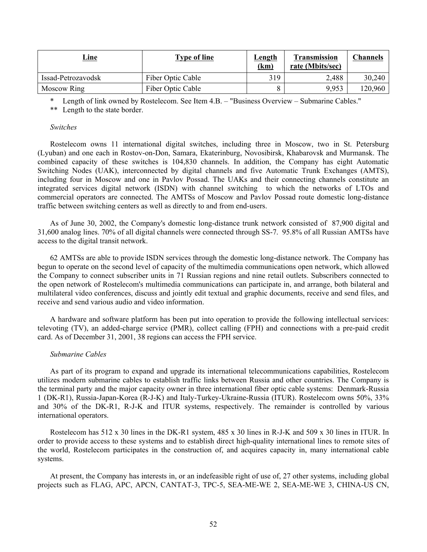| <u>Line</u>        | Type of line      | <b>Length</b><br>(km) | <b>Transmission</b><br>rate (Mbits/sec) | Channels |
|--------------------|-------------------|-----------------------|-----------------------------------------|----------|
| Issad-Petrozavodsk | Fiber Optic Cable | 319                   | 2,488                                   | 30,240   |
| Moscow Ring        | Fiber Optic Cable |                       | 9.953                                   | 120,960  |

\* Length of link owned by Rostelecom. See Item 4.B. – "Business Overview – Submarine Cables."

\*\* Length to the state border.

#### *Switches*

Rostelecom owns 11 international digital switches, including three in Moscow, two in St. Petersburg (Lyuban) and one each in Rostov-on-Don, Samara, Ekaterinburg, Novosibirsk, Khabarovsk and Murmansk. The combined capacity of these switches is 104,830 channels. In addition, the Company has eight Automatic Switching Nodes (UAK), interconnected by digital channels and five Automatic Trunk Exchanges (AMTS), including four in Moscow and one in Pavlov Possad. The UAKs and their connecting channels constitute an integrated services digital network (ISDN) with channel switching to which the networks of LTOs and commercial operators are connected. The AMTSs of Moscow and Pavlov Possad route domestic long-distance traffic between switching centers as well as directly to and from end-users.

As of June 30, 2002, the Company's domestic long-distance trunk network consisted of 87,900 digital and 31,600 analog lines. 70% of all digital channels were connected through SS-7. 95.8% of all Russian AMTSs have access to the digital transit network.

62 AMTSs are able to provide ISDN services through the domestic long-distance network. The Company has begun to operate on the second level of capacity of the multimedia communications open network, which allowed the Company to connect subscriber units in 71 Russian regions and nine retail outlets. Subscribers connected to the open network of Rostelecom's multimedia communications can participate in, and arrange, both bilateral and multilateral video conferences, discuss and jointly edit textual and graphic documents, receive and send files, and receive and send various audio and video information.

A hardware and software platform has been put into operation to provide the following intellectual services: televoting (TV), an added-charge service (PMR), collect calling (FPH) and connections with a pre-paid credit card. As of December 31, 2001, 38 regions can access the FPH service.

### *Submarine Cables*

As part of its program to expand and upgrade its international telecommunications capabilities, Rostelecom utilizes modern submarine cables to establish traffic links between Russia and other countries. The Company is the terminal party and the major capacity owner in three international fiber optic cable systems: Denmark-Russia 1 (DK-R1), Russia-Japan-Korea (R-J-K) and Italy-Turkey-Ukraine-Russia (ITUR). Rostelecom owns 50%, 33% and 30% of the DK-R1, R-J-K and ITUR systems, respectively. The remainder is controlled by various international operators.

Rostelecom has 512 x 30 lines in the DK-R1 system, 485 x 30 lines in R-J-K and 509 x 30 lines in ITUR. In order to provide access to these systems and to establish direct high-quality international lines to remote sites of the world, Rostelecom participates in the construction of, and acquires capacity in, many international cable systems.

At present, the Company has interests in, or an indefeasible right of use of, 27 other systems, including global projects such as FLAG, APC, APCN, CANTAT-3, TPC-5, SEA-ME-WE 2, SEA-ME-WE 3, CHINA-US CN,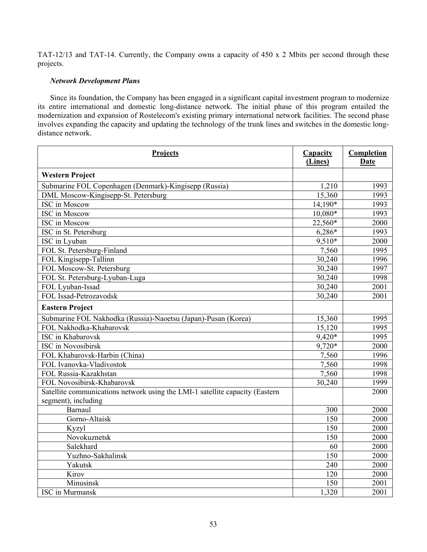TAT-12/13 and TAT-14. Currently, the Company owns a capacity of 450 x 2 Mbits per second through these projects.

# *Network Development Plans*

Since its foundation, the Company has been engaged in a significant capital investment program to modernize its entire international and domestic long-distance network. The initial phase of this program entailed the modernization and expansion of Rostelecom's existing primary international network facilities. The second phase involves expanding the capacity and updating the technology of the trunk lines and switches in the domestic longdistance network.

| Projects                                                                     | <b>Capacity</b><br>(Lines) | Completion<br><b>Date</b> |
|------------------------------------------------------------------------------|----------------------------|---------------------------|
| <b>Western Project</b>                                                       |                            |                           |
| Submarine FOL Copenhagen (Denmark)-Kingisepp (Russia)                        | 1,210                      | 1993                      |
| DML Moscow-Kingisepp-St. Petersburg                                          | 15,360                     | 1993                      |
| <b>ISC</b> in Moscow                                                         | 14,190*                    | 1993                      |
| <b>ISC</b> in Moscow                                                         | 10,080*                    | 1993                      |
| <b>ISC</b> in Moscow                                                         | 22,560*                    | 2000                      |
| ISC in St. Petersburg                                                        | 6,286*                     | 1993                      |
| ISC in Lyuban                                                                | $9,510*$                   | 2000                      |
| FOL St. Petersburg-Finland                                                   | 7,560                      | 1995                      |
| FOL Kingisepp-Tallinn                                                        | 30,240                     | 1996                      |
| FOL Moscow-St. Petersburg                                                    | 30,240                     | 1997                      |
| FOL St. Petersburg-Lyuban-Luga                                               | 30,240                     | 1998                      |
| FOL Lyuban-Issad                                                             | 30,240                     | 2001                      |
| FOL Issad-Petrozavodsk                                                       | 30,240                     | 2001                      |
| <b>Eastern Project</b>                                                       |                            |                           |
| Submarine FOL Nakhodka (Russia)-Naoetsu (Japan)-Pusan (Korea)                | 15,360                     | 1995                      |
| FOL Nakhodka-Khabarovsk                                                      | 15,120                     | 1995                      |
| <b>ISC</b> in Khabarovsk                                                     | 9,420*                     | 1995                      |
| <b>ISC</b> in Novosibirsk                                                    | $9,720*$                   | 2000                      |
| FOL Khabarovsk-Harbin (China)                                                | 7,560                      | 1996                      |
| FOL Ivanovka-Vladivostok                                                     | 7,560                      | 1998                      |
| FOL Russia-Kazakhstan                                                        | 7,560                      | 1998                      |
| FOL Novosibirsk-Khabarovsk                                                   | 30,240                     | 1999                      |
| Satellite communications network using the LMI-1 satellite capacity (Eastern |                            | 2000                      |
| segment), including                                                          |                            |                           |
| Barnaul                                                                      | 300                        | 2000                      |
| Gorno-Altaisk                                                                | 150                        | 2000                      |
| Kyzyl                                                                        | 150                        | 2000                      |
| Novokuznetsk                                                                 | 150                        | 2000                      |
| Salekhard                                                                    | 60                         | 2000                      |
| Yuzhno-Sakhalinsk                                                            | 150                        | 2000                      |
| Yakutsk                                                                      | 240                        | 2000                      |
| Kirov                                                                        | 120                        | 2000                      |
| Minusinsk                                                                    | 150                        | 2001                      |
| <b>ISC</b> in Murmansk                                                       | 1,320                      | 2001                      |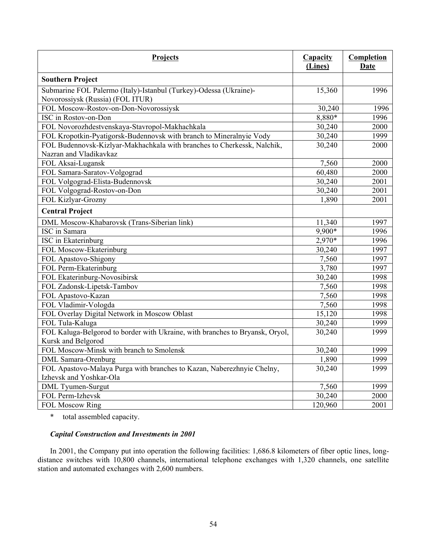| Projects                                                                     | <b>Capacity</b><br>(Lines) | Completion<br><b>Date</b> |
|------------------------------------------------------------------------------|----------------------------|---------------------------|
| <b>Southern Project</b>                                                      |                            |                           |
| Submarine FOL Palermo (Italy)-Istanbul (Turkey)-Odessa (Ukraine)-            | 15,360                     | 1996                      |
| Novorossiysk (Russia) (FOL ITUR)                                             |                            |                           |
| FOL Moscow-Rostov-on-Don-Novorossiysk                                        | 30,240                     | 1996                      |
| ISC in Rostov-on-Don                                                         | 8,880*                     | 1996                      |
| FOL Novorozhdestvenskaya-Stavropol-Makhachkala                               | 30,240                     | 2000                      |
| FOL Kropotkin-Pyatigorsk-Budennovsk with branch to Mineralnyie Vody          | 30,240                     | 1999                      |
| FOL Budennovsk-Kizlyar-Makhachkala with branches to Cherkessk, Nalchik,      | 30,240                     | 2000                      |
| Nazran and Vladikavkaz                                                       |                            |                           |
| FOL Aksai-Lugansk                                                            | 7,560                      | 2000                      |
| FOL Samara-Saratov-Volgograd                                                 | 60,480                     | 2000                      |
| FOL Volgograd-Elista-Budennovsk                                              | 30,240                     | 2001                      |
| FOL Volgograd-Rostov-on-Don                                                  | 30,240                     | 2001                      |
| FOL Kizlyar-Grozny                                                           | 1,890                      | 2001                      |
| <b>Central Project</b>                                                       |                            |                           |
| DML Moscow-Khabarovsk (Trans-Siberian link)                                  | 11,340                     | 1997                      |
| <b>ISC</b> in Samara                                                         | $9,900*$                   | 1996                      |
| ISC in Ekaterinburg                                                          | $2,970*$                   | 1996                      |
| FOL Moscow-Ekaterinburg                                                      | 30,240                     | 1997                      |
| FOL Apastovo-Shigony                                                         | 7,560                      | 1997                      |
| FOL Perm-Ekaterinburg                                                        | 3,780                      | 1997                      |
| FOL Ekaterinburg-Novosibirsk                                                 | 30,240                     | 1998                      |
| FOL Zadonsk-Lipetsk-Tambov                                                   | 7,560                      | 1998                      |
| FOL Apastovo-Kazan                                                           | 7,560                      | 1998                      |
| FOL Vladimir-Vologda                                                         | 7,560                      | 1998                      |
| FOL Overlay Digital Network in Moscow Oblast                                 | 15,120                     | 1998                      |
| FOL Tula-Kaluga                                                              | 30,240                     | 1999                      |
| FOL Kaluga-Belgorod to border with Ukraine, with branches to Bryansk, Oryol, | 30,240                     | 1999                      |
| Kursk and Belgorod                                                           |                            |                           |
| FOL Moscow-Minsk with branch to Smolensk                                     | 30,240                     | 1999                      |
| <b>DML</b> Samara-Orenburg                                                   | 1,890                      | 1999                      |
| FOL Apastovo-Malaya Purga with branches to Kazan, Naberezhnyie Chelny,       | 30,240                     | 1999                      |
| Izhevsk and Yoshkar-Ola                                                      |                            |                           |
| DML Tyumen-Surgut                                                            | 7,560                      | 1999                      |
| FOL Perm-Izhevsk                                                             | 30,240                     | 2000                      |
| FOL Moscow Ring                                                              | 120,960                    | 2001                      |

\* total assembled capacity.

# *Capital Construction and Investments in 2001*

In 2001, the Company put into operation the following facilities: 1,686.8 kilometers of fiber optic lines, longdistance switches with 10,800 channels, international telephone exchanges with 1,320 channels, one satellite station and automated exchanges with 2,600 numbers.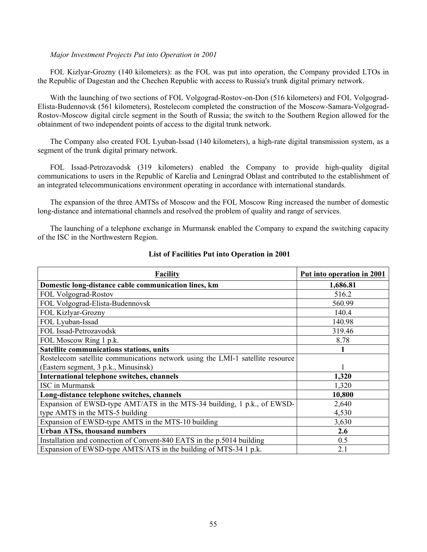### *Major Investment Projects Put into Operation in 2001*

FOL Kizlyar-Grozny (140 kilometers): as the FOL was put into operation, the Company provided LTOs in the Republic of Dagestan and the Chechen Republic with access to Russia's trunk digital primary network.

With the launching of two sections of FOL Volgograd-Rostov-on-Don (516 kilometers) and FOL Volgograd-Elista-Budennovsk (561 kilometers), Rostelecom completed the construction of the Moscow-Samara-Volgograd-Rostov-Moscow digital circle segment in the South of Russia; the switch to the Southern Region allowed for the obtainment of two independent points of access to the digital trunk network.

The Company also created FOL Lyuban-Issad (140 kilometers), a high-rate digital transmission system, as a segment of the trunk digital primary network.

FOL Issad-Petrozavodsk (319 kilometers) enabled the Company to provide high-quality digital communications to users in the Republic of Karelia and Leningrad Oblast and contributed to the establishment of an integrated telecommunications environment operating in accordance with international standards.

The expansion of the three AMTSs of Moscow and the FOL Moscow Ring increased the number of domestic long-distance and international channels and resolved the problem of quality and range of services.

The launching of a telephone exchange in Murmansk enabled the Company to expand the switching capacity of the ISC in the Northwestern Region.

| <b>Facility</b>                                                                | Put into operation in 2001 |
|--------------------------------------------------------------------------------|----------------------------|
| Domestic long-distance cable communication lines, km                           | 1,686.81                   |
| FOL Volgograd-Rostov                                                           | 516.2                      |
| FOL Volgograd-Elista-Budennovsk                                                | 560.99                     |
| <b>FOL Kizlyar-Grozny</b>                                                      | 140.4                      |
| FOL Lyuban-Issad                                                               | 140.98                     |
| FOL Issad-Petrozavodsk                                                         | 319.46                     |
| FOL Moscow Ring 1 p.k.                                                         | 8.78                       |
| Satellite communications stations, units                                       |                            |
| Rostelecom satellite communications network using the LMI-1 satellite resource |                            |
| (Eastern segment, 3 p.k., Minusinsk)                                           |                            |
| International telephone switches, channels                                     | 1,320                      |
| <b>ISC</b> in Murmansk                                                         | 1,320                      |
| Long-distance telephone switches, channels                                     | 10,800                     |
| Expansion of EWSD-type AMT/ATS in the MTS-34 building, 1 p.k., of EWSD-        | 2,640                      |
| type AMTS in the MTS-5 building                                                | 4,530                      |
| Expansion of EWSD-type AMTS in the MTS-10 building                             | 3,630                      |
| <b>Urban ATSs, thousand numbers</b>                                            | 2.6                        |
| Installation and connection of Convent-840 EATS in the p.5014 building         | 0.5                        |
| Expansion of EWSD-type AMTS/ATS in the building of MTS-34 1 p.k.               | 2.1                        |

# **List of Facilities Put into Operation in 2001**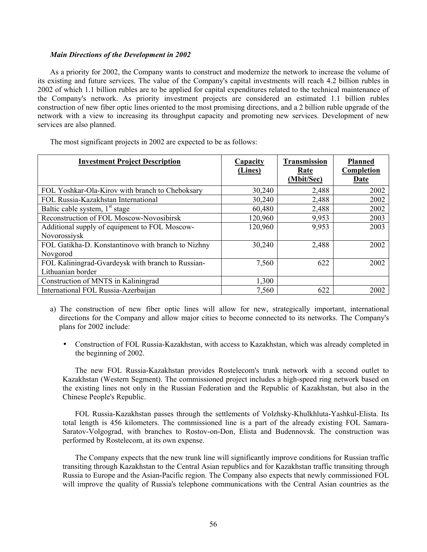### *Main Directions of the Development in 2002*

As a priority for 2002, the Company wants to construct and modernize the network to increase the volume of its existing and future services. The value of the Company's capital investments will reach 4.2 billion rubles in 2002 of which 1.1 billion rubles are to be applied for capital expenditures related to the technical maintenance of the Company's network. As priority investment projects are considered an estimated 1.1 billion rubles construction of new fiber optic lines oriented to the most promising directions, and a 2 billion ruble upgrade of the network with a view to increasing its throughput capacity and promoting new services. Development of new services are also planned.

| <b>Investment Project Description</b>                                  | Capacity<br>(Lines) | <b>Transmission</b><br>Rate<br>(Mbit/Sec) | <b>Planned</b><br>Completion<br>Date |
|------------------------------------------------------------------------|---------------------|-------------------------------------------|--------------------------------------|
| FOL Yoshkar-Ola-Kirov with branch to Cheboksary                        | 30,240              | 2,488                                     | 2002                                 |
| FOL Russia-Kazakhstan International                                    | 30,240              | 2,488                                     | 2002                                 |
| Baltic cable system, 1 <sup>st</sup> stage                             | 60,480              | 2,488                                     | 2002                                 |
| Reconstruction of FOL Moscow-Novosibirsk                               | 120,960             | 9,953                                     | 2003                                 |
| Additional supply of equipment to FOL Moscow-<br>Novorossiysk          | 120,960             | 9,953                                     | 2003                                 |
| FOL Gatikha-D. Konstantinovo with branch to Nizhny<br>Novgorod         | 30,240              | 2,488                                     | 2002                                 |
| FOL Kaliningrad-Gvardeysk with branch to Russian-<br>Lithuanian border | 7,560               | 622                                       | 2002                                 |
| Construction of MNTS in Kaliningrad                                    | 1,300               |                                           |                                      |
| International FOL Russia-Azerbaijan                                    | 7,560               | 622                                       | 2002                                 |

The most significant projects in 2002 are expected to be as follows:

- a) The construction of new fiber optic lines will allow for new, strategically important, international directions for the Company and allow major cities to become connected to its networks. The Company's plans for 2002 include:
	- Construction of FOL Russia-Kazakhstan, with access to Kazakhstan, which was already completed in the beginning of 2002.

The new FOL Russia-Kazakhstan provides Rostelecom's trunk network with a second outlet to Kazakhstan (Western Segment). The commissioned project includes a high-speed ring network based on the existing lines not only in the Russian Federation and the Republic of Kazakhstan, but also in the Chinese People's Republic.

FOL Russia-Kazakhstan passes through the settlements of Volzhsky-Khulkhluta-Yashkul-Elista. Its total length is 456 kilometers. The commissioned line is a part of the already existing FOL Samara-Saratov-Volgograd, with branches to Rostov-on-Don, Elista and Budennovsk. The construction was performed by Rostelecom, at its own expense.

The Company expects that the new trunk line will significantly improve conditions for Russian traffic transiting through Kazakhstan to the Central Asian republics and for Kazakhstan traffic transiting through Russia to Europe and the Asian-Pacific region. The Company also expects that newly commissioned FOL will improve the quality of Russia's telephone communications with the Central Asian countries as the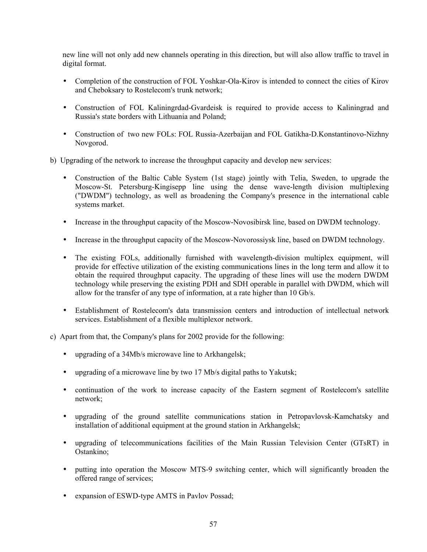new line will not only add new channels operating in this direction, but will also allow traffic to travel in digital format.

- Completion of the construction of FOL Yoshkar-Ola-Kirov is intended to connect the cities of Kirov and Cheboksary to Rostelecom's trunk network;
- Construction of FOL Kaliningrdad-Gvardeisk is required to provide access to Kaliningrad and Russia's state borders with Lithuania and Poland;
- Construction of two new FOLs: FOL Russia-Azerbaijan and FOL Gatikha-D.Konstantinovo-Nizhny Novgorod.
- b) Upgrading of the network to increase the throughput capacity and develop new services:
	- Construction of the Baltic Cable System (1st stage) jointly with Telia, Sweden, to upgrade the Moscow-St. Petersburg-Kingisepp line using the dense wave-length division multiplexing ("DWDM") technology, as well as broadening the Company's presence in the international cable systems market.
	- Increase in the throughput capacity of the Moscow-Novosibirsk line, based on DWDM technology.
	- Increase in the throughput capacity of the Moscow-Novorossiysk line, based on DWDM technology.
	- The existing FOLs, additionally furnished with wavelength-division multiplex equipment, will provide for effective utilization of the existing communications lines in the long term and allow it to obtain the required throughput capacity. The upgrading of these lines will use the modern DWDM technology while preserving the existing PDH and SDH operable in parallel with DWDM, which will allow for the transfer of any type of information, at a rate higher than 10 Gb/s.
	- Establishment of Rostelecom's data transmission centers and introduction of intellectual network services. Establishment of a flexible multiplexor network.
- c) Apart from that, the Company's plans for 2002 provide for the following:
	- upgrading of a 34Mb/s microwave line to Arkhangelsk;
	- upgrading of a microwave line by two 17 Mb/s digital paths to Yakutsk;
	- continuation of the work to increase capacity of the Eastern segment of Rostelecom's satellite network;
	- upgrading of the ground satellite communications station in Petropavlovsk-Kamchatsky and installation of additional equipment at the ground station in Arkhangelsk;
	- upgrading of telecommunications facilities of the Main Russian Television Center (GTsRT) in Ostankino;
	- putting into operation the Moscow MTS-9 switching center, which will significantly broaden the offered range of services;
	- expansion of ESWD-type AMTS in Pavlov Possad;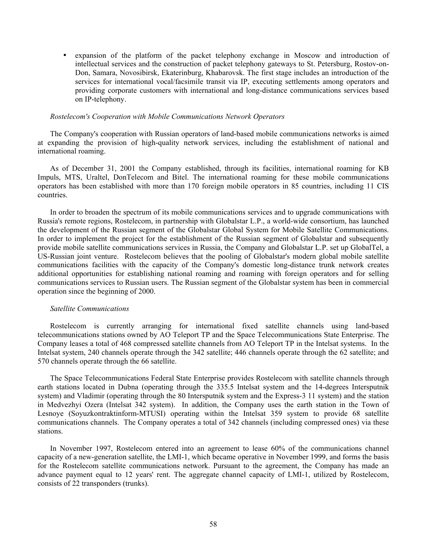• expansion of the platform of the packet telephony exchange in Moscow and introduction of intellectual services and the construction of packet telephony gateways to St. Petersburg, Rostov-on-Don, Samara, Novosibirsk, Ekaterinburg, Khabarovsk. The first stage includes an introduction of the services for international vocal/facsimile transit via IP, executing settlements among operators and providing corporate customers with international and long-distance communications services based on IP-telephony.

#### *Rostelecom's Cooperation with Mobile Communications Network Operators*

The Company's cooperation with Russian operators of land-based mobile communications networks is aimed at expanding the provision of high-quality network services, including the establishment of national and international roaming.

As of December 31, 2001 the Company established, through its facilities, international roaming for KB Impuls, MTS, Uraltel, DonTelecom and Bitel. The international roaming for these mobile communications operators has been established with more than 170 foreign mobile operators in 85 countries, including 11 CIS countries.

In order to broaden the spectrum of its mobile communications services and to upgrade communications with Russia's remote regions, Rostelecom, in partnership with Globalstar L.P., a world-wide consortium, has launched the development of the Russian segment of the Globalstar Global System for Mobile Satellite Communications. In order to implement the project for the establishment of the Russian segment of Globalstar and subsequently provide mobile satellite communications services in Russia, the Company and Globalstar L.P. set up GlobalTel, a US-Russian joint venture. Rostelecom believes that the pooling of Globalstar's modern global mobile satellite communications facilities with the capacity of the Company's domestic long-distance trunk network creates additional opportunities for establishing national roaming and roaming with foreign operators and for selling communications services to Russian users. The Russian segment of the Globalstar system has been in commercial operation since the beginning of 2000.

#### *Satellite Communications*

Rostelecom is currently arranging for international fixed satellite channels using land-based telecommunications stations owned by AO Teleport TP and the Space Telecommunications State Enterprise. The Company leases a total of 468 compressed satellite channels from AO Teleport TP in the Intelsat systems. In the Intelsat system, 240 channels operate through the 342 satellite; 446 channels operate through the 62 satellite; and 570 channels operate through the 66 satellite.

The Space Telecommunications Federal State Enterprise provides Rostelecom with satellite channels through earth stations located in Dubna (operating through the 335.5 Intelsat system and the 14-degrees Intersputnik system) and Vladimir (operating through the 80 Intersputnik system and the Express-3 11 system) and the station in Medvezhyi Ozera (Intelsat 342 system). In addition, the Company uses the earth station in the Town of Lesnoye (Soyuzkontraktinform-MTUSI) operating within the Intelsat 359 system to provide 68 satellite communications channels. The Company operates a total of 342 channels (including compressed ones) via these stations.

In November 1997, Rostelecom entered into an agreement to lease 60% of the communications channel capacity of a new-generation satellite, the LMI-1, which became operative in November 1999, and forms the basis for the Rostelecom satellite communications network. Pursuant to the agreement, the Company has made an advance payment equal to 12 years' rent. The aggregate channel capacity of LMI-1, utilized by Rostelecom, consists of 22 transponders (trunks).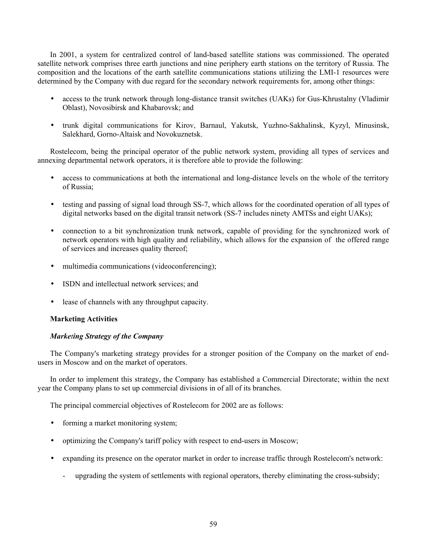In 2001, a system for centralized control of land-based satellite stations was commissioned. The operated satellite network comprises three earth junctions and nine periphery earth stations on the territory of Russia. The composition and the locations of the earth satellite communications stations utilizing the LMI-1 resources were determined by the Company with due regard for the secondary network requirements for, among other things:

- access to the trunk network through long-distance transit switches (UAKs) for Gus-Khrustalny (Vladimir Oblast), Novosibirsk and Khabarovsk; and
- trunk digital communications for Kirov, Barnaul, Yakutsk, Yuzhno-Sakhalinsk, Kyzyl, Minusinsk, Salekhard, Gorno-Altaisk and Novokuznetsk.

Rostelecom, being the principal operator of the public network system, providing all types of services and annexing departmental network operators, it is therefore able to provide the following:

- access to communications at both the international and long-distance levels on the whole of the territory of Russia;
- testing and passing of signal load through SS-7, which allows for the coordinated operation of all types of digital networks based on the digital transit network (SS-7 includes ninety AMTSs and eight UAKs);
- connection to a bit synchronization trunk network, capable of providing for the synchronized work of network operators with high quality and reliability, which allows for the expansion of the offered range of services and increases quality thereof;
- multimedia communications (videoconferencing);
- ISDN and intellectual network services; and
- lease of channels with any throughput capacity.

# **Marketing Activities**

# *Marketing Strategy of the Company*

The Company's marketing strategy provides for a stronger position of the Company on the market of endusers in Moscow and on the market of operators.

In order to implement this strategy, the Company has established a Commercial Directorate; within the next year the Company plans to set up commercial divisions in of all of its branches.

The principal commercial objectives of Rostelecom for 2002 are as follows:

- forming a market monitoring system;
- optimizing the Company's tariff policy with respect to end-users in Moscow;
- expanding its presence on the operator market in order to increase traffic through Rostelecom's network:
	- upgrading the system of settlements with regional operators, thereby eliminating the cross-subsidy;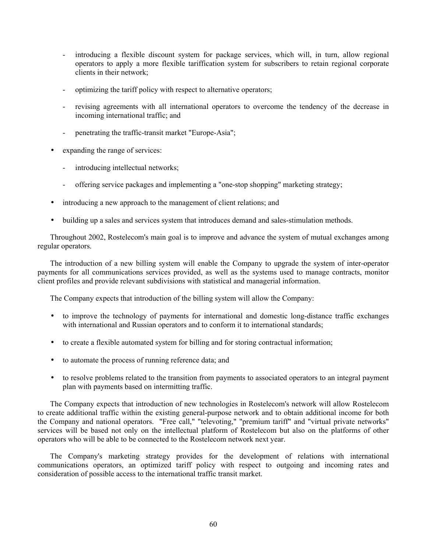- introducing a flexible discount system for package services, which will, in turn, allow regional operators to apply a more flexible tariffication system for subscribers to retain regional corporate clients in their network;
- optimizing the tariff policy with respect to alternative operators;
- revising agreements with all international operators to overcome the tendency of the decrease in incoming international traffic; and
- penetrating the traffic-transit market "Europe-Asia";
- expanding the range of services:
	- introducing intellectual networks;
	- offering service packages and implementing a "one-stop shopping" marketing strategy;
- introducing a new approach to the management of client relations; and
- building up a sales and services system that introduces demand and sales-stimulation methods.

Throughout 2002, Rostelecom's main goal is to improve and advance the system of mutual exchanges among regular operators.

The introduction of a new billing system will enable the Company to upgrade the system of inter-operator payments for all communications services provided, as well as the systems used to manage contracts, monitor client profiles and provide relevant subdivisions with statistical and managerial information.

The Company expects that introduction of the billing system will allow the Company:

- to improve the technology of payments for international and domestic long-distance traffic exchanges with international and Russian operators and to conform it to international standards;
- to create a flexible automated system for billing and for storing contractual information;
- to automate the process of running reference data; and
- to resolve problems related to the transition from payments to associated operators to an integral payment plan with payments based on intermitting traffic.

The Company expects that introduction of new technologies in Rostelecom's network will allow Rostelecom to create additional traffic within the existing general-purpose network and to obtain additional income for both the Company and national operators. "Free call," "televoting," "premium tariff" and "virtual private networks" services will be based not only on the intellectual platform of Rostelecom but also on the platforms of other operators who will be able to be connected to the Rostelecom network next year.

The Company's marketing strategy provides for the development of relations with international communications operators, an optimized tariff policy with respect to outgoing and incoming rates and consideration of possible access to the international traffic transit market.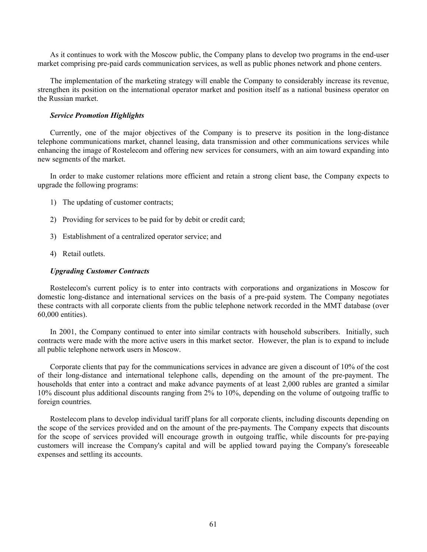As it continues to work with the Moscow public, the Company plans to develop two programs in the end-user market comprising pre-paid cards communication services, as well as public phones network and phone centers.

The implementation of the marketing strategy will enable the Company to considerably increase its revenue, strengthen its position on the international operator market and position itself as a national business operator on the Russian market.

## *Service Promotion Highlights*

Currently, one of the major objectives of the Company is to preserve its position in the long-distance telephone communications market, channel leasing, data transmission and other communications services while enhancing the image of Rostelecom and offering new services for consumers, with an aim toward expanding into new segments of the market.

In order to make customer relations more efficient and retain a strong client base, the Company expects to upgrade the following programs:

- 1) The updating of customer contracts;
- 2) Providing for services to be paid for by debit or credit card;
- 3) Establishment of a centralized operator service; and
- 4) Retail outlets.

# *Upgrading Customer Contracts*

Rostelecom's current policy is to enter into contracts with corporations and organizations in Moscow for domestic long-distance and international services on the basis of a pre-paid system. The Company negotiates these contracts with all corporate clients from the public telephone network recorded in the MMT database (over 60,000 entities).

In 2001, the Company continued to enter into similar contracts with household subscribers. Initially, such contracts were made with the more active users in this market sector. However, the plan is to expand to include all public telephone network users in Moscow.

Corporate clients that pay for the communications services in advance are given a discount of 10% of the cost of their long-distance and international telephone calls, depending on the amount of the pre-payment. The households that enter into a contract and make advance payments of at least 2,000 rubles are granted a similar 10% discount plus additional discounts ranging from 2% to 10%, depending on the volume of outgoing traffic to foreign countries.

Rostelecom plans to develop individual tariff plans for all corporate clients, including discounts depending on the scope of the services provided and on the amount of the pre-payments. The Company expects that discounts for the scope of services provided will encourage growth in outgoing traffic, while discounts for pre-paying customers will increase the Company's capital and will be applied toward paying the Company's foreseeable expenses and settling its accounts.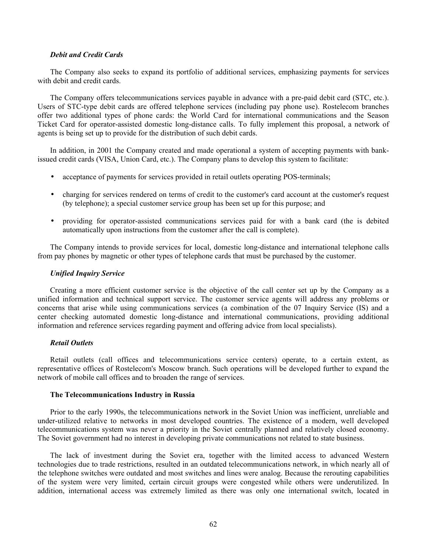### *Debit and Credit Cards*

The Company also seeks to expand its portfolio of additional services, emphasizing payments for services with debit and credit cards.

The Company offers telecommunications services payable in advance with a pre-paid debit card (STC, etc.). Users of STC-type debit cards are offered telephone services (including pay phone use). Rostelecom branches offer two additional types of phone cards: the World Card for international communications and the Season Ticket Card for operator-assisted domestic long-distance calls. To fully implement this proposal, a network of agents is being set up to provide for the distribution of such debit cards.

In addition, in 2001 the Company created and made operational a system of accepting payments with bankissued credit cards (VISA, Union Card, etc.). The Company plans to develop this system to facilitate:

- acceptance of payments for services provided in retail outlets operating POS-terminals;
- charging for services rendered on terms of credit to the customer's card account at the customer's request (by telephone); a special customer service group has been set up for this purpose; and
- providing for operator-assisted communications services paid for with a bank card (the is debited automatically upon instructions from the customer after the call is complete).

The Company intends to provide services for local, domestic long-distance and international telephone calls from pay phones by magnetic or other types of telephone cards that must be purchased by the customer.

### *Unified Inquiry Service*

Creating a more efficient customer service is the objective of the call center set up by the Company as a unified information and technical support service. The customer service agents will address any problems or concerns that arise while using communications services (a combination of the 07 Inquiry Service (IS) and a center checking automated domestic long-distance and international communications, providing additional information and reference services regarding payment and offering advice from local specialists).

# *Retail Outlets*

Retail outlets (call offices and telecommunications service centers) operate, to a certain extent, as representative offices of Rostelecom's Moscow branch. Such operations will be developed further to expand the network of mobile call offices and to broaden the range of services.

### **The Telecommunications Industry in Russia**

Prior to the early 1990s, the telecommunications network in the Soviet Union was inefficient, unreliable and under-utilized relative to networks in most developed countries. The existence of a modern, well developed telecommunications system was never a priority in the Soviet centrally planned and relatively closed economy. The Soviet government had no interest in developing private communications not related to state business.

The lack of investment during the Soviet era, together with the limited access to advanced Western technologies due to trade restrictions, resulted in an outdated telecommunications network, in which nearly all of the telephone switches were outdated and most switches and lines were analog. Because the rerouting capabilities of the system were very limited, certain circuit groups were congested while others were underutilized. In addition, international access was extremely limited as there was only one international switch, located in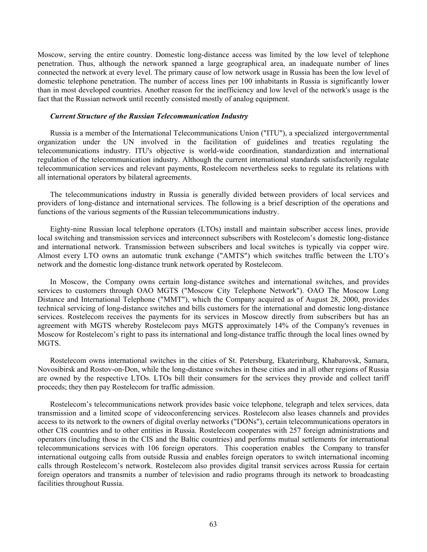Moscow, serving the entire country. Domestic long-distance access was limited by the low level of telephone penetration. Thus, although the network spanned a large geographical area, an inadequate number of lines connected the network at every level. The primary cause of low network usage in Russia has been the low level of domestic telephone penetration. The number of access lines per 100 inhabitants in Russia is significantly lower than in most developed countries. Another reason for the inefficiency and low level of the network's usage is the fact that the Russian network until recently consisted mostly of analog equipment.

#### *Current Structure of the Russian Telecommunication Industry*

Russia is a member of the International Telecommunications Union ("ITU"), a specialized intergovernmental organization under the UN involved in the facilitation of guidelines and treaties regulating the telecommunications industry. ITU's objective is world-wide coordination, standardization and international regulation of the telecommunication industry. Although the current international standards satisfactorily regulate telecommunication services and relevant payments, Rostelecom nevertheless seeks to regulate its relations with all international operators by bilateral agreements.

The telecommunications industry in Russia is generally divided between providers of local services and providers of long-distance and international services. The following is a brief description of the operations and functions of the various segments of the Russian telecommunications industry.

Eighty-nine Russian local telephone operators (LTOs) install and maintain subscriber access lines, provide local switching and transmission services and interconnect subscribers with Rostelecom's domestic long-distance and international network. Transmission between subscribers and local switches is typically via copper wire. Almost every LTO owns an automatic trunk exchange ("AMTS") which switches traffic between the LTO's network and the domestic long-distance trunk network operated by Rostelecom.

In Moscow, the Company owns certain long-distance switches and international switches, and provides services to customers through OAO MGTS ("Moscow City Telephone Network"). OAO The Moscow Long Distance and International Telephone ("MMT"), which the Company acquired as of August 28, 2000, provides technical servicing of long-distance switches and bills customers for the international and domestic long-distance services. Rostelecom receives the payments for its services in Moscow directly from subscribers but has an agreement with MGTS whereby Rostelecom pays MGTS approximately 14% of the Company's revenues in Moscow for Rostelecom's right to pass its international and long-distance traffic through the local lines owned by MGTS.

Rostelecom owns international switches in the cities of St. Petersburg, Ekaterinburg, Khabarovsk, Samara, Novosibirsk and Rostov-on-Don, while the long-distance switches in these cities and in all other regions of Russia are owned by the respective LTOs. LTOs bill their consumers for the services they provide and collect tariff proceeds; they then pay Rostelecom for traffic admission.

Rostelecom's telecommunications network provides basic voice telephone, telegraph and telex services, data transmission and a limited scope of videoconferencing services. Rostelecom also leases channels and provides access to its network to the owners of digital overlay networks ("DONs"), certain telecommunications operators in other CIS countries and to other entities in Russia. Rostelecom cooperates with 257 foreign administrations and operators (including those in the CIS and the Baltic countries) and performs mutual settlements for international telecommunications services with 106 foreign operators. This cooperation enables the Company to transfer international outgoing calls from outside Russia and enables foreign operators to switch international incoming calls through Rostelecom's network. Rostelecom also provides digital transit services across Russia for certain foreign operators and transmits a number of television and radio programs through its network to broadcasting facilities throughout Russia.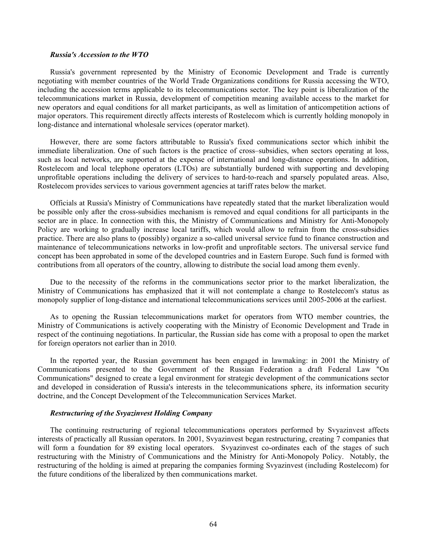#### *Russia's Accession to the WTO*

Russia's government represented by the Ministry of Economic Development and Trade is currently negotiating with member countries of the World Trade Organizations conditions for Russia accessing the WTO, including the accession terms applicable to its telecommunications sector. The key point is liberalization of the telecommunications market in Russia, development of competition meaning available access to the market for new operators and equal conditions for all market participants, as well as limitation of anticompetition actions of major operators. This requirement directly affects interests of Rostelecom which is currently holding monopoly in long-distance and international wholesale services (operator market).

However, there are some factors attributable to Russia's fixed communications sector which inhibit the immediate liberalization. One of such factors is the practice of cross–subsidies, when sectors operating at loss, such as local networks, are supported at the expense of international and long-distance operations. In addition, Rostelecom and local telephone operators (LTOs) are substantially burdened with supporting and developing unprofitable operations including the delivery of services to hard-to-reach and sparsely populated areas. Also, Rostelecom provides services to various government agencies at tariff rates below the market.

Officials at Russia's Ministry of Communications have repeatedly stated that the market liberalization would be possible only after the cross-subsidies mechanism is removed and equal conditions for all participants in the sector are in place. In connection with this, the Ministry of Communications and Ministry for Anti-Monopoly Policy are working to gradually increase local tariffs, which would allow to refrain from the cross-subsidies practice. There are also plans to (possibly) organize a so-called universal service fund to finance construction and maintenance of telecommunications networks in low-profit and unprofitable sectors. The universal service fund concept has been approbated in some of the developed countries and in Eastern Europe. Such fund is formed with contributions from all operators of the country, allowing to distribute the social load among them evenly.

Due to the necessity of the reforms in the communications sector prior to the market liberalization, the Ministry of Communications has emphasized that it will not contemplate a change to Rostelecom's status as monopoly supplier of long-distance and international telecommunications services until 2005-2006 at the earliest.

As to opening the Russian telecommunications market for operators from WTO member countries, the Ministry of Communications is actively cooperating with the Ministry of Economic Development and Trade in respect of the continuing negotiations. In particular, the Russian side has come with a proposal to open the market for foreign operators not earlier than in 2010.

In the reported year, the Russian government has been engaged in lawmaking: in 2001 the Ministry of Communications presented to the Government of the Russian Federation a draft Federal Law "On Communications" designed to create a legal environment for strategic development of the communications sector and developed in consideration of Russia's interests in the telecommunications sphere, its information security doctrine, and the Concept Development of the Telecommunication Services Market.

### *Restructuring of the Svyazinvest Holding Company*

The continuing restructuring of regional telecommunications operators performed by Svyazinvest affects interests of practically all Russian operators. In 2001, Svyazinvest began restructuring, creating 7 companies that will form a foundation for 89 existing local operators. Svyazinvest co-ordinates each of the stages of such restructuring with the Ministry of Communications and the Ministry for Anti-Monopoly Policy. Notably, the restructuring of the holding is aimed at preparing the companies forming Svyazinvest (including Rostelecom) for the future conditions of the liberalized by then communications market.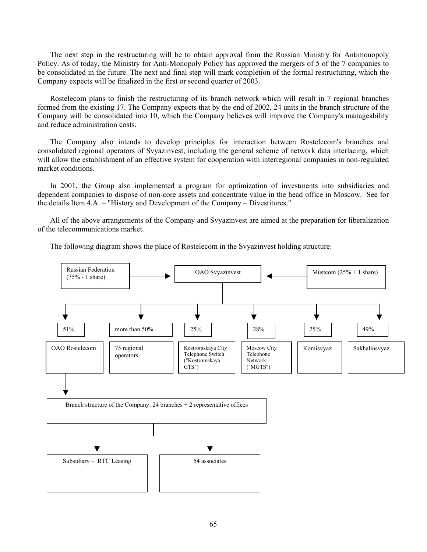The next step in the restructuring will be to obtain approval from the Russian Ministry for Antimonopoly Policy. As of today, the Ministry for Anti-Monopoly Policy has approved the mergers of 5 of the 7 companies to be consolidated in the future. The next and final step will mark completion of the formal restructuring, which the Company expects will be finalized in the first or second quarter of 2003.

Rostelecom plans to finish the restructuring of its branch network which will result in 7 regional branches formed from the existing 17. The Company expects that by the end of 2002, 24 units in the branch structure of the Company will be consolidated into 10, which the Company believes will improve the Company's manageability and reduce administration costs.

The Company also intends to develop principles for interaction between Rostelecom's branches and consolidated regional operators of Svyazinvest, including the general scheme of network data interlacing, which will allow the establishment of an effective system for cooperation with interregional companies in non-regulated market conditions.

In 2001, the Group also implemented a program for optimization of investments into subsidiaries and dependent companies to dispose of non-core assets and concentrate value in the head office in Moscow. See for the details Item 4.A. – "History and Development of the Company – Divestitures."

All of the above arrangements of the Company and Svyazinvest are aimed at the preparation for liberalization of the telecommunications market.

The following diagram shows the place of Rostelecom in the Svyazinvest holding structure:

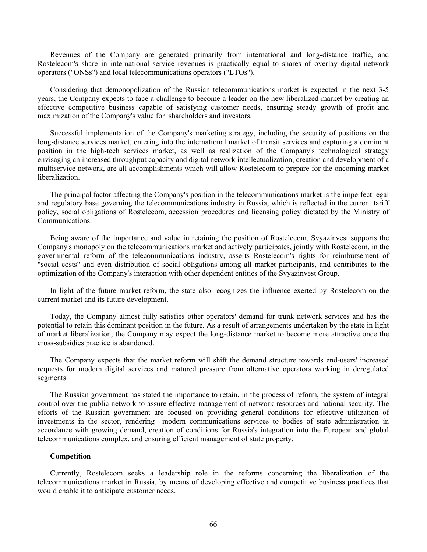Revenues of the Company are generated primarily from international and long-distance traffic, and Rostelecom's share in international service revenues is practically equal to shares of overlay digital network operators ("ONSs") and local telecommunications operators ("LTOs").

Considering that demonopolization of the Russian telecommunications market is expected in the next 3-5 years, the Company expects to face a challenge to become a leader on the new liberalized market by creating an effective competitive business capable of satisfying customer needs, ensuring steady growth of profit and maximization of the Company's value for shareholders and investors.

Successful implementation of the Company's marketing strategy, including the security of positions on the long-distance services market, entering into the international market of transit services and capturing a dominant position in the high-tech services market, as well as realization of the Company's technological strategy envisaging an increased throughput capacity and digital network intellectualization, creation and development of a multiservice network, are all accomplishments which will allow Rostelecom to prepare for the oncoming market liberalization.

The principal factor affecting the Company's position in the telecommunications market is the imperfect legal and regulatory base governing the telecommunications industry in Russia, which is reflected in the current tariff policy, social obligations of Rostelecom, accession procedures and licensing policy dictated by the Ministry of Communications.

Being aware of the importance and value in retaining the position of Rostelecom, Svyazinvest supports the Company's monopoly on the telecommunications market and actively participates, jointly with Rostelecom, in the governmental reform of the telecommunications industry, asserts Rostelecom's rights for reimbursement of "social costs" and even distribution of social obligations among all market participants, and contributes to the optimization of the Company's interaction with other dependent entities of the Svyazinvest Group.

In light of the future market reform, the state also recognizes the influence exerted by Rostelecom on the current market and its future development.

Today, the Company almost fully satisfies other operators' demand for trunk network services and has the potential to retain this dominant position in the future. As a result of arrangements undertaken by the state in light of market liberalization, the Company may expect the long-distance market to become more attractive once the cross-subsidies practice is abandoned.

The Company expects that the market reform will shift the demand structure towards end-users' increased requests for modern digital services and matured pressure from alternative operators working in deregulated segments.

The Russian government has stated the importance to retain, in the process of reform, the system of integral control over the public network to assure effective management of network resources and national security. The efforts of the Russian government are focused on providing general conditions for effective utilization of investments in the sector, rendering modern communications services to bodies of state administration in accordance with growing demand, creation of conditions for Russia's integration into the European and global telecommunications complex, and ensuring efficient management of state property.

### **Competition**

Currently, Rostelecom seeks a leadership role in the reforms concerning the liberalization of the telecommunications market in Russia, by means of developing effective and competitive business practices that would enable it to anticipate customer needs.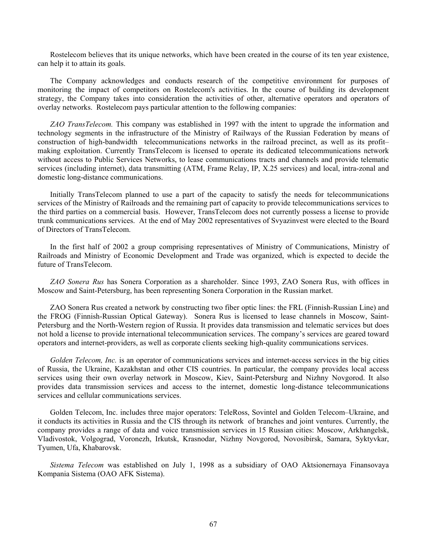Rostelecom believes that its unique networks, which have been created in the course of its ten year existence, can help it to attain its goals.

The Company acknowledges and conducts research of the competitive environment for purposes of monitoring the impact of competitors on Rostelecom's activities. In the course of building its development strategy, the Company takes into consideration the activities of other, alternative operators and operators of overlay networks. Rostelecom pays particular attention to the following companies:

*ZAO TransTelecom.* This company was established in 1997 with the intent to upgrade the information and technology segments in the infrastructure of the Ministry of Railways of the Russian Federation by means of construction of high-bandwidth telecommunications networks in the railroad precinct, as well as its profit– making exploitation. Currently TransTelecom is licensed to operate its dedicated telecommunications network without access to Public Services Networks, to lease communications tracts and channels and provide telematic services (including internet), data transmitting (ATM, Frame Relay, IP, X.25 services) and local, intra-zonal and domestic long-distance communications.

Initially TransTelecom planned to use a part of the capacity to satisfy the needs for telecommunications services of the Ministry of Railroads and the remaining part of capacity to provide telecommunications services to the third parties on a commercial basis. However, TransTelecom does not currently possess a license to provide trunk communications services. At the end of May 2002 representatives of Svyazinvest were elected to the Board of Directors of TransTelecom.

In the first half of 2002 a group comprising representatives of Ministry of Communications, Ministry of Railroads and Ministry of Economic Development and Trade was organized, which is expected to decide the future of TransTelecom.

*ZAO Sonera Rus* has Sonera Corporation as a shareholder. Since 1993, ZAO Sonera Rus, with offices in Moscow and Saint-Petersburg, has been representing Sonera Corporation in the Russian market.

ZAO Sonera Rus created a network by constructing two fiber optic lines: the FRL (Finnish-Russian Line) and the FROG (Finnish-Russian Optical Gateway). Sonera Rus is licensed to lease channels in Moscow, Saint-Petersburg and the North-Western region of Russia. It provides data transmission and telematic services but does not hold a license to provide international telecommunication services. The company's services are geared toward operators and internet-providers, as well as corporate clients seeking high-quality communications services.

*Golden Telecom, Inc.* is an operator of communications services and internet-access services in the big cities of Russia, the Ukraine, Kazakhstan and other CIS countries. In particular, the company provides local access services using their own overlay network in Moscow, Kiev, Saint-Petersburg and Nizhny Novgorod. It also provides data transmission services and access to the internet, domestic long-distance telecommunications services and cellular communications services.

Golden Telecom, Inc. includes three major operators: TeleRoss, Sovintel and Golden Telecom–Ukraine, and it conducts its activities in Russia and the CIS through its network of branches and joint ventures. Currently, the company provides a range of data and voice transmission services in 15 Russian cities: Moscow, Arkhangelsk, Vladivostok, Volgograd, Voronezh, Irkutsk, Krasnodar, Nizhny Novgorod, Novosibirsk, Samara, Syktyvkar, Tyumen, Ufa, Khabarovsk.

*Sistema Telecom* was established on July 1, 1998 as a subsidiary of ОАО Aktsionernaya Finansovaya Kompania Sistema (ОАО AFK Sistema).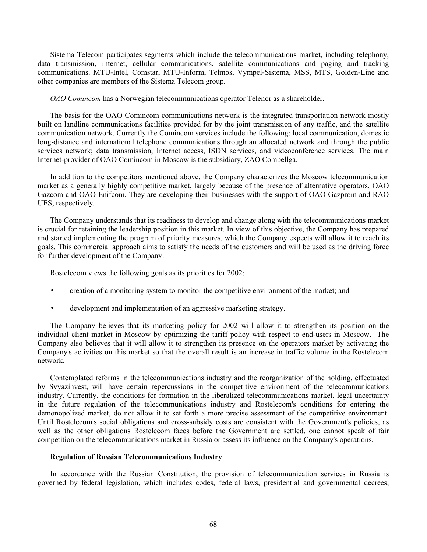Sistema Telecom participates segments which include the telecommunications market, including telephony, data transmission, internet, cellular communications, satellite communications and paging and tracking communications. MTU-Intel, Comstar, MTU-Inform, Telmos, Vympel-Sistema, MSS, MTS, Golden-Line and other companies are members of the Sistema Telecom group.

*OAO Comincom* has a Norwegian telecommunications operator Telenor as a shareholder.

The basis for the OAO Comincom communications network is the integrated transportation network mostly built on landline communications facilities provided for by the joint transmission of any traffic, and the satellite communication network. Currently the Comincom services include the following: local communication, domestic long-distance and international telephone communications through an allocated network and through the public services network; data transmission, Internet access, ISDN services, and videoconference services. The main Internet-provider of OAO Comincom in Moscow is the subsidiary, ZAO Combellga.

In addition to the competitors mentioned above, the Company characterizes the Moscow telecommunication market as a generally highly competitive market, largely because of the presence of alternative operators, OAO Gazcom and OAO Enifcom. They are developing their businesses with the support of OAO Gazprom and RAO UES, respectively.

The Company understands that its readiness to develop and change along with the telecommunications market is crucial for retaining the leadership position in this market. In view of this objective, the Company has prepared and started implementing the program of priority measures, which the Company expects will allow it to reach its goals. This commercial approach aims to satisfy the needs of the customers and will be used as the driving force for further development of the Company.

Rostelecom views the following goals as its priorities for 2002:

- creation of a monitoring system to monitor the competitive environment of the market; and
- development and implementation of an aggressive marketing strategy.

The Company believes that its marketing policy for 2002 will allow it to strengthen its position on the individual client market in Moscow by optimizing the tariff policy with respect to end-users in Moscow. The Company also believes that it will allow it to strengthen its presence on the operators market by activating the Company's activities on this market so that the overall result is an increase in traffic volume in the Rostelecom network.

Contemplated reforms in the telecommunications industry and the reorganization of the holding, effectuated by Svyazinvest, will have certain repercussions in the competitive environment of the telecommunications industry. Currently, the conditions for formation in the liberalized telecommunications market, legal uncertainty in the future regulation of the telecommunications industry and Rostelecom's conditions for entering the demonopolized market, do not allow it to set forth a more precise assessment of the competitive environment. Until Rostelecom's social obligations and cross-subsidy costs are consistent with the Government's policies, as well as the other obligations Rostelecom faces before the Government are settled, one cannot speak of fair competition on the telecommunications market in Russia or assess its influence on the Company's operations.

### **Regulation of Russian Telecommunications Industry**

In accordance with the Russian Constitution, the provision of telecommunication services in Russia is governed by federal legislation, which includes codes, federal laws, presidential and governmental decrees,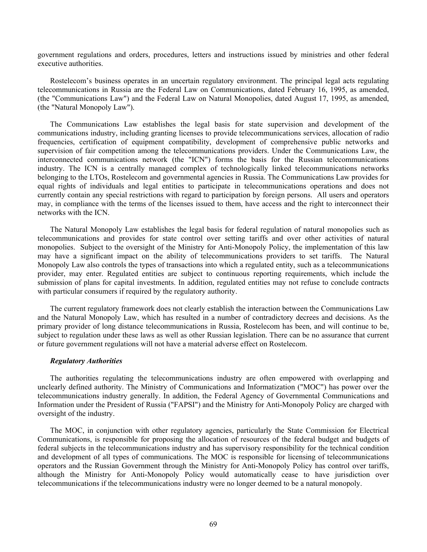government regulations and orders, procedures, letters and instructions issued by ministries and other federal executive authorities.

Rostelecom's business operates in an uncertain regulatory environment. The principal legal acts regulating telecommunications in Russia are the Federal Law on Communications, dated February 16, 1995, as amended, (the "Communications Law") and the Federal Law on Natural Monopolies, dated August 17, 1995, as amended, (the "Natural Monopoly Law").

The Communications Law establishes the legal basis for state supervision and development of the communications industry, including granting licenses to provide telecommunications services, allocation of radio frequencies, certification of equipment compatibility, development of comprehensive public networks and supervision of fair competition among the telecommunications providers. Under the Communications Law, the interconnected communications network (the "ICN") forms the basis for the Russian telecommunications industry. The ICN is a centrally managed complex of technologically linked telecommunications networks belonging to the LTOs, Rostelecom and governmental agencies in Russia. The Communications Law provides for equal rights of individuals and legal entities to participate in telecommunications operations and does not currently contain any special restrictions with regard to participation by foreign persons. All users and operators may, in compliance with the terms of the licenses issued to them, have access and the right to interconnect their networks with the ICN.

The Natural Monopoly Law establishes the legal basis for federal regulation of natural monopolies such as telecommunications and provides for state control over setting tariffs and over other activities of natural monopolies. Subject to the oversight of the Ministry for Anti-Monopoly Policy, the implementation of this law may have a significant impact on the ability of telecommunications providers to set tariffs. The Natural Monopoly Law also controls the types of transactions into which a regulated entity, such as a telecommunications provider, may enter. Regulated entities are subject to continuous reporting requirements, which include the submission of plans for capital investments. In addition, regulated entities may not refuse to conclude contracts with particular consumers if required by the regulatory authority.

The current regulatory framework does not clearly establish the interaction between the Communications Law and the Natural Monopoly Law, which has resulted in a number of contradictory decrees and decisions. As the primary provider of long distance telecommunications in Russia, Rostelecom has been, and will continue to be, subject to regulation under these laws as well as other Russian legislation. There can be no assurance that current or future government regulations will not have a material adverse effect on Rostelecom.

### *Regulatory Authorities*

The authorities regulating the telecommunications industry are often empowered with overlapping and unclearly defined authority. The Ministry of Communications and Informatization ("MOC") has power over the telecommunications industry generally. In addition, the Federal Agency of Governmental Communications and Information under the President of Russia ("FAPSI") and the Ministry for Anti-Monopoly Policy are charged with oversight of the industry.

The MOC, in conjunction with other regulatory agencies, particularly the State Commission for Electrical Communications, is responsible for proposing the allocation of resources of the federal budget and budgets of federal subjects in the telecommunications industry and has supervisory responsibility for the technical condition and development of all types of communications. The MOC is responsible for licensing of telecommunications operators and the Russian Government through the Ministry for Anti-Monopoly Policy has control over tariffs, although the Ministry for Anti-Monopoly Policy would automatically cease to have jurisdiction over telecommunications if the telecommunications industry were no longer deemed to be a natural monopoly.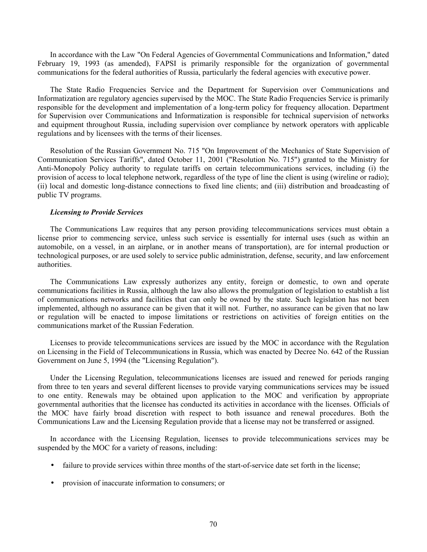In accordance with the Law "On Federal Agencies of Governmental Communications and Information," dated February 19, 1993 (as amended), FAPSI is primarily responsible for the organization of governmental communications for the federal authorities of Russia, particularly the federal agencies with executive power.

The State Radio Frequencies Service and the Department for Supervision over Communications and Informatization are regulatory agencies supervised by the MOC. The State Radio Frequencies Service is primarily responsible for the development and implementation of a long-term policy for frequency allocation. Department for Supervision over Communications and Informatization is responsible for technical supervision of networks and equipment throughout Russia, including supervision over compliance by network operators with applicable regulations and by licensees with the terms of their licenses.

Resolution of the Russian Government No. 715 "On Improvement of the Mechanics of State Supervision of Communication Services Tariffs", dated October 11, 2001 ("Resolution No. 715") granted to the Ministry for Anti-Monopoly Policy authority to regulate tariffs on certain telecommunications services, including (i) the provision of access to local telephone network, regardless of the type of line the client is using (wireline or radio); (ii) local and domestic long-distance connections to fixed line clients; and (iii) distribution and broadcasting of public TV programs.

#### *Licensing to Provide Services*

The Communications Law requires that any person providing telecommunications services must obtain a license prior to commencing service, unless such service is essentially for internal uses (such as within an automobile, on a vessel, in an airplane, or in another means of transportation), are for internal production or technological purposes, or are used solely to service public administration, defense, security, and law enforcement authorities.

The Communications Law expressly authorizes any entity, foreign or domestic, to own and operate communications facilities in Russia, although the law also allows the promulgation of legislation to establish a list of communications networks and facilities that can only be owned by the state. Such legislation has not been implemented, although no assurance can be given that it will not. Further, no assurance can be given that no law or regulation will be enacted to impose limitations or restrictions on activities of foreign entities on the communications market of the Russian Federation.

Licenses to provide telecommunications services are issued by the MOC in accordance with the Regulation on Licensing in the Field of Telecommunications in Russia, which was enacted by Decree No. 642 of the Russian Government on June 5, 1994 (the "Licensing Regulation").

Under the Licensing Regulation, telecommunications licenses are issued and renewed for periods ranging from three to ten years and several different licenses to provide varying communications services may be issued to one entity. Renewals may be obtained upon application to the MOC and verification by appropriate governmental authorities that the licensee has conducted its activities in accordance with the licenses. Officials of the MOC have fairly broad discretion with respect to both issuance and renewal procedures. Both the Communications Law and the Licensing Regulation provide that a license may not be transferred or assigned.

In accordance with the Licensing Regulation, licenses to provide telecommunications services may be suspended by the MOC for a variety of reasons, including:

- failure to provide services within three months of the start-of-service date set forth in the license;
- provision of inaccurate information to consumers; or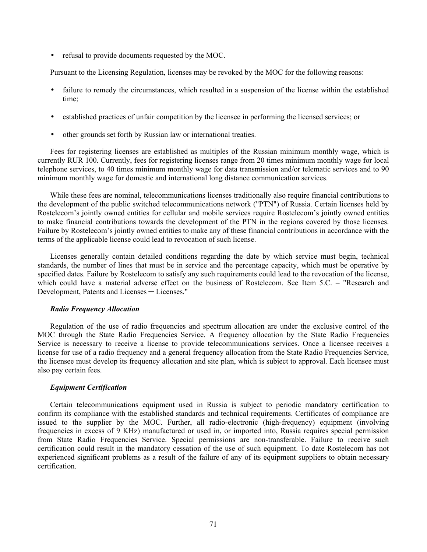• refusal to provide documents requested by the MOC.

Pursuant to the Licensing Regulation, licenses may be revoked by the MOC for the following reasons:

- failure to remedy the circumstances, which resulted in a suspension of the license within the established time;
- established practices of unfair competition by the licensee in performing the licensed services; or
- other grounds set forth by Russian law or international treaties.

Fees for registering licenses are established as multiples of the Russian minimum monthly wage, which is currently RUR 100. Currently, fees for registering licenses range from 20 times minimum monthly wage for local telephone services, to 40 times minimum monthly wage for data transmission and/or telematic services and to 90 minimum monthly wage for domestic and international long distance communication services.

While these fees are nominal, telecommunications licenses traditionally also require financial contributions to the development of the public switched telecommunications network ("PTN") of Russia. Certain licenses held by Rostelecom's jointly owned entities for cellular and mobile services require Rostelecom's jointly owned entities to make financial contributions towards the development of the PTN in the regions covered by those licenses. Failure by Rostelecom's jointly owned entities to make any of these financial contributions in accordance with the terms of the applicable license could lead to revocation of such license.

Licenses generally contain detailed conditions regarding the date by which service must begin, technical standards, the number of lines that must be in service and the percentage capacity, which must be operative by specified dates. Failure by Rostelecom to satisfy any such requirements could lead to the revocation of the license, which could have a material adverse effect on the business of Rostelecom. See Item 5.C. – "Research and Development, Patents and Licenses ─ Licenses."

### *Radio Frequency Allocation*

Regulation of the use of radio frequencies and spectrum allocation are under the exclusive control of the MOC through the State Radio Frequencies Service. A frequency allocation by the State Radio Frequencies Service is necessary to receive a license to provide telecommunications services. Once a licensee receives a license for use of a radio frequency and a general frequency allocation from the State Radio Frequencies Service, the licensee must develop its frequency allocation and site plan, which is subject to approval. Each licensee must also pay certain fees.

# *Equipment Certification*

Certain telecommunications equipment used in Russia is subject to periodic mandatory certification to confirm its compliance with the established standards and technical requirements. Certificates of compliance are issued to the supplier by the MOC. Further, all radio-electronic (high-frequency) equipment (involving frequencies in excess of 9 KHz) manufactured or used in, or imported into, Russia requires special permission from State Radio Frequencies Service. Special permissions are non-transferable. Failure to receive such certification could result in the mandatory cessation of the use of such equipment. To date Rostelecom has not experienced significant problems as a result of the failure of any of its equipment suppliers to obtain necessary certification.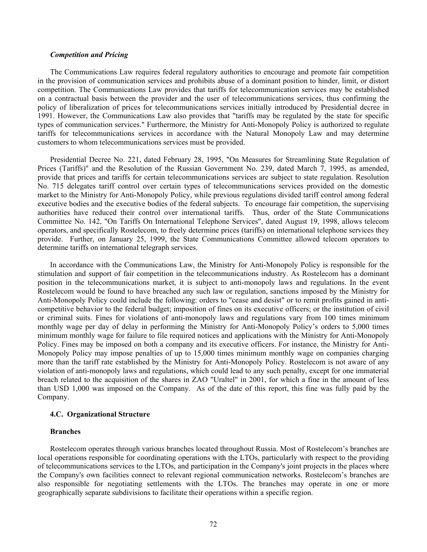#### *Competition and Pricing*

The Communications Law requires federal regulatory authorities to encourage and promote fair competition in the provision of communication services and prohibits abuse of a dominant position to hinder, limit, or distort competition. The Communications Law provides that tariffs for telecommunication services may be established on a contractual basis between the provider and the user of telecommunications services, thus confirming the policy of liberalization of prices for telecommunications services initially introduced by Presidential decree in 1991. However, the Communications Law also provides that "tariffs may be regulated by the state for specific types of communication services." Furthermore, the Ministry for Anti-Monopoly Policy is authorized to regulate tariffs for telecommunications services in accordance with the Natural Monopoly Law and may determine customers to whom telecommunications services must be provided.

Presidential Decree No. 221, dated February 28, 1995, "On Measures for Streamlining State Regulation of Prices (Tariffs)" and the Resolution of the Russian Government No. 239, dated March 7, 1995, as amended, provide that prices and tariffs for certain telecommunications services are subject to state regulation. Resolution No. 715 delegates tariff control over certain types of telecommunications services provided on the domestic market to the Ministry for Anti-Monopoly Policy, while previous regulations divided tariff control among federal executive bodies and the executive bodies of the federal subjects. To encourage fair competition, the supervising authorities have reduced their control over international tariffs. Thus, order of the State Communications Committee No. 142, "On Tariffs On International Telephone Services", dated August 19, 1998, allows telecom operators, and specifically Rostelecom, to freely determine prices (tariffs) on international telephone services they provide. Further, on January 25, 1999, the State Communications Committee allowed telecom operators to determine tariffs on international telegraph services.

In accordance with the Communications Law, the Ministry for Anti-Monopoly Policy is responsible for the stimulation and support of fair competition in the telecommunications industry. As Rostelecom has a dominant position in the telecommunications market, it is subject to anti-monopoly laws and regulations. In the event Rostelecom would be found to have breached any such law or regulation, sanctions imposed by the Ministry for Anti-Monopoly Policy could include the following: orders to "cease and desist" or to remit profits gained in anticompetitive behavior to the federal budget; imposition of fines on its executive officers; or the institution of civil or criminal suits. Fines for violations of anti-monopoly laws and regulations vary from 100 times minimum monthly wage per day of delay in performing the Ministry for Anti-Monopoly Policy's orders to 5,000 times minimum monthly wage for failure to file required notices and applications with the Ministry for Anti-Monopoly Policy. Fines may be imposed on both a company and its executive officers. For instance, the Ministry for Anti-Monopoly Policy may impose penalties of up to 15,000 times minimum monthly wage on companies charging more than the tariff rate established by the Ministry for Anti-Monopoly Policy. Rostelecom is not aware of any violation of anti-monopoly laws and regulations, which could lead to any such penalty, except for one immaterial breach related to the acquisition of the shares in ZAO "Uraltel" in 2001, for which a fine in the amount of less than USD 1,000 was imposed on the Company. As of the date of this report, this fine was fully paid by the Company.

## **4.C. Organizational Structure**

#### **Branches**

Rostelecom operates through various branches located throughout Russia. Most of Rostelecom's branches are local operations responsible for coordinating operations with the LTOs, particularly with respect to the providing of telecommunications services to the LTOs, and participation in the Company's joint projects in the places where the Company's own facilities connect to relevant regional communication networks. Rostelecom's branches are also responsible for negotiating settlements with the LTOs. The branches may operate in one or more geographically separate subdivisions to facilitate their operations within a specific region.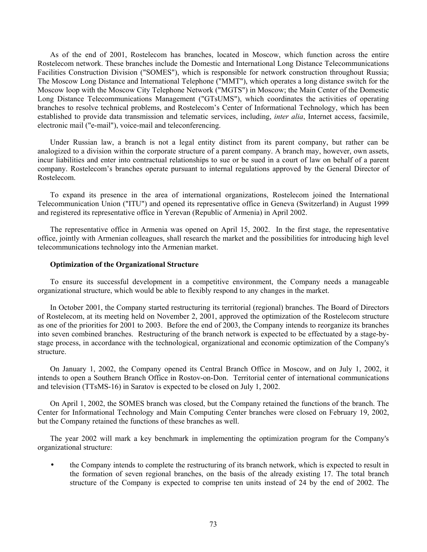As of the end of 2001, Rostelecom has branches, located in Moscow, which function across the entire Rostelecom network. These branches include the Domestic and International Long Distance Telecommunications Facilities Construction Division ("SOMES"), which is responsible for network construction throughout Russia; The Moscow Long Distance and International Telephone ("MMT"), which operates a long distance switch for the Moscow loop with the Moscow City Telephone Network ("MGTS") in Moscow; the Main Center of the Domestic Long Distance Telecommunications Management ("GTsUMS"), which coordinates the activities of operating branches to resolve technical problems, and Rostelecom's Center of Informational Technology, which has been established to provide data transmission and telematic services, including, *inter alia*, Internet access, facsimile, electronic mail ("e-mail"), voice-mail and teleconferencing.

Under Russian law, a branch is not a legal entity distinct from its parent company, but rather can be analogized to a division within the corporate structure of a parent company. A branch may, however, own assets, incur liabilities and enter into contractual relationships to sue or be sued in a court of law on behalf of a parent company. Rostelecom's branches operate pursuant to internal regulations approved by the General Director of Rostelecom.

To expand its presence in the area of international organizations, Rostelecom joined the International Telecommunication Union ("ITU") and opened its representative office in Geneva (Switzerland) in August 1999 and registered its representative office in Yerevan (Republic of Armenia) in April 2002.

The representative office in Armenia was opened on April 15, 2002. In the first stage, the representative office, jointly with Armenian colleagues, shall research the market and the possibilities for introducing high level telecommunications technology into the Armenian market.

### **Optimization of the Organizational Structure**

To ensure its successful development in a competitive environment, the Company needs a manageable organizational structure, which would be able to flexibly respond to any changes in the market.

In October 2001, the Company started restructuring its territorial (regional) branches. The Board of Directors of Rostelecom, at its meeting held on November 2, 2001, approved the optimization of the Rostelecom structure as one of the priorities for 2001 to 2003. Before the end of 2003, the Company intends to reorganize its branches into seven combined branches. Restructuring of the branch network is expected to be effectuated by a stage-bystage process, in accordance with the technological, organizational and economic optimization of the Company's structure.

On January 1, 2002, the Company opened its Central Branch Office in Moscow, and on July 1, 2002, it intends to open a Southern Branch Office in Rostov-on-Don. Territorial center of international communications and television (TTsMS-16) in Saratov is expected to be closed on July 1, 2002.

On April 1, 2002, the SOMES branch was closed, but the Company retained the functions of the branch. The Center for Informational Technology and Main Computing Center branches were closed on February 19, 2002, but the Company retained the functions of these branches as well.

The year 2002 will mark a key benchmark in implementing the optimization program for the Company's organizational structure:

• the Company intends to complete the restructuring of its branch network, which is expected to result in the formation of seven regional branches, on the basis of the already existing 17. The total branch structure of the Company is expected to comprise ten units instead of 24 by the end of 2002. The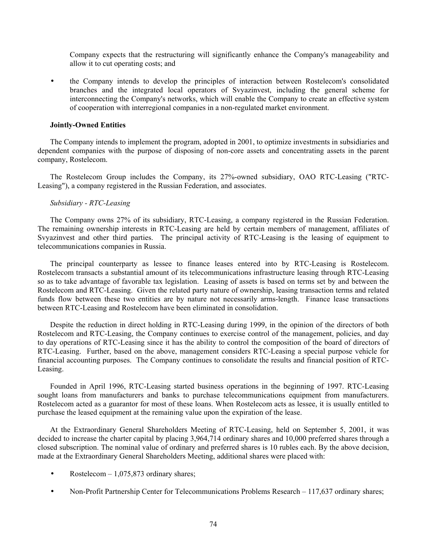Company expects that the restructuring will significantly enhance the Company's manageability and allow it to cut operating costs; and

• the Company intends to develop the principles of interaction between Rostelecom's consolidated branches and the integrated local operators of Svyazinvest, including the general scheme for interconnecting the Company's networks, which will enable the Company to create an effective system of cooperation with interregional companies in a non-regulated market environment.

## **Jointly-Owned Entities**

The Company intends to implement the program, adopted in 2001, to optimize investments in subsidiaries and dependent companies with the purpose of disposing of non-core assets and concentrating assets in the parent company, Rostelecom.

The Rostelecom Group includes the Company, its 27%-owned subsidiary, OAO RTC-Leasing ("RTC-Leasing"), a company registered in the Russian Federation, and associates.

## *Subsidiary - RTC-Leasing*

The Company owns 27% of its subsidiary, RTC-Leasing, a company registered in the Russian Federation. The remaining ownership interests in RTC-Leasing are held by certain members of management, affiliates of Svyazinvest and other third parties. The principal activity of RTC-Leasing is the leasing of equipment to telecommunications companies in Russia.

The principal counterparty as lessee to finance leases entered into by RTC-Leasing is Rostelecom. Rostelecom transacts a substantial amount of its telecommunications infrastructure leasing through RTC-Leasing so as to take advantage of favorable tax legislation. Leasing of assets is based on terms set by and between the Rostelecom and RTC-Leasing. Given the related party nature of ownership, leasing transaction terms and related funds flow between these two entities are by nature not necessarily arms-length. Finance lease transactions between RTC-Leasing and Rostelecom have been eliminated in consolidation.

Despite the reduction in direct holding in RTC-Leasing during 1999, in the opinion of the directors of both Rostelecom and RTC-Leasing, the Company continues to exercise control of the management, policies, and day to day operations of RTC-Leasing since it has the ability to control the composition of the board of directors of RTC-Leasing. Further, based on the above, management considers RTC-Leasing a special purpose vehicle for financial accounting purposes. The Company continues to consolidate the results and financial position of RTC-Leasing.

Founded in April 1996, RTC-Leasing started business operations in the beginning of 1997. RTC-Leasing sought loans from manufacturers and banks to purchase telecommunications equipment from manufacturers. Rostelecom acted as a guarantor for most of these loans. When Rostelecom acts as lessee, it is usually entitled to purchase the leased equipment at the remaining value upon the expiration of the lease.

At the Extraordinary General Shareholders Meeting of RTC-Leasing, held on September 5, 2001, it was decided to increase the charter capital by placing 3,964,714 ordinary shares and 10,000 preferred shares through a closed subscription. The nominal value of ordinary and preferred shares is 10 rubles each. By the above decision, made at the Extraordinary General Shareholders Meeting, additional shares were placed with:

- Rostelecom  $-1.075,873$  ordinary shares;
- Non-Profit Partnership Center for Telecommunications Problems Research 117,637 ordinary shares;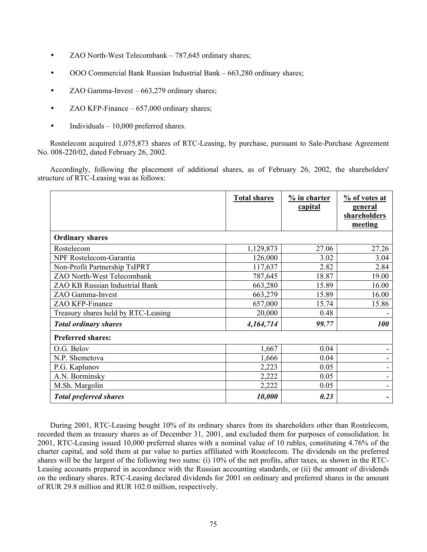- ZAO North-West Telecombank 787,645 ordinary shares;
- OOO Commercial Bank Russian Industrial Bank 663,280 ordinary shares;
- ZAO Gamma-Invest 663,279 ordinary shares;
- ZAO KFP-Finance 657,000 ordinary shares;
- Individuals 10,000 preferred shares.

Rostelecom acquired 1,075,873 shares of RTC-Leasing, by purchase, pursuant to Sale-Purchase Agreement No. 008-220/02, dated February 26, 2002.

Accordingly, following the placement of additional shares, as of February 26, 2002, the shareholders' structure of RTC-Leasing was as follows:

|                                     | <b>Total shares</b> | $\frac{9}{6}$ in charter<br>capital | % of votes at<br>general<br>shareholders<br>meeting |
|-------------------------------------|---------------------|-------------------------------------|-----------------------------------------------------|
| <b>Ordinary shares</b>              |                     |                                     |                                                     |
| Rostelecom                          | 1,129,873           | 27.06                               | 27.26                                               |
| NPF Rostelecom-Garantia             | 126,000             | 3.02                                | 3.04                                                |
| Non-Profit Partnership TsIPRT       | 117,637             | 2.82                                | 2.84                                                |
| ZAO North-West Telecombank          | 787,645             | 18.87                               | 19.00                                               |
| ZAO KB Russian Industrial Bank      | 663,280             | 15.89                               | 16.00                                               |
| ZAO Gamma-Invest                    | 663,279             | 15.89                               | 16.00                                               |
| ZAO KFP-Finance                     | 657,000             | 15.74                               | 15.86                                               |
| Treasury shares held by RTC-Leasing | 20,000              | 0.48                                |                                                     |
| <b>Total ordinary shares</b>        | 4,164,714           | 99.77                               | <i><b>100</b></i>                                   |
| <b>Preferred shares:</b>            |                     |                                     |                                                     |
| O.G. Belov                          | 1,667               | 0.04                                |                                                     |
| N.P. Shemetova                      | 1,666               | 0.04                                |                                                     |
| P.G. Kaplunov                       | 2,223               | 0.05                                | -                                                   |
| A.N. Borminsky                      | 2,222               | 0.05                                |                                                     |
| M.Sh. Margolin                      | 2,222               | 0.05                                |                                                     |
| <b>Total preferred shares</b>       | 10,000              | 0.23                                |                                                     |

During 2001, RTC-Leasing bought 10% of its ordinary shares from its shareholders other than Rostelecom, recorded them as treasury shares as of December 31, 2001, and excluded them for purposes of consolidation. In 2001, RTC-Leasing issued 10,000 preferred shares with a nominal value of 10 rubles, constituting 4.76% of the charter capital, and sold them at par value to parties affiliated with Rostelecom. The dividends on the preferred shares will be the largest of the following two sums: (i) 10% of the net profits, after taxes, as shown in the RTC-Leasing accounts prepared in accordance with the Russian accounting standards, or (ii) the amount of dividends on the ordinary shares. RTC-Leasing declared dividends for 2001 on ordinary and preferred shares in the amount of RUR 29.8 million and RUR 102.0 million, respectively.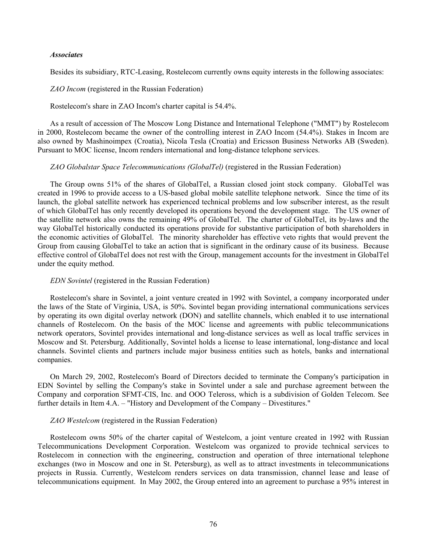#### *Associates*

Besides its subsidiary, RTC-Leasing, Rostelecom currently owns equity interests in the following associates:

## *ZAO Incom* (registered in the Russian Federation)

#### Rostelecom's share in ZAO Incom's charter capital is 54.4%.

As a result of accession of The Moscow Long Distance and International Telephone ("MMT") by Rostelecom in 2000, Rostelecom became the owner of the controlling interest in ZAO Incom (54.4%). Stakes in Incom are also owned by Mashinoimpex (Croatia), Nicola Tesla (Croatia) and Ericsson Business Networks AB (Sweden). Pursuant to MOC license, Incom renders international and long-distance telephone services.

#### *ZAO Globalstar Space Telecommunications (GlobalTel)* (registered in the Russian Federation)

The Group owns 51% of the shares of GlobalTel, a Russian closed joint stock company. GlobalTel was created in 1996 to provide access to a US-based global mobile satellite telephone network. Since the time of its launch, the global satellite network has experienced technical problems and low subscriber interest, as the result of which GlobalTel has only recently developed its operations beyond the development stage. The US owner of the satellite network also owns the remaining 49% of GlobalTel. The charter of GlobalTel, its by-laws and the way GlobalTel historically conducted its operations provide for substantive participation of both shareholders in the economic activities of GlobalTel. The minority shareholder has effective veto rights that would prevent the Group from causing GlobalTel to take an action that is significant in the ordinary cause of its business. Because effective control of GlobalTel does not rest with the Group, management accounts for the investment in GlobalTel under the equity method.

#### *EDN Sovintel* (registered in the Russian Federation)

Rostelecom's share in Sovintel, a joint venture created in 1992 with Sovintel, a company incorporated under the laws of the State of Virginia, USA, is 50%. Sovintel began providing international communications services by operating its own digital overlay network (DON) and satellite channels, which enabled it to use international channels of Rostelecom. On the basis of the MOC license and agreements with public telecommunications network operators, Sovintel provides international and long-distance services as well as local traffic services in Moscow and St. Petersburg. Additionally, Sovintel holds a license to lease international, long-distance and local channels. Sovintel clients and partners include major business entities such as hotels, banks and international companies.

On March 29, 2002, Rostelecom's Board of Directors decided to terminate the Company's participation in EDN Sovintel by selling the Company's stake in Sovintel under a sale and purchase agreement between the Company and corporation SFMT-CIS, Inc. and OOO Teleross, which is a subdivision of Golden Telecom. See further details in Item 4.A. – "History and Development of the Company – Divestitures."

### *ZAO Westelcom* (registered in the Russian Federation)

Rostelecom owns 50% of the charter capital of Westelcom, a joint venture created in 1992 with Russian Telecommunications Development Corporation. Westelcom was organized to provide technical services to Rostelecom in connection with the engineering, construction and operation of three international telephone exchanges (two in Moscow and one in St. Petersburg), as well as to attract investments in telecommunications projects in Russia. Currently, Westelcom renders services on data transmission, channel lease and lease of telecommunications equipment. In May 2002, the Group entered into an agreement to purchase a 95% interest in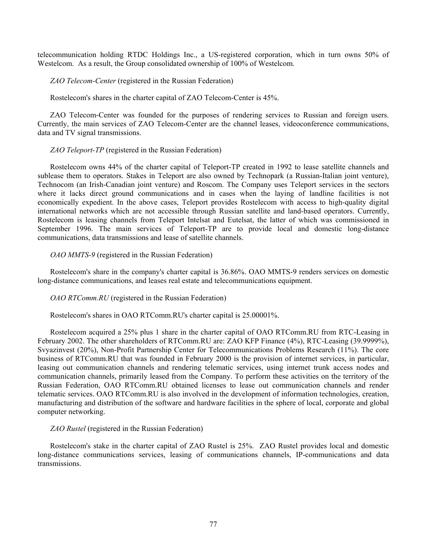telecommunication holding RTDC Holdings Inc., a US-registered corporation, which in turn owns 50% of Westelcom. As a result, the Group consolidated ownership of 100% of Westelcom.

*ZAO Telecom-Center* (registered in the Russian Federation)

Rostelecom's shares in the charter capital of ZAO Telecom-Center is 45%.

ZAO Telecom-Center was founded for the purposes of rendering services to Russian and foreign users. Currently, the main services of ZAO Telecom-Center are the channel leases, videoconference communications, data and TV signal transmissions.

## *ZAO Teleport-TP* (registered in the Russian Federation)

Rostelecom owns 44% of the charter capital of Teleport-TP created in 1992 to lease satellite channels and sublease them to operators. Stakes in Teleport are also owned by Technopark (a Russian-Italian joint venture), Technocom (an Irish-Canadian joint venture) and Roscom. The Company uses Teleport services in the sectors where it lacks direct ground communications and in cases when the laying of landline facilities is not economically expedient. In the above cases, Teleport provides Rostelecom with access to high-quality digital international networks which are not accessible through Russian satellite and land-based operators. Currently, Rostelecom is leasing channels from Teleport Intelsat and Eutelsat, the latter of which was commissioned in September 1996. The main services of Teleport-TP are to provide local and domestic long-distance communications, data transmissions and lease of satellite channels.

## *OAO MMTS-9* (registered in the Russian Federation)

Rostelecom's share in the company's charter capital is 36.86%. OAO MMTS-9 renders services on domestic long-distance communications, and leases real estate and telecommunications equipment.

### *OAO RTComm.RU* (registered in the Russian Federation)

Rostelecom's shares in OAO RTComm.RU's charter capital is 25.00001%.

Rostelecom acquired a 25% plus 1 share in the charter capital of OAO RTComm.RU from RTC-Leasing in February 2002. The other shareholders of RTComm.RU are: ZAO KFP Finance (4%), RTC-Leasing (39.9999%), Svyazinvest (20%), Non-Profit Partnership Center for Telecommunications Problems Research (11%). The core business of RTComm.RU that was founded in February 2000 is the provision of internet services, in particular, leasing out communication channels and rendering telematic services, using internet trunk access nodes and communication channels, primarily leased from the Company. To perform these activities on the territory of the Russian Federation, OAO RTComm.RU obtained licenses to lease out communication channels and render telematic services. OAO RTComm.RU is also involved in the development of information technologies, creation, manufacturing and distribution of the software and hardware facilities in the sphere of local, corporate and global computer networking.

### *ZAO Rustel* (registered in the Russian Federation)

Rostelecom's stake in the charter capital of ZAO Rustel is 25%. ZAO Rustel provides local and domestic long-distance communications services, leasing of communications channels, IP-communications and data transmissions.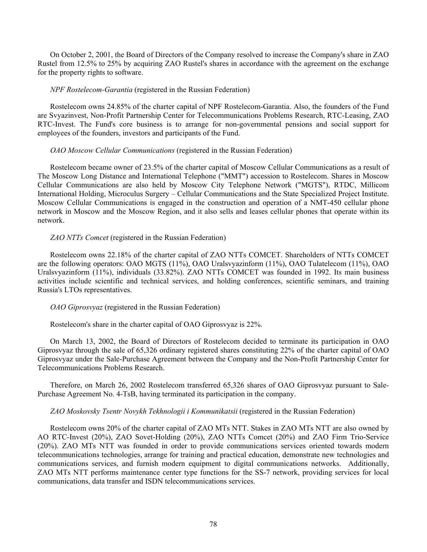On October 2, 2001, the Board of Directors of the Company resolved to increase the Company's share in ZAO Rustel from 12.5% to 25% by acquiring ZAO Rustel's shares in accordance with the agreement on the exchange for the property rights to software.

## *NPF Rostelecom-Garantia* (registered in the Russian Federation)

Rostelecom owns 24.85% of the charter capital of NPF Rostelecom-Garantia. Also, the founders of the Fund are Svyazinvest, Non-Profit Partnership Center for Telecommunications Problems Research, RTC-Leasing, ZAO RTC-Invest. The Fund's core business is to arrange for non-governmental pensions and social support for employees of the founders, investors and participants of the Fund.

# *OAO Moscow Cellular Communications* (registered in the Russian Federation)

Rostelecom became owner of 23.5% of the charter capital of Moscow Cellular Communications as a result of The Moscow Long Distance and International Telephone ("MMT") accession to Rostelecom. Shares in Moscow Cellular Communications are also held by Moscow City Telephone Network ("MGTS"), RTDC, Millicom International Holding, Microculus Surgery – Cellular Communications and the State Specialized Project Institute. Moscow Cellular Communications is engaged in the construction and operation of a NMT-450 cellular phone network in Moscow and the Moscow Region, and it also sells and leases cellular phones that operate within its network.

# *ZAO NTTs Comcet* (registered in the Russian Federation)

Rostelecom owns 22.18% of the charter capital of ZAO NTTs COMCET. Shareholders of NTTs COMCET are the following operators: OAO MGTS (11%), OAO Uralsvyazinform (11%), OAO Tulatelecom (11%), OAO Uralsvyazinform (11%), individuals (33.82%). ZAO NTTs COMCET was founded in 1992. Its main business activities include scientific and technical services, and holding conferences, scientific seminars, and training Russia's LTOs representatives.

*OAO Giprosvyaz* (registered in the Russian Federation)

Rostelecom's share in the charter capital of OAO Giprosvyaz is 22%.

On March 13, 2002, the Board of Directors of Rostelecom decided to terminate its participation in OAO Giprosvyaz through the sale of 65,326 ordinary registered shares constituting 22% of the charter capital of OAO Giprosvyaz under the Sale-Purchase Agreement between the Company and the Non-Profit Partnership Center for Telecommunications Problems Research.

Therefore, on March 26, 2002 Rostelecom transferred 65,326 shares of OAO Giprosvyaz pursuant to Sale-Purchase Agreement No. 4-TsB, having terminated its participation in the company.

# *ZAO Moskovsky Tsentr Novykh Tekhnologii i Kommunikatsii* (registered in the Russian Federation)

Rostelecom owns 20% of the charter capital of ZAO MTs NTT. Stakes in ZAO MTs NTT are also owned by AO RTC-Invest (20%), ZAO Sovet-Holding (20%), ZAO NTTs Comcet (20%) and ZAO Firm Trio-Service (20%). ZAO MTs NTT was founded in order to provide communications services oriented towards modern telecommunications technologies, arrange for training and practical education, demonstrate new technologies and communications services, and furnish modern equipment to digital communications networks. Additionally, ZAO MTs NTT performs maintenance center type functions for the SS-7 network, providing services for local communications, data transfer and ISDN telecommunications services.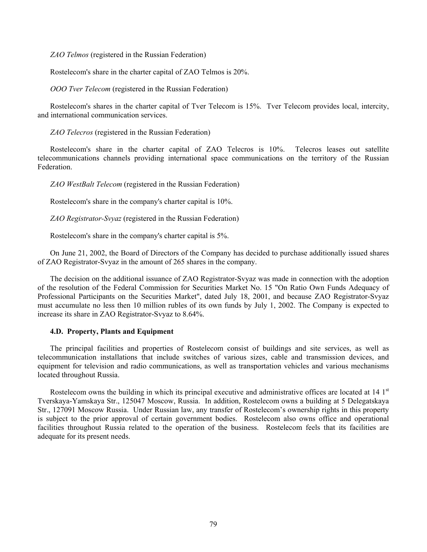*ZAO Telmos* (registered in the Russian Federation)

Rostelecom's share in the charter capital of ZAO Telmos is 20%.

*OOO Tver Telecom* (registered in the Russian Federation)

Rostelecom's shares in the charter capital of Tver Telecom is 15%. Tver Telecom provides local, intercity, and international communication services.

*ZAO Telecros* (registered in the Russian Federation)

Rostelecom's share in the charter capital of ZAO Telecros is 10%. Telecros leases out satellite telecommunications channels providing international space communications on the territory of the Russian **Federation** 

*ZAO WestBalt Telecom* (registered in the Russian Federation)

Rostelecom's share in the company's charter capital is 10%.

*ZAO Registrator-Svyaz* (registered in the Russian Federation)

Rostelecom's share in the company's charter capital is 5%.

On June 21, 2002, the Board of Directors of the Company has decided to purchase additionally issued shares of ZAO Registrator-Svyaz in the amount of 265 shares in the company.

The decision on the additional issuance of ZAO Registrator-Svyaz was made in connection with the adoption of the resolution of the Federal Commission for Securities Market No. 15 "On Ratio Own Funds Adequacy of Professional Participants on the Securities Market", dated July 18, 2001, and because ZAO Registrator-Svyaz must accumulate no less then 10 million rubles of its own funds by July 1, 2002. The Company is expected to increase its share in ZAO Registrator-Svyaz to 8.64%.

### **4.D. Property, Plants and Equipment**

The principal facilities and properties of Rostelecom consist of buildings and site services, as well as telecommunication installations that include switches of various sizes, cable and transmission devices, and equipment for television and radio communications, as well as transportation vehicles and various mechanisms located throughout Russia.

Rostelecom owns the building in which its principal executive and administrative offices are located at 14 1<sup>st</sup> Tverskaya-Yamskaya Str., 125047 Moscow, Russia. In addition, Rostelecom owns a building at 5 Delegatskaya Str., 127091 Moscow Russia. Under Russian law, any transfer of Rostelecom's ownership rights in this property is subject to the prior approval of certain government bodies. Rostelecom also owns office and operational facilities throughout Russia related to the operation of the business. Rostelecom feels that its facilities are adequate for its present needs.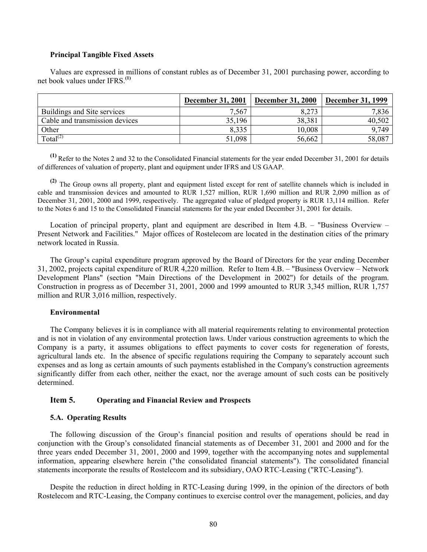### **Principal Tangible Fixed Assets**

Values are expressed in millions of constant rubles as of December 31, 2001 purchasing power, according to net book values under IFRS.**(1)** 

|                                | <b>December 31, 2001</b> | <b>December 31, 2000</b> | <b>December 31, 1999</b> |
|--------------------------------|--------------------------|--------------------------|--------------------------|
| Buildings and Site services    | 7,567                    | 8.273                    | 7,836                    |
| Cable and transmission devices | 35,196                   | 38,381                   | 40,502                   |
| Other                          | 8.335                    | 10,008                   | 9.749                    |
| Total $^{(2)}$                 | 51,098                   | 56,662                   | 58,087                   |

**(1)** Refer to the Notes 2 and 32 to the Consolidated Financial statements for the year ended December 31, 2001 for details of differences of valuation of property, plant and equipment under IFRS and US GAAP.

**(2)** The Group owns all property, plant and equipment listed except for rent of satellite channels which is included in cable and transmission devices and amounted to RUR 1,527 million, RUR 1,690 million and RUR 2,090 million as of December 31, 2001, 2000 and 1999, respectively. The aggregated value of pledged property is RUR 13,114 million. Refer to the Notes 6 and 15 to the Consolidated Financial statements for the year ended December 31, 2001 for details.

Location of principal property, plant and equipment are described in Item 4.B. – "Business Overview – Present Network and Facilities." Major offices of Rostelecom are located in the destination cities of the primary network located in Russia.

The Group's capital expenditure program approved by the Board of Directors for the year ending December 31, 2002, projects capital expenditure of RUR 4,220 million. Refer to Item 4.B. – "Business Overview – Network Development Plans" (section "Main Directions of the Development in 2002") for details of the program. Construction in progress as of December 31, 2001, 2000 and 1999 amounted to RUR 3,345 million, RUR 1,757 million and RUR 3,016 million, respectively.

### **Environmental**

The Company believes it is in compliance with all material requirements relating to environmental protection and is not in violation of any environmental protection laws. Under various construction agreements to which the Company is a party, it assumes obligations to effect payments to cover costs for regeneration of forests, agricultural lands etc. In the absence of specific regulations requiring the Company to separately account such expenses and as long as certain amounts of such payments established in the Company's construction agreements significantly differ from each other, neither the exact, nor the average amount of such costs can be positively determined.

# **Item 5. Operating and Financial Review and Prospects**

#### **5.A. Operating Results**

The following discussion of the Group's financial position and results of operations should be read in conjunction with the Group's consolidated financial statements as of December 31, 2001 and 2000 and for the three years ended December 31, 2001, 2000 and 1999, together with the accompanying notes and supplemental information, appearing elsewhere herein ("the consolidated financial statements"). The consolidated financial statements incorporate the results of Rostelecom and its subsidiary, OAO RTC-Leasing ("RTC-Leasing").

Despite the reduction in direct holding in RTC-Leasing during 1999, in the opinion of the directors of both Rostelecom and RTC-Leasing, the Company continues to exercise control over the management, policies, and day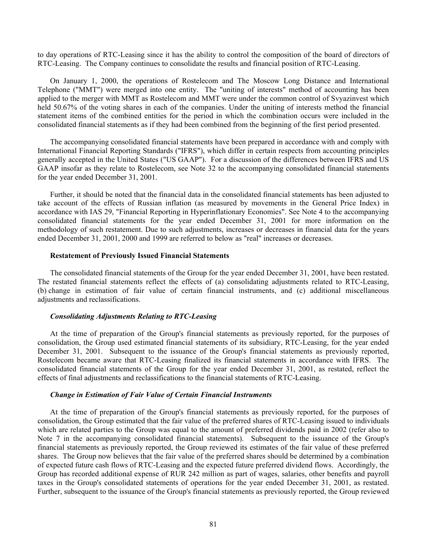to day operations of RTC-Leasing since it has the ability to control the composition of the board of directors of RTC-Leasing. The Company continues to consolidate the results and financial position of RTC-Leasing.

On January 1, 2000, the operations of Rostelecom and The Moscow Long Distance and International Telephone ("MMT") were merged into one entity. The "uniting of interests" method of accounting has been applied to the merger with MMT as Rostelecom and MMT were under the common control of Svyazinvest which held 50.67% of the voting shares in each of the companies. Under the uniting of interests method the financial statement items of the combined entities for the period in which the combination occurs were included in the consolidated financial statements as if they had been combined from the beginning of the first period presented.

The accompanying consolidated financial statements have been prepared in accordance with and comply with International Financial Reporting Standards ("IFRS"), which differ in certain respects from accounting principles generally accepted in the United States ("US GAAP"). For a discussion of the differences between IFRS and US GAAP insofar as they relate to Rostelecom, see Note 32 to the accompanying consolidated financial statements for the year ended December 31, 2001.

Further, it should be noted that the financial data in the consolidated financial statements has been adjusted to take account of the effects of Russian inflation (as measured by movements in the General Price Index) in accordance with IAS 29, "Financial Reporting in Hyperinflationary Economies". See Note 4 to the accompanying consolidated financial statements for the year ended December 31, 2001 for more information on the methodology of such restatement. Due to such adjustments, increases or decreases in financial data for the years ended December 31, 2001, 2000 and 1999 are referred to below as "real" increases or decreases.

#### **Restatement of Previously Issued Financial Statements**

The consolidated financial statements of the Group for the year ended December 31, 2001, have been restated. The restated financial statements reflect the effects of (a) consolidating adjustments related to RTC-Leasing, (b) change in estimation of fair value of certain financial instruments, and (c) additional miscellaneous adjustments and reclassifications.

### *Consolidating Adjustments Relating to RTC-Leasing*

At the time of preparation of the Group's financial statements as previously reported, for the purposes of consolidation, the Group used estimated financial statements of its subsidiary, RTC-Leasing, for the year ended December 31, 2001. Subsequent to the issuance of the Group's financial statements as previously reported, Rostelecom became aware that RTC-Leasing finalized its financial statements in accordance with IFRS. The consolidated financial statements of the Group for the year ended December 31, 2001, as restated, reflect the effects of final adjustments and reclassifications to the financial statements of RTC-Leasing.

## *Change in Estimation of Fair Value of Certain Financial Instruments*

At the time of preparation of the Group's financial statements as previously reported, for the purposes of consolidation, the Group estimated that the fair value of the preferred shares of RTC-Leasing issued to individuals which are related parties to the Group was equal to the amount of preferred dividends paid in 2002 (refer also to Note 7 in the accompanying consolidated financial statements). Subsequent to the issuance of the Group's financial statements as previously reported, the Group reviewed its estimates of the fair value of these preferred shares. The Group now believes that the fair value of the preferred shares should be determined by a combination of expected future cash flows of RTC-Leasing and the expected future preferred dividend flows. Accordingly, the Group has recorded additional expense of RUR 242 million as part of wages, salaries, other benefits and payroll taxes in the Group's consolidated statements of operations for the year ended December 31, 2001, as restated. Further, subsequent to the issuance of the Group's financial statements as previously reported, the Group reviewed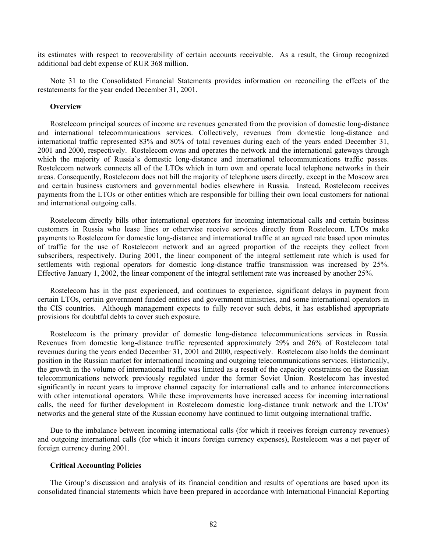its estimates with respect to recoverability of certain accounts receivable. As a result, the Group recognized additional bad debt expense of RUR 368 million.

Note 31 to the Consolidated Financial Statements provides information on reconciling the effects of the restatements for the year ended December 31, 2001.

#### **Overview**

Rostelecom principal sources of income are revenues generated from the provision of domestic long-distance and international telecommunications services. Collectively, revenues from domestic long-distance and international traffic represented 83% and 80% of total revenues during each of the years ended December 31, 2001 and 2000, respectively. Rostelecom owns and operates the network and the international gateways through which the majority of Russia's domestic long-distance and international telecommunications traffic passes. Rostelecom network connects all of the LTOs which in turn own and operate local telephone networks in their areas. Consequently, Rostelecom does not bill the majority of telephone users directly, except in the Moscow area and certain business customers and governmental bodies elsewhere in Russia. Instead, Rostelecom receives payments from the LTOs or other entities which are responsible for billing their own local customers for national and international outgoing calls.

Rostelecom directly bills other international operators for incoming international calls and certain business customers in Russia who lease lines or otherwise receive services directly from Rostelecom. LTOs make payments to Rostelecom for domestic long-distance and international traffic at an agreed rate based upon minutes of traffic for the use of Rostelecom network and an agreed proportion of the receipts they collect from subscribers, respectively. During 2001, the linear component of the integral settlement rate which is used for settlements with regional operators for domestic long-distance traffic transmission was increased by 25%. Effective January 1, 2002, the linear component of the integral settlement rate was increased by another 25%.

Rostelecom has in the past experienced, and continues to experience, significant delays in payment from certain LTOs, certain government funded entities and government ministries, and some international operators in the CIS countries. Although management expects to fully recover such debts, it has established appropriate provisions for doubtful debts to cover such exposure.

Rostelecom is the primary provider of domestic long-distance telecommunications services in Russia. Revenues from domestic long-distance traffic represented approximately 29% and 26% of Rostelecom total revenues during the years ended December 31, 2001 and 2000, respectively. Rostelecom also holds the dominant position in the Russian market for international incoming and outgoing telecommunications services. Historically, the growth in the volume of international traffic was limited as a result of the capacity constraints on the Russian telecommunications network previously regulated under the former Soviet Union. Rostelecom has invested significantly in recent years to improve channel capacity for international calls and to enhance interconnections with other international operators. While these improvements have increased access for incoming international calls, the need for further development in Rostelecom domestic long-distance trunk network and the LTOs' networks and the general state of the Russian economy have continued to limit outgoing international traffic.

Due to the imbalance between incoming international calls (for which it receives foreign currency revenues) and outgoing international calls (for which it incurs foreign currency expenses), Rostelecom was a net payer of foreign currency during 2001.

#### **Critical Accounting Policies**

The Group's discussion and analysis of its financial condition and results of operations are based upon its consolidated financial statements which have been prepared in accordance with International Financial Reporting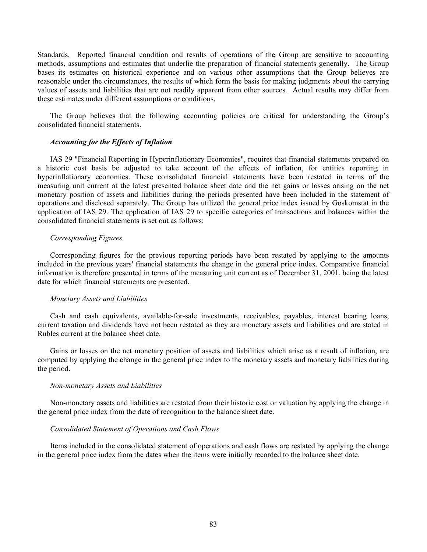Standards. Reported financial condition and results of operations of the Group are sensitive to accounting methods, assumptions and estimates that underlie the preparation of financial statements generally. The Group bases its estimates on historical experience and on various other assumptions that the Group believes are reasonable under the circumstances, the results of which form the basis for making judgments about the carrying values of assets and liabilities that are not readily apparent from other sources. Actual results may differ from these estimates under different assumptions or conditions.

The Group believes that the following accounting policies are critical for understanding the Group's consolidated financial statements.

### *Accounting for the Effects of Inflation*

IAS 29 "Financial Reporting in Hyperinflationary Economies", requires that financial statements prepared on a historic cost basis be adjusted to take account of the effects of inflation, for entities reporting in hyperinflationary economies. These consolidated financial statements have been restated in terms of the measuring unit current at the latest presented balance sheet date and the net gains or losses arising on the net monetary position of assets and liabilities during the periods presented have been included in the statement of operations and disclosed separately. The Group has utilized the general price index issued by Goskomstat in the application of IAS 29. The application of IAS 29 to specific categories of transactions and balances within the consolidated financial statements is set out as follows:

#### *Corresponding Figures*

Corresponding figures for the previous reporting periods have been restated by applying to the amounts included in the previous years' financial statements the change in the general price index. Comparative financial information is therefore presented in terms of the measuring unit current as of December 31, 2001, being the latest date for which financial statements are presented.

#### *Monetary Assets and Liabilities*

Cash and cash equivalents, available-for-sale investments, receivables, payables, interest bearing loans, current taxation and dividends have not been restated as they are monetary assets and liabilities and are stated in Rubles current at the balance sheet date.

Gains or losses on the net monetary position of assets and liabilities which arise as a result of inflation, are computed by applying the change in the general price index to the monetary assets and monetary liabilities during the period.

#### *Non-monetary Assets and Liabilities*

Non-monetary assets and liabilities are restated from their historic cost or valuation by applying the change in the general price index from the date of recognition to the balance sheet date.

#### *Consolidated Statement of Operations and Cash Flows*

Items included in the consolidated statement of operations and cash flows are restated by applying the change in the general price index from the dates when the items were initially recorded to the balance sheet date.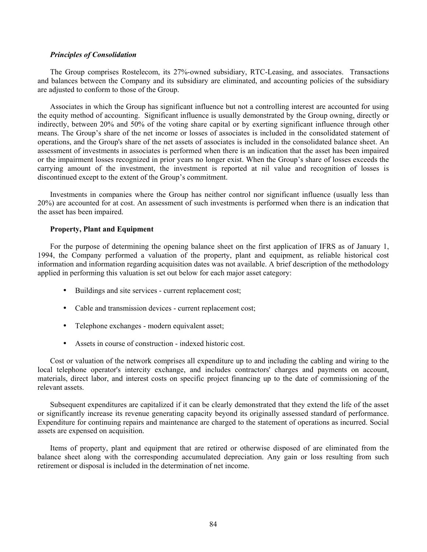#### *Principles of Consolidation*

The Group comprises Rostelecom, its 27%-owned subsidiary, RTC-Leasing, and associates. Transactions and balances between the Company and its subsidiary are eliminated, and accounting policies of the subsidiary are adjusted to conform to those of the Group.

Associates in which the Group has significant influence but not a controlling interest are accounted for using the equity method of accounting. Significant influence is usually demonstrated by the Group owning, directly or indirectly, between 20% and 50% of the voting share capital or by exerting significant influence through other means. The Group's share of the net income or losses of associates is included in the consolidated statement of operations, and the Group's share of the net assets of associates is included in the consolidated balance sheet. An assessment of investments in associates is performed when there is an indication that the asset has been impaired or the impairment losses recognized in prior years no longer exist. When the Group's share of losses exceeds the carrying amount of the investment, the investment is reported at nil value and recognition of losses is discontinued except to the extent of the Group's commitment.

Investments in companies where the Group has neither control nor significant influence (usually less than 20%) are accounted for at cost. An assessment of such investments is performed when there is an indication that the asset has been impaired.

#### **Property, Plant and Equipment**

For the purpose of determining the opening balance sheet on the first application of IFRS as of January 1, 1994, the Company performed a valuation of the property, plant and equipment, as reliable historical cost information and information regarding acquisition dates was not available. A brief description of the methodology applied in performing this valuation is set out below for each major asset category:

- Buildings and site services current replacement cost;
- Cable and transmission devices current replacement cost;
- Telephone exchanges modern equivalent asset;
- Assets in course of construction indexed historic cost.

Cost or valuation of the network comprises all expenditure up to and including the cabling and wiring to the local telephone operator's intercity exchange, and includes contractors' charges and payments on account, materials, direct labor, and interest costs on specific project financing up to the date of commissioning of the relevant assets.

Subsequent expenditures are capitalized if it can be clearly demonstrated that they extend the life of the asset or significantly increase its revenue generating capacity beyond its originally assessed standard of performance. Expenditure for continuing repairs and maintenance are charged to the statement of operations as incurred. Social assets are expensed on acquisition.

Items of property, plant and equipment that are retired or otherwise disposed of are eliminated from the balance sheet along with the corresponding accumulated depreciation. Any gain or loss resulting from such retirement or disposal is included in the determination of net income.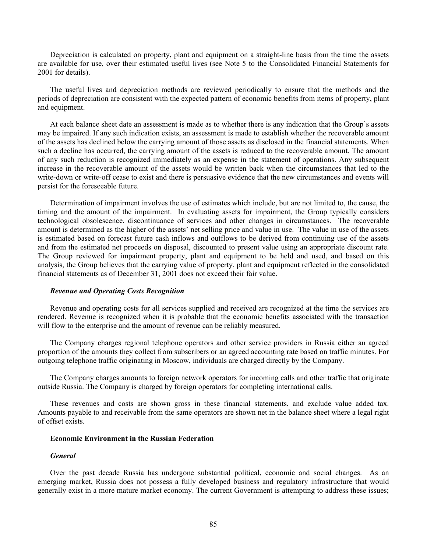Depreciation is calculated on property, plant and equipment on a straight-line basis from the time the assets are available for use, over their estimated useful lives (see Note 5 to the Consolidated Financial Statements for 2001 for details).

The useful lives and depreciation methods are reviewed periodically to ensure that the methods and the periods of depreciation are consistent with the expected pattern of economic benefits from items of property, plant and equipment.

At each balance sheet date an assessment is made as to whether there is any indication that the Group's assets may be impaired. If any such indication exists, an assessment is made to establish whether the recoverable amount of the assets has declined below the carrying amount of those assets as disclosed in the financial statements. When such a decline has occurred, the carrying amount of the assets is reduced to the recoverable amount. The amount of any such reduction is recognized immediately as an expense in the statement of operations. Any subsequent increase in the recoverable amount of the assets would be written back when the circumstances that led to the write-down or write-off cease to exist and there is persuasive evidence that the new circumstances and events will persist for the foreseeable future.

Determination of impairment involves the use of estimates which include, but are not limited to, the cause, the timing and the amount of the impairment. In evaluating assets for impairment, the Group typically considers technological obsolescence, discontinuance of services and other changes in circumstances. The recoverable amount is determined as the higher of the assets' net selling price and value in use. The value in use of the assets is estimated based on forecast future cash inflows and outflows to be derived from continuing use of the assets and from the estimated net proceeds on disposal, discounted to present value using an appropriate discount rate. The Group reviewed for impairment property, plant and equipment to be held and used, and based on this analysis, the Group believes that the carrying value of property, plant and equipment reflected in the consolidated financial statements as of December 31, 2001 does not exceed their fair value.

#### *Revenue and Operating Costs Recognition*

Revenue and operating costs for all services supplied and received are recognized at the time the services are rendered. Revenue is recognized when it is probable that the economic benefits associated with the transaction will flow to the enterprise and the amount of revenue can be reliably measured.

The Company charges regional telephone operators and other service providers in Russia either an agreed proportion of the amounts they collect from subscribers or an agreed accounting rate based on traffic minutes. For outgoing telephone traffic originating in Moscow, individuals are charged directly by the Company.

The Company charges amounts to foreign network operators for incoming calls and other traffic that originate outside Russia. The Company is charged by foreign operators for completing international calls.

These revenues and costs are shown gross in these financial statements, and exclude value added tax. Amounts payable to and receivable from the same operators are shown net in the balance sheet where a legal right of offset exists.

## **Economic Environment in the Russian Federation**

#### *General*

Over the past decade Russia has undergone substantial political, economic and social changes. As an emerging market, Russia does not possess a fully developed business and regulatory infrastructure that would generally exist in a more mature market economy. The current Government is attempting to address these issues;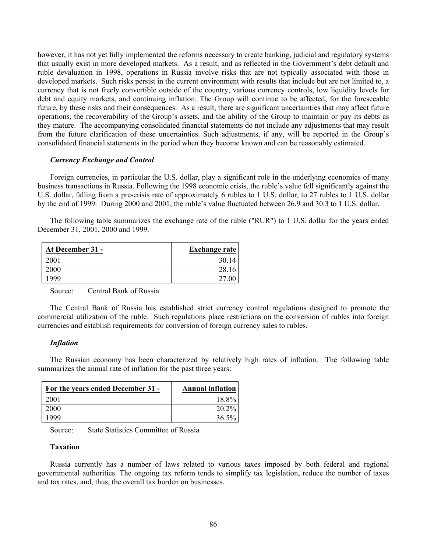however, it has not yet fully implemented the reforms necessary to create banking, judicial and regulatory systems that usually exist in more developed markets. As a result, and as reflected in the Government's debt default and ruble devaluation in 1998, operations in Russia involve risks that are not typically associated with those in developed markets. Such risks persist in the current environment with results that include but are not limited to, a currency that is not freely convertible outside of the country, various currency controls, low liquidity levels for debt and equity markets, and continuing inflation. The Group will continue to be affected, for the foreseeable future, by these risks and their consequences. As a result, there are significant uncertainties that may affect future operations, the recoverability of the Group's assets, and the ability of the Group to maintain or pay its debts as they mature. The accompanying consolidated financial statements do not include any adjustments that may result from the future clarification of these uncertainties. Such adjustments, if any, will be reported in the Group's consolidated financial statements in the period when they become known and can be reasonably estimated.

### *Currency Exchange and Control*

Foreign currencies, in particular the U.S. dollar, play a significant role in the underlying economics of many business transactions in Russia. Following the 1998 economic crisis, the ruble's value fell significantly against the U.S. dollar, falling from a pre-crisis rate of approximately 6 rubles to 1 U.S. dollar, to 27 rubles to 1 U.S. dollar by the end of 1999. During 2000 and 2001, the ruble's value fluctuated between 26.9 and 30.3 to 1 U.S. dollar.

The following table summarizes the exchange rate of the ruble ("RUR") to 1 U.S. dollar for the years ended December 31, 2001, 2000 and 1999.

| At December 31 - | <b>Exchange rate</b> |
|------------------|----------------------|
| 2001             | 30.                  |
| 2000             | 28                   |
| 1999             |                      |

Source: Central Bank of Russia

The Central Bank of Russia has established strict currency control regulations designed to promote the commercial utilization of the ruble. Such regulations place restrictions on the conversion of rubles into foreign currencies and establish requirements for conversion of foreign currency sales to rubles.

### *Inflation*

The Russian economy has been characterized by relatively high rates of inflation. The following table summarizes the annual rate of inflation for the past three years:

| For the years ended December 31 - | <b>Annual inflation</b> |
|-----------------------------------|-------------------------|
| 2001                              | 18.8%                   |
| 2000                              | 20.2%                   |
| 1999                              | 36.5%                   |

Source: State Statistics Committee of Russia

### **Taxation**

Russia currently has a number of laws related to various taxes imposed by both federal and regional governmental authorities. The ongoing tax reform tends to simplify tax legislation, reduce the number of taxes and tax rates, and, thus, the overall tax burden on businesses.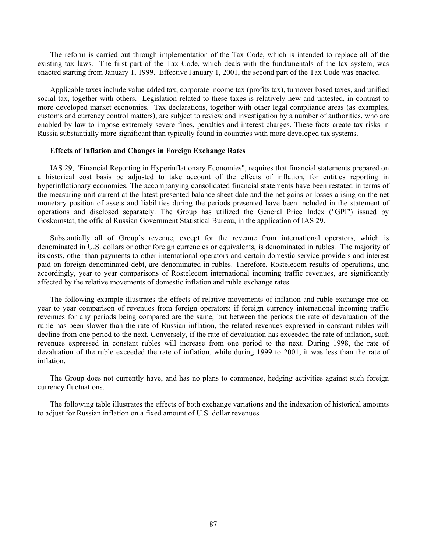The reform is carried out through implementation of the Tax Code, which is intended to replace all of the existing tax laws. The first part of the Tax Code, which deals with the fundamentals of the tax system, was enacted starting from January 1, 1999. Effective January 1, 2001, the second part of the Tax Code was enacted.

Applicable taxes include value added tax, corporate income tax (profits tax), turnover based taxes, and unified social tax, together with others. Legislation related to these taxes is relatively new and untested, in contrast to more developed market economies. Tax declarations, together with other legal compliance areas (as examples, customs and currency control matters), are subject to review and investigation by a number of authorities, who are enabled by law to impose extremely severe fines, penalties and interest charges. These facts create tax risks in Russia substantially more significant than typically found in countries with more developed tax systems.

#### **Effects of Inflation and Changes in Foreign Exchange Rates**

IAS 29, "Financial Reporting in Hyperinflationary Economies", requires that financial statements prepared on a historical cost basis be adjusted to take account of the effects of inflation, for entities reporting in hyperinflationary economies. The accompanying consolidated financial statements have been restated in terms of the measuring unit current at the latest presented balance sheet date and the net gains or losses arising on the net monetary position of assets and liabilities during the periods presented have been included in the statement of operations and disclosed separately. The Group has utilized the General Price Index ("GPI") issued by Goskomstat, the official Russian Government Statistical Bureau, in the application of IAS 29.

Substantially all of Group's revenue, except for the revenue from international operators, which is denominated in U.S. dollars or other foreign currencies or equivalents, is denominated in rubles. The majority of its costs, other than payments to other international operators and certain domestic service providers and interest paid on foreign denominated debt, are denominated in rubles. Therefore, Rostelecom results of operations, and accordingly, year to year comparisons of Rostelecom international incoming traffic revenues, are significantly affected by the relative movements of domestic inflation and ruble exchange rates.

The following example illustrates the effects of relative movements of inflation and ruble exchange rate on year to year comparison of revenues from foreign operators: if foreign currency international incoming traffic revenues for any periods being compared are the same, but between the periods the rate of devaluation of the ruble has been slower than the rate of Russian inflation, the related revenues expressed in constant rubles will decline from one period to the next. Conversely, if the rate of devaluation has exceeded the rate of inflation, such revenues expressed in constant rubles will increase from one period to the next. During 1998, the rate of devaluation of the ruble exceeded the rate of inflation, while during 1999 to 2001, it was less than the rate of inflation.

The Group does not currently have, and has no plans to commence, hedging activities against such foreign currency fluctuations.

The following table illustrates the effects of both exchange variations and the indexation of historical amounts to adjust for Russian inflation on a fixed amount of U.S. dollar revenues.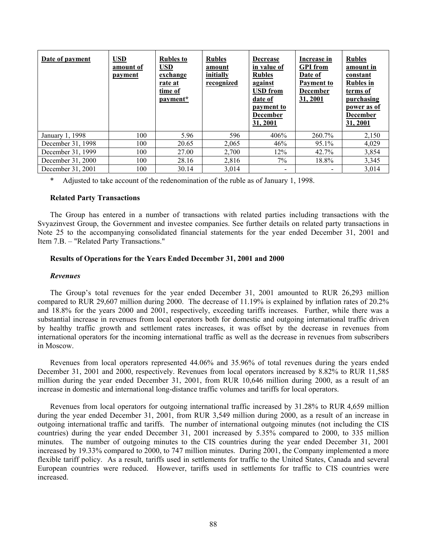| Date of payment   | <b>USD</b><br>amount of<br>payment | <b>Rubles to</b><br><b>USD</b><br>exchange<br>rate at<br>time of<br>payment* | <b>Rubles</b><br>amount<br>initially<br>recognized | <b>Decrease</b><br>in value of<br><b>Rubles</b><br>against<br><b>USD</b> from<br>date of<br>payment to<br><b>December</b><br>31, 2001 | Increase in<br><b>GPI</b> from<br>Date of<br><b>Payment to</b><br><b>December</b><br>31, 2001 | <b>Rubles</b><br>amount in<br>constant<br><b>Rubles</b> in<br>terms of<br>purchasing<br>power as of<br><b>December</b><br>31, 2001 |
|-------------------|------------------------------------|------------------------------------------------------------------------------|----------------------------------------------------|---------------------------------------------------------------------------------------------------------------------------------------|-----------------------------------------------------------------------------------------------|------------------------------------------------------------------------------------------------------------------------------------|
| January 1, 1998   | 100                                | 5.96                                                                         | 596                                                | 406%                                                                                                                                  | 260.7%                                                                                        | 2,150                                                                                                                              |
| December 31, 1998 | 100                                | 20.65                                                                        | 2,065                                              | 46%                                                                                                                                   | 95.1%                                                                                         | 4,029                                                                                                                              |
| December 31, 1999 | 100                                | 27.00                                                                        | 2,700                                              | 12%                                                                                                                                   | 42.7%                                                                                         | 3,854                                                                                                                              |
| December 31, 2000 | 100                                | 28.16                                                                        | 2,816                                              | $7\%$                                                                                                                                 | 18.8%                                                                                         | 3,345                                                                                                                              |
| December 31, 2001 | 100                                | 30.14                                                                        | 3.014                                              |                                                                                                                                       |                                                                                               | 3,014                                                                                                                              |

Adjusted to take account of the redenomination of the ruble as of January 1, 1998.

### **Related Party Transactions**

The Group has entered in a number of transactions with related parties including transactions with the Svyazinvest Group, the Government and investee companies. See further details on related party transactions in Note 25 to the accompanying consolidated financial statements for the year ended December 31, 2001 and Item 7.B. – "Related Party Transactions."

### **Results of Operations for the Years Ended December 31, 2001 and 2000**

#### *Revenues*

The Group's total revenues for the year ended December 31, 2001 amounted to RUR 26,293 million compared to RUR 29,607 million during 2000. The decrease of 11.19% is explained by inflation rates of 20.2% and 18.8% for the years 2000 and 2001, respectively, exceeding tariffs increases. Further, while there was a substantial increase in revenues from local operators both for domestic and outgoing international traffic driven by healthy traffic growth and settlement rates increases, it was offset by the decrease in revenues from international operators for the incoming international traffic as well as the decrease in revenues from subscribers in Moscow.

Revenues from local operators represented 44.06% and 35.96% of total revenues during the years ended December 31, 2001 and 2000, respectively. Revenues from local operators increased by 8.82% to RUR 11,585 million during the year ended December 31, 2001, from RUR 10,646 million during 2000, as a result of an increase in domestic and international long-distance traffic volumes and tariffs for local operators.

Revenues from local operators for outgoing international traffic increased by 31.28% to RUR 4,659 million during the year ended December 31, 2001, from RUR 3,549 million during 2000, as a result of an increase in outgoing international traffic and tariffs. The number of international outgoing minutes (not including the CIS countries) during the year ended December 31, 2001 increased by 5.35% compared to 2000, to 335 million minutes. The number of outgoing minutes to the CIS countries during the year ended December 31, 2001 increased by 19.33% compared to 2000, to 747 million minutes. During 2001, the Company implemented a more flexible tariff policy. As a result, tariffs used in settlements for traffic to the United States, Canada and several European countries were reduced. However, tariffs used in settlements for traffic to CIS countries were increased.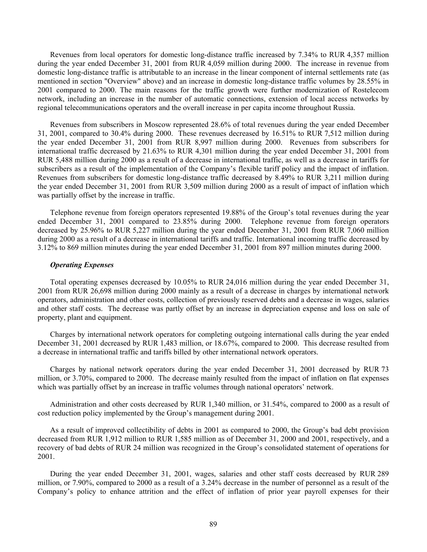Revenues from local operators for domestic long-distance traffic increased by 7.34% to RUR 4,357 million during the year ended December 31, 2001 from RUR 4,059 million during 2000. The increase in revenue from domestic long-distance traffic is attributable to an increase in the linear component of internal settlements rate (as mentioned in section "Overview" above) and an increase in domestic long-distance traffic volumes by 28.55% in 2001 compared to 2000. The main reasons for the traffic growth were further modernization of Rostelecom network, including an increase in the number of automatic connections, extension of local access networks by regional telecommunications operators and the overall increase in per capita income throughout Russia.

Revenues from subscribers in Moscow represented 28.6% of total revenues during the year ended December 31, 2001, compared to 30.4% during 2000. These revenues decreased by 16.51% to RUR 7,512 million during the year ended December 31, 2001 from RUR 8,997 million during 2000. Revenues from subscribers for international traffic decreased by 21.63% to RUR 4,301 million during the year ended December 31, 2001 from RUR 5,488 million during 2000 as a result of a decrease in international traffic, as well as a decrease in tariffs for subscribers as a result of the implementation of the Company's flexible tariff policy and the impact of inflation. Revenues from subscribers for domestic long-distance traffic decreased by 8.49% to RUR 3,211 million during the year ended December 31, 2001 from RUR 3,509 million during 2000 as a result of impact of inflation which was partially offset by the increase in traffic.

Telephone revenue from foreign operators represented 19.88% of the Group's total revenues during the year ended December 31, 2001 compared to 23.85% during 2000. Telephone revenue from foreign operators decreased by 25.96% to RUR 5,227 million during the year ended December 31, 2001 from RUR 7,060 million during 2000 as a result of a decrease in international tariffs and traffic. International incoming traffic decreased by 3.12% to 869 million minutes during the year ended December 31, 2001 from 897 million minutes during 2000.

#### *Operating Expenses*

Total operating expenses decreased by 10.05% to RUR 24,016 million during the year ended December 31, 2001 from RUR 26,698 million during 2000 mainly as a result of a decrease in charges by international network operators, administration and other costs, collection of previously reserved debts and a decrease in wages, salaries and other staff costs. The decrease was partly offset by an increase in depreciation expense and loss on sale of property, plant and equipment.

Charges by international network operators for completing outgoing international calls during the year ended December 31, 2001 decreased by RUR 1,483 million, or 18.67%, compared to 2000. This decrease resulted from a decrease in international traffic and tariffs billed by other international network operators.

Charges by national network operators during the year ended December 31, 2001 decreased by RUR 73 million, or 3.70%, compared to 2000. The decrease mainly resulted from the impact of inflation on flat expenses which was partially offset by an increase in traffic volumes through national operators' network.

Administration and other costs decreased by RUR 1,340 million, or 31.54%, compared to 2000 as a result of cost reduction policy implemented by the Group's management during 2001.

As a result of improved collectibility of debts in 2001 as compared to 2000, the Group's bad debt provision decreased from RUR 1,912 million to RUR 1,585 million as of December 31, 2000 and 2001, respectively, and a recovery of bad debts of RUR 24 million was recognized in the Group's consolidated statement of operations for 2001.

During the year ended December 31, 2001, wages, salaries and other staff costs decreased by RUR 289 million, or 7.90%, compared to 2000 as a result of a 3.24% decrease in the number of personnel as a result of the Company's policy to enhance attrition and the effect of inflation of prior year payroll expenses for their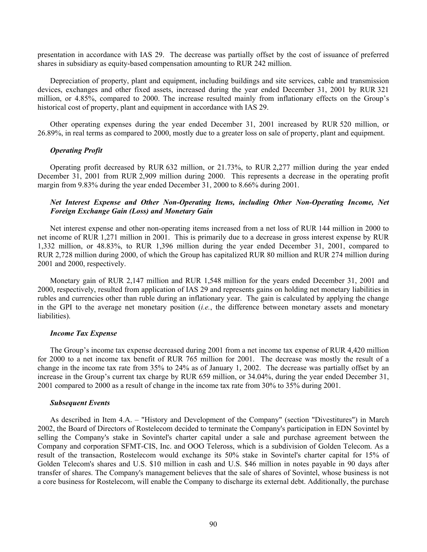presentation in accordance with IAS 29. The decrease was partially offset by the cost of issuance of preferred shares in subsidiary as equity-based compensation amounting to RUR 242 million.

Depreciation of property, plant and equipment, including buildings and site services, cable and transmission devices, exchanges and other fixed assets, increased during the year ended December 31, 2001 by RUR 321 million, or 4.85%, compared to 2000. The increase resulted mainly from inflationary effects on the Group's historical cost of property, plant and equipment in accordance with IAS 29.

Other operating expenses during the year ended December 31, 2001 increased by RUR 520 million, or 26.89%, in real terms as compared to 2000, mostly due to a greater loss on sale of property, plant and equipment.

#### *Operating Profit*

Operating profit decreased by RUR 632 million, or 21.73%, to RUR 2,277 million during the year ended December 31, 2001 from RUR 2,909 million during 2000. This represents a decrease in the operating profit margin from 9.83% during the year ended December 31, 2000 to 8.66% during 2001.

## *Net Interest Expense and Other Non-Operating Items, including Other Non-Operating Income, Net Foreign Exchange Gain (Loss) and Monetary Gain*

Net interest expense and other non-operating items increased from a net loss of RUR 144 million in 2000 to net income of RUR 1,271 million in 2001. This is primarily due to a decrease in gross interest expense by RUR 1,332 million, or 48.83%, to RUR 1,396 million during the year ended December 31, 2001, compared to RUR 2,728 million during 2000, of which the Group has capitalized RUR 80 million and RUR 274 million during 2001 and 2000, respectively.

Monetary gain of RUR 2,147 million and RUR 1,548 million for the years ended December 31, 2001 and 2000, respectively, resulted from application of IAS 29 and represents gains on holding net monetary liabilities in rubles and currencies other than ruble during an inflationary year. The gain is calculated by applying the change in the GPI to the average net monetary position (*i.e.*, the difference between monetary assets and monetary liabilities).

#### *Income Tax Expense*

The Group's income tax expense decreased during 2001 from a net income tax expense of RUR 4,420 million for 2000 to a net income tax benefit of RUR 765 million for 2001. The decrease was mostly the result of a change in the income tax rate from 35% to 24% as of January 1, 2002. The decrease was partially offset by an increase in the Group's current tax charge by RUR 659 million, or 34.04%, during the year ended December 31, 2001 compared to 2000 as a result of change in the income tax rate from 30% to 35% during 2001.

#### *Subsequent Events*

As described in Item 4.A. – "History and Development of the Company" (section "Divestitures") in March 2002, the Board of Directors of Rostelecom decided to terminate the Company's participation in EDN Sovintel by selling the Company's stake in Sovintel's charter capital under a sale and purchase agreement between the Company and corporation SFMT-CIS, Inc. and OOO Teleross, which is a subdivision of Golden Telecom. As a result of the transaction, Rostelecom would exchange its 50% stake in Sovintel's charter capital for 15% of Golden Telecom's shares and U.S. \$10 million in cash and U.S. \$46 million in notes payable in 90 days after transfer of shares. The Company's management believes that the sale of shares of Sovintel, whose business is not a core business for Rostelecom, will enable the Company to discharge its external debt. Additionally, the purchase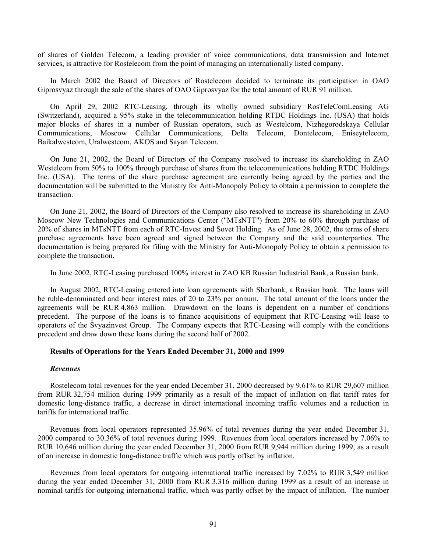of shares of Golden Telecom, a leading provider of voice communications, data transmission and Internet services, is attractive for Rostelecom from the point of managing an internationally listed company.

In March 2002 the Board of Directors of Rostelecom decided to terminate its participation in OAO Giprosvyaz through the sale of the shares of OAO Giprosvyaz for the total amount of RUR 91 million.

On April 29, 2002 RTC-Leasing, through its wholly owned subsidiary RosTeleComLeasing AG (Switzerland), acquired a 95% stake in the telecommunication holding RTDC Holdings Inc. (USA) that holds major blocks of shares in a number of Russian operators, such as Westelcom, Nizhegorodskaya Cellular Communications, Moscow Cellular Communications, Delta Telecom, Dontelecom, Eniseytelecom, Baikalwestcom, Uralwestcom, AKOS and Sayan Telecom.

On June 21, 2002, the Board of Directors of the Company resolved to increase its shareholding in ZAO Westelcom from 50% to 100% through purchase of shares from the telecommunications holding RTDC Holdings Inc. (USA). The terms of the share purchase agreement are currently being agreed by the parties and the documentation will be submitted to the Ministry for Anti-Monopoly Policy to obtain a permission to complete the transaction.

On June 21, 2002, the Board of Directors of the Company also resolved to increase its shareholding in ZAO Moscow New Technologies and Communications Center ("MTsNTT") from 20% to 60% through purchase of 20% of shares in MTsNTT from each of RTC-Invest and Sovet Holding. As of June 28, 2002, the terms of share purchase agreements have been agreed and signed between the Company and the said counterparties. The documentation is being prepared for filing with the Ministry for Anti-Monopoly Policy to obtain a permission to complete the transaction.

In June 2002, RTC-Leasing purchased 100% interest in ZAO KB Russian Industrial Bank, a Russian bank.

In August 2002, RTC-Leasing entered into loan agreements with Sberbank, a Russian bank. The loans will be ruble-denominated and bear interest rates of 20 to 23% per annum. The total amount of the loans under the agreements will be RUR 4,863 million. Drawdown on the loans is dependent on a number of conditions precedent. The purpose of the loans is to finance acquisitions of equipment that RTC-Leasing will lease to operators of the Svyazinvest Group. The Company expects that RTC-Leasing will comply with the conditions precedent and draw down these loans during the second half of 2002.

#### **Results of Operations for the Years Ended December 31, 2000 and 1999**

#### *Revenues*

Rostelecom total revenues for the year ended December 31, 2000 decreased by 9.61% to RUR 29,607 million from RUR 32,754 million during 1999 primarily as a result of the impact of inflation on flat tariff rates for domestic long-distance traffic, a decrease in direct international incoming traffic volumes and a reduction in tariffs for international traffic.

Revenues from local operators represented 35.96% of total revenues during the year ended December 31, 2000 compared to 30.36% of total revenues during 1999. Revenues from local operators increased by 7.06% to RUR 10,646 million during the year ended December 31, 2000 from RUR 9,944 million during 1999, as a result of an increase in domestic long-distance traffic which was partly offset by inflation.

Revenues from local operators for outgoing international traffic increased by 7.02% to RUR 3,549 million during the year ended December 31, 2000 from RUR 3,316 million during 1999 as a result of an increase in nominal tariffs for outgoing international traffic, which was partly offset by the impact of inflation. The number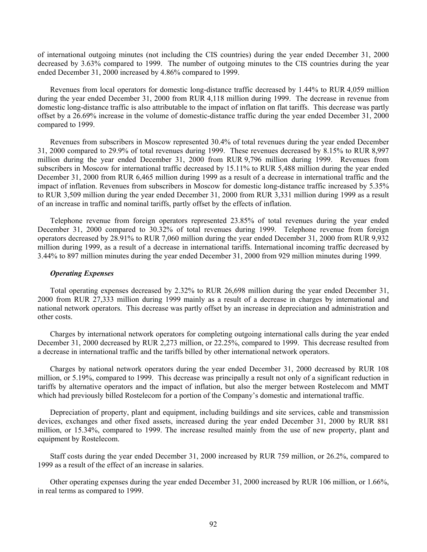of international outgoing minutes (not including the CIS countries) during the year ended December 31, 2000 decreased by 3.63% compared to 1999. The number of outgoing minutes to the CIS countries during the year ended December 31, 2000 increased by 4.86% compared to 1999.

Revenues from local operators for domestic long-distance traffic decreased by 1.44% to RUR 4,059 million during the year ended December 31, 2000 from RUR 4,118 million during 1999. The decrease in revenue from domestic long-distance traffic is also attributable to the impact of inflation on flat tariffs. This decrease was partly offset by a 26.69% increase in the volume of domestic-distance traffic during the year ended December 31, 2000 compared to 1999.

Revenues from subscribers in Moscow represented 30.4% of total revenues during the year ended December 31, 2000 compared to 29.9% of total revenues during 1999. These revenues decreased by 8.15% to RUR 8,997 million during the year ended December 31, 2000 from RUR 9,796 million during 1999. Revenues from subscribers in Moscow for international traffic decreased by 15.11% to RUR 5,488 million during the year ended December 31, 2000 from RUR 6,465 million during 1999 as a result of a decrease in international traffic and the impact of inflation. Revenues from subscribers in Moscow for domestic long-distance traffic increased by 5.35% to RUR 3,509 million during the year ended December 31, 2000 from RUR 3,331 million during 1999 as a result of an increase in traffic and nominal tariffs, partly offset by the effects of inflation.

Telephone revenue from foreign operators represented 23.85% of total revenues during the year ended December 31, 2000 compared to 30.32% of total revenues during 1999. Telephone revenue from foreign operators decreased by 28.91% to RUR 7,060 million during the year ended December 31, 2000 from RUR 9,932 million during 1999, as a result of a decrease in international tariffs. International incoming traffic decreased by 3.44% to 897 million minutes during the year ended December 31, 2000 from 929 million minutes during 1999.

#### *Operating Expenses*

Total operating expenses decreased by 2.32% to RUR 26,698 million during the year ended December 31, 2000 from RUR 27,333 million during 1999 mainly as a result of a decrease in charges by international and national network operators. This decrease was partly offset by an increase in depreciation and administration and other costs.

Charges by international network operators for completing outgoing international calls during the year ended December 31, 2000 decreased by RUR 2,273 million, or 22.25%, compared to 1999. This decrease resulted from a decrease in international traffic and the tariffs billed by other international network operators.

Charges by national network operators during the year ended December 31, 2000 decreased by RUR 108 million, or 5.19%, compared to 1999. This decrease was principally a result not only of a significant reduction in tariffs by alternative operators and the impact of inflation, but also the merger between Rostelecom and MMT which had previously billed Rostelecom for a portion of the Company's domestic and international traffic.

Depreciation of property, plant and equipment, including buildings and site services, cable and transmission devices, exchanges and other fixed assets, increased during the year ended December 31, 2000 by RUR 881 million, or 15.34%, compared to 1999. The increase resulted mainly from the use of new property, plant and equipment by Rostelecom.

Staff costs during the year ended December 31, 2000 increased by RUR 759 million, or 26.2%, compared to 1999 as a result of the effect of an increase in salaries.

Other operating expenses during the year ended December 31, 2000 increased by RUR 106 million, or 1.66%, in real terms as compared to 1999.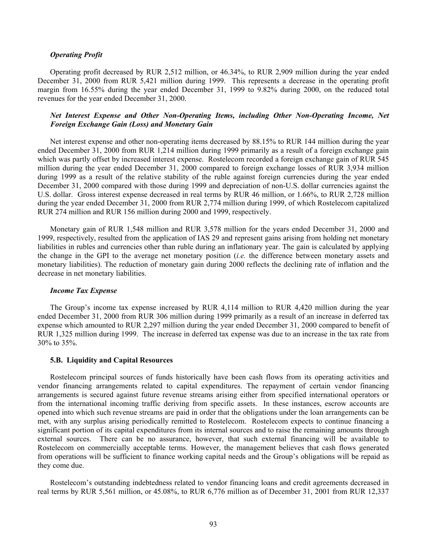#### *Operating Profit*

Operating profit decreased by RUR 2,512 million, or 46.34%, to RUR 2,909 million during the year ended December 31, 2000 from RUR 5,421 million during 1999. This represents a decrease in the operating profit margin from 16.55% during the year ended December 31, 1999 to 9.82% during 2000, on the reduced total revenues for the year ended December 31, 2000.

# *Net Interest Expense and Other Non-Operating Items, including Other Non-Operating Income, Net Foreign Exchange Gain (Loss) and Monetary Gain*

Net interest expense and other non-operating items decreased by 88.15% to RUR 144 million during the year ended December 31, 2000 from RUR 1,214 million during 1999 primarily as a result of a foreign exchange gain which was partly offset by increased interest expense. Rostelecom recorded a foreign exchange gain of RUR 545 million during the year ended December 31, 2000 compared to foreign exchange losses of RUR 3,934 million during 1999 as a result of the relative stability of the ruble against foreign currencies during the year ended December 31, 2000 compared with those during 1999 and depreciation of non-U.S. dollar currencies against the U.S. dollar. Gross interest expense decreased in real terms by RUR 46 million, or 1.66%, to RUR 2,728 million during the year ended December 31, 2000 from RUR 2,774 million during 1999, of which Rostelecom capitalized RUR 274 million and RUR 156 million during 2000 and 1999, respectively.

Monetary gain of RUR 1,548 million and RUR 3,578 million for the years ended December 31, 2000 and 1999, respectively, resulted from the application of IAS 29 and represent gains arising from holding net monetary liabilities in rubles and currencies other than ruble during an inflationary year. The gain is calculated by applying the change in the GPI to the average net monetary position (*i.e.* the difference between monetary assets and monetary liabilities). The reduction of monetary gain during 2000 reflects the declining rate of inflation and the decrease in net monetary liabilities.

#### *Income Tax Expense*

The Group's income tax expense increased by RUR 4,114 million to RUR 4,420 million during the year ended December 31, 2000 from RUR 306 million during 1999 primarily as a result of an increase in deferred tax expense which amounted to RUR 2,297 million during the year ended December 31, 2000 compared to benefit of RUR 1,325 million during 1999. The increase in deferred tax expense was due to an increase in the tax rate from 30% to 35%.

#### **5.B. Liquidity and Capital Resources**

Rostelecom principal sources of funds historically have been cash flows from its operating activities and vendor financing arrangements related to capital expenditures. The repayment of certain vendor financing arrangements is secured against future revenue streams arising either from specified international operators or from the international incoming traffic deriving from specific assets. In these instances, escrow accounts are opened into which such revenue streams are paid in order that the obligations under the loan arrangements can be met, with any surplus arising periodically remitted to Rostelecom. Rostelecom expects to continue financing a significant portion of its capital expenditures from its internal sources and to raise the remaining amounts through external sources. There can be no assurance, however, that such external financing will be available to Rostelecom on commercially acceptable terms. However, the management believes that cash flows generated from operations will be sufficient to finance working capital needs and the Group's obligations will be repaid as they come due.

Rostelecom's outstanding indebtedness related to vendor financing loans and credit agreements decreased in real terms by RUR 5,561 million, or 45.08%, to RUR 6,776 million as of December 31, 2001 from RUR 12,337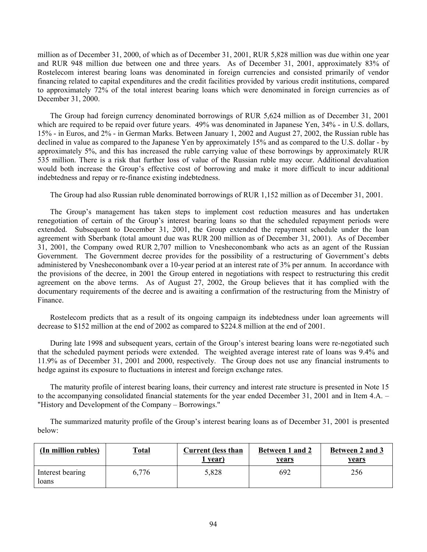million as of December 31, 2000, of which as of December 31, 2001, RUR 5,828 million was due within one year and RUR 948 million due between one and three years. As of December 31, 2001, approximately 83% of Rostelecom interest bearing loans was denominated in foreign currencies and consisted primarily of vendor financing related to capital expenditures and the credit facilities provided by various credit institutions, compared to approximately 72% of the total interest bearing loans which were denominated in foreign currencies as of December 31, 2000.

The Group had foreign currency denominated borrowings of RUR 5,624 million as of December 31, 2001 which are required to be repaid over future years. 49% was denominated in Japanese Yen, 34% - in U.S. dollars, 15% - in Euros, and 2% - in German Marks. Between January 1, 2002 and August 27, 2002, the Russian ruble has declined in value as compared to the Japanese Yen by approximately 15% and as compared to the U.S. dollar - by approximately 5%, and this has increased the ruble carrying value of these borrowings by approximately RUR 535 million. There is a risk that further loss of value of the Russian ruble may occur. Additional devaluation would both increase the Group's effective cost of borrowing and make it more difficult to incur additional indebtedness and repay or re-finance existing indebtedness.

The Group had also Russian ruble denominated borrowings of RUR 1,152 million as of December 31, 2001.

The Group's management has taken steps to implement cost reduction measures and has undertaken renegotiation of certain of the Group's interest bearing loans so that the scheduled repayment periods were extended. Subsequent to December 31, 2001, the Group extended the repayment schedule under the loan agreement with Sberbank (total amount due was RUR 200 million as of December 31, 2001). As of December 31, 2001, the Company owed RUR 2,707 million to Vnesheconombank who acts as an agent of the Russian Government. The Government decree provides for the possibility of a restructuring of Government's debts administered by Vnesheconombank over a 10-year period at an interest rate of 3% per annum. In accordance with the provisions of the decree, in 2001 the Group entered in negotiations with respect to restructuring this credit agreement on the above terms. As of August 27, 2002, the Group believes that it has complied with the documentary requirements of the decree and is awaiting a confirmation of the restructuring from the Ministry of Finance.

Rostelecom predicts that as a result of its ongoing campaign its indebtedness under loan agreements will decrease to \$152 million at the end of 2002 as compared to \$224.8 million at the end of 2001.

During late 1998 and subsequent years, certain of the Group's interest bearing loans were re-negotiated such that the scheduled payment periods were extended. The weighted average interest rate of loans was 9.4% and 11.9% as of December 31, 2001 and 2000, respectively. The Group does not use any financial instruments to hedge against its exposure to fluctuations in interest and foreign exchange rates.

The maturity profile of interest bearing loans, their currency and interest rate structure is presented in Note 15 to the accompanying consolidated financial statements for the year ended December 31, 2001 and in Item 4.A. – "History and Development of the Company – Borrowings."

The summarized maturity profile of the Group's interest bearing loans as of December 31, 2001 is presented below:

| (In million rubles)       | T <u>otal</u> | Current (less than<br>year) | Between 1 and 2<br><u>years</u> | Between 2 and 3<br><u>years</u> |
|---------------------------|---------------|-----------------------------|---------------------------------|---------------------------------|
| Interest bearing<br>loans | 6.776         | 5,828                       | 692                             | 256                             |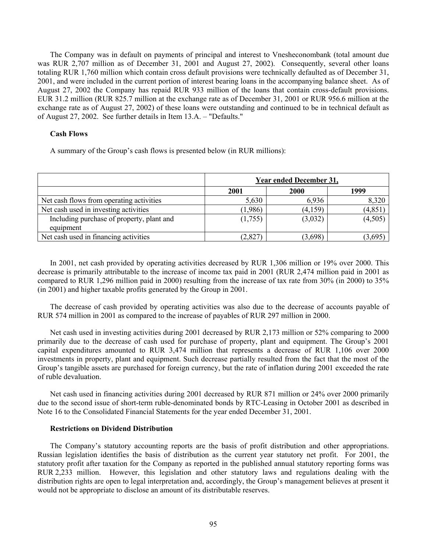The Company was in default on payments of principal and interest to Vnesheconombank (total amount due was RUR 2,707 million as of December 31, 2001 and August 27, 2002). Consequently, several other loans totaling RUR 1,760 million which contain cross default provisions were technically defaulted as of December 31, 2001, and were included in the current portion of interest bearing loans in the accompanying balance sheet. As of August 27, 2002 the Company has repaid RUR 933 million of the loans that contain cross-default provisions. EUR 31.2 million (RUR 825.7 million at the exchange rate as of December 31, 2001 or RUR 956.6 million at the exchange rate as of August 27, 2002) of these loans were outstanding and continued to be in technical default as of August 27, 2002. See further details in Item 13.A. – "Defaults."

# **Cash Flows**

A summary of the Group's cash flows is presented below (in RUR millions):

|                                                        | <b>Year ended December 31,</b> |         |          |  |
|--------------------------------------------------------|--------------------------------|---------|----------|--|
|                                                        | 2001                           | 2000    | 1999     |  |
| Net cash flows from operating activities               | 5,630                          | 6,936   | 8,320    |  |
| Net cash used in investing activities                  | (1,986)                        | (4,159) | (4, 851) |  |
| Including purchase of property, plant and<br>equipment | (1,755)                        | (3,032) | (4,505)  |  |
| Net cash used in financing activities                  | (2,827)                        | (3,698) | 3,695    |  |

In 2001, net cash provided by operating activities decreased by RUR 1,306 million or 19% over 2000. This decrease is primarily attributable to the increase of income tax paid in 2001 (RUR 2,474 million paid in 2001 as compared to RUR 1,296 million paid in 2000) resulting from the increase of tax rate from 30% (in 2000) to 35% (in 2001) and higher taxable profits generated by the Group in 2001.

The decrease of cash provided by operating activities was also due to the decrease of accounts payable of RUR 574 million in 2001 as compared to the increase of payables of RUR 297 million in 2000.

Net cash used in investing activities during 2001 decreased by RUR 2,173 million or 52% comparing to 2000 primarily due to the decrease of cash used for purchase of property, plant and equipment. The Group's 2001 capital expenditures amounted to RUR 3,474 million that represents a decrease of RUR 1,106 over 2000 investments in property, plant and equipment. Such decrease partially resulted from the fact that the most of the Group's tangible assets are purchased for foreign currency, but the rate of inflation during 2001 exceeded the rate of ruble devaluation.

Net cash used in financing activities during 2001 decreased by RUR 871 million or 24% over 2000 primarily due to the second issue of short-term ruble-denominated bonds by RTC-Leasing in October 2001 as described in Note 16 to the Consolidated Financial Statements for the year ended December 31, 2001.

### **Restrictions on Dividend Distribution**

The Company's statutory accounting reports are the basis of profit distribution and other appropriations. Russian legislation identifies the basis of distribution as the current year statutory net profit. For 2001, the statutory profit after taxation for the Company as reported in the published annual statutory reporting forms was RUR 2,233 million. However, this legislation and other statutory laws and regulations dealing with the distribution rights are open to legal interpretation and, accordingly, the Group's management believes at present it would not be appropriate to disclose an amount of its distributable reserves.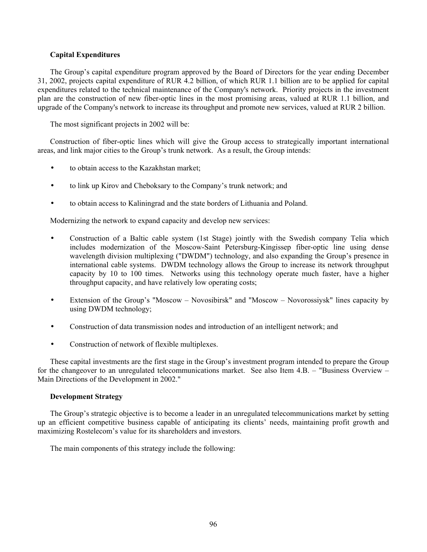# **Capital Expenditures**

The Group's capital expenditure program approved by the Board of Directors for the year ending December 31, 2002, projects capital expenditure of RUR 4.2 billion, of which RUR 1.1 billion are to be applied for capital expenditures related to the technical maintenance of the Company's network. Priority projects in the investment plan are the construction of new fiber-optic lines in the most promising areas, valued at RUR 1.1 billion, and upgrade of the Company's network to increase its throughput and promote new services, valued at RUR 2 billion.

The most significant projects in 2002 will be:

Construction of fiber-optic lines which will give the Group access to strategically important international areas, and link major cities to the Group's trunk network. As a result, the Group intends:

- to obtain access to the Kazakhstan market;
- to link up Kirov and Cheboksary to the Company's trunk network; and
- to obtain access to Kaliningrad and the state borders of Lithuania and Poland.

Modernizing the network to expand capacity and develop new services:

- Construction of a Baltic cable system (1st Stage) jointly with the Swedish company Telia which includes modernization of the Moscow-Saint Petersburg-Kingissep fiber-optic line using dense wavelength division multiplexing ("DWDM") technology, and also expanding the Group's presence in international cable systems. DWDM technology allows the Group to increase its network throughput capacity by 10 to 100 times. Networks using this technology operate much faster, have a higher throughput capacity, and have relatively low operating costs;
- Extension of the Group's "Moscow Novosibirsk" and "Moscow Novorossiysk" lines capacity by using DWDM technology;
- Construction of data transmission nodes and introduction of an intelligent network; and
- Construction of network of flexible multiplexes.

These capital investments are the first stage in the Group's investment program intended to prepare the Group for the changeover to an unregulated telecommunications market. See also Item 4.B. – "Business Overview – Main Directions of the Development in 2002."

# **Development Strategy**

The Group's strategic objective is to become a leader in an unregulated telecommunications market by setting up an efficient competitive business capable of anticipating its clients' needs, maintaining profit growth and maximizing Rostelecom's value for its shareholders and investors.

The main components of this strategy include the following: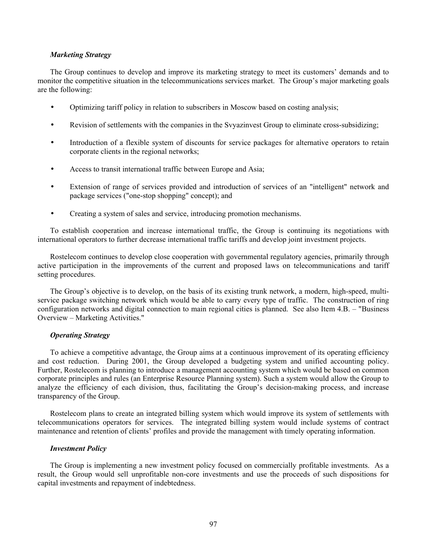### *Marketing Strategy*

The Group continues to develop and improve its marketing strategy to meet its customers' demands and to monitor the competitive situation in the telecommunications services market. The Group's major marketing goals are the following:

- Optimizing tariff policy in relation to subscribers in Moscow based on costing analysis;
- Revision of settlements with the companies in the Svyazinvest Group to eliminate cross-subsidizing;
- Introduction of a flexible system of discounts for service packages for alternative operators to retain corporate clients in the regional networks;
- Access to transit international traffic between Europe and Asia;
- Extension of range of services provided and introduction of services of an "intelligent" network and package services ("one-stop shopping" concept); and
- Creating a system of sales and service, introducing promotion mechanisms.

To establish cooperation and increase international traffic, the Group is continuing its negotiations with international operators to further decrease international traffic tariffs and develop joint investment projects.

Rostelecom continues to develop close cooperation with governmental regulatory agencies, primarily through active participation in the improvements of the current and proposed laws on telecommunications and tariff setting procedures.

The Group's objective is to develop, on the basis of its existing trunk network, a modern, high-speed, multiservice package switching network which would be able to carry every type of traffic. The construction of ring configuration networks and digital connection to main regional cities is planned. See also Item 4.B. – "Business Overview – Marketing Activities."

#### *Operating Strategy*

To achieve a competitive advantage, the Group aims at a continuous improvement of its operating efficiency and cost reduction. During 2001, the Group developed a budgeting system and unified accounting policy. Further, Rostelecom is planning to introduce a management accounting system which would be based on common corporate principles and rules (an Enterprise Resource Planning system). Such a system would allow the Group to analyze the efficiency of each division, thus, facilitating the Group's decision-making process, and increase transparency of the Group.

Rostelecom plans to create an integrated billing system which would improve its system of settlements with telecommunications operators for services. The integrated billing system would include systems of contract maintenance and retention of clients' profiles and provide the management with timely operating information.

### *Investment Policy*

The Group is implementing a new investment policy focused on commercially profitable investments. As a result, the Group would sell unprofitable non-core investments and use the proceeds of such dispositions for capital investments and repayment of indebtedness.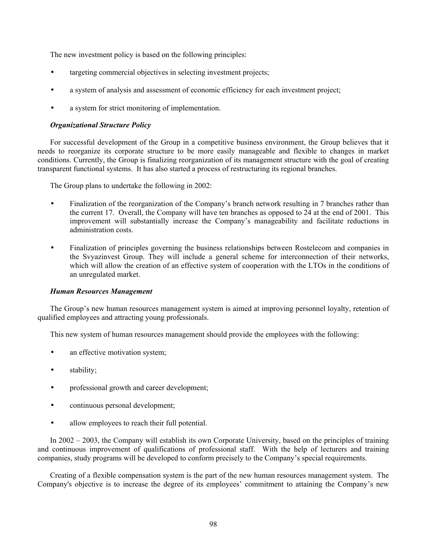The new investment policy is based on the following principles:

- targeting commercial objectives in selecting investment projects;
- a system of analysis and assessment of economic efficiency for each investment project;
- a system for strict monitoring of implementation.

# *Organizational Structure Policy*

For successful development of the Group in a competitive business environment, the Group believes that it needs to reorganize its corporate structure to be more easily manageable and flexible to changes in market conditions. Currently, the Group is finalizing reorganization of its management structure with the goal of creating transparent functional systems. It has also started a process of restructuring its regional branches.

The Group plans to undertake the following in 2002:

- Finalization of the reorganization of the Company's branch network resulting in 7 branches rather than the current 17. Overall, the Company will have ten branches as opposed to 24 at the end of 2001. This improvement will substantially increase the Company's manageability and facilitate reductions in administration costs.
- Finalization of principles governing the business relationships between Rostelecom and companies in the Svyazinvest Group. They will include a general scheme for interconnection of their networks, which will allow the creation of an effective system of cooperation with the LTOs in the conditions of an unregulated market.

# *Human Resources Management*

The Group's new human resources management system is aimed at improving personnel loyalty, retention of qualified employees and attracting young professionals.

This new system of human resources management should provide the employees with the following:

- an effective motivation system;
- stability;
- professional growth and career development;
- continuous personal development;
- allow employees to reach their full potential.

In 2002 – 2003, the Company will establish its own Corporate University, based on the principles of training and continuous improvement of qualifications of professional staff. With the help of lecturers and training companies, study programs will be developed to conform precisely to the Company's special requirements.

Creating of a flexible compensation system is the part of the new human resources management system. The Company's objective is to increase the degree of its employees' commitment to attaining the Company's new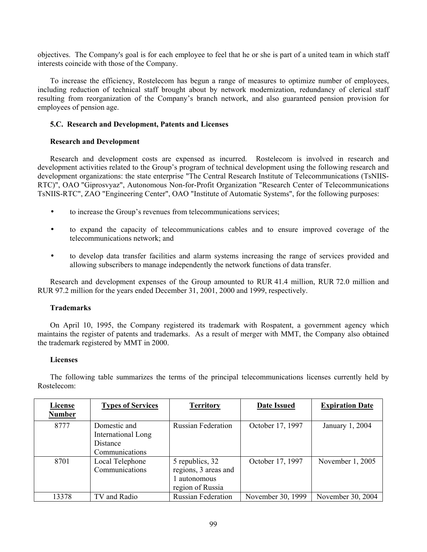objectives. The Company's goal is for each employee to feel that he or she is part of a united team in which staff interests coincide with those of the Company.

To increase the efficiency, Rostelecom has begun a range of measures to optimize number of employees, including reduction of technical staff brought about by network modernization, redundancy of clerical staff resulting from reorganization of the Company's branch network, and also guaranteed pension provision for employees of pension age.

# **5.C. Research and Development, Patents and Licenses**

# **Research and Development**

Research and development costs are expensed as incurred. Rostelecom is involved in research and development activities related to the Group's program of technical development using the following research and development organizations: the state enterprise "The Central Research Institute of Telecommunications (TsNIIS-RTC)", OAO "Giprosvyaz", Autonomous Non-for-Profit Organization "Research Center of Telecommunications TsNIIS-RTC", ZAO "Engineering Center", OAO "Institute of Automatic Systems", for the following purposes:

- to increase the Group's revenues from telecommunications services;
- to expand the capacity of telecommunications cables and to ensure improved coverage of the telecommunications network; and
- to develop data transfer facilities and alarm systems increasing the range of services provided and allowing subscribers to manage independently the network functions of data transfer.

Research and development expenses of the Group amounted to RUR 41.4 million, RUR 72.0 million and RUR 97.2 million for the years ended December 31, 2001, 2000 and 1999, respectively.

# **Trademarks**

On April 10, 1995, the Company registered its trademark with Rospatent, a government agency which maintains the register of patents and trademarks. As a result of merger with MMT, the Company also obtained the trademark registered by MMT in 2000.

# **Licenses**

The following table summarizes the terms of the principal telecommunications licenses currently held by Rostelecom:

| License       | <b>Types of Services</b> | <b>Territory</b>          | <b>Date Issued</b> | <b>Expiration Date</b> |
|---------------|--------------------------|---------------------------|--------------------|------------------------|
| <b>Number</b> |                          |                           |                    |                        |
| 8777          | Domestic and             | <b>Russian Federation</b> | October 17, 1997   | January 1, 2004        |
|               | International Long       |                           |                    |                        |
|               | Distance                 |                           |                    |                        |
|               | Communications           |                           |                    |                        |
| 8701          | Local Telephone          | 5 republics, 32           | October 17, 1997   | November 1, 2005       |
|               | Communications           | regions, 3 areas and      |                    |                        |
|               |                          | 1 autonomous              |                    |                        |
|               |                          | region of Russia          |                    |                        |
| 13378         | TV and Radio             | <b>Russian Federation</b> | November 30, 1999  | November 30, 2004      |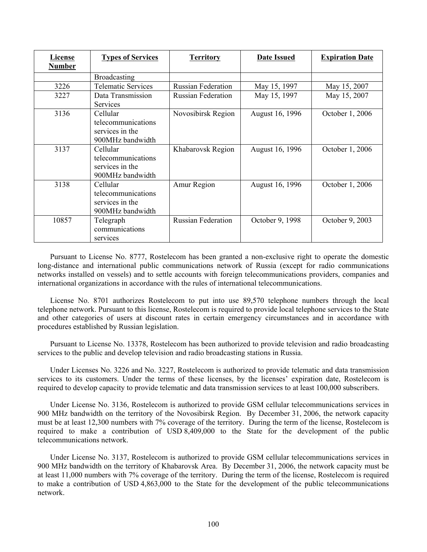| License<br><b>Number</b> | <b>Types of Services</b>                                              | <b>Territory</b>          | <b>Date Issued</b> | <b>Expiration Date</b> |
|--------------------------|-----------------------------------------------------------------------|---------------------------|--------------------|------------------------|
|                          | Broadcasting                                                          |                           |                    |                        |
| 3226                     | <b>Telematic Services</b>                                             | <b>Russian Federation</b> | May 15, 1997       | May 15, 2007           |
| 3227                     | Data Transmission<br><b>Services</b>                                  | <b>Russian Federation</b> | May 15, 1997       | May 15, 2007           |
| 3136                     | Cellular<br>telecommunications<br>services in the<br>900MHz bandwidth | Novosibirsk Region        | August 16, 1996    | October 1, 2006        |
| 3137                     | Cellular<br>telecommunications<br>services in the<br>900MHz bandwidth | Khabarovsk Region         | August 16, 1996    | October 1, 2006        |
| 3138                     | Cellular<br>telecommunications<br>services in the<br>900MHz bandwidth | Amur Region               | August 16, 1996    | October 1, 2006        |
| 10857                    | Telegraph<br>communications<br>services                               | <b>Russian Federation</b> | October 9, 1998    | October 9, 2003        |

Pursuant to License No. 8777, Rostelecom has been granted a non-exclusive right to operate the domestic long-distance and international public communications network of Russia (except for radio communications networks installed on vessels) and to settle accounts with foreign telecommunications providers, companies and international organizations in accordance with the rules of international telecommunications.

License No. 8701 authorizes Rostelecom to put into use 89,570 telephone numbers through the local telephone network. Pursuant to this license, Rostelecom is required to provide local telephone services to the State and other categories of users at discount rates in certain emergency circumstances and in accordance with procedures established by Russian legislation.

Pursuant to License No. 13378, Rostelecom has been authorized to provide television and radio broadcasting services to the public and develop television and radio broadcasting stations in Russia.

Under Licenses No. 3226 and No. 3227, Rostelecom is authorized to provide telematic and data transmission services to its customers. Under the terms of these licenses, by the licenses' expiration date, Rostelecom is required to develop capacity to provide telematic and data transmission services to at least 100,000 subscribers.

Under License No. 3136, Rostelecom is authorized to provide GSM cellular telecommunications services in 900 MHz bandwidth on the territory of the Novosibirsk Region. By December 31, 2006, the network capacity must be at least 12,300 numbers with 7% coverage of the territory. During the term of the license, Rostelecom is required to make a contribution of USD 8,409,000 to the State for the development of the public telecommunications network.

Under License No. 3137, Rostelecom is authorized to provide GSM cellular telecommunications services in 900 MHz bandwidth on the territory of Khabarovsk Area. By December 31, 2006, the network capacity must be at least 11,000 numbers with 7% coverage of the territory. During the term of the license, Rostelecom is required to make a contribution of USD 4,863,000 to the State for the development of the public telecommunications network.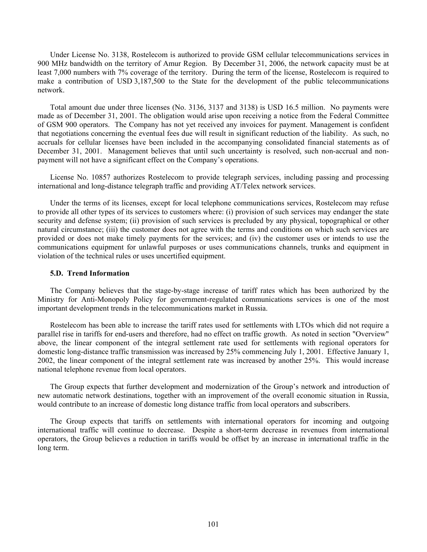Under License No. 3138, Rostelecom is authorized to provide GSM cellular telecommunications services in 900 MHz bandwidth on the territory of Amur Region. By December 31, 2006, the network capacity must be at least 7,000 numbers with 7% coverage of the territory. During the term of the license, Rostelecom is required to make a contribution of USD 3,187,500 to the State for the development of the public telecommunications network.

Total amount due under three licenses (No. 3136, 3137 and 3138) is USD 16.5 million. No payments were made as of December 31, 2001. The obligation would arise upon receiving a notice from the Federal Committee of GSM 900 operators. The Company has not yet received any invoices for payment. Management is confident that negotiations concerning the eventual fees due will result in significant reduction of the liability. As such, no accruals for cellular licenses have been included in the accompanying consolidated financial statements as of December 31, 2001. Management believes that until such uncertainty is resolved, such non-accrual and nonpayment will not have a significant effect on the Company's operations.

License No. 10857 authorizes Rostelecom to provide telegraph services, including passing and processing international and long-distance telegraph traffic and providing AT/Telex network services.

Under the terms of its licenses, except for local telephone communications services, Rostelecom may refuse to provide all other types of its services to customers where: (i) provision of such services may endanger the state security and defense system; (ii) provision of such services is precluded by any physical, topographical or other natural circumstance; (iii) the customer does not agree with the terms and conditions on which such services are provided or does not make timely payments for the services; and (iv) the customer uses or intends to use the communications equipment for unlawful purposes or uses communications channels, trunks and equipment in violation of the technical rules or uses uncertified equipment.

### **5.D. Trend Information**

The Company believes that the stage-by-stage increase of tariff rates which has been authorized by the Ministry for Anti-Monopoly Policy for government-regulated communications services is one of the most important development trends in the telecommunications market in Russia.

Rostelecom has been able to increase the tariff rates used for settlements with LTOs which did not require a parallel rise in tariffs for end-users and therefore, had no effect on traffic growth. As noted in section "Overview" above, the linear component of the integral settlement rate used for settlements with regional operators for domestic long-distance traffic transmission was increased by 25% commencing July 1, 2001. Effective January 1, 2002, the linear component of the integral settlement rate was increased by another 25%. This would increase national telephone revenue from local operators.

The Group expects that further development and modernization of the Group's network and introduction of new automatic network destinations, together with an improvement of the overall economic situation in Russia, would contribute to an increase of domestic long distance traffic from local operators and subscribers.

The Group expects that tariffs on settlements with international operators for incoming and outgoing international traffic will continue to decrease. Despite a short-term decrease in revenues from international operators, the Group believes a reduction in tariffs would be offset by an increase in international traffic in the long term.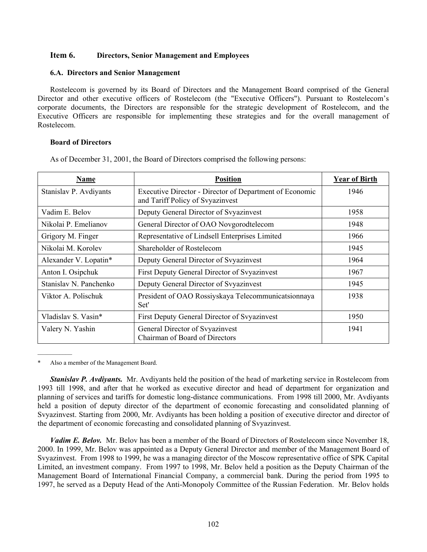# **Item 6. Directors, Senior Management and Employees**

## **6.A. Directors and Senior Management**

Rostelecom is governed by its Board of Directors and the Management Board comprised of the General Director and other executive officers of Rostelecom (the "Executive Officers"). Pursuant to Rostelecom's corporate documents, the Directors are responsible for the strategic development of Rostelecom, and the Executive Officers are responsible for implementing these strategies and for the overall management of Rostelecom.

## **Board of Directors**

As of December 31, 2001, the Board of Directors comprised the following persons:

| Name                   | <b>Position</b>                                                                             | <b>Year of Birth</b> |
|------------------------|---------------------------------------------------------------------------------------------|----------------------|
| Stanislav P. Avdiyants | Executive Director - Director of Department of Economic<br>and Tariff Policy of Svyazinvest | 1946                 |
| Vadim E. Belov         | Deputy General Director of Svyazinvest                                                      | 1958                 |
| Nikolai P. Emelianov   | General Director of OAO Novgorodtelecom                                                     | 1948                 |
| Grigory M. Finger      | Representative of Lindsell Enterprises Limited                                              | 1966                 |
| Nikolai M. Korolev     | Shareholder of Rostelecom                                                                   | 1945                 |
| Alexander V. Lopatin*  | Deputy General Director of Syyazinvest                                                      | 1964                 |
| Anton I. Osipchuk      | First Deputy General Director of Svyazinvest                                                | 1967                 |
| Stanislav N. Panchenko | Deputy General Director of Svyazinvest                                                      | 1945                 |
| Viktor A. Polischuk    | President of OAO Rossiyskaya Telecommunicatsionnaya<br>Set'                                 | 1938                 |
| Vladislav S. Vasin*    | First Deputy General Director of Syyazinvest                                                | 1950                 |
| Valery N. Yashin       | General Director of Svyazinvest<br>Chairman of Board of Directors                           | 1941                 |

Also a member of the Management Board.

*Stanislav P. Avdiyants.* Mr. Avdiyants held the position of the head of marketing service in Rostelecom from 1993 till 1998, and after that he worked as executive director and head of department for organization and planning of services and tariffs for domestic long-distance communications. From 1998 till 2000, Mr. Avdiyants held a position of deputy director of the department of economic forecasting and consolidated planning of Svyazinvest. Starting from 2000, Mr. Avdiyants has been holding a position of executive director and director of the department of economic forecasting and consolidated planning of Svyazinvest.

*Vadim E. Belov.* Mr. Belov has been a member of the Board of Directors of Rostelecom since November 18, 2000. In 1999, Mr. Belov was appointed as a Deputy General Director and member of the Management Board of Svyazinvest. From 1998 to 1999, he was a managing director of the Moscow representative office of SPK Capital Limited, an investment company. From 1997 to 1998, Mr. Belov held a position as the Deputy Chairman of the Management Board of International Financial Company, a commercial bank. During the period from 1995 to 1997, he served as a Deputy Head of the Anti-Monopoly Committee of the Russian Federation. Mr. Belov holds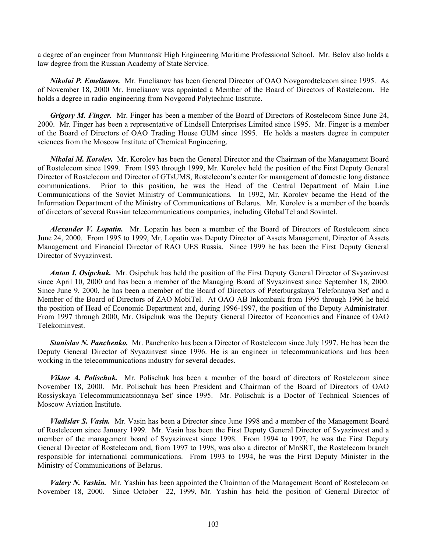a degree of an engineer from Murmansk High Engineering Maritime Professional School. Mr. Belov also holds a law degree from the Russian Academy of State Service.

*Nikolai P. Emelianov.*Mr. Emelianov has been General Director of OAO Novgorodtelecom since 1995. As of November 18, 2000 Mr. Emelianov was appointed a Member of the Board of Directors of Rostelecom. He holds a degree in radio engineering from Novgorod Polytechnic Institute.

*Grigory M. Finger.*Mr. Finger has been a member of the Board of Directors of Rostelecom Since June 24, 2000. Mr. Finger has been a representative of Lindsell Enterprises Limited since 1995. Mr. Finger is a member of the Board of Directors of OAO Trading House GUM since 1995. He holds a masters degree in computer sciences from the Moscow Institute of Chemical Engineering.

*Nikolai M. Korolev.*Mr. Korolev has been the General Director and the Chairman of the Management Board of Rostelecom since 1999. From 1993 through 1999, Mr. Korolev held the position of the First Deputy General Director of Rostelecom and Director of GTsUMS, Rostelecom's center for management of domestic long distance communications. Prior to this position, he was the Head of the Central Department of Main Line Communications of the Soviet Ministry of Communications. In 1992, Mr. Korolev became the Head of the Information Department of the Ministry of Communications of Belarus. Mr. Korolev is a member of the boards of directors of several Russian telecommunications companies, including GlobalTel and Sovintel.

*Alexander V. Lopatin.* Mr. Lopatin has been a member of the Board of Directors of Rostelecom since June 24, 2000. From 1995 to 1999, Mr. Lopatin was Deputy Director of Assets Management, Director of Assets Management and Financial Director of RAO UES Russia. Since 1999 he has been the First Deputy General Director of Svyazinvest.

*Anton I. Osipchuk.*Mr. Osipchuk has held the position of the First Deputy General Director of Svyazinvest since April 10, 2000 and has been a member of the Managing Board of Svyazinvest since September 18, 2000. Since June 9, 2000, he has been a member of the Board of Directors of Peterburgskaya Telefonnaya Set' and a Member of the Board of Directors of ZAO MobiTel. At OAO AB Inkombank from 1995 through 1996 he held the position of Head of Economic Department and, during 1996-1997, the position of the Deputy Administrator. From 1997 through 2000, Mr. Osipchuk was the Deputy General Director of Economics and Finance of OAO Telekominvest.

*Stanislav N. Panchenko.* Mr. Panchenko has been a Director of Rostelecom since July 1997. He has been the Deputy General Director of Svyazinvest since 1996. He is an engineer in telecommunications and has been working in the telecommunications industry for several decades.

*Viktor A. Polischuk.*Mr. Polischuk has been a member of the board of directors of Rostelecom since November 18, 2000. Mr. Polischuk has been President and Chairman of the Board of Directors of OAO Rossiyskaya Telecommunicatsionnaya Set' since 1995. Mr. Polischuk is a Doctor of Technical Sciences of Moscow Aviation Institute.

*Vladislav S. Vasin.* Mr. Vasin has been a Director since June 1998 and a member of the Management Board of Rostelecom since January 1999. Mr. Vasin has been the First Deputy General Director of Svyazinvest and a member of the management board of Svyazinvest since 1998. From 1994 to 1997, he was the First Deputy General Director of Rostelecom and, from 1997 to 1998, was also a director of MnSRT, the Rostelecom branch responsible for international communications. From 1993 to 1994, he was the First Deputy Minister in the Ministry of Communications of Belarus.

*Valery N. Yashin.*Mr. Yashin has been appointed the Chairman of the Management Board of Rostelecom on November 18, 2000. Since October 22, 1999, Mr. Yashin has held the position of General Director of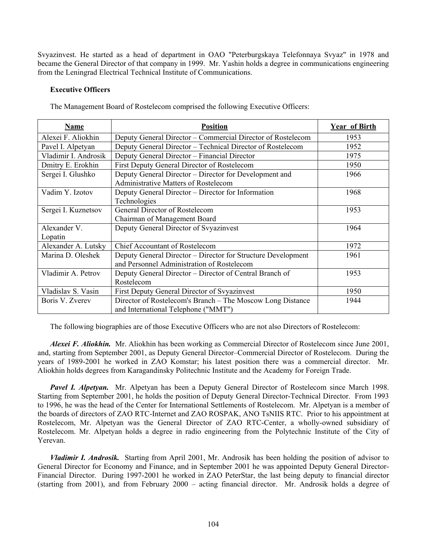Svyazinvest. He started as a head of department in OAO "Peterburgskaya Telefonnaya Svyaz" in 1978 and became the General Director of that company in 1999. Mr. Yashin holds a degree in communications engineering from the Leningrad Electrical Technical Institute of Communications.

## **Executive Officers**

| <b>Name</b>             | <b>Position</b>                                                                                            | <b>Year of Birth</b> |
|-------------------------|------------------------------------------------------------------------------------------------------------|----------------------|
| Alexei F. Aliokhin      | Deputy General Director – Commercial Director of Rostelecom                                                | 1953                 |
| Pavel I. Alpetyan       | Deputy General Director – Technical Director of Rostelecom                                                 | 1952                 |
| Vladimir I. Androsik    | Deputy General Director - Financial Director                                                               | 1975                 |
| Dmitry E. Erokhin       | First Deputy General Director of Rostelecom                                                                | 1950                 |
| Sergei I. Glushko       | Deputy General Director – Director for Development and<br><b>Administrative Matters of Rostelecom</b>      | 1966                 |
| Vadim Y. Izotov         | Deputy General Director – Director for Information<br>Technologies                                         | 1968                 |
| Sergei I. Kuznetsov     | General Director of Rostelecom<br>Chairman of Management Board                                             | 1953                 |
| Alexander V.<br>Lopatin | Deputy General Director of Svyazinvest                                                                     | 1964                 |
| Alexander A. Lutsky     | <b>Chief Accountant of Rostelecom</b>                                                                      | 1972                 |
| Marina D. Oleshek       | Deputy General Director – Director for Structure Development<br>and Personnel Administration of Rostelecom | 1961                 |
| Vladimir A. Petrov      | Deputy General Director – Director of Central Branch of<br>Rostelecom                                      | 1953                 |
| Vladislav S. Vasin      | <b>First Deputy General Director of Syyazinvest</b>                                                        | 1950                 |
| Boris V. Zverev         | Director of Rostelecom's Branch – The Moscow Long Distance<br>and International Telephone ("MMT")          | 1944                 |

The Management Board of Rostelecom comprised the following Executive Officers:

The following biographies are of those Executive Officers who are not also Directors of Rostelecom:

*Alexei F. Aliokhin.* Mr. Aliokhin has been working as Commercial Director of Rostelecom since June 2001, and, starting from September 2001, as Deputy General Director–Commercial Director of Rostelecom. During the years of 1989-2001 he worked in ZAO Komstar; his latest position there was a commercial director. Mr. Aliokhin holds degrees from Karagandinsky Politechnic Institute and the Academy for Foreign Trade.

*Pavel I. Alpetyan.*Mr. Alpetyan has been a Deputy General Director of Rostelecom since March 1998. Starting from September 2001, he holds the position of Deputy General Director-Technical Director. From 1993 to 1996, he was the head of the Center for International Settlements of Rostelecom. Mr. Alpetyan is a member of the boards of directors of ZAO RTC-Internet and ZAO ROSPAK, ANO TsNIIS RTC. Prior to his appointment at Rostelecom, Mr. Alpetyan was the General Director of ZAO RTC-Center, a wholly-owned subsidiary of Rostelecom. Mr. Alpetyan holds a degree in radio engineering from the Polytechnic Institute of the City of Yerevan.

*Vladimir I. Androsik.* Starting from April 2001, Mr. Androsik has been holding the position of advisor to General Director for Economy and Finance, and in September 2001 he was appointed Deputy General Director-Financial Director. During 1997-2001 he worked in ZAO PeterStar, the last being deputy to financial director (starting from 2001), and from February 2000 – acting financial director. Mr. Androsik holds a degree of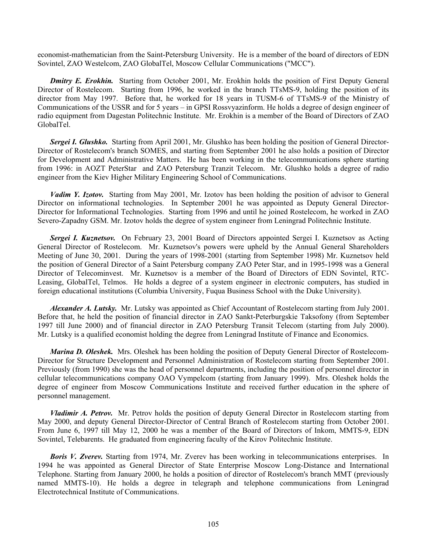economist-mathematician from the Saint-Petersburg University. He is a member of the board of directors of EDN Sovintel, ZAO Westelcom, ZAO GlobalTel, Moscow Cellular Communications ("MCC").

**Dmitry E. Erokhin.** Starting from October 2001, Mr. Erokhin holds the position of First Deputy General Director of Rostelecom. Starting from 1996, he worked in the branch TTsMS-9, holding the position of its director from May 1997. Before that, he worked for 18 years in TUSM-6 of TTsMS-9 of the Ministry of Communications of the USSR and for 5 years – in GPSI Rossvyazinform. He holds a degree of design engineer of radio equipment from Dagestan Politechnic Institute. Mr. Erokhin is a member of the Board of Directors of ZAO GlobalTel.

*Sergei I. Glushko.* Starting from April 2001, Mr. Glushko has been holding the position of General Director-Director of Rostelecom's branch SOMES, and starting from September 2001 he also holds a position of Director for Development and Administrative Matters. He has been working in the telecommunications sphere starting from 1996: in AOZT PeterStar and ZAO Petersburg Tranzit Telecom. Mr. Glushko holds a degree of radio engineer from the Kiev Higher Military Engineering School of Communications.

*Vadim Y. Izotov.* Starting from May 2001, Mr. Izotov has been holding the position of advisor to General Director on informational technologies. In September 2001 he was appointed as Deputy General Director-Director for Informational Technologies. Starting from 1996 and until he joined Rostelecom, he worked in ZAO Severo-Zapadny GSM. Mr. Izotov holds the degree of system engineer from Leningrad Politechnic Institute.

Sergei I. Kuznetsov. On February 23, 2001 Board of Directors appointed Sergei I. Kuznetsov as Acting General Director of Rostelecom. Mr. Kuznetsov's powers were upheld by the Annual General Shareholders Meeting of June 30, 2001. During the years of 1998-2001 (starting from September 1998) Mr. Kuznetsov held the position of General Director of a Saint Petersburg company ZAO Peter Star, and in 1995-1998 was a General Director of Telecominvest. Mr. Kuznetsov is a member of the Board of Directors of EDN Sovintel, RTC-Leasing, GlobalTel, Telmos. He holds a degree of a system engineer in electronic computers, has studied in foreign educational institutions (Columbia University, Fuqua Business School with the Duke University).

*Alexander A. Lutsky.* Mr. Lutsky was appointed as Chief Accountant of Rostelecom starting from July 2001. Before that, he held the position of financial director in ZAO Sankt-Peterburgskie Taksofony (from September 1997 till June 2000) and of financial director in ZAO Petersburg Transit Telecom (starting from July 2000). Mr. Lutsky is a qualified economist holding the degree from Leningrad Institute of Finance and Economics.

*Marina D. Oleshek.* Mrs. Oleshek has been holding the position of Deputy General Director of Rostelecom-Director for Structure Development and Personnel Administration of Rostelecom starting from September 2001. Previously (from 1990) she was the head of personnel departments, including the position of personnel director in cellular telecommunications company OAO Vympelcom (starting from January 1999). Mrs. Oleshek holds the degree of engineer from Moscow Communications Institute and received further education in the sphere of personnel management.

*Vladimir A. Petrov.* Mr. Petrov holds the position of deputy General Director in Rostelecom starting from May 2000, and deputy General Director-Director of Central Branch of Rostelecom starting from October 2001. From June 6, 1997 till May 12, 2000 he was a member of the Board of Directors of Inkom, MMTS-9, EDN Sovintel, Telebarents. He graduated from engineering faculty of the Kirov Politechnic Institute.

**Boris V. Zverev.** Starting from 1974, Mr. Zverev has been working in telecommunications enterprises. In 1994 he was appointed as General Director of State Enterprise Moscow Long-Distance and International Telephone. Starting from January 2000, he holds a position of director of Rostelecom's branch MMT (previously named MMTS-10). He holds a degree in telegraph and telephone communications from Leningrad Electrotechnical Institute of Communications.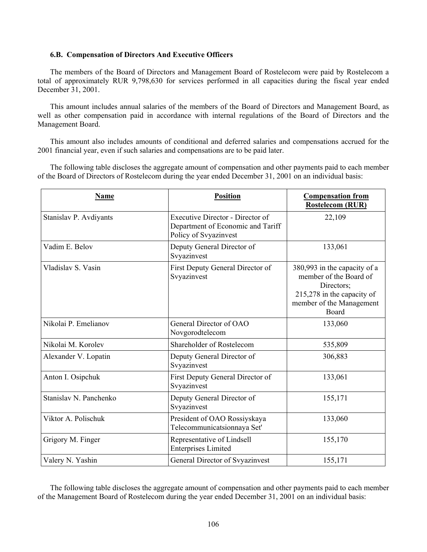### **6.B. Compensation of Directors And Executive Officers**

The members of the Board of Directors and Management Board of Rostelecom were paid by Rostelecom a total of approximately RUR 9,798,630 for services performed in all capacities during the fiscal year ended December 31, 2001.

This amount includes annual salaries of the members of the Board of Directors and Management Board, as well as other compensation paid in accordance with internal regulations of the Board of Directors and the Management Board.

This amount also includes amounts of conditional and deferred salaries and compensations accrued for the 2001 financial year, even if such salaries and compensations are to be paid later.

The following table discloses the aggregate amount of compensation and other payments paid to each member of the Board of Directors of Rostelecom during the year ended December 31, 2001 on an individual basis:

| <b>Name</b>            | <b>Position</b>                                                                                       | <b>Compensation from</b><br><b>Rostelecom (RUR)</b>                                                                                     |
|------------------------|-------------------------------------------------------------------------------------------------------|-----------------------------------------------------------------------------------------------------------------------------------------|
| Stanislav P. Avdiyants | <b>Executive Director - Director of</b><br>Department of Economic and Tariff<br>Policy of Svyazinvest | 22,109                                                                                                                                  |
| Vadim E. Belov         | Deputy General Director of<br>Svyazinvest                                                             | 133,061                                                                                                                                 |
| Vladislav S. Vasin     | First Deputy General Director of<br>Svyazinvest                                                       | 380,993 in the capacity of a<br>member of the Board of<br>Directors;<br>215,278 in the capacity of<br>member of the Management<br>Board |
| Nikolai P. Emelianov   | General Director of OAO<br>Novgorodtelecom                                                            | 133,060                                                                                                                                 |
| Nikolai M. Korolev     | Shareholder of Rostelecom                                                                             | 535,809                                                                                                                                 |
| Alexander V. Lopatin   | Deputy General Director of<br>Svyazinvest                                                             | 306,883                                                                                                                                 |
| Anton I. Osipchuk      | First Deputy General Director of<br>Svyazinvest                                                       | 133,061                                                                                                                                 |
| Stanislav N. Panchenko | Deputy General Director of<br>Svyazinvest                                                             | 155,171                                                                                                                                 |
| Viktor A. Polischuk    | President of OAO Rossiyskaya<br>Telecommunicatsionnaya Set'                                           | 133,060                                                                                                                                 |
| Grigory M. Finger      | Representative of Lindsell<br><b>Enterprises Limited</b>                                              | 155,170                                                                                                                                 |
| Valery N. Yashin       | General Director of Svyazinvest                                                                       | 155,171                                                                                                                                 |

The following table discloses the aggregate amount of compensation and other payments paid to each member of the Management Board of Rostelecom during the year ended December 31, 2001 on an individual basis: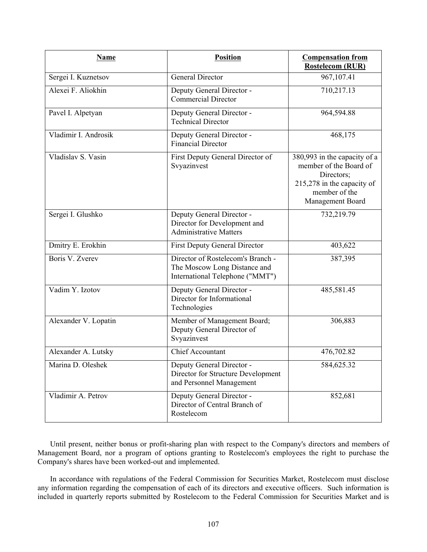| <b>Name</b>          | <b>Position</b>                                                                                      | <b>Compensation from</b><br><b>Rostelecom (RUR)</b>                                                                                     |
|----------------------|------------------------------------------------------------------------------------------------------|-----------------------------------------------------------------------------------------------------------------------------------------|
| Sergei I. Kuznetsov  | General Director                                                                                     | 967,107.41                                                                                                                              |
| Alexei F. Aliokhin   | Deputy General Director -<br><b>Commercial Director</b>                                              | 710,217.13                                                                                                                              |
| Pavel I. Alpetyan    | Deputy General Director -<br><b>Technical Director</b>                                               | 964,594.88                                                                                                                              |
| Vladimir I. Androsik | Deputy General Director -<br><b>Financial Director</b>                                               | 468,175                                                                                                                                 |
| Vladislav S. Vasin   | First Deputy General Director of<br>Svyazinvest                                                      | 380,993 in the capacity of a<br>member of the Board of<br>Directors;<br>215,278 in the capacity of<br>member of the<br>Management Board |
| Sergei I. Glushko    | Deputy General Director -<br>Director for Development and<br><b>Administrative Matters</b>           | 732,219.79                                                                                                                              |
| Dmitry E. Erokhin    | <b>First Deputy General Director</b>                                                                 | 403,622                                                                                                                                 |
| Boris V. Zverev      | Director of Rostelecom's Branch -<br>The Moscow Long Distance and<br>International Telephone ("MMT") | 387,395                                                                                                                                 |
| Vadim Y. Izotov      | Deputy General Director -<br>Director for Informational<br>Technologies                              | 485,581.45                                                                                                                              |
| Alexander V. Lopatin | Member of Management Board;<br>Deputy General Director of<br>Svyazinvest                             | 306,883                                                                                                                                 |
| Alexander A. Lutsky  | <b>Chief Accountant</b>                                                                              | 476,702.82                                                                                                                              |
| Marina D. Oleshek    | Deputy General Director -<br>Director for Structure Development<br>and Personnel Management          | 584,625.32                                                                                                                              |
| Vladimir A. Petrov   | Deputy General Director -<br>Director of Central Branch of<br>Rostelecom                             | 852,681                                                                                                                                 |

Until present, neither bonus or profit-sharing plan with respect to the Company's directors and members of Management Board, nor a program of options granting to Rostelecom's employees the right to purchase the Company's shares have been worked-out and implemented.

In accordance with regulations of the Federal Commission for Securities Market, Rostelecom must disclose any information regarding the compensation of each of its directors and executive officers. Such information is included in quarterly reports submitted by Rostelecom to the Federal Commission for Securities Market and is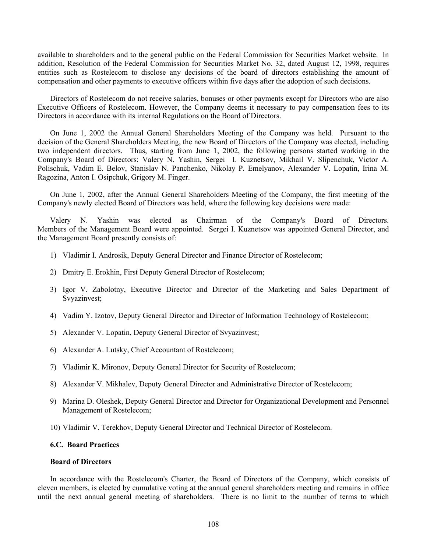available to shareholders and to the general public on the Federal Commission for Securities Market website. In addition, Resolution of the Federal Commission for Securities Market No. 32, dated August 12, 1998, requires entities such as Rostelecom to disclose any decisions of the board of directors establishing the amount of compensation and other payments to executive officers within five days after the adoption of such decisions.

Directors of Rostelecom do not receive salaries, bonuses or other payments except for Directors who are also Executive Officers of Rostelecom. However, the Company deems it necessary to pay compensation fees to its Directors in accordance with its internal Regulations on the Board of Directors.

On June 1, 2002 the Annual General Shareholders Meeting of the Company was held. Pursuant to the decision of the General Shareholders Meeting, the new Board of Directors of the Company was elected, including two independent directors. Thus, starting from June 1, 2002, the following persons started working in the Company's Board of Directors: Valery N. Yashin, Sergei I. Kuznetsov, Mikhail V. Slipenchuk, Victor A. Polischuk, Vadim E. Belov, Stanislav N. Panchenko, Nikolay P. Emelyanov, Alexander V. Lopatin, Irina M. Ragozina, Anton I. Osipchuk, Grigory M. Finger.

On June 1, 2002, after the Annual General Shareholders Meeting of the Company, the first meeting of the Company's newly elected Board of Directors was held, where the following key decisions were made:

Valery N. Yashin was elected as Chairman of the Company's Board of Directors. Members of the Management Board were appointed. Sergei I. Kuznetsov was appointed General Director, and the Management Board presently consists of:

- 1) Vladimir I. Androsik, Deputy General Director and Finance Director of Rostelecom;
- 2) Dmitry E. Erokhin, First Deputy General Director of Rostelecom;
- 3) Igor V. Zabolotny, Executive Director and Director of the Marketing and Sales Department of Svyazinvest;
- 4) Vadim Y. Izotov, Deputy General Director and Director of Information Technology of Rostelecom;
- 5) Alexander V. Lopatin, Deputy General Director of Svyazinvest;
- 6) Alexander A. Lutsky, Chief Accountant of Rostelecom;
- 7) Vladimir K. Mironov, Deputy General Director for Security of Rostelecom;
- 8) Alexander V. Mikhalev, Deputy General Director and Administrative Director of Rostelecom;
- 9) Marina D. Oleshek, Deputy General Director and Director for Organizational Development and Personnel Management of Rostelecom;
- 10) Vladimir V. Terekhov, Deputy General Director and Technical Director of Rostelecom.

## **6.C. Board Practices**

### **Board of Directors**

In accordance with the Rostelecom's Charter, the Board of Directors of the Company, which consists of eleven members, is elected by cumulative voting at the annual general shareholders meeting and remains in office until the next annual general meeting of shareholders. There is no limit to the number of terms to which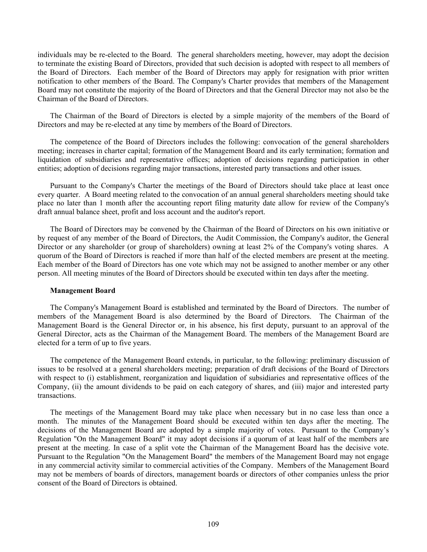individuals may be re-elected to the Board. The general shareholders meeting, however, may adopt the decision to terminate the existing Board of Directors, provided that such decision is adopted with respect to all members of the Board of Directors. Each member of the Board of Directors may apply for resignation with prior written notification to other members of the Board. The Company's Charter provides that members of the Management Board may not constitute the majority of the Board of Directors and that the General Director may not also be the Chairman of the Board of Directors.

The Chairman of the Board of Directors is elected by a simple majority of the members of the Board of Directors and may be re-elected at any time by members of the Board of Directors.

The competence of the Board of Directors includes the following: convocation of the general shareholders meeting; increases in charter capital; formation of the Management Board and its early termination; formation and liquidation of subsidiaries and representative offices; adoption of decisions regarding participation in other entities; adoption of decisions regarding major transactions, interested party transactions and other issues.

Pursuant to the Company's Charter the meetings of the Board of Directors should take place at least once every quarter. A Board meeting related to the convocation of an annual general shareholders meeting should take place no later than 1 month after the accounting report filing maturity date allow for review of the Company's draft annual balance sheet, profit and loss account and the auditor's report.

The Board of Directors may be convened by the Chairman of the Board of Directors on his own initiative or by request of any member of the Board of Directors, the Audit Commission, the Company's auditor, the General Director or any shareholder (or group of shareholders) owning at least 2% of the Company's voting shares. A quorum of the Board of Directors is reached if more than half of the elected members are present at the meeting. Each member of the Board of Directors has one vote which may not be assigned to another member or any other person. All meeting minutes of the Board of Directors should be executed within ten days after the meeting.

### **Management Board**

The Company's Management Board is established and terminated by the Board of Directors. The number of members of the Management Board is also determined by the Board of Directors. The Chairman of the Management Board is the General Director or, in his absence, his first deputy, pursuant to an approval of the General Director, acts as the Chairman of the Management Board. The members of the Management Board are elected for a term of up to five years.

The competence of the Management Board extends, in particular, to the following: preliminary discussion of issues to be resolved at a general shareholders meeting; preparation of draft decisions of the Board of Directors with respect to (i) establishment, reorganization and liquidation of subsidiaries and representative offices of the Company, (ii) the amount dividends to be paid on each category of shares, and (iii) major and interested party transactions.

The meetings of the Management Board may take place when necessary but in no case less than once a month. The minutes of the Management Board should be executed within ten days after the meeting. The decisions of the Management Board are adopted by a simple majority of votes. Pursuant to the Company's Regulation "On the Management Board" it may adopt decisions if a quorum of at least half of the members are present at the meeting. In case of a split vote the Chairman of the Management Board has the decisive vote. Pursuant to the Regulation "On the Management Board" the members of the Management Board may not engage in any commercial activity similar to commercial activities of the Company. Members of the Management Board may not be members of boards of directors, management boards or directors of other companies unless the prior consent of the Board of Directors is obtained.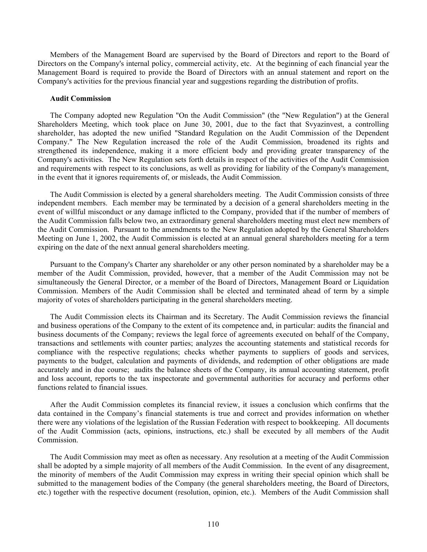Members of the Management Board are supervised by the Board of Directors and report to the Board of Directors on the Company's internal policy, commercial activity, etc. At the beginning of each financial year the Management Board is required to provide the Board of Directors with an annual statement and report on the Company's activities for the previous financial year and suggestions regarding the distribution of profits.

#### **Audit Commission**

The Company adopted new Regulation "On the Audit Commission" (the "New Regulation") at the General Shareholders Meeting, which took place on June 30, 2001, due to the fact that Svyazinvest, a controlling shareholder, has adopted the new unified "Standard Regulation on the Audit Commission of the Dependent Company." The New Regulation increased the role of the Audit Commission, broadened its rights and strengthened its independence, making it a more efficient body and providing greater transparency of the Company's activities. The New Regulation sets forth details in respect of the activities of the Audit Commission and requirements with respect to its conclusions, as well as providing for liability of the Company's management, in the event that it ignores requirements of, or misleads, the Audit Commission.

The Audit Commission is elected by a general shareholders meeting. The Audit Commission consists of three independent members. Each member may be terminated by a decision of a general shareholders meeting in the event of willful misconduct or any damage inflicted to the Company, provided that if the number of members of the Audit Commission falls below two, an extraordinary general shareholders meeting must elect new members of the Audit Commission. Pursuant to the amendments to the New Regulation adopted by the General Shareholders Meeting on June 1, 2002, the Audit Commission is elected at an annual general shareholders meeting for a term expiring on the date of the next annual general shareholders meeting.

Pursuant to the Company's Charter any shareholder or any other person nominated by a shareholder may be a member of the Audit Commission, provided, however, that a member of the Audit Commission may not be simultaneously the General Director, or a member of the Board of Directors, Management Board or Liquidation Commission. Members of the Audit Commission shall be elected and terminated ahead of term by a simple majority of votes of shareholders participating in the general shareholders meeting.

The Audit Commission elects its Chairman and its Secretary. The Audit Commission reviews the financial and business operations of the Company to the extent of its competence and, in particular: audits the financial and business documents of the Company; reviews the legal force of agreements executed on behalf of the Company, transactions and settlements with counter parties; analyzes the accounting statements and statistical records for compliance with the respective regulations; checks whether payments to suppliers of goods and services, payments to the budget, calculation and payments of dividends, and redemption of other obligations are made accurately and in due course; audits the balance sheets of the Company, its annual accounting statement, profit and loss account, reports to the tax inspectorate and governmental authorities for accuracy and performs other functions related to financial issues.

After the Audit Commission completes its financial review, it issues a conclusion which confirms that the data contained in the Company's financial statements is true and correct and provides information on whether there were any violations of the legislation of the Russian Federation with respect to bookkeeping. All documents of the Audit Commission (acts, opinions, instructions, etc.) shall be executed by all members of the Audit Commission.

The Audit Commission may meet as often as necessary. Any resolution at a meeting of the Audit Commission shall be adopted by a simple majority of all members of the Audit Commission. In the event of any disagreement, the minority of members of the Audit Commission may express in writing their special opinion which shall be submitted to the management bodies of the Company (the general shareholders meeting, the Board of Directors, etc.) together with the respective document (resolution, opinion, etc.). Members of the Audit Commission shall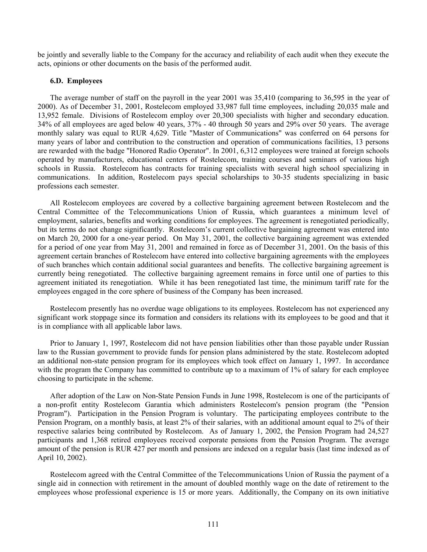be jointly and severally liable to the Company for the accuracy and reliability of each audit when they execute the acts, opinions or other documents on the basis of the performed audit.

### **6.D. Employees**

The average number of staff on the payroll in the year 2001 was 35,410 (comparing to 36,595 in the year of 2000). As of December 31, 2001, Rostelecom employed 33,987 full time employees, including 20,035 male and 13,952 female. Divisions of Rostelecom employ over 20,300 specialists with higher and secondary education. 34% of all employees are aged below 40 years, 37% - 40 through 50 years and 29% over 50 years. The average monthly salary was equal to RUR 4,629. Title "Master of Communications" was conferred on 64 persons for many years of labor and contribution to the construction and operation of communications facilities, 13 persons are rewarded with the badge "Honored Radio Operator". In 2001, 6,312 employees were trained at foreign schools operated by manufacturers, educational centers of Rostelecom, training courses and seminars of various high schools in Russia. Rostelecom has contracts for training specialists with several high school specializing in communications. In addition, Rostelecom pays special scholarships to 30-35 students specializing in basic professions each semester.

All Rostelecom employees are covered by a collective bargaining agreement between Rostelecom and the Central Committee of the Telecommunications Union of Russia, which guarantees a minimum level of employment, salaries, benefits and working conditions for employees. The agreement is renegotiated periodically, but its terms do not change significantly. Rostelecom's current collective bargaining agreement was entered into on March 20, 2000 for a one-year period. On May 31, 2001, the collective bargaining agreement was extended for a period of one year from May 31, 2001 and remained in force as of December 31, 2001. On the basis of this agreement certain branches of Rostelecom have entered into collective bargaining agreements with the employees of such branches which contain additional social guarantees and benefits.The collective bargaining agreement is currently being renegotiated. The collective bargaining agreement remains in force until one of parties to this agreement initiated its renegotiation. While it has been renegotiated last time, the minimum tariff rate for the employees engaged in the core sphere of business of the Company has been increased.

Rostelecom presently has no overdue wage obligations to its employees. Rostelecom has not experienced any significant work stoppage since its formation and considers its relations with its employees to be good and that it is in compliance with all applicable labor laws.

Prior to January 1, 1997, Rostelecom did not have pension liabilities other than those payable under Russian law to the Russian government to provide funds for pension plans administered by the state. Rostelecom adopted an additional non-state pension program for its employees which took effect on January 1, 1997. In accordance with the program the Company has committed to contribute up to a maximum of 1% of salary for each employee choosing to participate in the scheme.

After adoption of the Law on Non-State Pension Funds in June 1998, Rostelecom is one of the participants of a non-profit entity Rostelecom Garantia which administers Rostelecom's pension program (the "Pension Program"). Participation in the Pension Program is voluntary. The participating employees contribute to the Pension Program, on a monthly basis, at least 2% of their salaries, with an additional amount equal to 2% of their respective salaries being contributed by Rostelecom. As of January 1, 2002, the Pension Program had 24,527 participants and 1,368 retired employees received corporate pensions from the Pension Program. The average amount of the pension is RUR 427 per month and pensions are indexed on a regular basis (last time indexed as of April 10, 2002).

Rostelecom agreed with the Central Committee of the Telecommunications Union of Russia the payment of a single aid in connection with retirement in the amount of doubled monthly wage on the date of retirement to the employees whose professional experience is 15 or more years. Additionally, the Company on its own initiative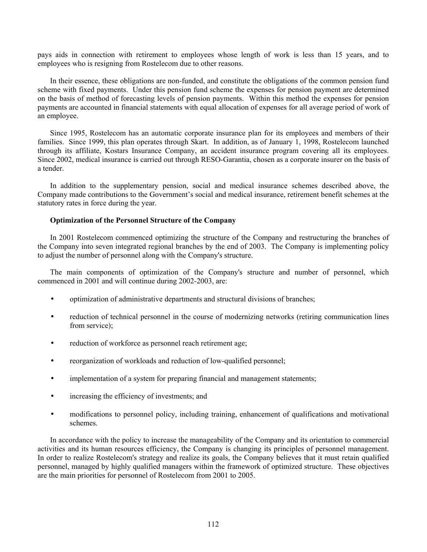pays aids in connection with retirement to employees whose length of work is less than 15 years, and to employees who is resigning from Rostelecom due to other reasons.

In their essence, these obligations are non-funded, and constitute the obligations of the common pension fund scheme with fixed payments. Under this pension fund scheme the expenses for pension payment are determined on the basis of method of forecasting levels of pension payments. Within this method the expenses for pension payments are accounted in financial statements with equal allocation of expenses for all average period of work of an employee.

Since 1995, Rostelecom has an automatic corporate insurance plan for its employees and members of their families. Since 1999, this plan operates through Skart. In addition, as of January 1, 1998, Rostelecom launched through its affiliate, Kostars Insurance Company, an accident insurance program covering all its employees. Since 2002, medical insurance is carried out through RESO-Garantia, chosen as a corporate insurer on the basis of a tender.

In addition to the supplementary pension, social and medical insurance schemes described above, the Company made contributions to the Government's social and medical insurance, retirement benefit schemes at the statutory rates in force during the year.

## **Optimization of the Personnel Structure of the Company**

In 2001 Rostelecom commenced optimizing the structure of the Company and restructuring the branches of the Company into seven integrated regional branches by the end of 2003. The Company is implementing policy to adjust the number of personnel along with the Company's structure.

The main components of optimization of the Company's structure and number of personnel, which commenced in 2001 and will continue during 2002-2003, are:

- optimization of administrative departments and structural divisions of branches;
- reduction of technical personnel in the course of modernizing networks (retiring communication lines from service);
- reduction of workforce as personnel reach retirement age;
- reorganization of workloads and reduction of low-qualified personnel;
- implementation of a system for preparing financial and management statements;
- increasing the efficiency of investments; and
- modifications to personnel policy, including training, enhancement of qualifications and motivational schemes.

In accordance with the policy to increase the manageability of the Company and its orientation to commercial activities and its human resources efficiency, the Company is changing its principles of personnel management. In order to realize Rostelecom's strategy and realize its goals, the Company believes that it must retain qualified personnel, managed by highly qualified managers within the framework of optimized structure. These objectives are the main priorities for personnel of Rostelecom from 2001 to 2005.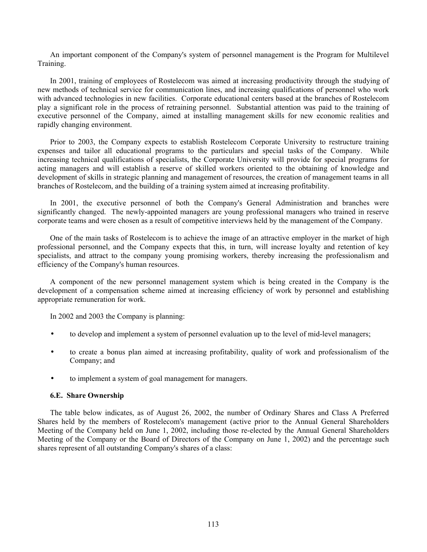An important component of the Company's system of personnel management is the Program for Multilevel Training.

In 2001, training of employees of Rostelecom was aimed at increasing productivity through the studying of new methods of technical service for communication lines, and increasing qualifications of personnel who work with advanced technologies in new facilities. Corporate educational centers based at the branches of Rostelecom play a significant role in the process of retraining personnel. Substantial attention was paid to the training of executive personnel of the Company, aimed at installing management skills for new economic realities and rapidly changing environment.

Prior to 2003, the Company expects to establish Rostelecom Corporate University to restructure training expenses and tailor all educational programs to the particulars and special tasks of the Company. While increasing technical qualifications of specialists, the Corporate University will provide for special programs for acting managers and will establish a reserve of skilled workers oriented to the obtaining of knowledge and development of skills in strategic planning and management of resources, the creation of management teams in all branches of Rostelecom, and the building of a training system aimed at increasing profitability.

In 2001, the executive personnel of both the Company's General Administration and branches were significantly changed. The newly-appointed managers are young professional managers who trained in reserve corporate teams and were chosen as a result of competitive interviews held by the management of the Company.

One of the main tasks of Rostelecom is to achieve the image of an attractive employer in the market of high professional personnel, and the Company expects that this, in turn, will increase loyalty and retention of key specialists, and attract to the company young promising workers, thereby increasing the professionalism and efficiency of the Company's human resources.

A component of the new personnel management system which is being created in the Company is the development of a compensation scheme aimed at increasing efficiency of work by personnel and establishing appropriate remuneration for work.

In 2002 and 2003 the Company is planning:

- to develop and implement a system of personnel evaluation up to the level of mid-level managers;
- to create a bonus plan aimed at increasing profitability, quality of work and professionalism of the Company; and
- to implement a system of goal management for managers.

### **6.E. Share Ownership**

The table below indicates, as of August 26, 2002, the number of Ordinary Shares and Class A Preferred Shares held by the members of Rostelecom's management (active prior to the Annual General Shareholders Meeting of the Company held on June 1, 2002, including those re-elected by the Annual General Shareholders Meeting of the Company or the Board of Directors of the Company on June 1, 2002) and the percentage such shares represent of all outstanding Company's shares of a class: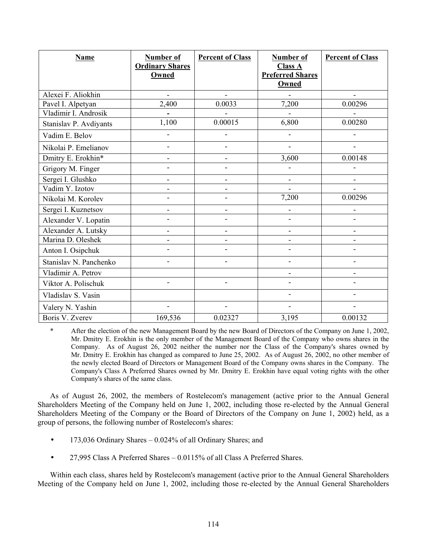| Name                   | Number of<br><b>Ordinary Shares</b><br>Owned | <b>Percent of Class</b>  | <b>Number of</b><br><b>Class A</b><br><b>Preferred Shares</b><br><b>Owned</b> | <b>Percent of Class</b>  |
|------------------------|----------------------------------------------|--------------------------|-------------------------------------------------------------------------------|--------------------------|
| Alexei F. Aliokhin     | ÷                                            | $\overline{\phantom{a}}$ |                                                                               |                          |
| Pavel I. Alpetyan      | 2,400                                        | 0.0033                   | 7,200                                                                         | 0.00296                  |
| Vladimir I. Androsik   |                                              |                          |                                                                               |                          |
| Stanislav P. Avdiyants | 1,100                                        | 0.00015                  | 6,800                                                                         | 0.00280                  |
| Vadim E. Belov         |                                              |                          |                                                                               |                          |
| Nikolai P. Emelianov   |                                              | $\overline{\phantom{a}}$ | $\overline{\phantom{a}}$                                                      |                          |
| Dmitry E. Erokhin*     |                                              | -                        | 3,600                                                                         | 0.00148                  |
| Grigory M. Finger      |                                              | L.                       |                                                                               |                          |
| Sergei I. Glushko      |                                              | $\overline{\phantom{m}}$ | $\overline{\phantom{a}}$                                                      | $\overline{\phantom{a}}$ |
| Vadim Y. Izotov        |                                              | $\overline{\phantom{a}}$ |                                                                               |                          |
| Nikolai M. Korolev     |                                              | $\overline{\phantom{a}}$ | 7,200                                                                         | 0.00296                  |
| Sergei I. Kuznetsov    |                                              | -                        |                                                                               |                          |
| Alexander V. Lopatin   |                                              | $\overline{a}$           |                                                                               |                          |
| Alexander A. Lutsky    |                                              | $\overline{\phantom{a}}$ | ٠                                                                             | $\overline{\phantom{a}}$ |
| Marina D. Oleshek      |                                              | -                        |                                                                               |                          |
| Anton I. Osipchuk      |                                              |                          |                                                                               |                          |
| Stanislav N. Panchenko |                                              |                          |                                                                               |                          |
| Vladimir A. Petrov     |                                              |                          |                                                                               | $\blacksquare$           |
| Viktor A. Polischuk    |                                              |                          |                                                                               |                          |
| Vladislav S. Vasin     |                                              |                          |                                                                               |                          |
| Valery N. Yashin       |                                              |                          |                                                                               |                          |
| Boris V. Zverev        | 169,536                                      | 0.02327                  | 3,195                                                                         | 0.00132                  |

After the election of the new Management Board by the new Board of Directors of the Company on June 1, 2002, Mr. Dmitry E. Erokhin is the only member of the Management Board of the Company who owns shares in the Company. As of August 26, 2002 neither the number nor the Class of the Company's shares owned by Mr. Dmitry E. Erokhin has changed as compared to June 25, 2002. As of August 26, 2002, no other member of the newly elected Board of Directors or Management Board of the Company owns shares in the Company. The Company's Class A Preferred Shares owned by Mr. Dmitry E. Erokhin have equal voting rights with the other Company's shares of the same class.

As of August 26, 2002, the members of Rostelecom's management (active prior to the Annual General Shareholders Meeting of the Company held on June 1, 2002, including those re-elected by the Annual General Shareholders Meeting of the Company or the Board of Directors of the Company on June 1, 2002) held, as a group of persons, the following number of Rostelecom's shares:

- 173,036 Ordinary Shares 0.024% of all Ordinary Shares; and
- 27,995 Class A Preferred Shares 0.0115% of all Class A Preferred Shares.

Within each class, shares held by Rostelecom's management (active prior to the Annual General Shareholders Meeting of the Company held on June 1, 2002, including those re-elected by the Annual General Shareholders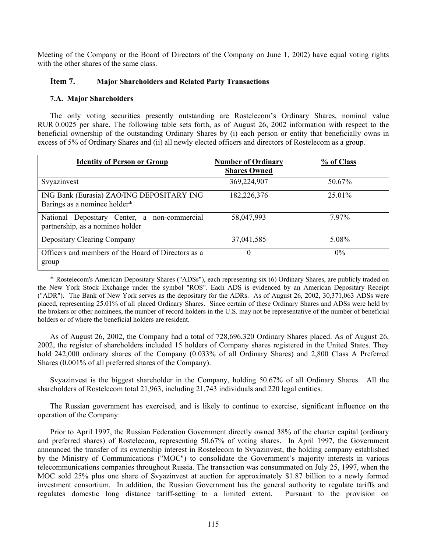Meeting of the Company or the Board of Directors of the Company on June 1, 2002) have equal voting rights with the other shares of the same class.

# **Item 7. Major Shareholders and Related Party Transactions**

# **7.A. Major Shareholders**

The only voting securities presently outstanding are Rostelecom's Ordinary Shares, nominal value RUR 0.0025 per share. The following table sets forth, as of August 26, 2002 information with respect to the beneficial ownership of the outstanding Ordinary Shares by (i) each person or entity that beneficially owns in excess of 5% of Ordinary Shares and (ii) all newly elected officers and directors of Rostelecom as a group.

| <b>Identity of Person or Group</b>                                               | <b>Number of Ordinary</b><br><b>Shares Owned</b> | % of Class |
|----------------------------------------------------------------------------------|--------------------------------------------------|------------|
| Svyazinvest                                                                      | 369,224,907                                      | 50.67%     |
| ING Bank (Eurasia) ZAO/ING DEPOSITARY ING<br>Barings as a nominee holder*        | 182,226,376                                      | 25.01%     |
| National Depositary Center, a non-commercial<br>partnership, as a nominee holder | 58,047,993                                       | 797%       |
| Depositary Clearing Company                                                      | 37,041,585                                       | 5.08%      |
| Officers and members of the Board of Directors as a<br>group                     | $\theta$                                         | $0\%$      |

\* Rostelecom's American Depositary Shares ("ADSs"), each representing six (6) Ordinary Shares, are publicly traded on the New York Stock Exchange under the symbol "ROS". Each ADS is evidenced by an American Depositary Receipt ("ADR"). The Bank of New York serves as the depositary for the ADRs. As of August 26, 2002, 30,371,063 ADSs were placed, representing 25.01% of all placed Ordinary Shares. Since certain of these Ordinary Shares and ADSs were held by the brokers or other nominees, the number of record holders in the U.S. may not be representative of the number of beneficial holders or of where the beneficial holders are resident.

As of August 26, 2002, the Company had a total of 728,696,320 Ordinary Shares placed. As of August 26, 2002, the register of shareholders included 15 holders of Company shares registered in the United States. They hold 242,000 ordinary shares of the Company (0.033% of all Ordinary Shares) and 2,800 Class A Preferred Shares (0.001% of all preferred shares of the Company).

Svyazinvest is the biggest shareholder in the Company, holding 50.67% of all Ordinary Shares. All the shareholders of Rostelecom total 21,963, including 21,743 individuals and 220 legal entities.

The Russian government has exercised, and is likely to continue to exercise, significant influence on the operation of the Company:

Prior to April 1997, the Russian Federation Government directly owned 38% of the charter capital (ordinary and preferred shares) of Rostelecom, representing 50.67% of voting shares. In April 1997, the Government announced the transfer of its ownership interest in Rostelecom to Svyazinvest, the holding company established by the Ministry of Communications ("MOC") to consolidate the Government's majority interests in various telecommunications companies throughout Russia. The transaction was consummated on July 25, 1997, when the MOC sold 25% plus one share of Svyazinvest at auction for approximately \$1.87 billion to a newly formed investment consortium. In addition, the Russian Government has the general authority to regulate tariffs and regulates domestic long distance tariff-setting to a limited extent. Pursuant to the provision on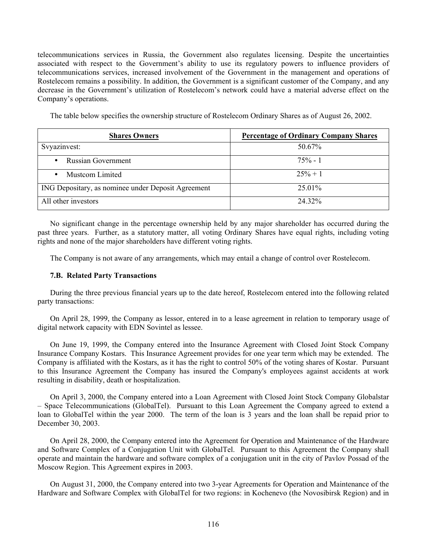telecommunications services in Russia, the Government also regulates licensing. Despite the uncertainties associated with respect to the Government's ability to use its regulatory powers to influence providers of telecommunications services, increased involvement of the Government in the management and operations of Rostelecom remains a possibility. In addition, the Government is a significant customer of the Company, and any decrease in the Government's utilization of Rostelecom's network could have a material adverse effect on the Company's operations.

The table below specifies the ownership structure of Rostelecom Ordinary Shares as of August 26, 2002.

| <b>Shares Owners</b>                               | <b>Percentage of Ordinary Company Shares</b> |
|----------------------------------------------------|----------------------------------------------|
| Svyazinvest:                                       | 50.67%                                       |
| <b>Russian Government</b>                          | $75% - 1$                                    |
| <b>Mustcom Limited</b>                             | $25% + 1$                                    |
| ING Depositary, as nominee under Deposit Agreement | 25.01%                                       |
| All other investors                                | 24 32%                                       |

No significant change in the percentage ownership held by any major shareholder has occurred during the past three years. Further, as a statutory matter, all voting Ordinary Shares have equal rights, including voting rights and none of the major shareholders have different voting rights.

The Company is not aware of any arrangements, which may entail a change of control over Rostelecom.

# **7.B. Related Party Transactions**

During the three previous financial years up to the date hereof, Rostelecom entered into the following related party transactions:

On April 28, 1999, the Company as lessor, entered in to a lease agreement in relation to temporary usage of digital network capacity with EDN Sovintel as lessee.

On June 19, 1999, the Company entered into the Insurance Agreement with Closed Joint Stock Company Insurance Company Kostars. This Insurance Agreement provides for one year term which may be extended. The Company is affiliated with the Kostars, as it has the right to control 50% of the voting shares of Kostar. Pursuant to this Insurance Agreement the Company has insured the Company's employees against accidents at work resulting in disability, death or hospitalization.

On April 3, 2000, the Company entered into a Loan Agreement with Closed Joint Stock Company Globalstar – Space Telecommunications (GlobalTel). Pursuant to this Loan Agreement the Company agreed to extend a loan to GlobalTel within the year 2000. The term of the loan is 3 years and the loan shall be repaid prior to December 30, 2003.

On April 28, 2000, the Company entered into the Agreement for Operation and Maintenance of the Hardware and Software Complex of a Conjugation Unit with GlobalTel. Pursuant to this Agreement the Company shall operate and maintain the hardware and software complex of a conjugation unit in the city of Pavlov Possad of the Moscow Region. This Agreement expires in 2003.

On August 31, 2000, the Company entered into two 3-year Agreements for Operation and Maintenance of the Hardware and Software Complex with GlobalTel for two regions: in Kochenevo (the Novosibirsk Region) and in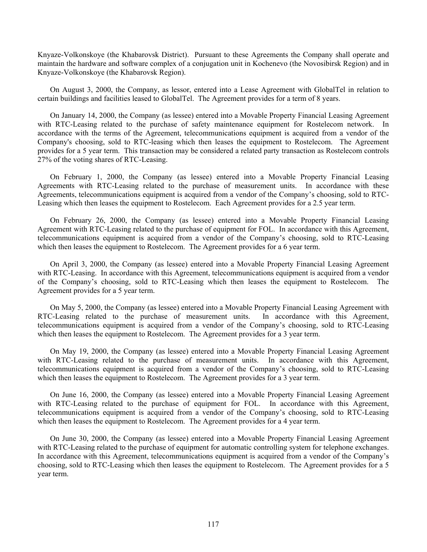Knyaze-Volkonskoye (the Khabarovsk District). Pursuant to these Agreements the Company shall operate and maintain the hardware and software complex of a conjugation unit in Kochenevo (the Novosibirsk Region) and in Knyaze-Volkonskoye (the Khabarovsk Region).

On August 3, 2000, the Company, as lessor, entered into a Lease Agreement with GlobalTel in relation to certain buildings and facilities leased to GlobalTel. The Agreement provides for a term of 8 years.

On January 14, 2000, the Company (as lessee) entered into a Movable Property Financial Leasing Agreement with RTC-Leasing related to the purchase of safety maintenance equipment for Rostelecom network. In accordance with the terms of the Agreement, telecommunications equipment is acquired from a vendor of the Company's choosing, sold to RTC-leasing which then leases the equipment to Rostelecom. The Agreement provides for a 5 year term. This transaction may be considered a related party transaction as Rostelecom controls 27% of the voting shares of RTC-Leasing.

On February 1, 2000, the Company (as lessee) entered into a Movable Property Financial Leasing Agreements with RTC-Leasing related to the purchase of measurement units. In accordance with these Agreements, telecommunications equipment is acquired from a vendor of the Company's choosing, sold to RTC-Leasing which then leases the equipment to Rostelecom. Each Agreement provides for a 2.5 year term.

On February 26, 2000, the Company (as lessee) entered into a Movable Property Financial Leasing Agreement with RTC-Leasing related to the purchase of equipment for FOL. In accordance with this Agreement, telecommunications equipment is acquired from a vendor of the Company's choosing, sold to RTC-Leasing which then leases the equipment to Rostelecom. The Agreement provides for a 6 year term.

On April 3, 2000, the Company (as lessee) entered into a Movable Property Financial Leasing Agreement with RTC-Leasing. In accordance with this Agreement, telecommunications equipment is acquired from a vendor of the Company's choosing, sold to RTC-Leasing which then leases the equipment to Rostelecom. The Agreement provides for a 5 year term.

On May 5, 2000, the Company (as lessee) entered into a Movable Property Financial Leasing Agreement with C-Leasing related to the purchase of measurement units. In accordance with this Agreement, RTC-Leasing related to the purchase of measurement units. telecommunications equipment is acquired from a vendor of the Company's choosing, sold to RTC-Leasing which then leases the equipment to Rostelecom. The Agreement provides for a 3 year term.

On May 19, 2000, the Company (as lessee) entered into a Movable Property Financial Leasing Agreement with RTC-Leasing related to the purchase of measurement units. In accordance with this Agreement, telecommunications equipment is acquired from a vendor of the Company's choosing, sold to RTC-Leasing which then leases the equipment to Rostelecom. The Agreement provides for a 3 year term.

On June 16, 2000, the Company (as lessee) entered into a Movable Property Financial Leasing Agreement with RTC-Leasing related to the purchase of equipment for FOL. In accordance with this Agreement, telecommunications equipment is acquired from a vendor of the Company's choosing, sold to RTC-Leasing which then leases the equipment to Rostelecom. The Agreement provides for a 4 year term.

On June 30, 2000, the Company (as lessee) entered into a Movable Property Financial Leasing Agreement with RTC-Leasing related to the purchase of equipment for automatic controlling system for telephone exchanges. In accordance with this Agreement, telecommunications equipment is acquired from a vendor of the Company's choosing, sold to RTC-Leasing which then leases the equipment to Rostelecom. The Agreement provides for a 5 year term.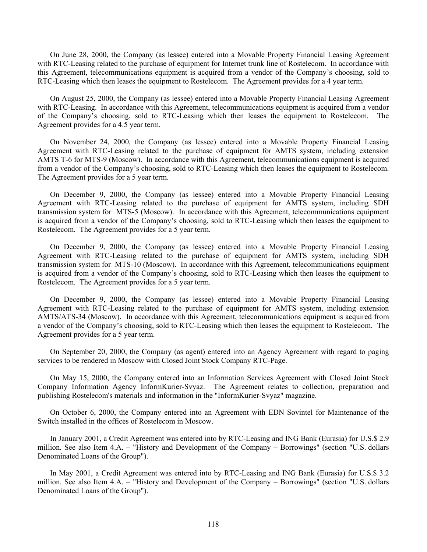On June 28, 2000, the Company (as lessee) entered into a Movable Property Financial Leasing Agreement with RTC-Leasing related to the purchase of equipment for Internet trunk line of Rostelecom. In accordance with this Agreement, telecommunications equipment is acquired from a vendor of the Company's choosing, sold to RTC-Leasing which then leases the equipment to Rostelecom. The Agreement provides for a 4 year term.

On August 25, 2000, the Company (as lessee) entered into a Movable Property Financial Leasing Agreement with RTC-Leasing. In accordance with this Agreement, telecommunications equipment is acquired from a vendor of the Company's choosing, sold to RTC-Leasing which then leases the equipment to Rostelecom. The Agreement provides for a 4.5 year term.

On November 24, 2000, the Company (as lessee) entered into a Movable Property Financial Leasing Agreement with RTC-Leasing related to the purchase of equipment for AMTS system, including extension AMTS T-6 for MTS-9 (Moscow). In accordance with this Agreement, telecommunications equipment is acquired from a vendor of the Company's choosing, sold to RTC-Leasing which then leases the equipment to Rostelecom. The Agreement provides for a 5 year term.

On December 9, 2000, the Company (as lessee) entered into a Movable Property Financial Leasing Agreement with RTC-Leasing related to the purchase of equipment for AMTS system, including SDH transmission system for MTS-5 (Moscow). In accordance with this Agreement, telecommunications equipment is acquired from a vendor of the Company's choosing, sold to RTC-Leasing which then leases the equipment to Rostelecom. The Agreement provides for a 5 year term.

On December 9, 2000, the Company (as lessee) entered into a Movable Property Financial Leasing Agreement with RTC-Leasing related to the purchase of equipment for AMTS system, including SDH transmission system for MTS-10 (Moscow). In accordance with this Agreement, telecommunications equipment is acquired from a vendor of the Company's choosing, sold to RTC-Leasing which then leases the equipment to Rostelecom. The Agreement provides for a 5 year term.

On December 9, 2000, the Company (as lessee) entered into a Movable Property Financial Leasing Agreement with RTC-Leasing related to the purchase of equipment for AMTS system, including extension AMTS/ATS-34 (Moscow). In accordance with this Agreement, telecommunications equipment is acquired from a vendor of the Company's choosing, sold to RTC-Leasing which then leases the equipment to Rostelecom. The Agreement provides for a 5 year term.

On September 20, 2000, the Company (as agent) entered into an Agency Agreement with regard to paging services to be rendered in Moscow with Closed Joint Stock Company RTC-Page.

On May 15, 2000, the Company entered into an Information Services Agreement with Closed Joint Stock Company Information Agency InformKurier-Svyaz. The Agreement relates to collection, preparation and publishing Rostelecom's materials and information in the "InformKurier-Svyaz" magazine.

On October 6, 2000, the Company entered into an Agreement with EDN Sovintel for Maintenance of the Switch installed in the offices of Rostelecom in Moscow.

In January 2001, a Credit Agreement was entered into by RTC-Leasing and ING Bank (Eurasia) for U.S.\$ 2.9 million. See also Item 4.A. – "History and Development of the Company – Borrowings" (section "U.S. dollars Denominated Loans of the Group").

In May 2001, a Credit Agreement was entered into by RTC-Leasing and ING Bank (Eurasia) for U.S.\$ 3.2 million. See also Item 4.A. – "History and Development of the Company – Borrowings" (section "U.S. dollars Denominated Loans of the Group").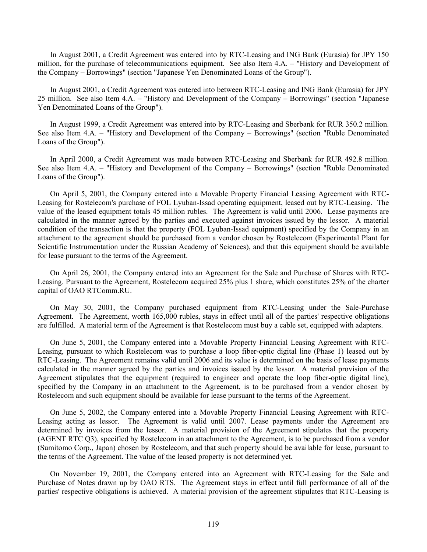In August 2001, a Credit Agreement was entered into by RTC-Leasing and ING Bank (Eurasia) for JPY 150 million, for the purchase of telecommunications equipment. See also Item 4.A. – "History and Development of the Company – Borrowings" (section "Japanese Yen Denominated Loans of the Group").

In August 2001, a Credit Agreement was entered into between RTC-Leasing and ING Bank (Eurasia) for JPY 25 million. See also Item 4.A. – "History and Development of the Company – Borrowings" (section "Japanese Yen Denominated Loans of the Group").

In August 1999, a Credit Agreement was entered into by RTC-Leasing and Sberbank for RUR 350.2 million. See also Item 4.A. – "History and Development of the Company – Borrowings" (section "Ruble Denominated Loans of the Group").

In April 2000, a Credit Agreement was made between RTC-Leasing and Sberbank for RUR 492.8 million. See also Item 4.A. – "History and Development of the Company – Borrowings" (section "Ruble Denominated Loans of the Group").

On April 5, 2001, the Company entered into a Movable Property Financial Leasing Agreement with RTC-Leasing for Rostelecom's purchase of FOL Lyuban-Issad operating equipment, leased out by RTC-Leasing. The value of the leased equipment totals 45 million rubles. The Agreement is valid until 2006. Lease payments are calculated in the manner agreed by the parties and executed against invoices issued by the lessor. A material condition of the transaction is that the property (FOL Lyuban-Issad equipment) specified by the Company in an attachment to the agreement should be purchased from a vendor chosen by Rostelecom (Experimental Plant for Scientific Instrumentation under the Russian Academy of Sciences), and that this equipment should be available for lease pursuant to the terms of the Agreement.

On April 26, 2001, the Company entered into an Agreement for the Sale and Purchase of Shares with RTC-Leasing. Pursuant to the Agreement, Rostelecom acquired 25% plus 1 share, which constitutes 25% of the charter capital of OAO RTComm.RU.

On May 30, 2001, the Company purchased equipment from RTC-Leasing under the Sale-Purchase Agreement. The Agreement, worth 165,000 rubles, stays in effect until all of the parties' respective obligations are fulfilled. A material term of the Agreement is that Rostelecom must buy a cable set, equipped with adapters.

On June 5, 2001, the Company entered into a Movable Property Financial Leasing Agreement with RTC-Leasing, pursuant to which Rostelecom was to purchase a loop fiber-optic digital line (Phase 1) leased out by RTC-Leasing. The Agreement remains valid until 2006 and its value is determined on the basis of lease payments calculated in the manner agreed by the parties and invoices issued by the lessor. A material provision of the Agreement stipulates that the equipment (required to engineer and operate the loop fiber-optic digital line), specified by the Company in an attachment to the Agreement, is to be purchased from a vendor chosen by Rostelecom and such equipment should be available for lease pursuant to the terms of the Agreement.

On June 5, 2002, the Company entered into a Movable Property Financial Leasing Agreement with RTC-Leasing acting as lessor. The Agreement is valid until 2007. Lease payments under the Agreement are determined by invoices from the lessor. A material provision of the Agreement stipulates that the property (AGENT RTC Q3), specified by Rostelecom in an attachment to the Agreement, is to be purchased from a vendor (Sumitomo Corp., Japan) chosen by Rostelecom, and that such property should be available for lease, pursuant to the terms of the Agreement. The value of the leased property is not determined yet.

On November 19, 2001, the Company entered into an Agreement with RTC-Leasing for the Sale and Purchase of Notes drawn up by OAO RTS. The Agreement stays in effect until full performance of all of the parties' respective obligations is achieved. A material provision of the agreement stipulates that RTC-Leasing is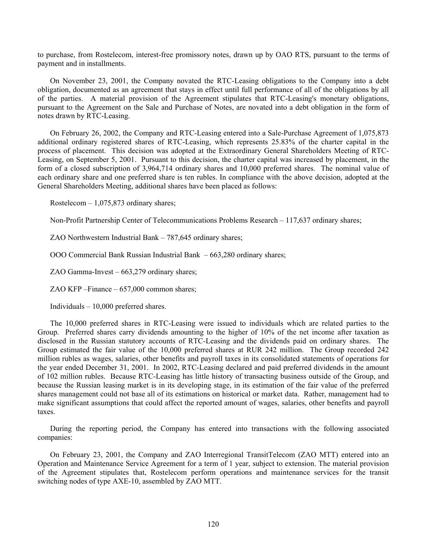to purchase, from Rostelecom, interest-free promissory notes, drawn up by OAO RTS, pursuant to the terms of payment and in installments.

On November 23, 2001, the Company novated the RTC-Leasing obligations to the Company into a debt obligation, documented as an agreement that stays in effect until full performance of all of the obligations by all of the parties. A material provision of the Agreement stipulates that RTC-Leasing's monetary obligations, pursuant to the Agreement on the Sale and Purchase of Notes, are novated into a debt obligation in the form of notes drawn by RTC-Leasing.

On February 26, 2002, the Company and RTC-Leasing entered into a Sale-Purchase Agreement of 1,075,873 additional ordinary registered shares of RTC-Leasing, which represents 25.83% of the charter capital in the process of placement. This decision was adopted at the Extraordinary General Shareholders Meeting of RTC-Leasing, on September 5, 2001. Pursuant to this decision, the charter capital was increased by placement, in the form of a closed subscription of 3,964,714 ordinary shares and 10,000 preferred shares. The nominal value of each ordinary share and one preferred share is ten rubles. In compliance with the above decision, adopted at the General Shareholders Meeting, additional shares have been placed as follows:

Rostelecom – 1,075,873 ordinary shares;

Non-Profit Partnership Center of Telecommunications Problems Research – 117,637 ordinary shares;

ZAO Northwestern Industrial Bank – 787,645 ordinary shares;

OOO Commercial Bank Russian Industrial Bank – 663,280 ordinary shares;

ZAO Gamma-Invest – 663,279 ordinary shares;

ZAO KFP –Finance – 657,000 common shares;

Individuals – 10,000 preferred shares.

The 10,000 preferred shares in RTC-Leasing were issued to individuals which are related parties to the Group. Preferred shares carry dividends amounting to the higher of 10% of the net income after taxation as disclosed in the Russian statutory accounts of RTC-Leasing and the dividends paid on ordinary shares. The Group estimated the fair value of the 10,000 preferred shares at RUR 242 million. The Group recorded 242 million rubles as wages, salaries, other benefits and payroll taxes in its consolidated statements of operations for the year ended December 31, 2001. In 2002, RTC-Leasing declared and paid preferred dividends in the amount of 102 million rubles. Because RTC-Leasing has little history of transacting business outside of the Group, and because the Russian leasing market is in its developing stage, in its estimation of the fair value of the preferred shares management could not base all of its estimations on historical or market data. Rather, management had to make significant assumptions that could affect the reported amount of wages, salaries, other benefits and payroll taxes.

During the reporting period, the Company has entered into transactions with the following associated companies:

On February 23, 2001, the Company and ZAO Interregional TransitTelecom (ZAO MTT) entered into an Operation and Maintenance Service Agreement for a term of 1 year, subject to extension. The material provision of the Agreement stipulates that, Rostelecom perform operations and maintenance services for the transit switching nodes of type AXE-10, assembled by ZAO MTT.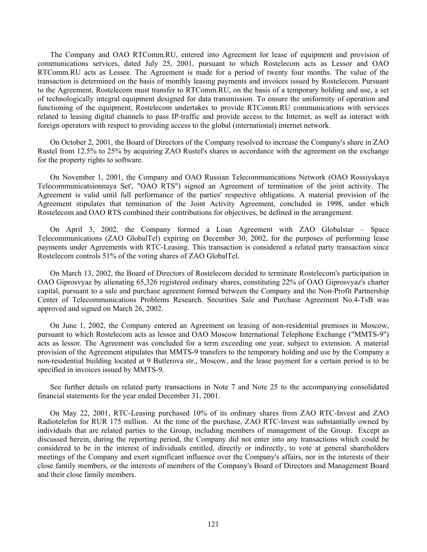The Company and OAO RTComm.RU, entered into Agreement for lease of equipment and provision of communications services, dated July 25, 2001, pursuant to which Rostelecom acts as Lessor and OAO RTComm.RU acts as Lessee. The Agreement is made for a period of twenty four months. The value of the transaction is determined on the basis of monthly leasing payments and invoices issued by Rostelecom. Pursuant to the Agreement, Rostelecom must transfer to RTComm.RU, on the basis of a temporary holding and use, a set of technologically integral equipment designed for data transmission. To ensure the uniformity of operation and functioning of the equipment, Rostelecom undertakes to provide RTComm.RU communications with services related to leasing digital channels to pass IP-traffic and provide access to the Internet, as well as interact with foreign operators with respect to providing access to the global (international) internet network.

On October 2, 2001, the Board of Directors of the Company resolved to increase the Company's share in ZAO Rustel from 12.5% to 25% by acquiring ZAO Rustel's shares in accordance with the agreement on the exchange for the property rights to software.

On November 1, 2001, the Company and OAO Russian Telecommunications Network (OAO Rossiyskaya Telecommunicatsionnaya Set', "OAO RTS") signed an Agreement of termination of the joint activity. The Agreement is valid until full performance of the parties' respective obligations. A material provision of the Agreement stipulates that termination of the Joint Activity Agreement, concluded in 1998, under which Rostelecom and OAO RTS combined their contributions for objectives, be defined in the arrangement.

On April 3, 2002, the Company formed a Loan Agreement with ZAO Globalstar – Space Telecommunications (ZAO GlobalTel) expiring on December 30, 2002, for the purposes of performing lease payments under Agreements with RTC-Leasing. This transaction is considered a related party transaction since Rostelecom controls 51% of the voting shares of ZAO GlobalTel.

On March 13, 2002, the Board of Directors of Rostelecom decided to terminate Rostelecom's participation in OAO Giprosvyaz by alienating 65,326 registered ordinary shares, constituting 22% of OAO Giprosvyaz's charter capital, pursuant to a sale and purchase agreement formed between the Company and the Non-Profit Partnership Center of Telecommunications Problems Research. Securities Sale and Purchase Agreement No.4-TsB was approved and signed on March 26, 2002.

On June 1, 2002, the Company entered an Agreement on leasing of non-residential premises in Moscow, pursuant to which Rostelecom acts as lessee and OAO Moscow International Telephone Exchange ("MMTS-9") acts as lessor. The Agreement was concluded for a term exceeding one year, subject to extension. A material provision of the Agreement stipulates that MMTS-9 transfers to the temporary holding and use by the Company a non-residential building located at 9 Butlerova str., Moscow, and the lease payment for a certain period is to be specified in invoices issued by MMTS-9.

See further details on related party transactions in Note 7 and Note 25 to the accompanying consolidated financial statements for the year ended December 31, 2001.

On May 22, 2001, RTC-Leasing purchased 10% of its ordinary shares from ZAO RTC-Invest and ZAO Radiotelefon for RUR 175 million. At the time of the purchase, ZAO RTC-Invest was substantially owned by individuals that are related parties to the Group, including members of management of the Group. Except as discussed herein, during the reporting period, the Company did not enter into any transactions which could be considered to be in the interest of individuals entitled, directly or indirectly, to vote at general shareholders meetings of the Company and exert significant influence over the Company's affairs, nor in the interests of their close family members, or the interests of members of the Company's Board of Directors and Management Board and their close family members.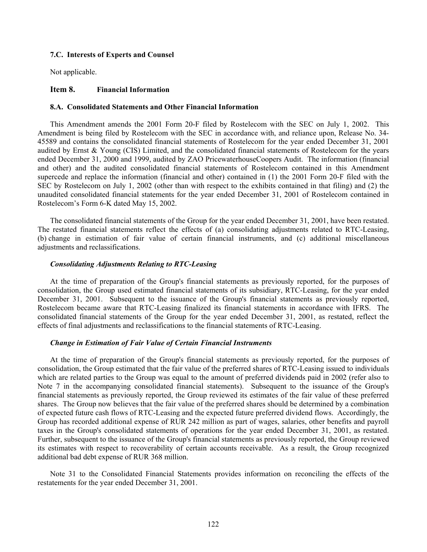#### **7.C. Interests of Experts and Counsel**

Not applicable.

#### **Item 8. Financial Information**

### **8.A. Consolidated Statements and Other Financial Information**

This Amendment amends the 2001 Form 20-F filed by Rostelecom with the SEC on July 1, 2002. This Amendment is being filed by Rostelecom with the SEC in accordance with, and reliance upon, Release No. 34- 45589 and contains the consolidated financial statements of Rostelecom for the year ended December 31, 2001 audited by Ernst & Young (CIS) Limited, and the consolidated financial statements of Rostelecom for the years ended December 31, 2000 and 1999, audited by ZAO PricewaterhouseCoopers Audit. The information (financial and other) and the audited consolidated financial statements of Rostelecom contained in this Amendment supercede and replace the information (financial and other) contained in (1) the 2001 Form 20-F filed with the SEC by Rostelecom on July 1, 2002 (other than with respect to the exhibits contained in that filing) and (2) the unaudited consolidated financial statements for the year ended December 31, 2001 of Rostelecom contained in Rostelecom's Form 6-K dated May 15, 2002.

The consolidated financial statements of the Group for the year ended December 31, 2001, have been restated. The restated financial statements reflect the effects of (a) consolidating adjustments related to RTC-Leasing, (b) change in estimation of fair value of certain financial instruments, and (c) additional miscellaneous adjustments and reclassifications.

### *Consolidating Adjustments Relating to RTC-Leasing*

At the time of preparation of the Group's financial statements as previously reported, for the purposes of consolidation, the Group used estimated financial statements of its subsidiary, RTC-Leasing, for the year ended December 31, 2001. Subsequent to the issuance of the Group's financial statements as previously reported, Rostelecom became aware that RTC-Leasing finalized its financial statements in accordance with IFRS. The consolidated financial statements of the Group for the year ended December 31, 2001, as restated, reflect the effects of final adjustments and reclassifications to the financial statements of RTC-Leasing.

#### *Change in Estimation of Fair Value of Certain Financial Instruments*

At the time of preparation of the Group's financial statements as previously reported, for the purposes of consolidation, the Group estimated that the fair value of the preferred shares of RTC-Leasing issued to individuals which are related parties to the Group was equal to the amount of preferred dividends paid in 2002 (refer also to Note 7 in the accompanying consolidated financial statements). Subsequent to the issuance of the Group's financial statements as previously reported, the Group reviewed its estimates of the fair value of these preferred shares. The Group now believes that the fair value of the preferred shares should be determined by a combination of expected future cash flows of RTC-Leasing and the expected future preferred dividend flows. Accordingly, the Group has recorded additional expense of RUR 242 million as part of wages, salaries, other benefits and payroll taxes in the Group's consolidated statements of operations for the year ended December 31, 2001, as restated. Further, subsequent to the issuance of the Group's financial statements as previously reported, the Group reviewed its estimates with respect to recoverability of certain accounts receivable. As a result, the Group recognized additional bad debt expense of RUR 368 million.

Note 31 to the Consolidated Financial Statements provides information on reconciling the effects of the restatements for the year ended December 31, 2001.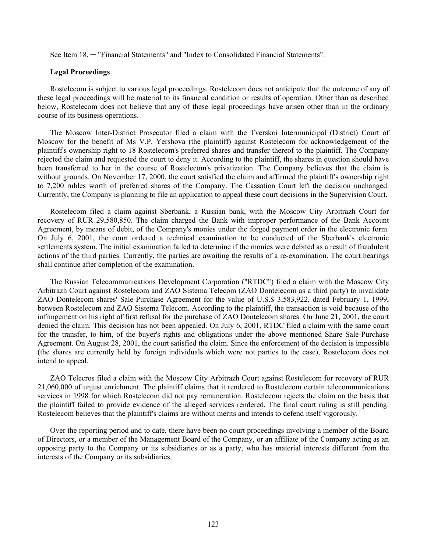See Item 18. ─ "Financial Statements" and "Index to Consolidated Financial Statements".

### **Legal Proceedings**

Rostelecom is subject to various legal proceedings. Rostelecom does not anticipate that the outcome of any of these legal proceedings will be material to its financial condition or results of operation. Other than as described below, Rostelecom does not believe that any of these legal proceedings have arisen other than in the ordinary course of its business operations.

The Moscow Inter-District Prosecutor filed a claim with the Tverskoi Intermunicipal (District) Court of Moscow for the benefit of Ms V.P. Yershova (the plaintiff) against Rostelecom for acknowledgement of the plaintiff's ownership right to 18 Rostelecom's preferred shares and transfer thereof to the plaintiff. The Company rejected the claim and requested the court to deny it. According to the plaintiff, the shares in question should have been transferred to her in the course of Rostelecom's privatization. The Company believes that the claim is without grounds. On November 17, 2000, the court satisfied the claim and affirmed the plaintiff's ownership right to 7,200 rubles worth of preferred shares of the Company. The Cassation Court left the decision unchanged. Currently, the Company is planning to file an application to appeal these court decisions in the Supervision Court.

Rostelecom filed a claim against Sberbank, a Russian bank, with the Moscow City Arbitrazh Court for recovery of RUR 29,580,850. The claim charged the Bank with improper performance of the Bank Account Agreement, by means of debit, of the Company's monies under the forged payment order in the electronic form. On July 6, 2001, the court ordered a technical examination to be conducted of the Sberbank's electronic settlements system. The initial examination failed to determine if the monies were debited as a result of fraudulent actions of the third parties. Currently, the parties are awaiting the results of a re-examination. The court hearings shall continue after completion of the examination.

The Russian Telecommunications Development Corporation ("RTDC") filed a claim with the Moscow City Arbitrazh Court against Rostelecom and ZAO Sistema Telecom (ZAO Dontelecom as a third party) to invalidate ZAO Dontelecom shares' Sale-Purchase Agreement for the value of U.S.\$ 3,583,922, dated February 1, 1999, between Rostelecom and ZAO Sistema Telecom. According to the plaintiff, the transaction is void because of the infringement on his right of first refusal for the purchase of ZAO Dontelecom shares. On June 21, 2001, the court denied the claim. This decision has not been appealed. On July 6, 2001, RTDC filed a claim with the same court for the transfer, to him, of the buyer's rights and obligations under the above mentioned Share Sale-Purchase Agreement. On August 28, 2001, the court satisfied the claim. Since the enforcement of the decision is impossible (the shares are currently held by foreign individuals which were not parties to the case), Rostelecom does not intend to appeal.

ZAO Telecros filed a claim with the Moscow City Arbitrazh Court against Rostelecom for recovery of RUR 21,060,000 of unjust enrichment. The plaintiff claims that it rendered to Rostelecom certain telecommunications services in 1998 for which Rostelecom did not pay remuneration. Rostelecom rejects the claim on the basis that the plaintiff failed to provide evidence of the alleged services rendered. The final court ruling is still pending. Rostelecom believes that the plaintiff's claims are without merits and intends to defend itself vigorously.

Over the reporting period and to date, there have been no court proceedings involving a member of the Board of Directors, or a member of the Management Board of the Company, or an affiliate of the Company acting as an opposing party to the Company or its subsidiaries or as a party, who has material interests different from the interests of the Company or its subsidiaries.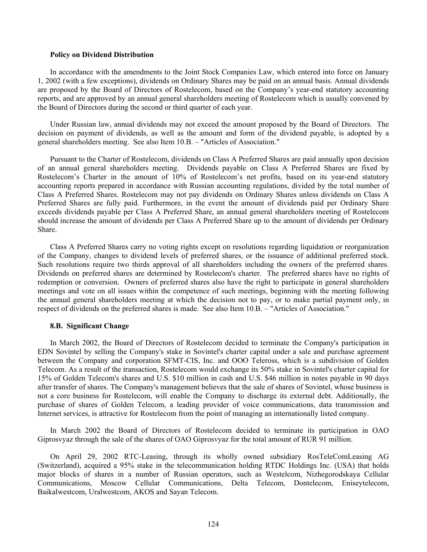#### **Policy on Dividend Distribution**

In accordance with the amendments to the Joint Stock Companies Law, which entered into force on January 1, 2002 (with a few exceptions), dividends on Ordinary Shares may be paid on an annual basis. Annual dividends are proposed by the Board of Directors of Rostelecom, based on the Company's year-end statutory accounting reports, and are approved by an annual general shareholders meeting of Rostelecom which is usually convened by the Board of Directors during the second or third quarter of each year.

Under Russian law, annual dividends may not exceed the amount proposed by the Board of Directors. The decision on payment of dividends, as well as the amount and form of the dividend payable, is adopted by a general shareholders meeting. See also Item 10.B. – "Articles of Association."

Pursuant to the Charter of Rostelecom, dividends on Class A Preferred Shares are paid annually upon decision of an annual general shareholders meeting. Dividends payable on Class A Preferred Shares are fixed by Rostelecom's Charter in the amount of 10% of Rostelecom's net profits, based on its year-end statutory accounting reports prepared in accordance with Russian accounting regulations, divided by the total number of Class A Preferred Shares. Rostelecom may not pay dividends on Ordinary Shares unless dividends on Class A Preferred Shares are fully paid. Furthermore, in the event the amount of dividends paid per Ordinary Share exceeds dividends payable per Class A Preferred Share, an annual general shareholders meeting of Rostelecom should increase the amount of dividends per Class A Preferred Share up to the amount of dividends per Ordinary Share.

Class A Preferred Shares carry no voting rights except on resolutions regarding liquidation or reorganization of the Company, changes to dividend levels of preferred shares, or the issuance of additional preferred stock. Such resolutions require two thirds approval of all shareholders including the owners of the preferred shares. Dividends on preferred shares are determined by Rostelecom's charter. The preferred shares have no rights of redemption or conversion. Owners of preferred shares also have the right to participate in general shareholders meetings and vote on all issues within the competence of such meetings, beginning with the meeting following the annual general shareholders meeting at which the decision not to pay, or to make partial payment only, in respect of dividends on the preferred shares is made. See also Item 10.B. – "Articles of Association."

### **8.B. Significant Change**

In March 2002, the Board of Directors of Rostelecom decided to terminate the Company's participation in EDN Sovintel by selling the Company's stake in Sovintel's charter capital under a sale and purchase agreement between the Company and corporation SFMT-CIS, Inc. and OOO Teleross, which is a subdivision of Golden Telecom. As a result of the transaction, Rostelecom would exchange its 50% stake in Sovintel's charter capital for 15% of Golden Telecom's shares and U.S. \$10 million in cash and U.S. \$46 million in notes payable in 90 days after transfer of shares. The Company's management believes that the sale of shares of Sovintel, whose business is not a core business for Rostelecom, will enable the Company to discharge its external debt. Additionally, the purchase of shares of Golden Telecom, a leading provider of voice communications, data transmission and Internet services, is attractive for Rostelecom from the point of managing an internationally listed company.

In March 2002 the Board of Directors of Rostelecom decided to terminate its participation in OAO Giprosvyaz through the sale of the shares of OAO Giprosvyaz for the total amount of RUR 91 million.

On April 29, 2002 RTC-Leasing, through its wholly owned subsidiary RosTeleComLeasing AG (Switzerland), acquired a 95% stake in the telecommunication holding RTDC Holdings Inc. (USA) that holds major blocks of shares in a number of Russian operators, such as Westelcom, Nizhegorodskaya Cellular Communications, Moscow Cellular Communications, Delta Telecom, Dontelecom, Eniseytelecom, Baikalwestcom, Uralwestcom, AKOS and Sayan Telecom.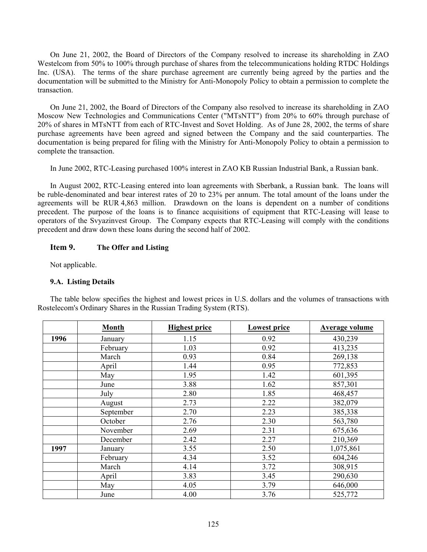On June 21, 2002, the Board of Directors of the Company resolved to increase its shareholding in ZAO Westelcom from 50% to 100% through purchase of shares from the telecommunications holding RTDC Holdings Inc. (USA). The terms of the share purchase agreement are currently being agreed by the parties and the documentation will be submitted to the Ministry for Anti-Monopoly Policy to obtain a permission to complete the transaction.

On June 21, 2002, the Board of Directors of the Company also resolved to increase its shareholding in ZAO Moscow New Technologies and Communications Center ("MTsNTT") from 20% to 60% through purchase of 20% of shares in MTsNTT from each of RTC-Invest and Sovet Holding. As of June 28, 2002, the terms of share purchase agreements have been agreed and signed between the Company and the said counterparties. The documentation is being prepared for filing with the Ministry for Anti-Monopoly Policy to obtain a permission to complete the transaction.

In June 2002, RTC-Leasing purchased 100% interest in ZAO KB Russian Industrial Bank, a Russian bank.

In August 2002, RTC-Leasing entered into loan agreements with Sberbank, a Russian bank. The loans will be ruble-denominated and bear interest rates of 20 to 23% per annum. The total amount of the loans under the agreements will be RUR 4,863 million. Drawdown on the loans is dependent on a number of conditions precedent. The purpose of the loans is to finance acquisitions of equipment that RTC-Leasing will lease to operators of the Svyazinvest Group. The Company expects that RTC-Leasing will comply with the conditions precedent and draw down these loans during the second half of 2002.

# **Item 9. The Offer and Listing**

Not applicable.

# **9.A. Listing Details**

The table below specifies the highest and lowest prices in U.S. dollars and the volumes of transactions with Rostelecom's Ordinary Shares in the Russian Trading System (RTS).

|      | <b>Month</b> | <b>Highest price</b> | <b>Lowest price</b> | <b>Average volume</b> |
|------|--------------|----------------------|---------------------|-----------------------|
| 1996 | January      | 1.15                 | 0.92                | 430,239               |
|      | February     | 1.03                 | 0.92                | 413,235               |
|      | March        | 0.93                 | 0.84                | 269,138               |
|      | April        | 1.44                 | 0.95                | 772,853               |
|      | May          | 1.95                 | 1.42                | 601,395               |
|      | June         | 3.88                 | 1.62                | 857,301               |
|      | July         | 2.80                 | 1.85                | 468,457               |
|      | August       | 2.73                 | 2.22                | 382,079               |
|      | September    | 2.70                 | 2.23                | 385,338               |
|      | October      | 2.76                 | 2.30                | 563,780               |
|      | November     | 2.69                 | 2.31                | 675,636               |
|      | December     | 2.42                 | 2.27                | 210,369               |
| 1997 | January      | 3.55                 | 2.50                | 1,075,861             |
|      | February     | 4.34                 | 3.52                | 604,246               |
|      | March        | 4.14                 | 3.72                | 308,915               |
|      | April        | 3.83                 | 3.45                | 290,630               |
|      | May          | 4.05                 | 3.79                | 646,000               |
|      | June         | 4.00                 | 3.76                | 525,772               |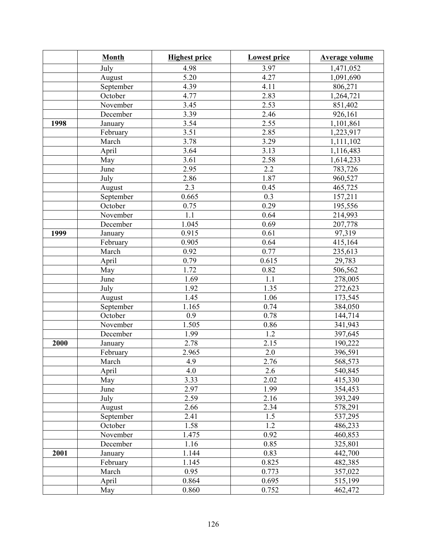|      | <b>Month</b> | <b>Highest price</b> | <b>Lowest price</b> | <b>Average volume</b> |
|------|--------------|----------------------|---------------------|-----------------------|
|      | July         | 4.98                 | 3.97                | 1,471,052             |
|      | August       | 5.20                 | 4.27                | 1,091,690             |
|      | September    | 4.39                 | 4.11                | 806,271               |
|      | October      | 4.77                 | 2.83                | 1,264,721             |
|      | November     | 3.45                 | 2.53                | 851,402               |
|      | December     | 3.39                 | 2.46                | 926,161               |
| 1998 | January      | 3.54                 | 2.55                | 1,101,861             |
|      | February     | 3.51                 | 2.85                | 1,223,917             |
|      | March        | 3.78                 | 3.29                | 1,111,102             |
|      | April        | $\overline{3.64}$    | 3.13                | 1,116,483             |
|      | May          | 3.61                 | 2.58                | 1,614,233             |
|      | June         | 2.95                 | 2.2                 | 783,726               |
|      | July         | 2.86                 | 1.87                | 960,527               |
|      | August       | 2.3                  | 0.45                | 465,725               |
|      | September    | 0.665                | 0.3                 | 157,211               |
|      | October      | 0.75                 | 0.29                | 195,556               |
|      | November     | 1.1                  | 0.64                | 214,993               |
|      | December     | 1.045                | 0.69                | 207,778               |
| 1999 | January      | 0.915                | 0.61                | 97,319                |
|      | February     | 0.905                | 0.64                | 415,164               |
|      | March        | 0.92                 | 0.77                | 235,613               |
|      | April        | 0.79                 | 0.615               | 29,783                |
|      | May          | 1.72                 | 0.82                | 506,562               |
|      | June         | 1.69                 | 1.1                 | 278,005               |
|      | July         | 1.92                 | 1.35                | 272,623               |
|      | August       | 1.45                 | 1.06                | 173,545               |
|      | September    | 1.165                | 0.74                | 384,050               |
|      | October      | 0.9                  | 0.78                | 144,714               |
|      | November     | 1.505                | 0.86                | 341,943               |
|      | December     | 1.99                 | 1.2                 | 397,645               |
| 2000 | January      | 2.78                 | 2.15                | 190,222               |
|      | February     | 2.965                | 2.0                 | 396,591               |
|      | March        | 4.9                  | 2.76                | 568,573               |
|      | April        | 4.0                  | 2.6                 | 540,845               |
|      | May          | 3.33                 | 2.02                | 415,330               |
|      | June         | 2.97                 | 1.99                | 354,453               |
|      | July         | 2.59                 | 2.16                | 393,249               |
|      | August       | 2.66                 | 2.34                | 578,291               |
|      | September    | 2.41                 | 1.5                 | 537,295               |
|      | October      | 1.58                 | $\overline{1.2}$    | 486,233               |
|      | November     | 1.475                | 0.92                | 460,853               |
|      | December     | 1.16                 | 0.85                | 325,801               |
| 2001 | January      | 1.144                | 0.83                | 442,700               |
|      | February     | 1.145                | 0.825               | 482,385               |
|      | March        | 0.95                 | 0.773               | 357,022               |
|      | April        | 0.864                | 0.695               | 515,199               |
|      | May          | 0.860                | 0.752               | 462,472               |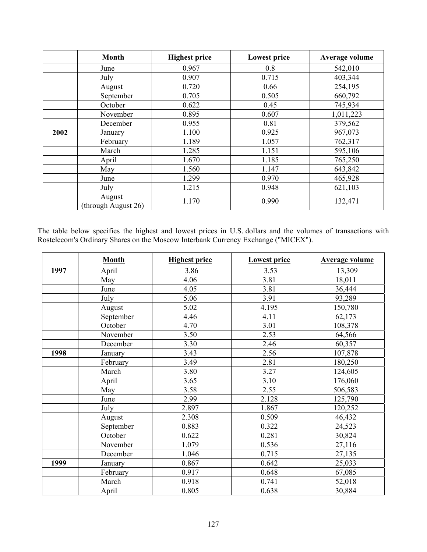|      | <b>Month</b>                  | <b>Highest price</b> | <b>Lowest price</b> | <b>Average volume</b> |
|------|-------------------------------|----------------------|---------------------|-----------------------|
|      | June                          | 0.967                | 0.8                 | 542,010               |
|      | July                          | 0.907                | 0.715               | 403,344               |
|      | August                        | 0.720                | 0.66                | 254,195               |
|      | September                     | 0.705                | 0.505               | 660,792               |
|      | October                       | 0.622                | 0.45                | 745,934               |
|      | November                      | 0.895                | 0.607               | 1,011,223             |
|      | December                      | 0.955                | 0.81                | 379,562               |
| 2002 | January                       | 1.100                | 0.925               | 967,073               |
|      | February                      | 1.189                | 1.057               | 762,317               |
|      | March                         | 1.285                | 1.151               | 595,106               |
|      | April                         | 1.670                | 1.185               | 765,250               |
|      | May                           | 1.560                | 1.147               | 643,842               |
|      | June                          | 1.299                | 0.970               | 465,928               |
|      | July                          | 1.215                | 0.948               | 621,103               |
|      | August<br>(through August 26) | 1.170                | 0.990               | 132,471               |

The table below specifies the highest and lowest prices in U.S. dollars and the volumes of transactions with Rostelecom's Ordinary Shares on the Moscow Interbank Currency Exchange ("MICEX").

|      | <b>Month</b> | <b>Highest price</b> | <b>Lowest price</b> | <b>Average volume</b> |
|------|--------------|----------------------|---------------------|-----------------------|
| 1997 | April        | 3.86                 | 3.53                | 13,309                |
|      | May          | 4.06                 | 3.81                | 18,011                |
|      | June         | 4.05                 | 3.81                | 36,444                |
|      | July         | 5.06                 | 3.91                | 93,289                |
|      | August       | 5.02                 | 4.195               | 150,780               |
|      | September    | 4.46                 | 4.11                | 62,173                |
|      | October      | 4.70                 | 3.01                | 108,378               |
|      | November     | 3.50                 | 2.53                | 64,566                |
|      | December     | 3.30                 | 2.46                | 60,357                |
| 1998 | January      | 3.43                 | 2.56                | 107,878               |
|      | February     | 3.49                 | 2.81                | 180,250               |
|      | March        | 3.80                 | 3.27                | 124,605               |
|      | April        | 3.65                 | 3.10                | 176,060               |
|      | May          | 3.58                 | 2.55                | 506,583               |
|      | June         | 2.99                 | 2.128               | 125,790               |
|      | July         | 2.897                | 1.867               | 120,252               |
|      | August       | 2.308                | 0.509               | 46,432                |
|      | September    | 0.883                | 0.322               | 24,523                |
|      | October      | 0.622                | 0.281               | 30,824                |
|      | November     | 1.079                | 0.536               | 27,116                |
|      | December     | 1.046                | 0.715               | 27,135                |
| 1999 | January      | 0.867                | 0.642               | 25,033                |
|      | February     | 0.917                | 0.648               | 67,085                |
|      | March        | 0.918                | 0.741               | 52,018                |
|      | April        | 0.805                | 0.638               | 30,884                |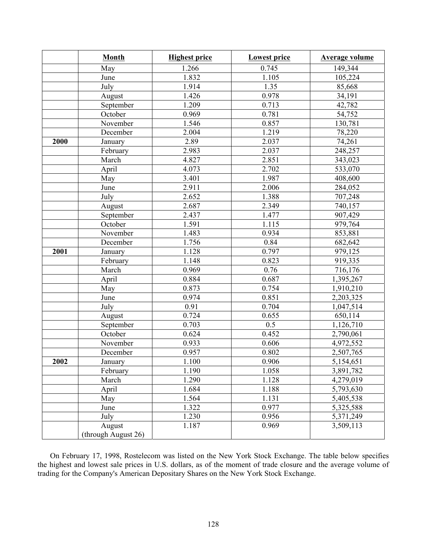|      | <b>Month</b>        | <b>Highest price</b> | <b>Lowest price</b> | <b>Average volume</b> |
|------|---------------------|----------------------|---------------------|-----------------------|
|      | May                 | 1.266                | 0.745               | 149,344               |
|      | June                | 1.832                | 1.105               | 105,224               |
|      | July                | 1.914                | 1.35                | 85,668                |
|      | August              | 1.426                | 0.978               | 34,191                |
|      | September           | 1.209                | 0.713               | 42,782                |
|      | October             | 0.969                | 0.781               | 54,752                |
|      | November            | 1.546                | 0.857               | 130,781               |
|      | December            | 2.004                | 1.219               | 78,220                |
| 2000 | January             | 2.89                 | 2.037               | 74,261                |
|      | February            | 2.983                | 2.037               | 248,257               |
|      | March               | 4.827                | 2.851               | 343,023               |
|      | April               | 4.073                | 2.702               | 533,070               |
|      | May                 | 3.401                | 1.987               | 408,600               |
|      | June                | 2.911                | 2.006               | 284,052               |
|      | July                | 2.652                | 1.388               | 707,248               |
|      | August              | 2.687                | 2.349               | 740,157               |
|      | September           | 2.437                | 1.477               | 907,429               |
|      | October             | 1.591                | 1.115               | 979,764               |
|      | November            | 1.483                | 0.934               | 853,881               |
|      | December            | 1.756                | 0.84                | 682,642               |
| 2001 | January             | 1.128                | 0.797               | 979,125               |
|      | February            | 1.148                | 0.823               | 919,335               |
|      | March               | 0.969                | 0.76                | 716,176               |
|      | April               | 0.884                | 0.687               | 1,395,267             |
|      | May                 | 0.873                | 0.754               | 1,910,210             |
|      | June                | 0.974                | 0.851               | 2,203,325             |
|      | July                | 0.91                 | 0.704               | 1,047,514             |
|      | August              | 0.724                | 0.655               | 650,114               |
|      | September           | 0.703                | 0.5                 | 1,126,710             |
|      | October             | 0.624                | 0.452               | 2,790,061             |
|      | November            | 0.933                | 0.606               | 4,972,552             |
|      | December            | 0.957                | 0.802               | 2,507,765             |
| 2002 | January             | 1.100                | 0.906               | 5,154,651             |
|      | February            | 1.190                | 1.058               | 3,891,782             |
|      | March               | 1.290                | 1.128               | 4,279,019             |
|      | April               | 1.684                | 1.188               | 5,793,630             |
|      | May                 | 1.564                | 1.131               | 5,405,538             |
|      | June                | 1.322                | 0.977               | 5,325,588             |
|      | July                | 1.230                | 0.956               | 5,371,249             |
|      | August              | 1.187                | 0.969               | 3,509,113             |
|      | (through August 26) |                      |                     |                       |

On February 17, 1998, Rostelecom was listed on the New York Stock Exchange. The table below specifies the highest and lowest sale prices in U.S. dollars, as of the moment of trade closure and the average volume of trading for the Company's American Depositary Shares on the New York Stock Exchange.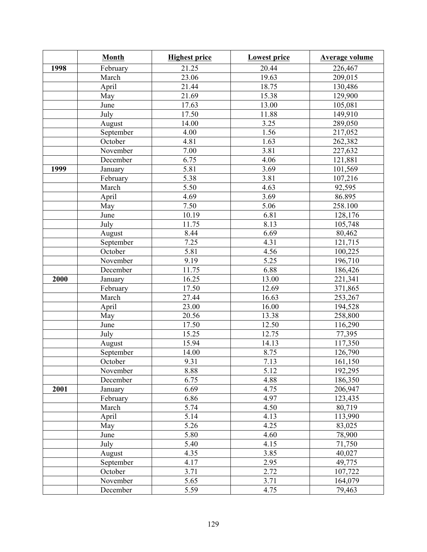|      | <b>Month</b> | <b>Highest price</b> | <b>Lowest price</b> | <b>Average volume</b> |
|------|--------------|----------------------|---------------------|-----------------------|
| 1998 | February     | 21.25                | 20.44               | 226,467               |
|      | March        | 23.06                | 19.63               | 209,015               |
|      | April        | 21.44                | 18.75               | 130,486               |
|      | May          | 21.69                | 15.38               | 129,900               |
|      | June         | 17.63                | 13.00               | 105,081               |
|      | July         | 17.50                | 11.88               | 149,910               |
|      | August       | 14.00                | 3.25                | 289,050               |
|      | September    | 4.00                 | 1.56                | 217,052               |
|      | October      | 4.81                 | 1.63                | 262,382               |
|      | November     | 7.00                 | 3.81                | 227,632               |
|      | December     | 6.75                 | 4.06                | 121,881               |
| 1999 | January      | 5.81                 | 3.69                | 101,569               |
|      | February     | 5.38                 | 3.81                | 107,216               |
|      | March        | $\overline{5.50}$    | 4.63                | 92,595                |
|      | April        | 4.69                 | 3.69                | 86.895                |
|      | May          | 7.50                 | 5.06                | 258.100               |
|      | June         | 10.19                | 6.81                | 128,176               |
|      | July         | 11.75                | 8.13                | 105,748               |
|      | August       | 8.44                 | 6.69                | 80,462                |
|      | September    | 7.25                 | 4.31                | 121,715               |
|      | October      | 5.81                 | 4.56                | 100,225               |
|      | November     | 9.19                 | 5.25                | 196,710               |
|      | December     | 11.75                | 6.88                | 186,426               |
| 2000 | January      | 16.25                | 13.00               | 221,341               |
|      | February     | 17.50                | 12.69               | 371,865               |
|      | March        | 27.44                | 16.63               | 253,267               |
|      | April        | 23.00                | 16.00               | 194,528               |
|      | May          | 20.56                | 13.38               | 258,800               |
|      | June         | 17.50                | 12.50               | $\overline{116,290}$  |
|      | July         | 15.25                | 12.75               | 77,395                |
|      | August       | 15.94                | 14.13               | 117,350               |
|      | September    | 14.00                | 8.75                | 126,790               |
|      | October      | 9.31                 | $7.\overline{13}$   | 161,150               |
|      | November     | 8.88                 | 5.12                | 192,295               |
|      | December     | 6.75                 | 4.88                | 186,350               |
| 2001 | January      | 6.69                 | 4.75                | 206,947               |
|      | February     | 6.86                 | 4.97                | 123,435               |
|      | March        | 5.74                 | 4.50                | 80,719                |
|      | April        | 5.14                 | 4.13                | 113,990               |
|      | May          | 5.26                 | 4.25                | 83,025                |
|      | June         | 5.80                 | 4.60                | 78,900                |
|      | July         | 5.40                 | 4.15                | 71,750                |
|      | August       | 4.35                 | 3.85                | 40,027                |
|      | September    | 4.17                 | 2.95                | 49,775                |
|      | October      | 3.71                 | 2.72                | 107,722               |
|      | November     | 5.65                 | 3.71                | 164,079               |
|      | December     | 5.59                 | 4.75                | 79,463                |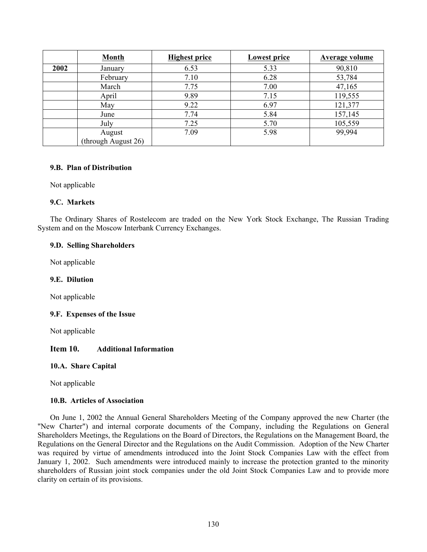|      | <b>Month</b>                  | <b>Highest price</b> | <b>Lowest price</b> | <b>Average volume</b> |
|------|-------------------------------|----------------------|---------------------|-----------------------|
| 2002 | January                       | 6.53                 | 5.33                | 90,810                |
|      | February                      | 7.10                 | 6.28                | 53,784                |
|      | March                         | 7.75                 | 7.00                | 47,165                |
|      | April                         | 9.89                 | 7.15                | 119,555               |
|      | May                           | 9.22                 | 6.97                | 121,377               |
|      | June                          | 7.74                 | 5.84                | 157,145               |
|      | July                          | 7.25                 | 5.70                | 105,559               |
|      | August<br>(through August 26) | 7.09                 | 5.98                | 99,994                |

## **9.B. Plan of Distribution**

Not applicable

# **9.C. Markets**

The Ordinary Shares of Rostelecom are traded on the New York Stock Exchange, The Russian Trading System and on the Moscow Interbank Currency Exchanges.

# **9.D. Selling Shareholders**

Not applicable

# **9.E. Dilution**

Not applicable

# **9.F. Expenses of the Issue**

Not applicable

# **Item 10. Additional Information**

# **10.A. Share Capital**

Not applicable

# **10.B. Articles of Association**

On June 1, 2002 the Annual General Shareholders Meeting of the Company approved the new Charter (the "New Charter") and internal corporate documents of the Company, including the Regulations on General Shareholders Meetings, the Regulations on the Board of Directors, the Regulations on the Management Board, the Regulations on the General Director and the Regulations on the Audit Commission. Adoption of the New Charter was required by virtue of amendments introduced into the Joint Stock Companies Law with the effect from January 1, 2002. Such amendments were introduced mainly to increase the protection granted to the minority shareholders of Russian joint stock companies under the old Joint Stock Companies Law and to provide more clarity on certain of its provisions.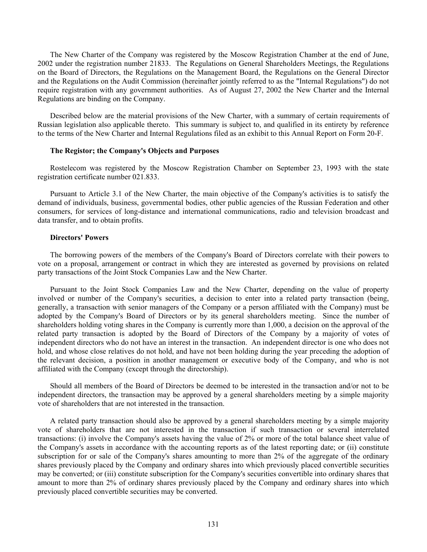The New Charter of the Company was registered by the Moscow Registration Chamber at the end of June, 2002 under the registration number 21833. The Regulations on General Shareholders Meetings, the Regulations on the Board of Directors, the Regulations on the Management Board, the Regulations on the General Director and the Regulations on the Audit Commission (hereinafter jointly referred to as the "Internal Regulations") do not require registration with any government authorities. As of August 27, 2002 the New Charter and the Internal Regulations are binding on the Company.

Described below are the material provisions of the New Charter, with a summary of certain requirements of Russian legislation also applicable thereto. This summary is subject to, and qualified in its entirety by reference to the terms of the New Charter and Internal Regulations filed as an exhibit to this Annual Report on Form 20-F.

### **The Registor; the Company's Objects and Purposes**

Rostelecom was registered by the Moscow Registration Chamber on September 23, 1993 with the state registration certificate number 021.833.

Pursuant to Article 3.1 of the New Charter, the main objective of the Company's activities is to satisfy the demand of individuals, business, governmental bodies, other public agencies of the Russian Federation and other consumers, for services of long-distance and international communications, radio and television broadcast and data transfer, and to obtain profits.

### **Directors' Powers**

The borrowing powers of the members of the Company's Board of Directors correlate with their powers to vote on a proposal, arrangement or contract in which they are interested as governed by provisions on related party transactions of the Joint Stock Companies Law and the New Charter.

Pursuant to the Joint Stock Companies Law and the New Charter, depending on the value of property involved or number of the Company's securities, a decision to enter into a related party transaction (being, generally, a transaction with senior managers of the Company or a person affiliated with the Company) must be adopted by the Company's Board of Directors or by its general shareholders meeting. Since the number of shareholders holding voting shares in the Company is currently more than 1,000, a decision on the approval of the related party transaction is adopted by the Board of Directors of the Company by a majority of votes of independent directors who do not have an interest in the transaction. An independent director is one who does not hold, and whose close relatives do not hold, and have not been holding during the year preceding the adoption of the relevant decision, a position in another management or executive body of the Company, and who is not affiliated with the Company (except through the directorship).

Should all members of the Board of Directors be deemed to be interested in the transaction and/or not to be independent directors, the transaction may be approved by a general shareholders meeting by a simple majority vote of shareholders that are not interested in the transaction.

A related party transaction should also be approved by a general shareholders meeting by a simple majority vote of shareholders that are not interested in the transaction if such transaction or several interrelated transactions: (i) involve the Company's assets having the value of 2% or more of the total balance sheet value of the Company's assets in accordance with the accounting reports as of the latest reporting date; or (ii) constitute subscription for or sale of the Company's shares amounting to more than 2% of the aggregate of the ordinary shares previously placed by the Company and ordinary shares into which previously placed convertible securities may be converted; or (iii) constitute subscription for the Company's securities convertible into ordinary shares that amount to more than 2% of ordinary shares previously placed by the Company and ordinary shares into which previously placed convertible securities may be converted.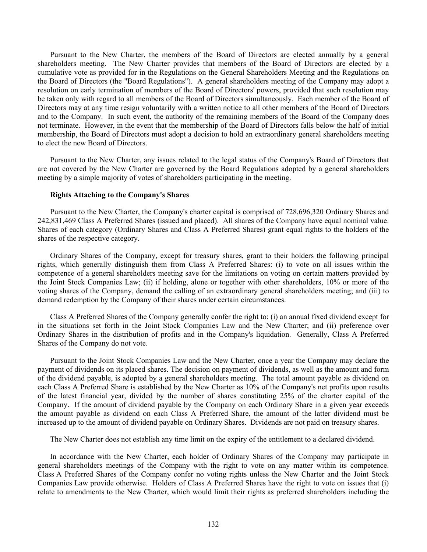Pursuant to the New Charter, the members of the Board of Directors are elected annually by a general shareholders meeting. The New Charter provides that members of the Board of Directors are elected by a cumulative vote as provided for in the Regulations on the General Shareholders Meeting and the Regulations on the Board of Directors (the "Board Regulations"). A general shareholders meeting of the Company may adopt a resolution on early termination of members of the Board of Directors' powers, provided that such resolution may be taken only with regard to all members of the Board of Directors simultaneously. Each member of the Board of Directors may at any time resign voluntarily with a written notice to all other members of the Board of Directors and to the Company. In such event, the authority of the remaining members of the Board of the Company does not terminate. However, in the event that the membership of the Board of Directors falls below the half of initial membership, the Board of Directors must adopt a decision to hold an extraordinary general shareholders meeting to elect the new Board of Directors.

Pursuant to the New Charter, any issues related to the legal status of the Company's Board of Directors that are not covered by the New Charter are governed by the Board Regulations adopted by a general shareholders meeting by a simple majority of votes of shareholders participating in the meeting.

### **Rights Attaching to the Company's Shares**

Pursuant to the New Charter, the Company's charter capital is comprised of 728,696,320 Ordinary Shares and 242,831,469 Class A Preferred Shares (issued and placed). All shares of the Company have equal nominal value. Shares of each category (Ordinary Shares and Class A Preferred Shares) grant equal rights to the holders of the shares of the respective category.

Ordinary Shares of the Company, except for treasury shares, grant to their holders the following principal rights, which generally distinguish them from Class A Preferred Shares: (i) to vote on all issues within the competence of a general shareholders meeting save for the limitations on voting on certain matters provided by the Joint Stock Companies Law; (ii) if holding, alone or together with other shareholders, 10% or more of the voting shares of the Company, demand the calling of an extraordinary general shareholders meeting; and (iii) to demand redemption by the Company of their shares under certain circumstances.

Class A Preferred Shares of the Company generally confer the right to: (i) an annual fixed dividend except for in the situations set forth in the Joint Stock Companies Law and the New Charter; and (ii) preference over Ordinary Shares in the distribution of profits and in the Company's liquidation. Generally, Class A Preferred Shares of the Company do not vote.

Pursuant to the Joint Stock Companies Law and the New Charter, once a year the Company may declare the payment of dividends on its placed shares. The decision on payment of dividends, as well as the amount and form of the dividend payable, is adopted by a general shareholders meeting. The total amount payable as dividend on each Class A Preferred Share is established by the New Charter as 10% of the Company's net profits upon results of the latest financial year, divided by the number of shares constituting 25% of the charter capital of the Company. If the amount of dividend payable by the Company on each Ordinary Share in a given year exceeds the amount payable as dividend on each Class A Preferred Share, the amount of the latter dividend must be increased up to the amount of dividend payable on Ordinary Shares. Dividends are not paid on treasury shares.

The New Charter does not establish any time limit on the expiry of the entitlement to a declared dividend.

In accordance with the New Charter, each holder of Ordinary Shares of the Company may participate in general shareholders meetings of the Company with the right to vote on any matter within its competence. Class A Preferred Shares of the Company confer no voting rights unless the New Charter and the Joint Stock Companies Law provide otherwise. Holders of Class A Preferred Shares have the right to vote on issues that (i) relate to amendments to the New Charter, which would limit their rights as preferred shareholders including the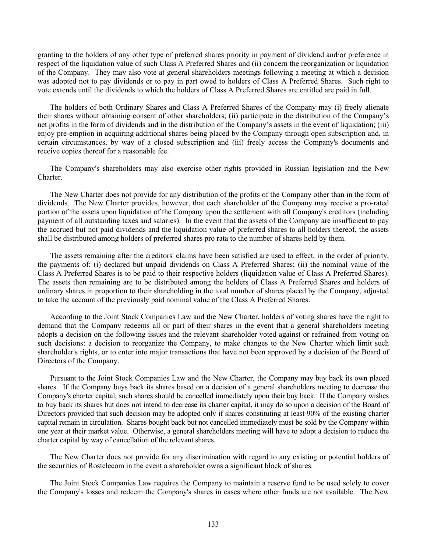granting to the holders of any other type of preferred shares priority in payment of dividend and/or preference in respect of the liquidation value of such Class A Preferred Shares and (ii) concern the reorganization or liquidation of the Company. They may also vote at general shareholders meetings following a meeting at which a decision was adopted not to pay dividends or to pay in part owed to holders of Class A Preferred Shares. Such right to vote extends until the dividends to which the holders of Class A Preferred Shares are entitled are paid in full.

The holders of both Ordinary Shares and Class A Preferred Shares of the Company may (i) freely alienate their shares without obtaining consent of other shareholders; (ii) participate in the distribution of the Company's net profits in the form of dividends and in the distribution of the Company's assets in the event of liquidation; (iii) enjoy pre-emption in acquiring additional shares being placed by the Company through open subscription and, in certain circumstances, by way of a closed subscription and (iii) freely access the Company's documents and receive copies thereof for a reasonable fee.

The Company's shareholders may also exercise other rights provided in Russian legislation and the New Charter.

The New Charter does not provide for any distribution of the profits of the Company other than in the form of dividends. The New Charter provides, however, that each shareholder of the Company may receive a pro-rated portion of the assets upon liquidation of the Company upon the settlement with all Company's creditors (including payment of all outstanding taxes and salaries). In the event that the assets of the Company are insufficient to pay the accrued but not paid dividends and the liquidation value of preferred shares to all holders thereof, the assets shall be distributed among holders of preferred shares pro rata to the number of shares held by them.

The assets remaining after the creditors' claims have been satisfied are used to effect, in the order of priority, the payments of: (i) declared but unpaid dividends on Class A Preferred Shares; (ii) the nominal value of the Class A Preferred Shares is to be paid to their respective holders (liquidation value of Class A Preferred Shares). The assets then remaining are to be distributed among the holders of Class A Preferred Shares and holders of ordinary shares in proportion to their shareholding in the total number of shares placed by the Company, adjusted to take the account of the previously paid nominal value of the Class A Preferred Shares.

According to the Joint Stock Companies Law and the New Charter, holders of voting shares have the right to demand that the Company redeems all or part of their shares in the event that a general shareholders meeting adopts a decision on the following issues and the relevant shareholder voted against or refrained from voting on such decisions: a decision to reorganize the Company, to make changes to the New Charter which limit such shareholder's rights, or to enter into major transactions that have not been approved by a decision of the Board of Directors of the Company.

Pursuant to the Joint Stock Companies Law and the New Charter, the Company may buy back its own placed shares. If the Company buys back its shares based on a decision of a general shareholders meeting to decrease the Company's charter capital, such shares should be cancelled immediately upon their buy back. If the Company wishes to buy back its shares but does not intend to decrease its charter capital, it may do so upon a decision of the Board of Directors provided that such decision may be adopted only if shares constituting at least 90% of the existing charter capital remain in circulation. Shares bought back but not cancelled immediately must be sold by the Company within one year at their market value. Otherwise, a general shareholders meeting will have to adopt a decision to reduce the charter capital by way of cancellation of the relevant shares.

The New Charter does not provide for any discrimination with regard to any existing or potential holders of the securities of Rostelecom in the event a shareholder owns a significant block of shares.

The Joint Stock Companies Law requires the Company to maintain a reserve fund to be used solely to cover the Company's losses and redeem the Company's shares in cases where other funds are not available. The New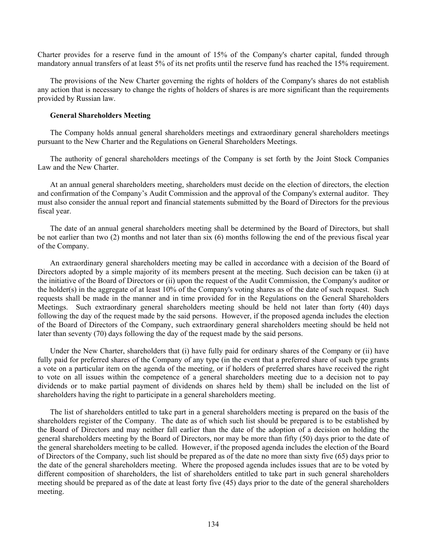Charter provides for a reserve fund in the amount of 15% of the Company's charter capital, funded through mandatory annual transfers of at least 5% of its net profits until the reserve fund has reached the 15% requirement.

The provisions of the New Charter governing the rights of holders of the Company's shares do not establish any action that is necessary to change the rights of holders of shares is are more significant than the requirements provided by Russian law.

#### **General Shareholders Meeting**

The Company holds annual general shareholders meetings and extraordinary general shareholders meetings pursuant to the New Charter and the Regulations on General Shareholders Meetings.

The authority of general shareholders meetings of the Company is set forth by the Joint Stock Companies Law and the New Charter.

At an annual general shareholders meeting, shareholders must decide on the election of directors, the election and confirmation of the Company's Audit Commission and the approval of the Company's external auditor. They must also consider the annual report and financial statements submitted by the Board of Directors for the previous fiscal year.

The date of an annual general shareholders meeting shall be determined by the Board of Directors, but shall be not earlier than two (2) months and not later than six (6) months following the end of the previous fiscal year of the Company.

An extraordinary general shareholders meeting may be called in accordance with a decision of the Board of Directors adopted by a simple majority of its members present at the meeting. Such decision can be taken (i) at the initiative of the Board of Directors or (ii) upon the request of the Audit Commission, the Company's auditor or the holder(s) in the aggregate of at least 10% of the Company's voting shares as of the date of such request. Such requests shall be made in the manner and in time provided for in the Regulations on the General Shareholders Meetings. Such extraordinary general shareholders meeting should be held not later than forty (40) days following the day of the request made by the said persons. However, if the proposed agenda includes the election of the Board of Directors of the Company, such extraordinary general shareholders meeting should be held not later than seventy (70) days following the day of the request made by the said persons.

Under the New Charter, shareholders that (i) have fully paid for ordinary shares of the Company or (ii) have fully paid for preferred shares of the Company of any type (in the event that a preferred share of such type grants a vote on a particular item on the agenda of the meeting, or if holders of preferred shares have received the right to vote on all issues within the competence of a general shareholders meeting due to a decision not to pay dividends or to make partial payment of dividends on shares held by them) shall be included on the list of shareholders having the right to participate in a general shareholders meeting.

The list of shareholders entitled to take part in a general shareholders meeting is prepared on the basis of the shareholders register of the Company. The date as of which such list should be prepared is to be established by the Board of Directors and may neither fall earlier than the date of the adoption of a decision on holding the general shareholders meeting by the Board of Directors, nor may be more than fifty (50) days prior to the date of the general shareholders meeting to be called. However, if the proposed agenda includes the election of the Board of Directors of the Company, such list should be prepared as of the date no more than sixty five (65) days prior to the date of the general shareholders meeting. Where the proposed agenda includes issues that are to be voted by different composition of shareholders, the list of shareholders entitled to take part in such general shareholders meeting should be prepared as of the date at least forty five (45) days prior to the date of the general shareholders meeting.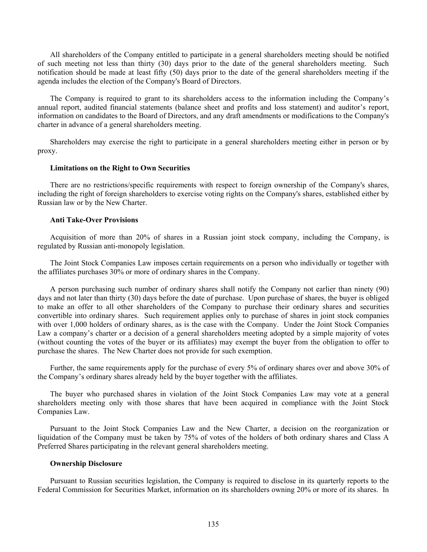All shareholders of the Company entitled to participate in a general shareholders meeting should be notified of such meeting not less than thirty (30) days prior to the date of the general shareholders meeting. Such notification should be made at least fifty (50) days prior to the date of the general shareholders meeting if the agenda includes the election of the Company's Board of Directors.

The Company is required to grant to its shareholders access to the information including the Company's annual report, audited financial statements (balance sheet and profits and loss statement) and auditor's report, information on candidates to the Board of Directors, and any draft amendments or modifications to the Company's charter in advance of a general shareholders meeting.

Shareholders may exercise the right to participate in a general shareholders meeting either in person or by proxy.

#### **Limitations on the Right to Own Securities**

There are no restrictions/specific requirements with respect to foreign ownership of the Company's shares, including the right of foreign shareholders to exercise voting rights on the Company's shares, established either by Russian law or by the New Charter.

## **Anti Take-Over Provisions**

Acquisition of more than 20% of shares in a Russian joint stock company, including the Company, is regulated by Russian anti-monopoly legislation.

The Joint Stock Companies Law imposes certain requirements on a person who individually or together with the affiliates purchases 30% or more of ordinary shares in the Company.

A person purchasing such number of ordinary shares shall notify the Company not earlier than ninety (90) days and not later than thirty (30) days before the date of purchase. Upon purchase of shares, the buyer is obliged to make an offer to all other shareholders of the Company to purchase their ordinary shares and securities convertible into ordinary shares. Such requirement applies only to purchase of shares in joint stock companies with over 1,000 holders of ordinary shares, as is the case with the Company. Under the Joint Stock Companies Law a company's charter or a decision of a general shareholders meeting adopted by a simple majority of votes (without counting the votes of the buyer or its affiliates) may exempt the buyer from the obligation to offer to purchase the shares. The New Charter does not provide for such exemption.

Further, the same requirements apply for the purchase of every 5% of ordinary shares over and above 30% of the Company's ordinary shares already held by the buyer together with the affiliates.

The buyer who purchased shares in violation of the Joint Stock Companies Law may vote at a general shareholders meeting only with those shares that have been acquired in compliance with the Joint Stock Companies Law.

Pursuant to the Joint Stock Companies Law and the New Charter, a decision on the reorganization or liquidation of the Company must be taken by 75% of votes of the holders of both ordinary shares and Class A Preferred Shares participating in the relevant general shareholders meeting.

#### **Ownership Disclosure**

Pursuant to Russian securities legislation, the Company is required to disclose in its quarterly reports to the Federal Commission for Securities Market, information on its shareholders owning 20% or more of its shares. In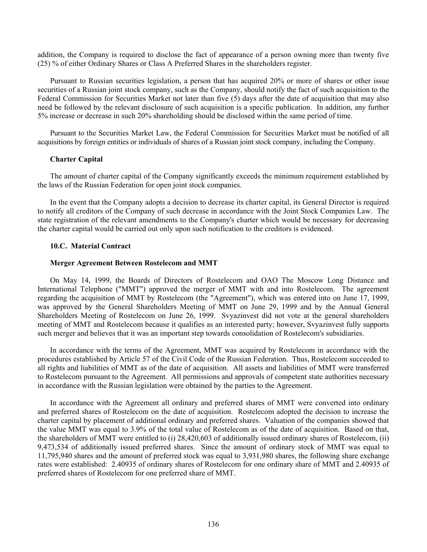addition, the Company is required to disclose the fact of appearance of a person owning more than twenty five (25) % of either Ordinary Shares or Class A Preferred Shares in the shareholders register.

Pursuant to Russian securities legislation, a person that has acquired 20% or more of shares or other issue securities of a Russian joint stock company, such as the Company, should notify the fact of such acquisition to the Federal Commission for Securities Market not later than five (5) days after the date of acquisition that may also need be followed by the relevant disclosure of such acquisition is a specific publication. In addition, any further 5% increase or decrease in such 20% shareholding should be disclosed within the same period of time.

Pursuant to the Securities Market Law, the Federal Commission for Securities Market must be notified of all acquisitions by foreign entities or individuals of shares of a Russian joint stock company, including the Company.

## **Charter Capital**

The amount of charter capital of the Company significantly exceeds the minimum requirement established by the laws of the Russian Federation for open joint stock companies.

In the event that the Company adopts a decision to decrease its charter capital, its General Director is required to notify all creditors of the Company of such decrease in accordance with the Joint Stock Companies Law. The state registration of the relevant amendments to the Company's charter which would be necessary for decreasing the charter capital would be carried out only upon such notification to the creditors is evidenced.

## **10.C. Material Contract**

### **Merger Agreement Between Rostelecom and MMT**

On May 14, 1999, the Boards of Directors of Rostelecom and OAO The Moscow Long Distance and International Telephone ("MMT") approved the merger of MMT with and into Rostelecom. The agreement regarding the acquisition of MMT by Rostelecom (the "Agreement"), which was entered into on June 17, 1999, was approved by the General Shareholders Meeting of MMT on June 29, 1999 and by the Annual General Shareholders Meeting of Rostelecom on June 26, 1999. Svyazinvest did not vote at the general shareholders meeting of MMT and Rostelecom because it qualifies as an interested party; however, Svyazinvest fully supports such merger and believes that it was an important step towards consolidation of Rostelecom's subsidiaries.

In accordance with the terms of the Agreement, MMT was acquired by Rostelecom in accordance with the procedures established by Article 57 of the Civil Code of the Russian Federation. Thus, Rostelecom succeeded to all rights and liabilities of MMT as of the date of acquisition. All assets and liabilities of MMT were transferred to Rostelecom pursuant to the Agreement. All permissions and approvals of competent state authorities necessary in accordance with the Russian legislation were obtained by the parties to the Agreement.

In accordance with the Agreement all ordinary and preferred shares of MMT were converted into ordinary and preferred shares of Rostelecom on the date of acquisition. Rostelecom adopted the decision to increase the charter capital by placement of additional ordinary and preferred shares. Valuation of the companies showed that the value MMT was equal to 3.9% of the total value of Rostelecom as of the date of acquisition. Based on that, the shareholders of MMT were entitled to (i) 28,420,603 of additionally issued ordinary shares of Rostelecom, (ii) 9,473,534 of additionally issued preferred shares. Since the amount of ordinary stock of MMT was equal to 11,795,940 shares and the amount of preferred stock was equal to 3,931,980 shares, the following share exchange rates were established: 2.40935 of ordinary shares of Rostelecom for one ordinary share of MMT and 2.40935 of preferred shares of Rostelecom for one preferred share of MMT.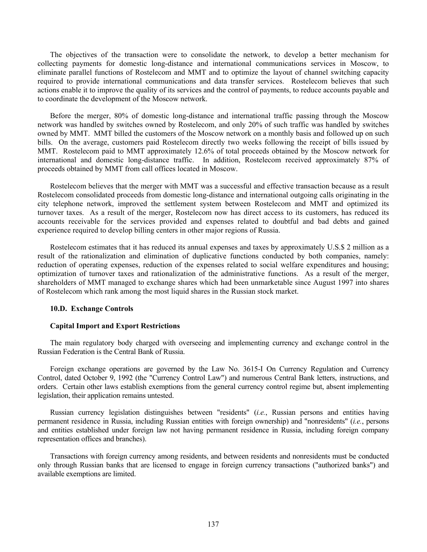The objectives of the transaction were to consolidate the network, to develop a better mechanism for collecting payments for domestic long-distance and international communications services in Moscow, to eliminate parallel functions of Rostelecom and MMT and to optimize the layout of channel switching capacity required to provide international communications and data transfer services. Rostelecom believes that such actions enable it to improve the quality of its services and the control of payments, to reduce accounts payable and to coordinate the development of the Moscow network.

Before the merger, 80% of domestic long-distance and international traffic passing through the Moscow network was handled by switches owned by Rostelecom, and only 20% of such traffic was handled by switches owned by MMT. MMT billed the customers of the Moscow network on a monthly basis and followed up on such bills. On the average, customers paid Rostelecom directly two weeks following the receipt of bills issued by MMT. Rostelecom paid to MMT approximately 12.6% of total proceeds obtained by the Moscow network for international and domestic long-distance traffic. In addition, Rostelecom received approximately 87% of proceeds obtained by MMT from call offices located in Moscow.

Rostelecom believes that the merger with MMT was a successful and effective transaction because as a result Rostelecom consolidated proceeds from domestic long-distance and international outgoing calls originating in the city telephone network, improved the settlement system between Rostelecom and MMT and optimized its turnover taxes. As a result of the merger, Rostelecom now has direct access to its customers, has reduced its accounts receivable for the services provided and expenses related to doubtful and bad debts and gained experience required to develop billing centers in other major regions of Russia.

Rostelecom estimates that it has reduced its annual expenses and taxes by approximately U.S.\$ 2 million as a result of the rationalization and elimination of duplicative functions conducted by both companies, namely: reduction of operating expenses, reduction of the expenses related to social welfare expenditures and housing; optimization of turnover taxes and rationalization of the administrative functions. As a result of the merger, shareholders of MMT managed to exchange shares which had been unmarketable since August 1997 into shares of Rostelecom which rank among the most liquid shares in the Russian stock market.

### **10.D. Exchange Controls**

# **Capital Import and Export Restrictions**

The main regulatory body charged with overseeing and implementing currency and exchange control in the Russian Federation is the Central Bank of Russia.

Foreign exchange operations are governed by the Law No. 3615-I On Currency Regulation and Currency Control, dated October 9, 1992 (the "Currency Control Law") and numerous Central Bank letters, instructions, and orders. Certain other laws establish exemptions from the general currency control regime but, absent implementing legislation, their application remains untested.

Russian currency legislation distinguishes between "residents" (*i.e.*, Russian persons and entities having permanent residence in Russia, including Russian entities with foreign ownership) and "nonresidents" (*i.e.*, persons and entities established under foreign law not having permanent residence in Russia, including foreign company representation offices and branches).

Transactions with foreign currency among residents, and between residents and nonresidents must be conducted only through Russian banks that are licensed to engage in foreign currency transactions ("authorized banks") and available exemptions are limited.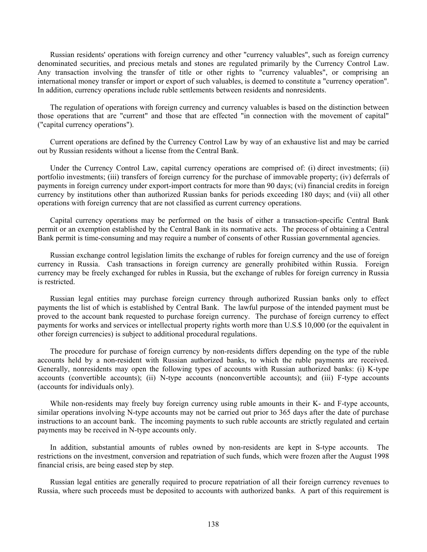Russian residents' operations with foreign currency and other "currency valuables", such as foreign currency denominated securities, and precious metals and stones are regulated primarily by the Currency Control Law. Any transaction involving the transfer of title or other rights to "currency valuables", or comprising an international money transfer or import or export of such valuables, is deemed to constitute a "currency operation". In addition, currency operations include ruble settlements between residents and nonresidents.

The regulation of operations with foreign currency and currency valuables is based on the distinction between those operations that are "current" and those that are effected "in connection with the movement of capital" ("capital currency operations").

Current operations are defined by the Currency Control Law by way of an exhaustive list and may be carried out by Russian residents without a license from the Central Bank.

Under the Currency Control Law, capital currency operations are comprised of: (i) direct investments; (ii) portfolio investments; (iii) transfers of foreign currency for the purchase of immovable property; (iv) deferrals of payments in foreign currency under export-import contracts for more than 90 days; (vi) financial credits in foreign currency by institutions other than authorized Russian banks for periods exceeding 180 days; and (vii) all other operations with foreign currency that are not classified as current currency operations.

Capital currency operations may be performed on the basis of either a transaction-specific Central Bank permit or an exemption established by the Central Bank in its normative acts. The process of obtaining a Central Bank permit is time-consuming and may require a number of consents of other Russian governmental agencies.

Russian exchange control legislation limits the exchange of rubles for foreign currency and the use of foreign currency in Russia. Cash transactions in foreign currency are generally prohibited within Russia. Foreign currency may be freely exchanged for rubles in Russia, but the exchange of rubles for foreign currency in Russia is restricted.

Russian legal entities may purchase foreign currency through authorized Russian banks only to effect payments the list of which is established by Central Bank. The lawful purpose of the intended payment must be proved to the account bank requested to purchase foreign currency. The purchase of foreign currency to effect payments for works and services or intellectual property rights worth more than U.S.\$ 10,000 (or the equivalent in other foreign currencies) is subject to additional procedural regulations.

The procedure for purchase of foreign currency by non-residents differs depending on the type of the ruble accounts held by a non-resident with Russian authorized banks, to which the ruble payments are received. Generally, nonresidents may open the following types of accounts with Russian authorized banks: (i) K-type accounts (convertible accounts); (ii) N-type accounts (nonconvertible accounts); and (iii) F-type accounts (accounts for individuals only).

While non-residents may freely buy foreign currency using ruble amounts in their K- and F-type accounts, similar operations involving N-type accounts may not be carried out prior to 365 days after the date of purchase instructions to an account bank. The incoming payments to such ruble accounts are strictly regulated and certain payments may be received in N-type accounts only.

In addition, substantial amounts of rubles owned by non-residents are kept in S-type accounts. The restrictions on the investment, conversion and repatriation of such funds, which were frozen after the August 1998 financial crisis, are being eased step by step.

Russian legal entities are generally required to procure repatriation of all their foreign currency revenues to Russia, where such proceeds must be deposited to accounts with authorized banks. A part of this requirement is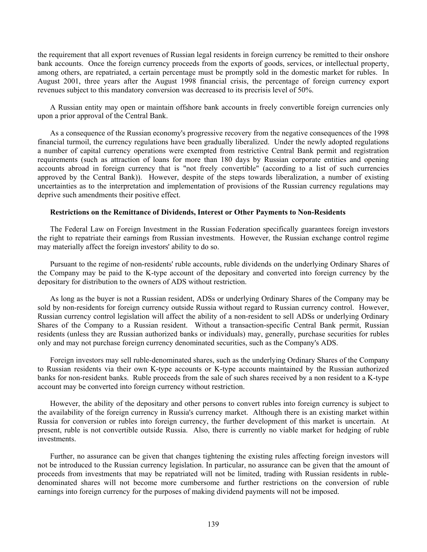the requirement that all export revenues of Russian legal residents in foreign currency be remitted to their onshore bank accounts. Once the foreign currency proceeds from the exports of goods, services, or intellectual property, among others, are repatriated, a certain percentage must be promptly sold in the domestic market for rubles. In August 2001, three years after the August 1998 financial crisis, the percentage of foreign currency export revenues subject to this mandatory conversion was decreased to its precrisis level of 50%.

A Russian entity may open or maintain offshore bank accounts in freely convertible foreign currencies only upon a prior approval of the Central Bank.

As a consequence of the Russian economy's progressive recovery from the negative consequences of the 1998 financial turmoil, the currency regulations have been gradually liberalized. Under the newly adopted regulations a number of capital currency operations were exempted from restrictive Central Bank permit and registration requirements (such as attraction of loans for more than 180 days by Russian corporate entities and opening accounts abroad in foreign currency that is "not freely convertible" (according to a list of such currencies approved by the Central Bank)). However, despite of the steps towards liberalization, a number of existing uncertainties as to the interpretation and implementation of provisions of the Russian currency regulations may deprive such amendments their positive effect.

### **Restrictions on the Remittance of Dividends, Interest or Other Payments to Non-Residents**

The Federal Law on Foreign Investment in the Russian Federation specifically guarantees foreign investors the right to repatriate their earnings from Russian investments. However, the Russian exchange control regime may materially affect the foreign investors' ability to do so.

Pursuant to the regime of non-residents' ruble accounts, ruble dividends on the underlying Ordinary Shares of the Company may be paid to the K-type account of the depositary and converted into foreign currency by the depositary for distribution to the owners of ADS without restriction.

As long as the buyer is not a Russian resident, ADSs or underlying Ordinary Shares of the Company may be sold by non-residents for foreign currency outside Russia without regard to Russian currency control. However, Russian currency control legislation will affect the ability of a non-resident to sell ADSs or underlying Ordinary Shares of the Company to a Russian resident. Without a transaction-specific Central Bank permit, Russian residents (unless they are Russian authorized banks or individuals) may, generally, purchase securities for rubles only and may not purchase foreign currency denominated securities, such as the Company's ADS.

Foreign investors may sell ruble-denominated shares, such as the underlying Ordinary Shares of the Company to Russian residents via their own K-type accounts or K-type accounts maintained by the Russian authorized banks for non-resident banks. Ruble proceeds from the sale of such shares received by a non resident to a K-type account may be converted into foreign currency without restriction.

However, the ability of the depositary and other persons to convert rubles into foreign currency is subject to the availability of the foreign currency in Russia's currency market. Although there is an existing market within Russia for conversion or rubles into foreign currency, the further development of this market is uncertain. At present, ruble is not convertible outside Russia. Also, there is currently no viable market for hedging of ruble investments.

Further, no assurance can be given that changes tightening the existing rules affecting foreign investors will not be introduced to the Russian currency legislation. In particular, no assurance can be given that the amount of proceeds from investments that may be repatriated will not be limited, trading with Russian residents in rubledenominated shares will not become more cumbersome and further restrictions on the conversion of ruble earnings into foreign currency for the purposes of making dividend payments will not be imposed.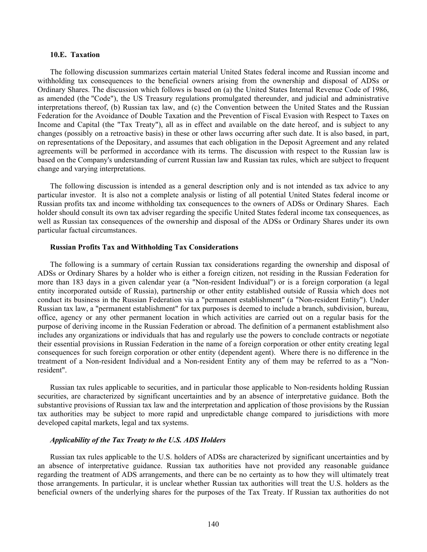#### **10.E. Taxation**

The following discussion summarizes certain material United States federal income and Russian income and withholding tax consequences to the beneficial owners arising from the ownership and disposal of ADSs or Ordinary Shares. The discussion which follows is based on (a) the United States Internal Revenue Code of 1986, as amended (the "Code"), the US Treasury regulations promulgated thereunder, and judicial and administrative interpretations thereof, (b) Russian tax law, and (c) the Convention between the United States and the Russian Federation for the Avoidance of Double Taxation and the Prevention of Fiscal Evasion with Respect to Taxes on Income and Capital (the "Tax Treaty"), all as in effect and available on the date hereof, and is subject to any changes (possibly on a retroactive basis) in these or other laws occurring after such date. It is also based, in part, on representations of the Depositary, and assumes that each obligation in the Deposit Agreement and any related agreements will be performed in accordance with its terms. The discussion with respect to the Russian law is based on the Company's understanding of current Russian law and Russian tax rules, which are subject to frequent change and varying interpretations.

The following discussion is intended as a general description only and is not intended as tax advice to any particular investor. It is also not a complete analysis or listing of all potential United States federal income or Russian profits tax and income withholding tax consequences to the owners of ADSs or Ordinary Shares. Each holder should consult its own tax adviser regarding the specific United States federal income tax consequences, as well as Russian tax consequences of the ownership and disposal of the ADSs or Ordinary Shares under its own particular factual circumstances.

### **Russian Profits Tax and Withholding Tax Considerations**

The following is a summary of certain Russian tax considerations regarding the ownership and disposal of ADSs or Ordinary Shares by a holder who is either a foreign citizen, not residing in the Russian Federation for more than 183 days in a given calendar year (a "Non-resident Individual") or is a foreign corporation (a legal entity incorporated outside of Russia), partnership or other entity established outside of Russia which does not conduct its business in the Russian Federation via a "permanent establishment" (a "Non-resident Entity"). Under Russian tax law, a "permanent establishment" for tax purposes is deemed to include a branch, subdivision, bureau, office, agency or any other permanent location in which activities are carried out on a regular basis for the purpose of deriving income in the Russian Federation or abroad. The definition of a permanent establishment also includes any organizations or individuals that has and regularly use the powers to conclude contracts or negotiate their essential provisions in Russian Federation in the name of a foreign corporation or other entity creating legal consequences for such foreign corporation or other entity (dependent agent). Where there is no difference in the treatment of a Non-resident Individual and a Non-resident Entity any of them may be referred to as a "Nonresident".

Russian tax rules applicable to securities, and in particular those applicable to Non-residents holding Russian securities, are characterized by significant uncertainties and by an absence of interpretative guidance. Both the substantive provisions of Russian tax law and the interpretation and application of those provisions by the Russian tax authorities may be subject to more rapid and unpredictable change compared to jurisdictions with more developed capital markets, legal and tax systems.

#### *Applicability of the Tax Treaty to the U.S. ADS Holders*

Russian tax rules applicable to the U.S. holders of ADSs are characterized by significant uncertainties and by an absence of interpretative guidance. Russian tax authorities have not provided any reasonable guidance regarding the treatment of ADS arrangements, and there can be no certainty as to how they will ultimately treat those arrangements. In particular, it is unclear whether Russian tax authorities will treat the U.S. holders as the beneficial owners of the underlying shares for the purposes of the Tax Treaty. If Russian tax authorities do not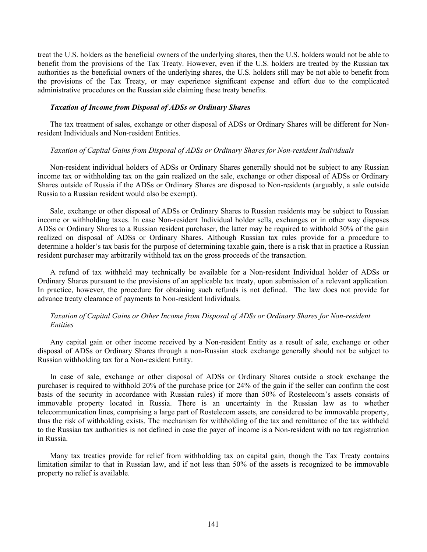treat the U.S. holders as the beneficial owners of the underlying shares, then the U.S. holders would not be able to benefit from the provisions of the Tax Treaty. However, even if the U.S. holders are treated by the Russian tax authorities as the beneficial owners of the underlying shares, the U.S. holders still may be not able to benefit from the provisions of the Tax Treaty, or may experience significant expense and effort due to the complicated administrative procedures on the Russian side claiming these treaty benefits.

### *Taxation of Income from Disposal of ADSs or Ordinary Shares*

The tax treatment of sales, exchange or other disposal of ADSs or Ordinary Shares will be different for Nonresident Individuals and Non-resident Entities.

### *Taxation of Capital Gains from Disposal of ADSs or Ordinary Shares for Non-resident Individuals*

Non-resident individual holders of ADSs or Ordinary Shares generally should not be subject to any Russian income tax or withholding tax on the gain realized on the sale, exchange or other disposal of ADSs or Ordinary Shares outside of Russia if the ADSs or Ordinary Shares are disposed to Non-residents (arguably, a sale outside Russia to a Russian resident would also be exempt).

Sale, exchange or other disposal of ADSs or Ordinary Shares to Russian residents may be subject to Russian income or withholding taxes. In case Non-resident Individual holder sells, exchanges or in other way disposes ADSs or Ordinary Shares to a Russian resident purchaser, the latter may be required to withhold 30% of the gain realized on disposal of ADSs or Ordinary Shares. Although Russian tax rules provide for a procedure to determine a holder's tax basis for the purpose of determining taxable gain, there is a risk that in practice a Russian resident purchaser may arbitrarily withhold tax on the gross proceeds of the transaction.

A refund of tax withheld may technically be available for a Non-resident Individual holder of ADSs or Ordinary Shares pursuant to the provisions of an applicable tax treaty, upon submission of a relevant application. In practice, however, the procedure for obtaining such refunds is not defined. The law does not provide for advance treaty clearance of payments to Non-resident Individuals.

## *Taxation of Capital Gains or Other Income from Disposal of ADSs or Ordinary Shares for Non-resident Entities*

Any capital gain or other income received by a Non-resident Entity as a result of sale, exchange or other disposal of ADSs or Ordinary Shares through a non-Russian stock exchange generally should not be subject to Russian withholding tax for a Non-resident Entity.

In case of sale, exchange or other disposal of ADSs or Ordinary Shares outside a stock exchange the purchaser is required to withhold 20% of the purchase price (or 24% of the gain if the seller can confirm the cost basis of the security in accordance with Russian rules) if more than 50% of Rostelecom's assets consists of immovable property located in Russia. There is an uncertainty in the Russian law as to whether telecommunication lines, comprising a large part of Rostelecom assets, are considered to be immovable property, thus the risk of withholding exists. The mechanism for withholding of the tax and remittance of the tax withheld to the Russian tax authorities is not defined in case the payer of income is a Non-resident with no tax registration in Russia.

Many tax treaties provide for relief from withholding tax on capital gain, though the Tax Treaty contains limitation similar to that in Russian law, and if not less than 50% of the assets is recognized to be immovable property no relief is available.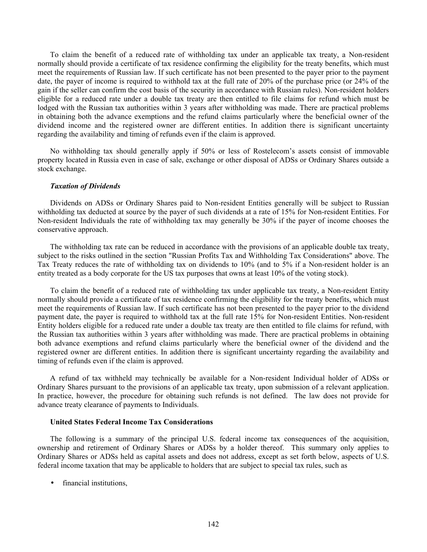To claim the benefit of a reduced rate of withholding tax under an applicable tax treaty, a Non-resident normally should provide a certificate of tax residence confirming the eligibility for the treaty benefits, which must meet the requirements of Russian law. If such certificate has not been presented to the payer prior to the payment date, the payer of income is required to withhold tax at the full rate of 20% of the purchase price (or 24% of the gain if the seller can confirm the cost basis of the security in accordance with Russian rules). Non-resident holders eligible for a reduced rate under a double tax treaty are then entitled to file claims for refund which must be lodged with the Russian tax authorities within 3 years after withholding was made. There are practical problems in obtaining both the advance exemptions and the refund claims particularly where the beneficial owner of the dividend income and the registered owner are different entities. In addition there is significant uncertainty regarding the availability and timing of refunds even if the claim is approved.

No withholding tax should generally apply if 50% or less of Rostelecom's assets consist of immovable property located in Russia even in case of sale, exchange or other disposal of ADSs or Ordinary Shares outside a stock exchange.

### *Taxation of Dividends*

Dividends on ADSs or Ordinary Shares paid to Non-resident Entities generally will be subject to Russian withholding tax deducted at source by the payer of such dividends at a rate of 15% for Non-resident Entities. For Non-resident Individuals the rate of withholding tax may generally be 30% if the payer of income chooses the conservative approach.

The withholding tax rate can be reduced in accordance with the provisions of an applicable double tax treaty, subject to the risks outlined in the section "Russian Profits Tax and Withholding Tax Considerations" above. The Tax Treaty reduces the rate of withholding tax on dividends to 10% (and to 5% if a Non-resident holder is an entity treated as a body corporate for the US tax purposes that owns at least 10% of the voting stock).

To claim the benefit of a reduced rate of withholding tax under applicable tax treaty, a Non-resident Entity normally should provide a certificate of tax residence confirming the eligibility for the treaty benefits, which must meet the requirements of Russian law. If such certificate has not been presented to the payer prior to the dividend payment date, the payer is required to withhold tax at the full rate 15% for Non-resident Entities. Non-resident Entity holders eligible for a reduced rate under a double tax treaty are then entitled to file claims for refund, with the Russian tax authorities within 3 years after withholding was made. There are practical problems in obtaining both advance exemptions and refund claims particularly where the beneficial owner of the dividend and the registered owner are different entities. In addition there is significant uncertainty regarding the availability and timing of refunds even if the claim is approved.

A refund of tax withheld may technically be available for a Non-resident Individual holder of ADSs or Ordinary Shares pursuant to the provisions of an applicable tax treaty, upon submission of a relevant application. In practice, however, the procedure for obtaining such refunds is not defined. The law does not provide for advance treaty clearance of payments to Individuals.

### **United States Federal Income Tax Considerations**

The following is a summary of the principal U.S. federal income tax consequences of the acquisition, ownership and retirement of Ordinary Shares or ADSs by a holder thereof. This summary only applies to Ordinary Shares or ADSs held as capital assets and does not address, except as set forth below, aspects of U.S. federal income taxation that may be applicable to holders that are subject to special tax rules, such as

• financial institutions,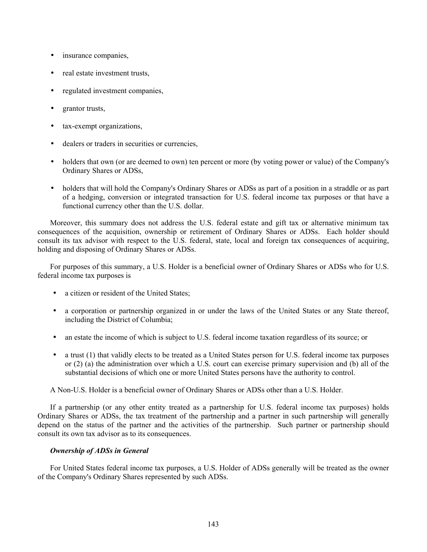- insurance companies,
- real estate investment trusts,
- regulated investment companies,
- grantor trusts,
- tax-exempt organizations,
- dealers or traders in securities or currencies,
- holders that own (or are deemed to own) ten percent or more (by voting power or value) of the Company's Ordinary Shares or ADSs,
- holders that will hold the Company's Ordinary Shares or ADSs as part of a position in a straddle or as part of a hedging, conversion or integrated transaction for U.S. federal income tax purposes or that have a functional currency other than the U.S. dollar.

Moreover, this summary does not address the U.S. federal estate and gift tax or alternative minimum tax consequences of the acquisition, ownership or retirement of Ordinary Shares or ADSs. Each holder should consult its tax advisor with respect to the U.S. federal, state, local and foreign tax consequences of acquiring, holding and disposing of Ordinary Shares or ADSs.

For purposes of this summary, a U.S. Holder is a beneficial owner of Ordinary Shares or ADSs who for U.S. federal income tax purposes is

- a citizen or resident of the United States;
- a corporation or partnership organized in or under the laws of the United States or any State thereof, including the District of Columbia;
- an estate the income of which is subject to U.S. federal income taxation regardless of its source; or
- a trust (1) that validly elects to be treated as a United States person for U.S. federal income tax purposes or (2) (a) the administration over which a U.S. court can exercise primary supervision and (b) all of the substantial decisions of which one or more United States persons have the authority to control.

A Non-U.S. Holder is a beneficial owner of Ordinary Shares or ADSs other than a U.S. Holder.

If a partnership (or any other entity treated as a partnership for U.S. federal income tax purposes) holds Ordinary Shares or ADSs, the tax treatment of the partnership and a partner in such partnership will generally depend on the status of the partner and the activities of the partnership. Such partner or partnership should consult its own tax advisor as to its consequences.

# *Ownership of ADSs in General*

For United States federal income tax purposes, a U.S. Holder of ADSs generally will be treated as the owner of the Company's Ordinary Shares represented by such ADSs.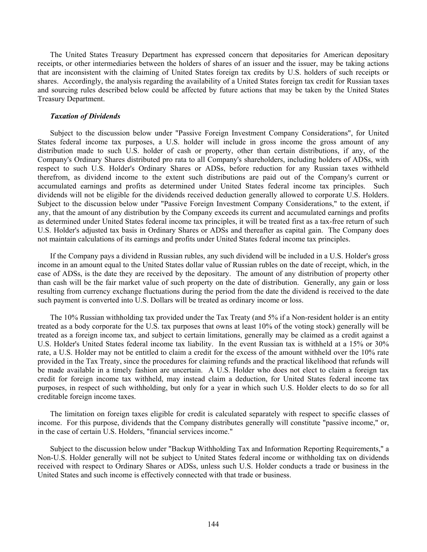The United States Treasury Department has expressed concern that depositaries for American depositary receipts, or other intermediaries between the holders of shares of an issuer and the issuer, may be taking actions that are inconsistent with the claiming of United States foreign tax credits by U.S. holders of such receipts or shares. Accordingly, the analysis regarding the availability of a United States foreign tax credit for Russian taxes and sourcing rules described below could be affected by future actions that may be taken by the United States Treasury Department.

#### *Taxation of Dividends*

Subject to the discussion below under "Passive Foreign Investment Company Considerations", for United States federal income tax purposes, a U.S. holder will include in gross income the gross amount of any distribution made to such U.S. holder of cash or property, other than certain distributions, if any, of the Company's Ordinary Shares distributed pro rata to all Company's shareholders, including holders of ADSs, with respect to such U.S. Holder's Ordinary Shares or ADSs, before reduction for any Russian taxes withheld therefrom, as dividend income to the extent such distributions are paid out of the Company's current or accumulated earnings and profits as determined under United States federal income tax principles. Such dividends will not be eligible for the dividends received deduction generally allowed to corporate U.S. Holders. Subject to the discussion below under "Passive Foreign Investment Company Considerations," to the extent, if any, that the amount of any distribution by the Company exceeds its current and accumulated earnings and profits as determined under United States federal income tax principles, it will be treated first as a tax-free return of such U.S. Holder's adjusted tax basis in Ordinary Shares or ADSs and thereafter as capital gain. The Company does not maintain calculations of its earnings and profits under United States federal income tax principles.

If the Company pays a dividend in Russian rubles, any such dividend will be included in a U.S. Holder's gross income in an amount equal to the United States dollar value of Russian rubles on the date of receipt, which, in the case of ADSs, is the date they are received by the depositary. The amount of any distribution of property other than cash will be the fair market value of such property on the date of distribution. Generally, any gain or loss resulting from currency exchange fluctuations during the period from the date the dividend is received to the date such payment is converted into U.S. Dollars will be treated as ordinary income or loss.

The 10% Russian withholding tax provided under the Tax Treaty (and 5% if a Non-resident holder is an entity treated as a body corporate for the U.S. tax purposes that owns at least 10% of the voting stock) generally will be treated as a foreign income tax, and subject to certain limitations, generally may be claimed as a credit against a U.S. Holder's United States federal income tax liability. In the event Russian tax is withheld at a 15% or 30% rate, a U.S. Holder may not be entitled to claim a credit for the excess of the amount withheld over the 10% rate provided in the Tax Treaty, since the procedures for claiming refunds and the practical likelihood that refunds will be made available in a timely fashion are uncertain. A U.S. Holder who does not elect to claim a foreign tax credit for foreign income tax withheld, may instead claim a deduction, for United States federal income tax purposes, in respect of such withholding, but only for a year in which such U.S. Holder elects to do so for all creditable foreign income taxes.

The limitation on foreign taxes eligible for credit is calculated separately with respect to specific classes of income. For this purpose, dividends that the Company distributes generally will constitute "passive income," or, in the case of certain U.S. Holders, "financial services income."

Subject to the discussion below under "Backup Withholding Tax and Information Reporting Requirements," a Non-U.S. Holder generally will not be subject to United States federal income or withholding tax on dividends received with respect to Ordinary Shares or ADSs, unless such U.S. Holder conducts a trade or business in the United States and such income is effectively connected with that trade or business.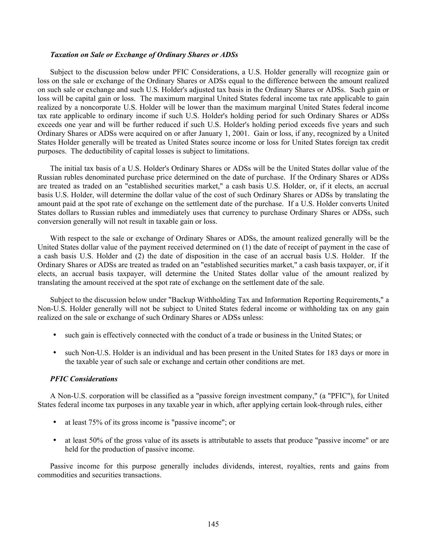#### *Taxation on Sale or Exchange of Ordinary Shares or ADSs*

Subject to the discussion below under PFIC Considerations, a U.S. Holder generally will recognize gain or loss on the sale or exchange of the Ordinary Shares or ADSs equal to the difference between the amount realized on such sale or exchange and such U.S. Holder's adjusted tax basis in the Ordinary Shares or ADSs. Such gain or loss will be capital gain or loss. The maximum marginal United States federal income tax rate applicable to gain realized by a noncorporate U.S. Holder will be lower than the maximum marginal United States federal income tax rate applicable to ordinary income if such U.S. Holder's holding period for such Ordinary Shares or ADSs exceeds one year and will be further reduced if such U.S. Holder's holding period exceeds five years and such Ordinary Shares or ADSs were acquired on or after January 1, 2001. Gain or loss, if any, recognized by a United States Holder generally will be treated as United States source income or loss for United States foreign tax credit purposes. The deductibility of capital losses is subject to limitations.

The initial tax basis of a U.S. Holder's Ordinary Shares or ADSs will be the United States dollar value of the Russian rubles denominated purchase price determined on the date of purchase. If the Ordinary Shares or ADSs are treated as traded on an "established securities market," a cash basis U.S. Holder, or, if it elects, an accrual basis U.S. Holder, will determine the dollar value of the cost of such Ordinary Shares or ADSs by translating the amount paid at the spot rate of exchange on the settlement date of the purchase. If a U.S. Holder converts United States dollars to Russian rubles and immediately uses that currency to purchase Ordinary Shares or ADSs, such conversion generally will not result in taxable gain or loss.

With respect to the sale or exchange of Ordinary Shares or ADSs, the amount realized generally will be the United States dollar value of the payment received determined on (1) the date of receipt of payment in the case of a cash basis U.S. Holder and (2) the date of disposition in the case of an accrual basis U.S. Holder. If the Ordinary Shares or ADSs are treated as traded on an "established securities market," a cash basis taxpayer, or, if it elects, an accrual basis taxpayer, will determine the United States dollar value of the amount realized by translating the amount received at the spot rate of exchange on the settlement date of the sale.

Subject to the discussion below under "Backup Withholding Tax and Information Reporting Requirements," a Non-U.S. Holder generally will not be subject to United States federal income or withholding tax on any gain realized on the sale or exchange of such Ordinary Shares or ADSs unless:

- such gain is effectively connected with the conduct of a trade or business in the United States; or
- such Non-U.S. Holder is an individual and has been present in the United States for 183 days or more in the taxable year of such sale or exchange and certain other conditions are met.

## *PFIC Considerations*

A Non-U.S. corporation will be classified as a "passive foreign investment company," (a "PFIC"), for United States federal income tax purposes in any taxable year in which, after applying certain look-through rules, either

- at least 75% of its gross income is "passive income"; or
- at least 50% of the gross value of its assets is attributable to assets that produce "passive income" or are held for the production of passive income.

Passive income for this purpose generally includes dividends, interest, royalties, rents and gains from commodities and securities transactions.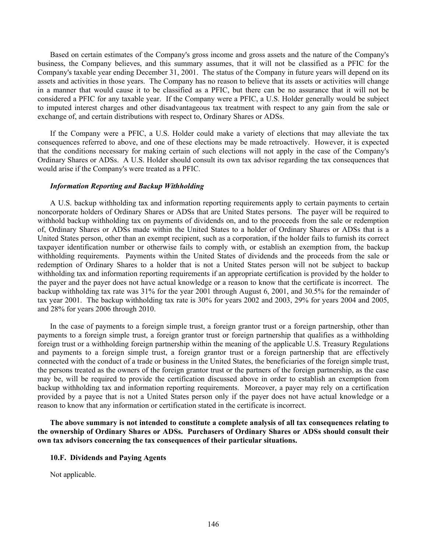Based on certain estimates of the Company's gross income and gross assets and the nature of the Company's business, the Company believes, and this summary assumes, that it will not be classified as a PFIC for the Company's taxable year ending December 31, 2001. The status of the Company in future years will depend on its assets and activities in those years. The Company has no reason to believe that its assets or activities will change in a manner that would cause it to be classified as a PFIC, but there can be no assurance that it will not be considered a PFIC for any taxable year. If the Company were a PFIC, a U.S. Holder generally would be subject to imputed interest charges and other disadvantageous tax treatment with respect to any gain from the sale or exchange of, and certain distributions with respect to, Ordinary Shares or ADSs.

If the Company were a PFIC, a U.S. Holder could make a variety of elections that may alleviate the tax consequences referred to above, and one of these elections may be made retroactively. However, it is expected that the conditions necessary for making certain of such elections will not apply in the case of the Company's Ordinary Shares or ADSs. A U.S. Holder should consult its own tax advisor regarding the tax consequences that would arise if the Company's were treated as a PFIC.

## *Information Reporting and Backup Withholding*

A U.S. backup withholding tax and information reporting requirements apply to certain payments to certain noncorporate holders of Ordinary Shares or ADSs that are United States persons. The payer will be required to withhold backup withholding tax on payments of dividends on, and to the proceeds from the sale or redemption of, Ordinary Shares or ADSs made within the United States to a holder of Ordinary Shares or ADSs that is a United States person, other than an exempt recipient, such as a corporation, if the holder fails to furnish its correct taxpayer identification number or otherwise fails to comply with, or establish an exemption from, the backup withholding requirements. Payments within the United States of dividends and the proceeds from the sale or redemption of Ordinary Shares to a holder that is not a United States person will not be subject to backup withholding tax and information reporting requirements if an appropriate certification is provided by the holder to the payer and the payer does not have actual knowledge or a reason to know that the certificate is incorrect. The backup withholding tax rate was 31% for the year 2001 through August 6, 2001, and 30.5% for the remainder of tax year 2001. The backup withholding tax rate is 30% for years 2002 and 2003, 29% for years 2004 and 2005, and 28% for years 2006 through 2010.

In the case of payments to a foreign simple trust, a foreign grantor trust or a foreign partnership, other than payments to a foreign simple trust, a foreign grantor trust or foreign partnership that qualifies as a withholding foreign trust or a withholding foreign partnership within the meaning of the applicable U.S. Treasury Regulations and payments to a foreign simple trust, a foreign grantor trust or a foreign partnership that are effectively connected with the conduct of a trade or business in the United States, the beneficiaries of the foreign simple trust, the persons treated as the owners of the foreign grantor trust or the partners of the foreign partnership, as the case may be, will be required to provide the certification discussed above in order to establish an exemption from backup withholding tax and information reporting requirements. Moreover, a payer may rely on a certification provided by a payee that is not a United States person only if the payer does not have actual knowledge or a reason to know that any information or certification stated in the certificate is incorrect.

**The above summary is not intended to constitute a complete analysis of all tax consequences relating to the ownership of Ordinary Shares or ADSs. Purchasers of Ordinary Shares or ADSs should consult their own tax advisors concerning the tax consequences of their particular situations.**

#### **10.F. Dividends and Paying Agents**

Not applicable.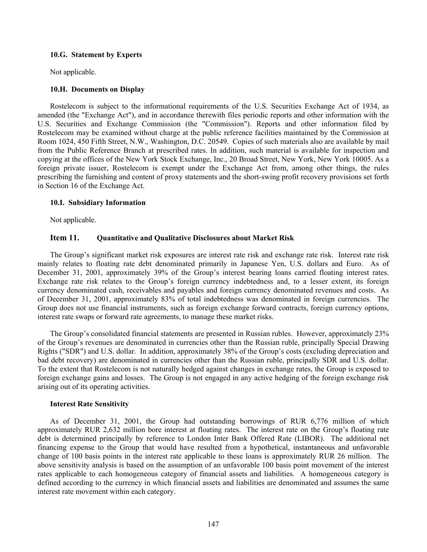## **10.G. Statement by Experts**

Not applicable.

## **10.H. Documents on Display**

Rostelecom is subject to the informational requirements of the U.S. Securities Exchange Act of 1934, as amended (the "Exchange Act"), and in accordance therewith files periodic reports and other information with the U.S. Securities and Exchange Commission (the "Commission"). Reports and other information filed by Rostelecom may be examined without charge at the public reference facilities maintained by the Commission at Room 1024, 450 Fifth Street, N.W., Washington, D.C. 20549. Copies of such materials also are available by mail from the Public Reference Branch at prescribed rates. In addition, such material is available for inspection and copying at the offices of the New York Stock Exchange, Inc., 20 Broad Street, New York, New York 10005. As a foreign private issuer, Rostelecom is exempt under the Exchange Act from, among other things, the rules prescribing the furnishing and content of proxy statements and the short-swing profit recovery provisions set forth in Section 16 of the Exchange Act.

## **10.I. Subsidiary Information**

Not applicable.

# **Item 11. Quantitative and Qualitative Disclosures about Market Risk**

The Group's significant market risk exposures are interest rate risk and exchange rate risk. Interest rate risk mainly relates to floating rate debt denominated primarily in Japanese Yen, U.S. dollars and Euro. As of December 31, 2001, approximately 39% of the Group's interest bearing loans carried floating interest rates. Exchange rate risk relates to the Group's foreign currency indebtedness and, to a lesser extent, its foreign currency denominated cash, receivables and payables and foreign currency denominated revenues and costs. As of December 31, 2001, approximately 83% of total indebtedness was denominated in foreign currencies. The Group does not use financial instruments, such as foreign exchange forward contracts, foreign currency options, interest rate swaps or forward rate agreements, to manage these market risks.

The Group's consolidated financial statements are presented in Russian rubles. However, approximately 23% of the Group's revenues are denominated in currencies other than the Russian ruble, principally Special Drawing Rights ("SDR") and U.S. dollar. In addition, approximately 38% of the Group's costs (excluding depreciation and bad debt recovery) are denominated in currencies other than the Russian ruble, principally SDR and U.S. dollar. To the extent that Rostelecom is not naturally hedged against changes in exchange rates, the Group is exposed to foreign exchange gains and losses. The Group is not engaged in any active hedging of the foreign exchange risk arising out of its operating activities.

## **Interest Rate Sensitivity**

As of December 31, 2001, the Group had outstanding borrowings of RUR 6,776 million of which approximately RUR 2,632 million bore interest at floating rates. The interest rate on the Group's floating rate debt is determined principally by reference to London Inter Bank Offered Rate (LIBOR). The additional net financing expense to the Group that would have resulted from a hypothetical, instantaneous and unfavorable change of 100 basis points in the interest rate applicable to these loans is approximately RUR 26 million. The above sensitivity analysis is based on the assumption of an unfavorable 100 basis point movement of the interest rates applicable to each homogeneous category of financial assets and liabilities. A homogeneous category is defined according to the currency in which financial assets and liabilities are denominated and assumes the same interest rate movement within each category.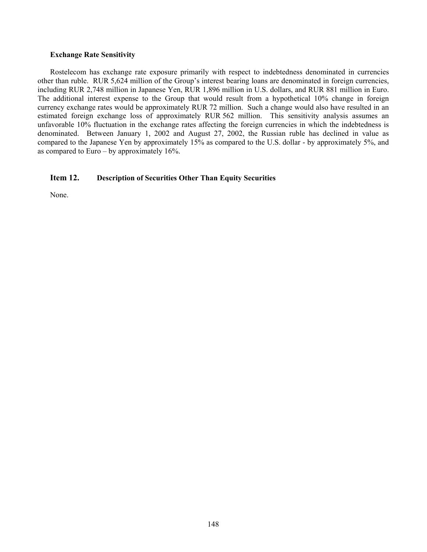## **Exchange Rate Sensitivity**

Rostelecom has exchange rate exposure primarily with respect to indebtedness denominated in currencies other than ruble. RUR 5,624 million of the Group's interest bearing loans are denominated in foreign currencies, including RUR 2,748 million in Japanese Yen, RUR 1,896 million in U.S. dollars, and RUR 881 million in Euro. The additional interest expense to the Group that would result from a hypothetical 10% change in foreign currency exchange rates would be approximately RUR 72 million. Such a change would also have resulted in an estimated foreign exchange loss of approximately RUR 562 million. This sensitivity analysis assumes an unfavorable 10% fluctuation in the exchange rates affecting the foreign currencies in which the indebtedness is denominated. Between January 1, 2002 and August 27, 2002, the Russian ruble has declined in value as compared to the Japanese Yen by approximately 15% as compared to the U.S. dollar - by approximately 5%, and as compared to Euro – by approximately  $16\%$ .

# **Item 12. Description of Securities Other Than Equity Securities**

None.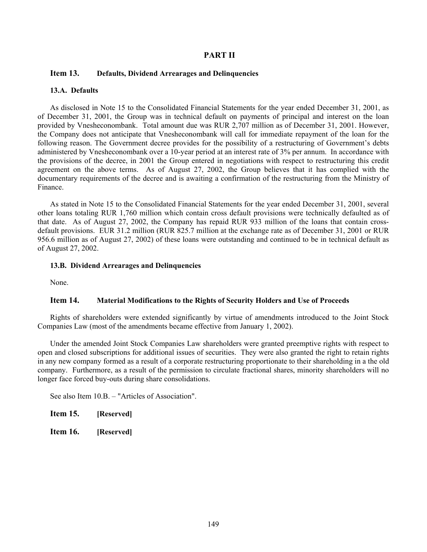# **PART II**

## **Item 13. Defaults, Dividend Arrearages and Delinquencies**

## **13.A. Defaults**

As disclosed in Note 15 to the Consolidated Financial Statements for the year ended December 31, 2001, as of December 31, 2001, the Group was in technical default on payments of principal and interest on the loan provided by Vnesheconombank. Total amount due was RUR 2,707 million as of December 31, 2001. However, the Company does not anticipate that Vnesheconombank will call for immediate repayment of the loan for the following reason. The Government decree provides for the possibility of a restructuring of Government's debts administered by Vnesheconombank over a 10-year period at an interest rate of 3% per annum. In accordance with the provisions of the decree, in 2001 the Group entered in negotiations with respect to restructuring this credit agreement on the above terms. As of August 27, 2002, the Group believes that it has complied with the documentary requirements of the decree and is awaiting a confirmation of the restructuring from the Ministry of Finance.

As stated in Note 15 to the Consolidated Financial Statements for the year ended December 31, 2001, several other loans totaling RUR 1,760 million which contain cross default provisions were technically defaulted as of that date. As of August 27, 2002, the Company has repaid RUR 933 million of the loans that contain crossdefault provisions. EUR 31.2 million (RUR 825.7 million at the exchange rate as of December 31, 2001 or RUR 956.6 million as of August 27, 2002) of these loans were outstanding and continued to be in technical default as of August 27, 2002.

#### **13.B. Dividend Arrearages and Delinquencies**

None.

# **Item 14. Material Modifications to the Rights of Security Holders and Use of Proceeds**

Rights of shareholders were extended significantly by virtue of amendments introduced to the Joint Stock Companies Law (most of the amendments became effective from January 1, 2002).

Under the amended Joint Stock Companies Law shareholders were granted preemptive rights with respect to open and closed subscriptions for additional issues of securities. They were also granted the right to retain rights in any new company formed as a result of a corporate restructuring proportionate to their shareholding in a the old company. Furthermore, as a result of the permission to circulate fractional shares, minority shareholders will no longer face forced buy-outs during share consolidations.

See also Item 10.B. – "Articles of Association".

| Item 15. | [Reserved] |
|----------|------------|
|          |            |

**Item 16. [Reserved]**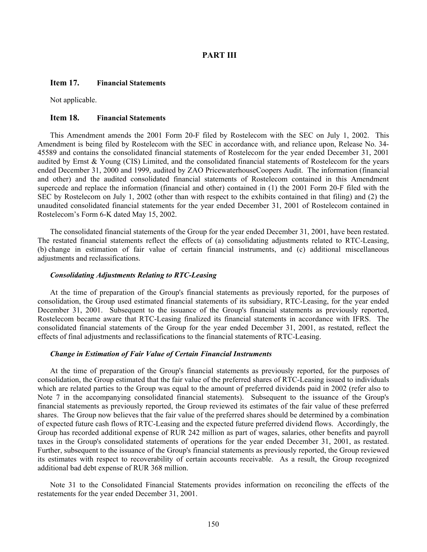## **PART III**

## **Item 17. Financial Statements**

Not applicable.

#### **Item 18. Financial Statements**

This Amendment amends the 2001 Form 20-F filed by Rostelecom with the SEC on July 1, 2002. This Amendment is being filed by Rostelecom with the SEC in accordance with, and reliance upon, Release No. 34- 45589 and contains the consolidated financial statements of Rostelecom for the year ended December 31, 2001 audited by Ernst & Young (CIS) Limited, and the consolidated financial statements of Rostelecom for the years ended December 31, 2000 and 1999, audited by ZAO PricewaterhouseCoopers Audit. The information (financial and other) and the audited consolidated financial statements of Rostelecom contained in this Amendment supercede and replace the information (financial and other) contained in (1) the 2001 Form 20-F filed with the SEC by Rostelecom on July 1, 2002 (other than with respect to the exhibits contained in that filing) and (2) the unaudited consolidated financial statements for the year ended December 31, 2001 of Rostelecom contained in Rostelecom's Form 6-K dated May 15, 2002.

The consolidated financial statements of the Group for the year ended December 31, 2001, have been restated. The restated financial statements reflect the effects of (a) consolidating adjustments related to RTC-Leasing, (b) change in estimation of fair value of certain financial instruments, and (c) additional miscellaneous adjustments and reclassifications.

#### *Consolidating Adjustments Relating to RTC-Leasing*

At the time of preparation of the Group's financial statements as previously reported, for the purposes of consolidation, the Group used estimated financial statements of its subsidiary, RTC-Leasing, for the year ended December 31, 2001. Subsequent to the issuance of the Group's financial statements as previously reported, Rostelecom became aware that RTC-Leasing finalized its financial statements in accordance with IFRS. The consolidated financial statements of the Group for the year ended December 31, 2001, as restated, reflect the effects of final adjustments and reclassifications to the financial statements of RTC-Leasing.

#### *Change in Estimation of Fair Value of Certain Financial Instruments*

At the time of preparation of the Group's financial statements as previously reported, for the purposes of consolidation, the Group estimated that the fair value of the preferred shares of RTC-Leasing issued to individuals which are related parties to the Group was equal to the amount of preferred dividends paid in 2002 (refer also to Note 7 in the accompanying consolidated financial statements). Subsequent to the issuance of the Group's financial statements as previously reported, the Group reviewed its estimates of the fair value of these preferred shares. The Group now believes that the fair value of the preferred shares should be determined by a combination of expected future cash flows of RTC-Leasing and the expected future preferred dividend flows. Accordingly, the Group has recorded additional expense of RUR 242 million as part of wages, salaries, other benefits and payroll taxes in the Group's consolidated statements of operations for the year ended December 31, 2001, as restated. Further, subsequent to the issuance of the Group's financial statements as previously reported, the Group reviewed its estimates with respect to recoverability of certain accounts receivable. As a result, the Group recognized additional bad debt expense of RUR 368 million.

Note 31 to the Consolidated Financial Statements provides information on reconciling the effects of the restatements for the year ended December 31, 2001.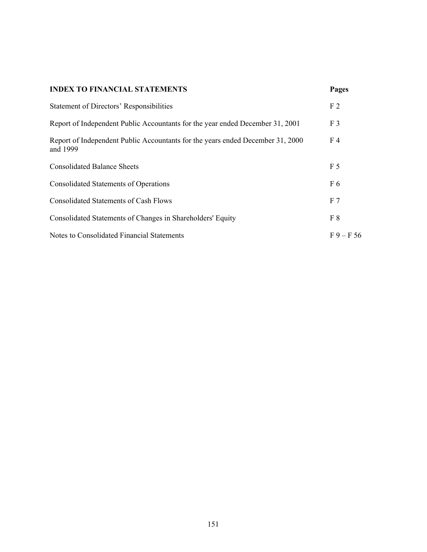# **INDEX TO FINANCIAL STATEMENTS Pages**

| <b>Statement of Directors' Responsibilities</b>                                            | F <sub>2</sub> |
|--------------------------------------------------------------------------------------------|----------------|
| Report of Independent Public Accountants for the year ended December 31, 2001              | F <sub>3</sub> |
| Report of Independent Public Accountants for the years ended December 31, 2000<br>and 1999 | F <sub>4</sub> |
| <b>Consolidated Balance Sheets</b>                                                         | F <sub>5</sub> |
| <b>Consolidated Statements of Operations</b>                                               | F 6            |
| <b>Consolidated Statements of Cash Flows</b>                                               | F <sub>7</sub> |
| Consolidated Statements of Changes in Shareholders' Equity                                 | F <sup>8</sup> |
| Notes to Consolidated Financial Statements                                                 | $F9 - F56$     |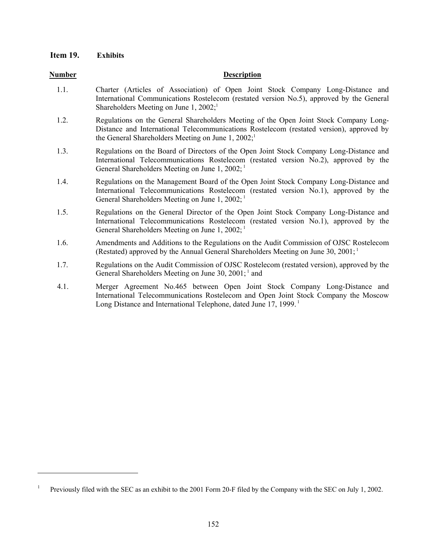# **Item 19. Exhibits**

1

## **Number Description**

- 1.1. Charter (Articles of Association) of Open Joint Stock Company Long-Distance and International Communications Rostelecom (restated version No.5), approved by the General Shareholders Meeting on June 1,  $2002$ ;<sup>1</sup>
- 1.2. Regulations on the General Shareholders Meeting of the Open Joint Stock Company Long-Distance and International Telecommunications Rostelecom (restated version), approved by the General Shareholders Meeting on June  $1, 2002$ ;<sup>1</sup>
- 1.3. Regulations on the Board of Directors of the Open Joint Stock Company Long-Distance and International Telecommunications Rostelecom (restated version No.2), approved by the General Shareholders Meeting on June 1, 2002;<sup>1</sup>
- 1.4. Regulations on the Management Board of the Open Joint Stock Company Long-Distance and International Telecommunications Rostelecom (restated version No.1), approved by the General Shareholders Meeting on June 1, 2002;<sup>1</sup>
- 1.5. Regulations on the General Director of the Open Joint Stock Company Long-Distance and International Telecommunications Rostelecom (restated version No.1), approved by the General Shareholders Meeting on June 1, 2002;<sup>1</sup>
- 1.6. Amendments and Additions to the Regulations on the Audit Commission of OJSC Rostelecom (Restated) approved by the Annual General Shareholders Meeting on June 30, 2001; 1
- 1.7. Regulations on the Audit Commission of OJSC Rostelecom (restated version), approved by the General Shareholders Meeting on June 30, 2001;  $\frac{1}{1}$  and
- 4.1. Merger Agreement No.465 between Open Joint Stock Company Long-Distance and International Telecommunications Rostelecom and Open Joint Stock Company the Moscow Long Distance and International Telephone, dated June 17, 1999.<sup>1</sup>

<sup>1</sup> Previously filed with the SEC as an exhibit to the 2001 Form 20-F filed by the Company with the SEC on July 1, 2002.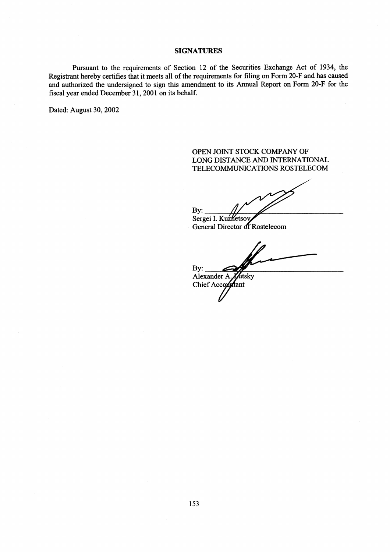## **SIGNATURES**

Pursuant to the requirements of Section 12 of the Securities Exchange Act of 1934, the Registrant hereby certifies that it meets all of the requirements for filing on Form 20-F and has caused and authorized the undersigned to sign this amendment to its Annual Report on Form 20-F for the fiscal year ended December 31, 2001 on its behalf.

Dated: August 30, 2002

# OPEN JOINT STOCK COMPANY OF LONG DISTANCE AND INTERNATIONAL TELECOMMUNICATIONS ROSTELECOM

By: Sergei I. Kuzketsov General Director of Rostelecom

By: Alexander A. ktsky Chief Accommant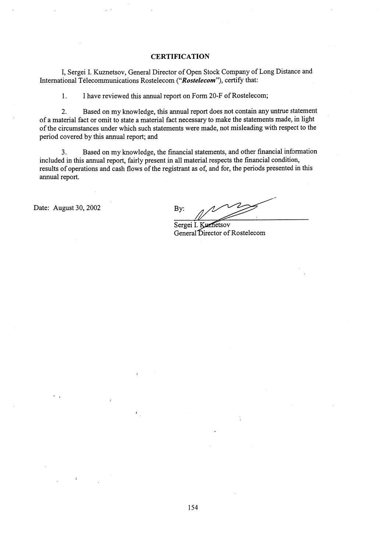#### **CERTIFICATION**

I, Sergei I. Kuznetsov, General Director of Open Stock Company of Long Distance and International Télecommunications Rostelecom ("Rostelecom"), certify that:

1. I have reviewed this annual report on Form 20-F of Rostelecom;

 $2.$ Based on my knowledge, this annual report does not contain any untrue statement of a material fact or omit to state a material fact necessary to make the statements made, in light of the circumstances under which such statements were made, not misleading with respect to the period covered by this annual report; and

Based on my knowledge, the financial statements, and other financial information  $3.$ included in this annual report, fairly present in all material respects the financial condition, results of operations and cash flows of the registrant as of, and for, the periods presented in this annual report.

Date: August 30, 2002

By:

Sergei I. Kuznetsov General Director of Rostelecom